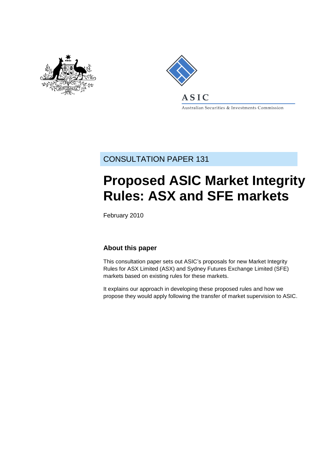



Australian Securities & Investments Commission

## CONSULTATION PAPER 131

# **Proposed ASIC Market Integrity Rules: ASX and SFE markets**

February 2010

### **About this paper**

This consultation paper sets out ASIC's proposals for new Market Integrity Rules for ASX Limited (ASX) and Sydney Futures Exchange Limited (SFE) markets based on existing rules for these markets.

It explains our approach in developing these proposed rules and how we propose they would apply following the transfer of market supervision to ASIC.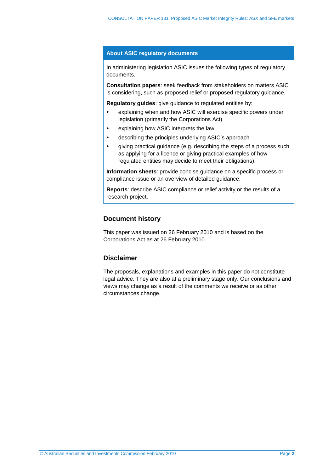### **About ASIC regulatory documents**

In administering legislation ASIC issues the following types of regulatory documents.

**Consultation papers**: seek feedback from stakeholders on matters ASIC is considering, such as proposed relief or proposed regulatory guidance.

**Regulatory guides**: give guidance to regulated entities by:

- explaining when and how ASIC will exercise specific powers under legislation (primarily the Corporations Act)
- explaining how ASIC interprets the law
- describing the principles underlying ASIC's approach
- giving practical guidance (e.g. describing the steps of a process such as applying for a licence or giving practical examples of how regulated entities may decide to meet their obligations).

**Information sheets**: provide concise guidance on a specific process or compliance issue or an overview of detailed guidance.

**Reports**: describe ASIC compliance or relief activity or the results of a research project.

### **Document history**

This paper was issued on 26 February 2010 and is based on the Corporations Act as at 26 February 2010.

### **Disclaimer**

The proposals, explanations and examples in this paper do not constitute legal advice. They are also at a preliminary stage only. Our conclusions and views may change as a result of the comments we receive or as other circumstances change.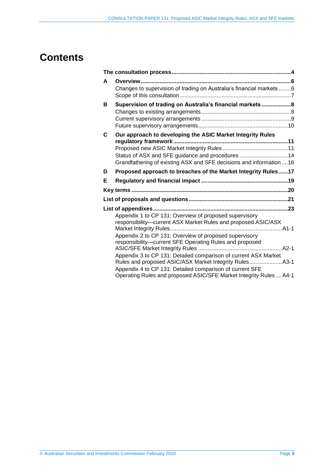## **Contents**

| A | Changes to supervision of trading on Australia's financial markets 6                                                                                                                   |  |
|---|----------------------------------------------------------------------------------------------------------------------------------------------------------------------------------------|--|
| В | Supervision of trading on Australia's financial markets 8                                                                                                                              |  |
|   |                                                                                                                                                                                        |  |
|   |                                                                                                                                                                                        |  |
| C | Our approach to developing the ASIC Market Integrity Rules                                                                                                                             |  |
|   |                                                                                                                                                                                        |  |
|   | Status of ASX and SFE guidance and procedures 14                                                                                                                                       |  |
|   | Grandfathering of existing ASX and SFE decisions and information  16                                                                                                                   |  |
| D | Proposed approach to breaches of the Market Integrity Rules17                                                                                                                          |  |
| Е |                                                                                                                                                                                        |  |
|   |                                                                                                                                                                                        |  |
|   |                                                                                                                                                                                        |  |
|   |                                                                                                                                                                                        |  |
|   |                                                                                                                                                                                        |  |
|   | Appendix 1 to CP 131: Overview of proposed supervisory<br>responsibility-current ASX Market Rules and proposed ASIC/ASX                                                                |  |
|   | Appendix 2 to CP 131: Overview of proposed supervisory<br>responsibility-current SFE Operating Rules and proposed                                                                      |  |
|   | Appendix 3 to CP 131: Detailed comparison of current ASX Market<br>Rules and proposed ASIC/ASX Market Integrity Rules A3-1<br>Appendix 4 to CP 131: Detailed comparison of current SFE |  |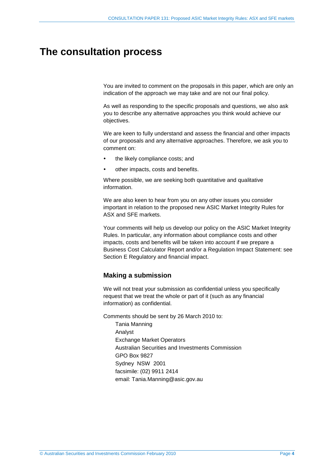## **The consultation process**

You are invited to comment on the proposals in this paper, which are only an indication of the approach we may take and are not our final policy.

As well as responding to the specific proposals and questions, we also ask you to describe any alternative approaches you think would achieve our objectives.

We are keen to fully understand and assess the financial and other impacts of our proposals and any alternative approaches. Therefore, we ask you to comment on:

- the likely compliance costs; and
- other impacts, costs and benefits.

Where possible, we are seeking both quantitative and qualitative information.

We are also keen to hear from you on any other issues you consider important in relation to the proposed new ASIC Market Integrity Rules for ASX and SFE markets.

Your comments will help us develop our policy on the ASIC Market Integrity Rules. In particular, any information about compliance costs and other impacts, costs and benefits will be taken into account if we prepare a Business Cost Calculator Report and/or a Regulation Impact Statement: see Section E Regulatory and financial impact.

### **Making a submission**

We will not treat your submission as confidential unless you specifically request that we treat the whole or part of it (such as any financial information) as confidential.

Comments should be sent by 26 March 2010 to:

Tania Manning Analyst Exchange Market Operators Australian Securities and Investments Commission GPO Box 9827 Sydney NSW 2001 facsimile: (02) 9911 2414 email: Tania.Manning@asic.gov.au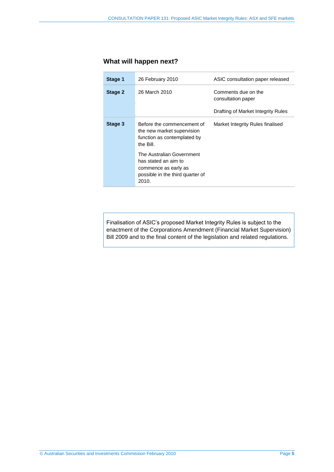### **What will happen next?**

| Stage 1 | 26 February 2010                                                                                                       | ASIC consultation paper released          |
|---------|------------------------------------------------------------------------------------------------------------------------|-------------------------------------------|
| Stage 2 | 26 March 2010                                                                                                          | Comments due on the<br>consultation paper |
|         |                                                                                                                        | Drafting of Market Integrity Rules        |
| Stage 3 | Before the commencement of<br>the new market supervision<br>function as contemplated by<br>the Bill.                   | Market Integrity Rules finalised          |
|         | The Australian Government<br>has stated an aim to<br>commence as early as<br>possible in the third quarter of<br>2010. |                                           |

Finalisation of ASIC's proposed Market Integrity Rules is subject to the enactment of the Corporations Amendment (Financial Market Supervision) Bill 2009 and to the final content of the legislation and related regulations.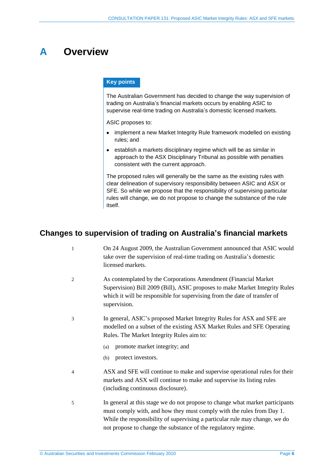## **A Overview**

### **Key points**

The Australian Government has decided to change the way supervision of trading on Australia's financial markets occurs by enabling ASIC to supervise real-time trading on Australia's domestic licensed markets.

ASIC proposes to:

- implement a new Market Integrity Rule framework modelled on existing rules; and
- establish a markets disciplinary regime which will be as similar in approach to the ASX Disciplinary Tribunal as possible with penalties consistent with the current approach.

The proposed rules will generally be the same as the existing rules with clear delineation of supervisory responsibility between ASIC and ASX or SFE. So while we propose that the responsibility of supervising particular rules will change, we do not propose to change the substance of the rule itself.

### **Changes to supervision of trading on Australia's financial markets**

- 1 On 24 August 2009, the Australian Government announced that ASIC would take over the supervision of real-time trading on Australia's domestic licensed markets.
- 2 As contemplated by the Corporations Amendment (Financial Market Supervision) Bill 2009 (Bill), ASIC proposes to make Market Integrity Rules which it will be responsible for supervising from the date of transfer of supervision.
- 3 In general, ASIC's proposed Market Integrity Rules for ASX and SFE are modelled on a subset of the existing ASX Market Rules and SFE Operating Rules. The Market Integrity Rules aim to:
	- (a) promote market integrity; and
	- (b) protect investors.
- 4 ASX and SFE will continue to make and supervise operational rules for their markets and ASX will continue to make and supervise its listing rules (including continuous disclosure).
- 5 In general at this stage we do not propose to change what market participants must comply with, and how they must comply with the rules from Day 1. While the responsibility of supervising a particular rule may change, we do not propose to change the substance of the regulatory regime.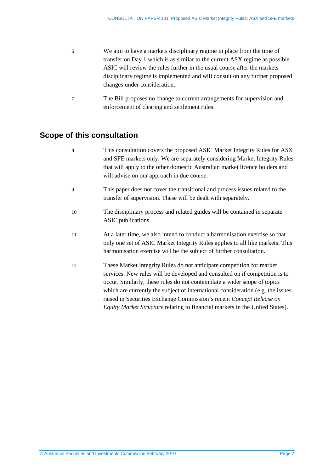- 6 We aim to have a markets disciplinary regime in place from the time of transfer on Day 1 which is as similar to the current ASX regime as possible. ASIC will review the rules further in the usual course after the markets disciplinary regime is implemented and will consult on any further proposed changes under consideration.
	- 7 The Bill proposes no change to current arrangements for supervision and enforcement of clearing and settlement rules.

## **Scope of this consultation**

- 8 This consultation covers the proposed ASIC Market Integrity Rules for ASX and SFE markets only. We are separately considering Market Integrity Rules that will apply to the other domestic Australian market licence holders and will advise on our approach in due course.
- 9 This paper does not cover the transitional and process issues related to the transfer of supervision. These will be dealt with separately.
- 10 The disciplinary process and related guides will be contained in separate ASIC publications.
- 11 At a later time, we also intend to conduct a harmonisation exercise so that only one set of ASIC Market Integrity Rules applies to all like markets. This harmonisation exercise will be the subject of further consultation.
- 12 These Market Integrity Rules do not anticipate competition for market services. New rules will be developed and consulted on if competition is to occur. Similarly, these rules do not contemplate a wider scope of topics which are currently the subject of international consideration (e.g. the issues raised in Securities Exchange Commission's recent *Concept Release on Equity Market Structure* relating to financial markets in the United States).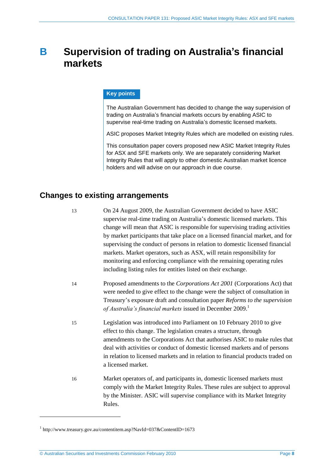## **B Supervision of trading on Australia's financial markets**

### **Key points**

The Australian Government has decided to change the way supervision of trading on Australia's financial markets occurs by enabling ASIC to supervise real-time trading on Australia's domestic licensed markets.

ASIC proposes Market Integrity Rules which are modelled on existing rules.

This consultation paper covers proposed new ASIC Market Integrity Rules for ASX and SFE markets only. We are separately considering Market Integrity Rules that will apply to other domestic Australian market licence holders and will advise on our approach in due course.

### **Changes to existing arrangements**

13 On 24 August 2009, the Australian Government decided to have ASIC supervise real-time trading on Australia's domestic licensed markets. This change will mean that ASIC is responsible for supervising trading activities by market participants that take place on a licensed financial market, and for supervising the conduct of persons in relation to domestic licensed financial markets. Market operators, such as ASX, will retain responsibility for monitoring and enforcing compliance with the remaining operating rules including listing rules for entities listed on their exchange.

- 14 Proposed amendments to the *Corporations Act 2001* (Corporations Act) that were needed to give effect to the change were the subject of consultation in Treasury's exposure draft and consultation paper *Reforms to the supervision of Australia's financial markets* issued in December 2009. 1
- 15 Legislation was introduced into Parliament on 10 February 2010 to give effect to this change. The legislation creates a structure, through amendments to the Corporations Act that authorises ASIC to make rules that deal with activities or conduct of domestic licensed markets and of persons in relation to licensed markets and in relation to financial products traded on a licensed market.
- 16 Market operators of, and participants in, domestic licensed markets must comply with the Market Integrity Rules. These rules are subject to approval by the Minister. ASIC will supervise compliance with its Market Integrity Rules.

l

<sup>&</sup>lt;sup>1</sup> http://www.treasury.gov.au/contentitem.asp?NavId=037&ContentID=1673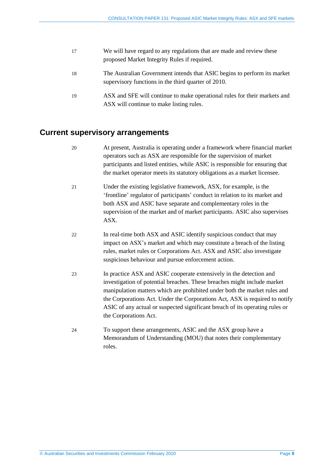| 17 | We will have regard to any regulations that are made and review these<br>proposed Market Integrity Rules if required.           |
|----|---------------------------------------------------------------------------------------------------------------------------------|
| 18 | The Australian Government intends that ASIC begins to perform its market<br>supervisory functions in the third quarter of 2010. |
| 19 | ASX and SFE will continue to make operational rules for their markets and<br>ASX will continue to make listing rules.           |

### **Current supervisory arrangements**

- 20 At present, Australia is operating under a framework where financial market operators such as ASX are responsible for the supervision of market participants and listed entities, while ASIC is responsible for ensuring that the market operator meets its statutory obligations as a market licensee.
- 21 Under the existing legislative framework, ASX, for example, is the 'frontline' regulator of participants' conduct in relation to its market and both ASX and ASIC have separate and complementary roles in the supervision of the market and of market participants. ASIC also supervises ASX.
- 22 In real-time both ASX and ASIC identify suspicious conduct that may impact on ASX's market and which may constitute a breach of the listing rules, market rules or Corporations Act. ASX and ASIC also investigate suspicious behaviour and pursue enforcement action.
- 23 In practice ASX and ASIC cooperate extensively in the detection and investigation of potential breaches. These breaches might include market manipulation matters which are prohibited under both the market rules and the Corporations Act. Under the Corporations Act, ASX is required to notify ASIC of any actual or suspected significant breach of its operating rules or the Corporations Act.
- 24 To support these arrangements, ASIC and the ASX group have a Memorandum of Understanding (MOU) that notes their complementary roles.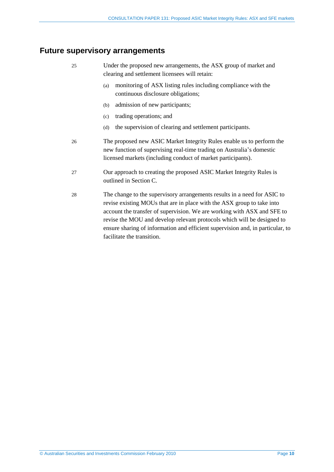### **Future supervisory arrangements**

- 25 Under the proposed new arrangements, the ASX group of market and clearing and settlement licensees will retain:
	- (a) monitoring of ASX listing rules including compliance with the continuous disclosure obligations;
	- (b) admission of new participants;
	- (c) trading operations; and
	- (d) the supervision of clearing and settlement participants.
- 26 The proposed new ASIC Market Integrity Rules enable us to perform the new function of supervising real-time trading on Australia's domestic licensed markets (including conduct of market participants).
- 27 Our approach to creating the proposed ASIC Market Integrity Rules is outlined in Section C.
- 28 The change to the supervisory arrangements results in a need for ASIC to revise existing MOUs that are in place with the ASX group to take into account the transfer of supervision. We are working with ASX and SFE to revise the MOU and develop relevant protocols which will be designed to ensure sharing of information and efficient supervision and, in particular, to facilitate the transition.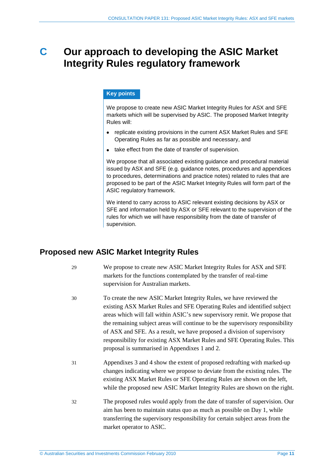## **C Our approach to developing the ASIC Market Integrity Rules regulatory framework**

### **Key points**

We propose to create new ASIC Market Integrity Rules for ASX and SFE markets which will be supervised by ASIC. The proposed Market Integrity Rules will:

- replicate existing provisions in the current ASX Market Rules and SFE Operating Rules as far as possible and necessary, and
- take effect from the date of transfer of supervision.

We propose that all associated existing guidance and procedural material issued by ASX and SFE (e.g. guidance notes, procedures and appendices to procedures, determinations and practice notes) related to rules that are proposed to be part of the ASIC Market Integrity Rules will form part of the ASIC regulatory framework.

We intend to carry across to ASIC relevant existing decisions by ASX or SFE and information held by ASX or SFE relevant to the supervision of the rules for which we will have responsibility from the date of transfer of supervision.

### **Proposed new ASIC Market Integrity Rules**

- 29 We propose to create new ASIC Market Integrity Rules for ASX and SFE markets for the functions contemplated by the transfer of real-time supervision for Australian markets.
- 30 To create the new ASIC Market Integrity Rules, we have reviewed the existing ASX Market Rules and SFE Operating Rules and identified subject areas which will fall within ASIC's new supervisory remit. We propose that the remaining subject areas will continue to be the supervisory responsibility of ASX and SFE. As a result, we have proposed a division of supervisory responsibility for existing ASX Market Rules and SFE Operating Rules. This proposal is summarised in Appendixes 1 and 2.
- 31 Appendixes 3 and 4 show the extent of proposed redrafting with marked-up changes indicating where we propose to deviate from the existing rules. The existing ASX Market Rules or SFE Operating Rules are shown on the left, while the proposed new ASIC Market Integrity Rules are shown on the right.
- 32 The proposed rules would apply from the date of transfer of supervision. Our aim has been to maintain status quo as much as possible on Day 1, while transferring the supervisory responsibility for certain subject areas from the market operator to ASIC.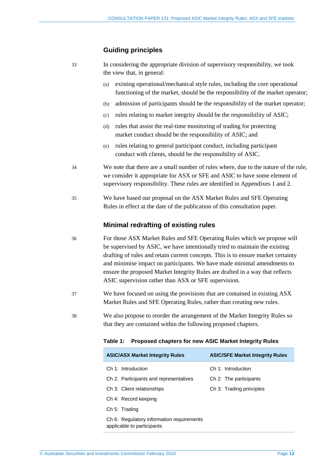### **Guiding principles**

| 33 | In considering the appropriate division of supervisory responsibility, we took |
|----|--------------------------------------------------------------------------------|
|    | the view that, in general:                                                     |

- (a) existing operational/mechanical style rules, including the core operational functioning of the market, should be the responsibility of the market operator;
- (b) admission of participants should be the responsibility of the market operator;
- (c) rules relating to market integrity should be the responsibility of ASIC;
- (d) rules that assist the real-time monitoring of trading for protecting market conduct should be the responsibility of ASIC; and
- (e) rules relating to general participant conduct, including participant conduct with clients, should be the responsibility of ASIC.
- 34 We note that there are a small number of rules where, due to the nature of the rule, we consider it appropriate for ASX or SFE and ASIC to have some element of supervisory responsibility. These rules are identified in Appendixes 1 and 2.
- 35 We have based our proposal on the ASX Market Rules and SFE Operating Rules in effect at the date of the publication of this consultation paper.

### **Minimal redrafting of existing rules**

- 36 For those ASX Market Rules and SFE Operating Rules which we propose will be supervised by ASIC, we have intentionally tried to maintain the existing drafting of rules and retain current concepts. This is to ensure market certainty and minimise impact on participants. We have made minimal amendments to ensure the proposed Market Integrity Rules are drafted in a way that reflects ASIC supervision rather than ASX or SFE supervision.
- 37 We have focused on using the provisions that are contained in existing ASX Market Rules and SFE Operating Rules, rather than creating new rules.
- 38 We also propose to reorder the arrangement of the Market Integrity Rules so that they are contained within the following proposed chapters.

|  |  | Table 1: Proposed chapters for new ASIC Market Integrity Rules |  |
|--|--|----------------------------------------------------------------|--|
|--|--|----------------------------------------------------------------|--|

| <b>ASIC/ASX Market Integrity Rules</b>                                  | <b>ASIC/SFE Market Integrity Rules</b> |
|-------------------------------------------------------------------------|----------------------------------------|
| Ch 1: Introduction                                                      | Ch 1: Introduction                     |
| Ch 2: Participants and representatives                                  | Ch 2: The participants                 |
| Ch 3: Client relationships                                              | Ch 3: Trading principles               |
| Ch 4: Record keeping                                                    |                                        |
| Ch 5: Trading                                                           |                                        |
| Ch 6: Regulatory information requirements<br>applicable to participants |                                        |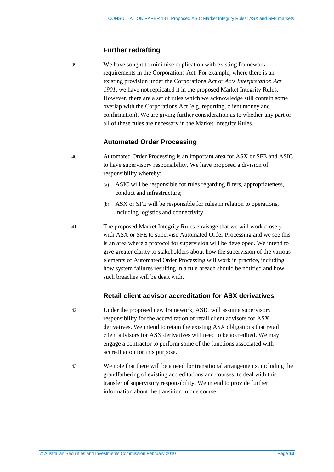### **Further redrafting**

39 We have sought to minimise duplication with existing framework requirements in the Corporations Act. For example, where there is an existing provision under the Corporations Act or *Acts Interpretation Act 1901*, we have not replicated it in the proposed Market Integrity Rules. However, there are a set of rules which we acknowledge still contain some overlap with the Corporations Act (e.g. reporting, client money and confirmation). We are giving further consideration as to whether any part or all of these rules are necessary in the Market Integrity Rules.

### **Automated Order Processing**

40 Automated Order Processing is an important area for ASX or SFE and ASIC to have supervisory responsibility. We have proposed a division of responsibility whereby:

- (a) ASIC will be responsible for rules regarding filters, appropriateness, conduct and infrastructure;
- (b) ASX or SFE will be responsible for rules in relation to operations, including logistics and connectivity.

41 The proposed Market Integrity Rules envisage that we will work closely with ASX or SFE to supervise Automated Order Processing and we see this is an area where a protocol for supervision will be developed. We intend to give greater clarity to stakeholders about how the supervision of the various elements of Automated Order Processing will work in practice, including how system failures resulting in a rule breach should be notified and how such breaches will be dealt with.

### **Retail client advisor accreditation for ASX derivatives**

- 42 Under the proposed new framework, ASIC will assume supervisory responsibility for the accreditation of retail client advisors for ASX derivatives. We intend to retain the existing ASX obligations that retail client advisors for ASX derivatives will need to be accredited. We may engage a contractor to perform some of the functions associated with accreditation for this purpose.
- 43 We note that there will be a need for transitional arrangements, including the grandfathering of existing accreditations and courses, to deal with this transfer of supervisory responsibility. We intend to provide further information about the transition in due course.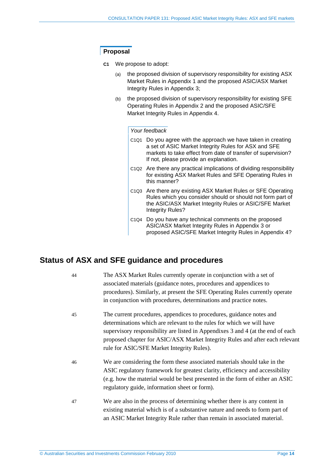### **Proposal**

- **C1** We propose to adopt:
	- (a) the proposed division of supervisory responsibility for existing ASX Market Rules in Appendix 1 and the proposed ASIC/ASX Market Integrity Rules in Appendix 3;
	- (b) the proposed division of supervisory responsibility for existing SFE Operating Rules in Appendix 2 and the proposed ASIC/SFE Market Integrity Rules in Appendix 4.

### *Your feedback*

- C1Q1 Do you agree with the approach we have taken in creating a set of ASIC Market Integrity Rules for ASX and SFE markets to take effect from date of transfer of supervision? If not, please provide an explanation.
- C1Q2 Are there any practical implications of dividing responsibility for existing ASX Market Rules and SFE Operating Rules in this manner?
- C1Q3 Are there any existing ASX Market Rules or SFE Operating Rules which you consider should or should not form part of the ASIC/ASX Market Integrity Rules or ASIC/SFE Market Integrity Rules?
- C1Q4 Do you have any technical comments on the proposed ASIC/ASX Market Integrity Rules in Appendix 3 or proposed ASIC/SFE Market Integrity Rules in Appendix 4?

### **Status of ASX and SFE guidance and procedures**

| 44 | The ASX Market Rules currently operate in conjunction with a set of<br>associated materials (guidance notes, procedures and appendices to<br>procedures). Similarly, at present the SFE Operating Rules currently operate<br>in conjunction with procedures, determinations and practice notes.                                                                |
|----|----------------------------------------------------------------------------------------------------------------------------------------------------------------------------------------------------------------------------------------------------------------------------------------------------------------------------------------------------------------|
| 45 | The current procedures, appendices to procedures, guidance notes and<br>determinations which are relevant to the rules for which we will have<br>supervisory responsibility are listed in Appendixes 3 and 4 (at the end of each<br>proposed chapter for ASIC/ASX Market Integrity Rules and after each relevant<br>rule for ASIC/SFE Market Integrity Rules). |
| 46 | We are considering the form these associated materials should take in the<br>ASIC regulatory framework for greatest clarity, efficiency and accessibility<br>(e.g. how the material would be best presented in the form of either an ASIC<br>regulatory guide, information sheet or form).                                                                     |
| 47 | We are also in the process of determining whether there is any content in<br>existing material which is of a substantive nature and needs to form part of<br>an ASIC Market Integrity Rule rather than remain in associated material.                                                                                                                          |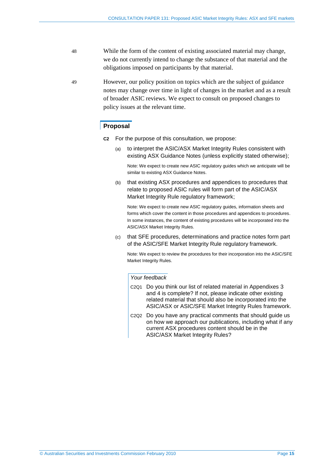- 48 While the form of the content of existing associated material may change, we do not currently intend to change the substance of that material and the obligations imposed on participants by that material.
- 49 However, our policy position on topics which are the subject of guidance notes may change over time in light of changes in the market and as a result of broader ASIC reviews. We expect to consult on proposed changes to policy issues at the relevant time.

### **Proposal**

- **C2** For the purpose of this consultation, we propose:
	- (a) to interpret the ASIC/ASX Market Integrity Rules consistent with existing ASX Guidance Notes (unless explicitly stated otherwise);

Note: We expect to create new ASIC regulatory guides which we anticipate will be similar to existing ASX Guidance Notes.

(b) that existing ASX procedures and appendices to procedures that relate to proposed ASIC rules will form part of the ASIC/ASX Market Integrity Rule regulatory framework;

Note: We expect to create new ASIC regulatory guides, information sheets and forms which cover the content in those procedures and appendices to procedures. In some instances, the content of existing procedures will be incorporated into the ASIC/ASX Market Integrity Rules.

(c) that SFE procedures, determinations and practice notes form part of the ASIC/SFE Market Integrity Rule regulatory framework.

Note: We expect to review the procedures for their incorporation into the ASIC/SFE Market Integrity Rules.

### *Your feedback*

- C2Q1 Do you think our list of related material in Appendixes 3 and 4 is complete? If not, please indicate other existing related material that should also be incorporated into the ASIC/ASX or ASIC/SFE Market Integrity Rules framework.
- C2Q2 Do you have any practical comments that should guide us on how we approach our publications, including what if any current ASX procedures content should be in the ASIC/ASX Market Integrity Rules?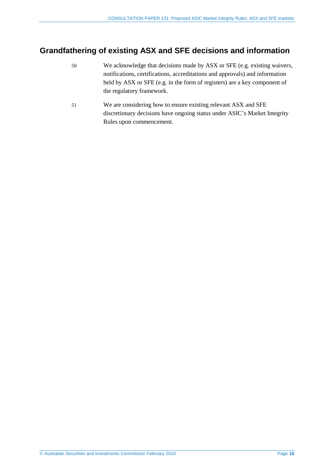## **Grandfathering of existing ASX and SFE decisions and information**

- 50 We acknowledge that decisions made by ASX or SFE (e.g. existing waivers, notifications, certifications, accreditations and approvals) and information held by ASX or SFE (e.g. in the form of registers) are a key component of the regulatory framework.
- 51 We are considering how to ensure existing relevant ASX and SFE discretionary decisions have ongoing status under ASIC's Market Integrity Rules upon commencement.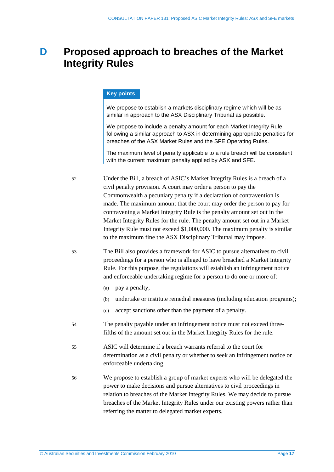## **D Proposed approach to breaches of the Market Integrity Rules**

### **Key points**

We propose to establish a markets disciplinary regime which will be as similar in approach to the ASX Disciplinary Tribunal as possible.

We propose to include a penalty amount for each Market Integrity Rule following a similar approach to ASX in determining appropriate penalties for breaches of the ASX Market Rules and the SFE Operating Rules.

The maximum level of penalty applicable to a rule breach will be consistent with the current maximum penalty applied by ASX and SFE.

- 52 Under the Bill, a breach of ASIC's Market Integrity Rules is a breach of a civil penalty provision. A court may order a person to pay the Commonwealth a pecuniary penalty if a declaration of contravention is made. The maximum amount that the court may order the person to pay for contravening a Market Integrity Rule is the penalty amount set out in the Market Integrity Rules for the rule. The penalty amount set out in a Market Integrity Rule must not exceed \$1,000,000. The maximum penalty is similar to the maximum fine the ASX Disciplinary Tribunal may impose.
- 53 The Bill also provides a framework for ASIC to pursue alternatives to civil proceedings for a person who is alleged to have breached a Market Integrity Rule. For this purpose, the regulations will establish an infringement notice and enforceable undertaking regime for a person to do one or more of:
	- (a) pay a penalty;
	- (b) undertake or institute remedial measures (including education programs);
	- (c) accept sanctions other than the payment of a penalty.
- 54 The penalty payable under an infringement notice must not exceed threefifths of the amount set out in the Market Integrity Rules for the rule.
- 55 ASIC will determine if a breach warrants referral to the court for determination as a civil penalty or whether to seek an infringement notice or enforceable undertaking.
- 56 We propose to establish a group of market experts who will be delegated the power to make decisions and pursue alternatives to civil proceedings in relation to breaches of the Market Integrity Rules. We may decide to pursue breaches of the Market Integrity Rules under our existing powers rather than referring the matter to delegated market experts.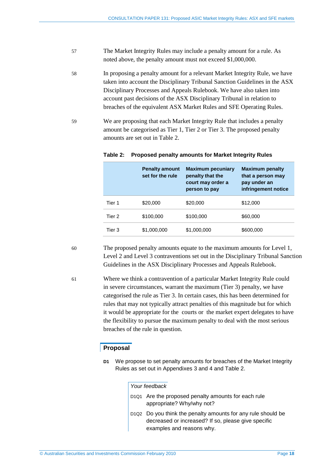- 57 The Market Integrity Rules may include a penalty amount for a rule. As noted above, the penalty amount must not exceed \$1,000,000.
- 58 In proposing a penalty amount for a relevant Market Integrity Rule, we have taken into account the Disciplinary Tribunal Sanction Guidelines in the ASX Disciplinary Processes and Appeals Rulebook. We have also taken into account past decisions of the ASX Disciplinary Tribunal in relation to breaches of the equivalent ASX Market Rules and SFE Operating Rules.
- 59 We are proposing that each Market Integrity Rule that includes a penalty amount be categorised as Tier 1, Tier 2 or Tier 3. The proposed penalty amounts are set out in Table 2.

|        | <b>Penalty amount</b><br>set for the rule | <b>Maximum pecuniary</b><br>penalty that the<br>court may order a<br>person to pay | <b>Maximum penalty</b><br>that a person may<br>pay under an<br>infringement notice |
|--------|-------------------------------------------|------------------------------------------------------------------------------------|------------------------------------------------------------------------------------|
| Tier 1 | \$20,000                                  | \$20,000                                                                           | \$12,000                                                                           |
| Tier 2 | \$100,000                                 | \$100,000                                                                          | \$60,000                                                                           |
| Tier 3 | \$1,000,000                               | \$1,000,000                                                                        | \$600,000                                                                          |

### **Table 2: Proposed penalty amounts for Market Integrity Rules**

60 The proposed penalty amounts equate to the maximum amounts for Level 1, Level 2 and Level 3 contraventions set out in the Disciplinary Tribunal Sanction Guidelines in the ASX Disciplinary Processes and Appeals Rulebook.

61 Where we think a contravention of a particular Market Integrity Rule could in severe circumstances, warrant the maximum (Tier 3) penalty, we have categorised the rule as Tier 3. In certain cases, this has been determined for rules that may not typically attract penalties of this magnitude but for which it would be appropriate for the courts or the market expert delegates to have the flexibility to pursue the maximum penalty to deal with the most serious breaches of the rule in question.

### **Proposal**

**D1** We propose to set penalty amounts for breaches of the Market Integrity Rules as set out in Appendixes 3 and 4 and Table 2.

### *Your feedback*

- D1Q1 Are the proposed penalty amounts for each rule appropriate? Why/why not?
- D1Q2 Do you think the penalty amounts for any rule should be decreased or increased? If so, please give specific examples and reasons why.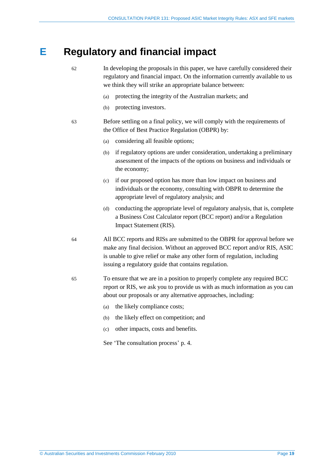## **E Regulatory and financial impact**

62 In developing the proposals in this paper, we have carefully considered their regulatory and financial impact. On the information currently available to us we think they will strike an appropriate balance between:

- (a) protecting the integrity of the Australian markets; and
- (b) protecting investors.
- 63 Before settling on a final policy, we will comply with the requirements of the Office of Best Practice Regulation (OBPR) by:
	- (a) considering all feasible options;
	- (b) if regulatory options are under consideration, undertaking a preliminary assessment of the impacts of the options on business and individuals or the economy;
	- (c) if our proposed option has more than low impact on business and individuals or the economy, consulting with OBPR to determine the appropriate level of regulatory analysis; and
	- (d) conducting the appropriate level of regulatory analysis, that is, complete a Business Cost Calculator report (BCC report) and/or a Regulation Impact Statement (RIS).
- 64 All BCC reports and RISs are submitted to the OBPR for approval before we make any final decision. Without an approved BCC report and/or RIS, ASIC is unable to give relief or make any other form of regulation, including issuing a regulatory guide that contains regulation.
- 65 To ensure that we are in a position to properly complete any required BCC report or RIS, we ask you to provide us with as much information as you can about our proposals or any alternative approaches, including:
	- (a) the likely compliance costs;
	- (b) the likely effect on competition; and
	- (c) other impacts, costs and benefits.
	- See 'The consultation process' p. 4.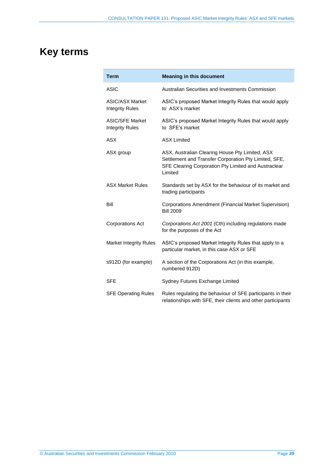# **Key terms**

| <b>Term</b>                                      | <b>Meaning in this document</b>                                                                                                                                             |
|--------------------------------------------------|-----------------------------------------------------------------------------------------------------------------------------------------------------------------------------|
| <b>ASIC</b>                                      | Australian Securities and Investments Commission                                                                                                                            |
| <b>ASIC/ASX Market</b><br><b>Integrity Rules</b> | ASIC's proposed Market Integrity Rules that would apply<br>to ASX's market                                                                                                  |
| <b>ASIC/SFE Market</b><br><b>Integrity Rules</b> | ASIC's proposed Market Integrity Rules that would apply<br>to SFE's market                                                                                                  |
| <b>ASX</b>                                       | <b>ASX Limited</b>                                                                                                                                                          |
| ASX group                                        | ASX, Australian Clearing House Pty Limited, ASX<br>Settlement and Transfer Corporation Pty Limited, SFE,<br>SFE Clearing Corporation Pty Limited and Austraclear<br>Limited |
| <b>ASX Market Rules</b>                          | Standards set by ASX for the behaviour of its market and<br>trading participants                                                                                            |
| Bill                                             | Corporations Amendment (Financial Market Supervision)<br><b>Bill 2009</b>                                                                                                   |
| <b>Corporations Act</b>                          | Corporations Act 2001 (Cth) including regulations made<br>for the purposes of the Act                                                                                       |
| <b>Market Integrity Rules</b>                    | ASIC's proposed Market Integrity Rules that apply to a<br>particular market, in this case ASX or SFE                                                                        |
| s912D (for example)                              | A section of the Corporations Act (in this example,<br>numbered 912D)                                                                                                       |
| <b>SFE</b>                                       | Sydney Futures Exchange Limited                                                                                                                                             |
| <b>SFE Operating Rules</b>                       | Rules regulating the behaviour of SFE participants in their<br>relationships with SFE, their clients and other participants                                                 |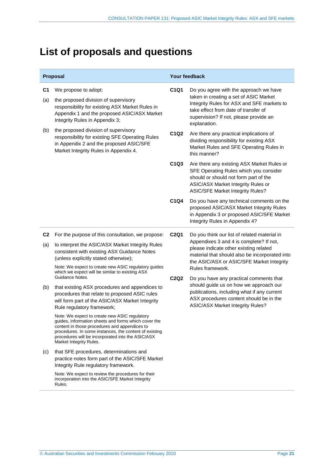## **List of proposals and questions**

| Proposal              |                                                                                                                                                                                                                                                                                                  | Your feedback                 |                                                                                                                                                                                                                                  |
|-----------------------|--------------------------------------------------------------------------------------------------------------------------------------------------------------------------------------------------------------------------------------------------------------------------------------------------|-------------------------------|----------------------------------------------------------------------------------------------------------------------------------------------------------------------------------------------------------------------------------|
| C <sub>1</sub><br>(a) | We propose to adopt:<br>the proposed division of supervisory<br>responsibility for existing ASX Market Rules in<br>Appendix 1 and the proposed ASIC/ASX Market<br>Integrity Rules in Appendix 3;                                                                                                 | C1Q1                          | Do you agree with the approach we have<br>taken in creating a set of ASIC Market<br>Integrity Rules for ASX and SFE markets to<br>take effect from date of transfer of<br>supervision? If not, please provide an<br>explanation. |
| (b)                   | the proposed division of supervisory<br>responsibility for existing SFE Operating Rules<br>in Appendix 2 and the proposed ASIC/SFE<br>Market Integrity Rules in Appendix 4.                                                                                                                      | C1Q2                          | Are there any practical implications of<br>dividing responsibility for existing ASX<br>Market Rules and SFE Operating Rules in<br>this manner?                                                                                   |
|                       |                                                                                                                                                                                                                                                                                                  | C1Q3                          | Are there any existing ASX Market Rules or<br>SFE Operating Rules which you consider<br>should or should not form part of the<br>ASIC/ASX Market Integrity Rules or<br><b>ASIC/SFE Market Integrity Rules?</b>                   |
|                       |                                                                                                                                                                                                                                                                                                  | C1Q4                          | Do you have any technical comments on the<br>proposed ASIC/ASX Market Integrity Rules<br>in Appendix 3 or proposed ASIC/SFE Market<br>Integrity Rules in Appendix 4?                                                             |
| C <sub>2</sub>        | For the purpose of this consultation, we propose:                                                                                                                                                                                                                                                | C <sub>2</sub> Q <sub>1</sub> | Do you think our list of related material in<br>Appendixes 3 and 4 is complete? If not,<br>please indicate other existing related<br>material that should also be incorporated into<br>the ASIC/ASX or ASIC/SFE Market Integrity |
| (a)                   | to interpret the ASIC/ASX Market Integrity Rules<br>consistent with existing ASX Guidance Notes<br>(unless explicitly stated otherwise);                                                                                                                                                         |                               |                                                                                                                                                                                                                                  |
|                       | Note: We expect to create new ASIC regulatory guides<br>which we expect will be similar to existing ASX                                                                                                                                                                                          |                               | Rules framework.                                                                                                                                                                                                                 |
| (b)                   | Guidance Notes.<br>that existing ASX procedures and appendices to<br>procedures that relate to proposed ASIC rules<br>will form part of the ASIC/ASX Market Integrity<br>Rule regulatory framework;                                                                                              | <b>C2Q2</b>                   | Do you have any practical comments that<br>should guide us on how we approach our<br>publications, including what if any current<br>ASX procedures content should be in the<br>ASIC/ASX Market Integrity Rules?                  |
|                       | Note: We expect to create new ASIC regulatory<br>guides, information sheets and forms which cover the<br>content in those procedures and appendices to<br>procedures. In some instances, the content of existing<br>procedures will be incorporated into the ASIC/ASX<br>Market Integrity Rules. |                               |                                                                                                                                                                                                                                  |
| (c)                   | that SFE procedures, determinations and<br>practice notes form part of the ASIC/SFE Market<br>Integrity Rule regulatory framework.                                                                                                                                                               |                               |                                                                                                                                                                                                                                  |
|                       | Note: We expect to review the procedures for their<br>incorporation into the ASIC/SFE Market Integrity<br>Rules.                                                                                                                                                                                 |                               |                                                                                                                                                                                                                                  |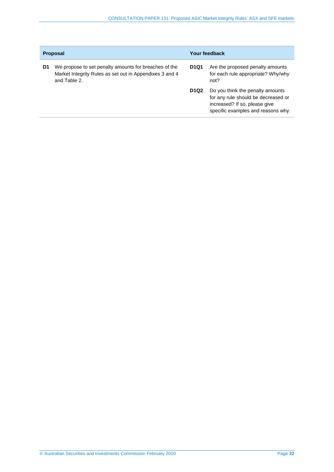| <b>Proposal</b> |                                                                                                                                  |                               | Your feedback                                                                                                                                  |  |
|-----------------|----------------------------------------------------------------------------------------------------------------------------------|-------------------------------|------------------------------------------------------------------------------------------------------------------------------------------------|--|
| D1              | We propose to set penalty amounts for breaches of the<br>Market Integrity Rules as set out in Appendixes 3 and 4<br>and Table 2. | <b>D1Q1</b>                   | Are the proposed penalty amounts<br>for each rule appropriate? Why/why<br>not?                                                                 |  |
|                 |                                                                                                                                  | D <sub>1</sub> Q <sub>2</sub> | Do you think the penalty amounts<br>for any rule should be decreased or<br>increased? If so, please give<br>specific examples and reasons why. |  |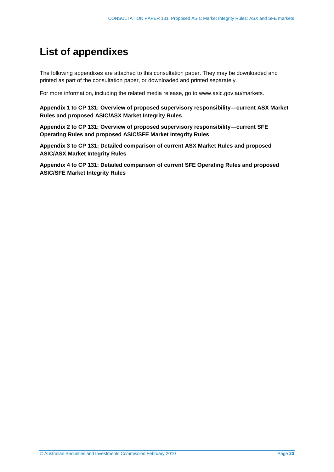## **List of appendixes**

The following appendixes are attached to this consultation paper. They may be downloaded and printed as part of the consultation paper, or downloaded and printed separately.

For more information, including the related media release, go to www.asic.gov.au/markets.

**[Appendix 1 to CP 131: Overview of proposed supervisory responsibility—current ASX Market](#page-23-0)  Rules and proposed ASIC/ASX Market Integrity Rules** 

**[Appendix 2 to CP 131: Overview of proposed supervisory responsibility—current SFE](#page-30-0)  Operating Rules and proposed ASIC/SFE Market Integrity Rules** 

**Appendix 3 [to CP 131: Detailed comparison of current ASX Market Rules and proposed](#page-33-0)  ASIC/ASX Market Integrity Rules** 

**Appendix 4 [to CP 131: Detailed comparison of current SFE Operating Rules and proposed](#page-121-0)  ASIC/SFE Market Integrity Rules**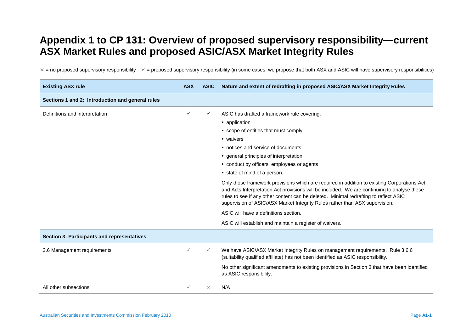## <span id="page-23-0"></span>**Appendix 1 to CP 131: Overview of proposed supervisory responsibility—current ASX Market Rules and proposed ASIC/ASX Market Integrity Rules**

 $\times$  = no proposed supervisory responsibility  $\times$  = proposed supervisory responsibility (in some cases, we propose that both ASX and ASIC will have supervisory responsibilities)

| <b>Existing ASX rule</b>                           | <b>ASX</b>   | <b>ASIC</b> | Nature and extent of redrafting in proposed ASIC/ASX Market Integrity Rules                                                                                                                                                                                                                                                                                                                                                                                                                                                                                                                                                                                                                                                                              |
|----------------------------------------------------|--------------|-------------|----------------------------------------------------------------------------------------------------------------------------------------------------------------------------------------------------------------------------------------------------------------------------------------------------------------------------------------------------------------------------------------------------------------------------------------------------------------------------------------------------------------------------------------------------------------------------------------------------------------------------------------------------------------------------------------------------------------------------------------------------------|
| Sections 1 and 2: Introduction and general rules   |              |             |                                                                                                                                                                                                                                                                                                                                                                                                                                                                                                                                                                                                                                                                                                                                                          |
| Definitions and interpretation                     |              |             | ASIC has drafted a framework rule covering:<br>• application<br>• scope of entities that must comply<br>• waivers<br>• notices and service of documents<br>• general principles of interpretation<br>• conduct by officers, employees or agents<br>• state of mind of a person.<br>Only those framework provisions which are required in addition to existing Corporations Act<br>and Acts Interpretation Act provisions will be included. We are continuing to analyse these<br>rules to see if any other content can be deleted. Minimal redrafting to reflect ASIC<br>supervision of ASIC/ASX Market Integrity Rules rather than ASX supervision.<br>ASIC will have a definitions section.<br>ASIC will establish and maintain a register of waivers. |
| <b>Section 3: Participants and representatives</b> |              |             |                                                                                                                                                                                                                                                                                                                                                                                                                                                                                                                                                                                                                                                                                                                                                          |
| 3.6 Management requirements                        |              |             | We have ASIC/ASX Market Integrity Rules on management requirements. Rule 3.6.6<br>(suitability qualified affiliate) has not been identified as ASIC responsibility.<br>No other significant amendments to existing provisions in Section 3 that have been identified<br>as ASIC responsibility.                                                                                                                                                                                                                                                                                                                                                                                                                                                          |
| All other subsections                              | $\checkmark$ | $\times$    | N/A                                                                                                                                                                                                                                                                                                                                                                                                                                                                                                                                                                                                                                                                                                                                                      |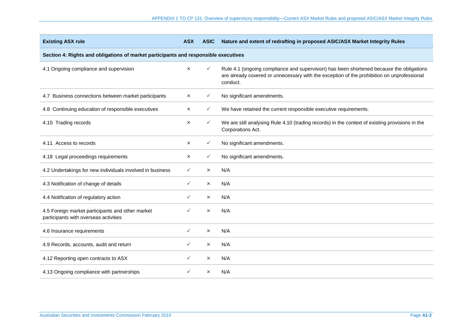| <b>Existing ASX rule</b>                                                                  | <b>ASX</b>   | <b>ASIC</b>  | Nature and extent of redrafting in proposed ASIC/ASX Market Integrity Rules                                                                                                                        |  |  |
|-------------------------------------------------------------------------------------------|--------------|--------------|----------------------------------------------------------------------------------------------------------------------------------------------------------------------------------------------------|--|--|
| Section 4: Rights and obligations of market participants and responsible executives       |              |              |                                                                                                                                                                                                    |  |  |
| 4.1 Ongoing compliance and supervision                                                    | $\times$     | $\checkmark$ | Rule 4.1 (ongoing compliance and supervision) has been shortened because the obligations<br>are already covered or unnecessary with the exception of the prohibition on unprofessional<br>conduct. |  |  |
| 4.7 Business connections between market participants                                      | $\times$     | $\checkmark$ | No significant amendments.                                                                                                                                                                         |  |  |
| 4.8 Continuing education of responsible executives                                        | $\times$     | $\checkmark$ | We have retained the current responsible executive requirements.                                                                                                                                   |  |  |
| 4.10 Trading records                                                                      | $\times$     | $\checkmark$ | We are still analysing Rule 4.10 (trading records) in the context of existing provisions in the<br>Corporations Act.                                                                               |  |  |
| 4.11 Access to records                                                                    | $\times$     | $\checkmark$ | No significant amendments.                                                                                                                                                                         |  |  |
| 4.18 Legal proceedings requirements                                                       | $\times$     | $\checkmark$ | No significant amendments.                                                                                                                                                                         |  |  |
| 4.2 Undertakings for new individuals involved in business                                 | $\checkmark$ | $\times$     | N/A                                                                                                                                                                                                |  |  |
| 4.3 Notification of change of details                                                     | $\checkmark$ | $\times$     | N/A                                                                                                                                                                                                |  |  |
| 4.4 Notification of regulatory action                                                     | ✓            | $\times$     | N/A                                                                                                                                                                                                |  |  |
| 4.5 Foreign market participants and other market<br>participants with overseas activities | ✓            | $\times$     | N/A                                                                                                                                                                                                |  |  |
| 4.6 Insurance requirements                                                                | $\checkmark$ | $\times$     | N/A                                                                                                                                                                                                |  |  |
| 4.9 Records, accounts, audit and return                                                   | ✓            | $\times$     | N/A                                                                                                                                                                                                |  |  |
| 4.12 Reporting open contracts to ASX                                                      | $\checkmark$ | $\times$     | N/A                                                                                                                                                                                                |  |  |
| 4.13 Ongoing compliance with partnerships                                                 | ✓            | $\times$     | N/A                                                                                                                                                                                                |  |  |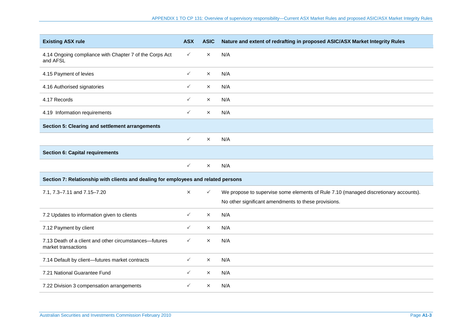| <b>Existing ASX rule</b>                                                           | <b>ASX</b>   | <b>ASIC</b>  | Nature and extent of redrafting in proposed ASIC/ASX Market Integrity Rules          |
|------------------------------------------------------------------------------------|--------------|--------------|--------------------------------------------------------------------------------------|
| 4.14 Ongoing compliance with Chapter 7 of the Corps Act<br>and AFSL                | $\checkmark$ | X            | N/A                                                                                  |
| 4.15 Payment of levies                                                             | $\checkmark$ | $\times$     | N/A                                                                                  |
| 4.16 Authorised signatories                                                        | $\checkmark$ | $\times$     | N/A                                                                                  |
| 4.17 Records                                                                       | $\checkmark$ | $\times$     | N/A                                                                                  |
| 4.19 Information requirements                                                      | $\checkmark$ | $\times$     | N/A                                                                                  |
| Section 5: Clearing and settlement arrangements                                    |              |              |                                                                                      |
|                                                                                    | $\checkmark$ | $\times$     | N/A                                                                                  |
| <b>Section 6: Capital requirements</b>                                             |              |              |                                                                                      |
|                                                                                    | $\checkmark$ | $\times$     | N/A                                                                                  |
| Section 7: Relationship with clients and dealing for employees and related persons |              |              |                                                                                      |
| 7.1, 7.3-7.11 and 7.15-7.20                                                        | $\times$     | $\checkmark$ | We propose to supervise some elements of Rule 7.10 (managed discretionary accounts). |
|                                                                                    |              |              | No other significant amendments to these provisions.                                 |
| 7.2 Updates to information given to clients                                        | $\checkmark$ | $\times$     | N/A                                                                                  |
| 7.12 Payment by client                                                             | $\checkmark$ | $\times$     | N/A                                                                                  |
| 7.13 Death of a client and other circumstances-futures<br>market transactions      | $\checkmark$ | $\times$     | N/A                                                                                  |
| 7.14 Default by client-futures market contracts                                    | $\checkmark$ | $\times$     | N/A                                                                                  |
| 7.21 National Guarantee Fund                                                       | $\checkmark$ | $\times$     | N/A                                                                                  |
| 7.22 Division 3 compensation arrangements                                          | $\checkmark$ | $\times$     | N/A                                                                                  |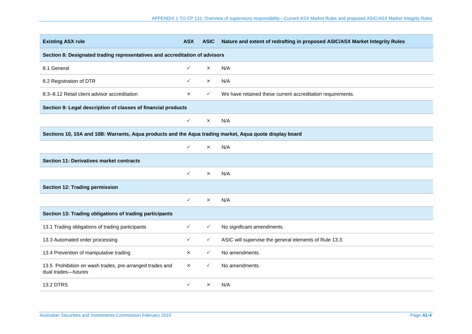| <b>Existing ASX rule</b>                                                                                | <b>ASX</b>   | <b>ASIC</b>  | Nature and extent of redrafting in proposed ASIC/ASX Market Integrity Rules |  |  |
|---------------------------------------------------------------------------------------------------------|--------------|--------------|-----------------------------------------------------------------------------|--|--|
| Section 8: Designated trading representatives and accreditation of advisors                             |              |              |                                                                             |  |  |
| 8.1 General                                                                                             | $\checkmark$ | $\times$     | N/A                                                                         |  |  |
| 8.2 Registration of DTR                                                                                 | $\checkmark$ | $\times$     | N/A                                                                         |  |  |
| 8.3-8.12 Retail client advisor accreditation                                                            | $\times$     | $\checkmark$ | We have retained these current accreditation requirements.                  |  |  |
| Section 9: Legal description of classes of financial products                                           |              |              |                                                                             |  |  |
|                                                                                                         | $\checkmark$ | $\times$     | N/A                                                                         |  |  |
| Sections 10, 10A and 10B: Warrants, Aqua products and the Aqua trading market, Aqua quote display board |              |              |                                                                             |  |  |
|                                                                                                         | $\checkmark$ | $\times$     | N/A                                                                         |  |  |
| <b>Section 11: Derivatives market contracts</b>                                                         |              |              |                                                                             |  |  |
|                                                                                                         | $\checkmark$ | $\times$     | N/A                                                                         |  |  |
| Section 12: Trading permission                                                                          |              |              |                                                                             |  |  |
|                                                                                                         | $\checkmark$ | $\times$     | N/A                                                                         |  |  |
| Section 13: Trading obligations of trading participants                                                 |              |              |                                                                             |  |  |
| 13.1 Trading obligations of trading participants                                                        | $\checkmark$ | $\checkmark$ | No significant amendments.                                                  |  |  |
| 13.3 Automated order processing                                                                         | $\checkmark$ | $\checkmark$ | ASIC will supervise the general elements of Rule 13.3.                      |  |  |
| 13.4 Prevention of manipulative trading                                                                 | $\times$     | $\checkmark$ | No amendments.                                                              |  |  |
| 13.5 Prohibition on wash trades, pre-arranged trades and<br>dual trades-futures                         | $\times$     | $\checkmark$ | No amendments.                                                              |  |  |
| <b>13.2 DTRS</b>                                                                                        | $\checkmark$ | $\times$     | N/A                                                                         |  |  |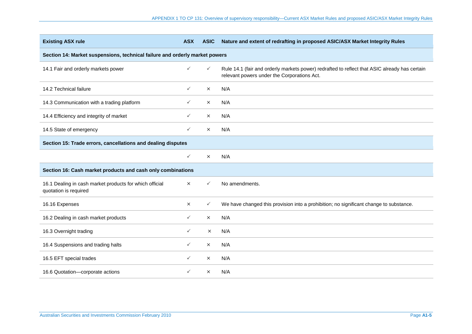| <b>Existing ASX rule</b>                                                         | <b>ASX</b>   | <b>ASIC</b>  | Nature and extent of redrafting in proposed ASIC/ASX Market Integrity Rules                                                                  |  |  |
|----------------------------------------------------------------------------------|--------------|--------------|----------------------------------------------------------------------------------------------------------------------------------------------|--|--|
| Section 14: Market suspensions, technical failure and orderly market powers      |              |              |                                                                                                                                              |  |  |
| 14.1 Fair and orderly markets power                                              | ✓            | $\checkmark$ | Rule 14.1 (fair and orderly markets power) redrafted to reflect that ASIC already has certain<br>relevant powers under the Corporations Act. |  |  |
| 14.2 Technical failure                                                           | ✓            | $\times$     | N/A                                                                                                                                          |  |  |
| 14.3 Communication with a trading platform                                       | ✓            | $\times$     | N/A                                                                                                                                          |  |  |
| 14.4 Efficiency and integrity of market                                          | ✓            | $\times$     | N/A                                                                                                                                          |  |  |
| 14.5 State of emergency                                                          | ✓            | $\times$     | N/A                                                                                                                                          |  |  |
| Section 15: Trade errors, cancellations and dealing disputes                     |              |              |                                                                                                                                              |  |  |
|                                                                                  | $\checkmark$ | $\times$     | N/A                                                                                                                                          |  |  |
| Section 16: Cash market products and cash only combinations                      |              |              |                                                                                                                                              |  |  |
| 16.1 Dealing in cash market products for which official<br>quotation is required | $\times$     | $\checkmark$ | No amendments.                                                                                                                               |  |  |
| 16.16 Expenses                                                                   | $\times$     | $\checkmark$ | We have changed this provision into a prohibition; no significant change to substance.                                                       |  |  |
| 16.2 Dealing in cash market products                                             | ✓            | $\times$     | N/A                                                                                                                                          |  |  |
| 16.3 Overnight trading                                                           | ✓            | $\times$     | N/A                                                                                                                                          |  |  |
| 16.4 Suspensions and trading halts                                               | ✓            | $\times$     | N/A                                                                                                                                          |  |  |
| 16.5 EFT special trades                                                          | ✓            | $\times$     | N/A                                                                                                                                          |  |  |
| 16.6 Quotation-corporate actions                                                 | ✓            | $\times$     | N/A                                                                                                                                          |  |  |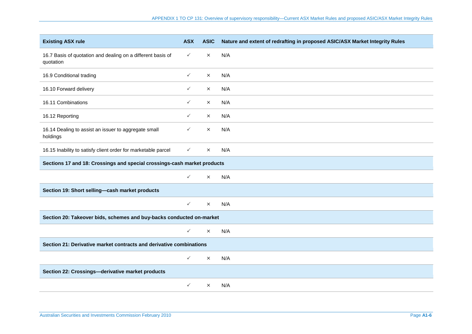| <b>Existing ASX rule</b>                                                 | <b>ASX</b>   | <b>ASIC</b> | Nature and extent of redrafting in proposed ASIC/ASX Market Integrity Rules |  |
|--------------------------------------------------------------------------|--------------|-------------|-----------------------------------------------------------------------------|--|
| 16.7 Basis of quotation and dealing on a different basis of<br>quotation | $\checkmark$ | $\times$    | N/A                                                                         |  |
| 16.9 Conditional trading                                                 | $\checkmark$ | $\times$    | N/A                                                                         |  |
| 16.10 Forward delivery                                                   | $\checkmark$ | $\times$    | N/A                                                                         |  |
| 16.11 Combinations                                                       | $\checkmark$ | $\times$    | N/A                                                                         |  |
| 16.12 Reporting                                                          | $\checkmark$ | $\times$    | N/A                                                                         |  |
| 16.14 Dealing to assist an issuer to aggregate small<br>holdings         | ✓            | $\times$    | N/A                                                                         |  |
| 16.15 Inability to satisfy client order for marketable parcel            | $\checkmark$ | $\times$    | N/A                                                                         |  |
| Sections 17 and 18: Crossings and special crossings-cash market products |              |             |                                                                             |  |
|                                                                          | $\checkmark$ | $\times$    | N/A                                                                         |  |
| Section 19: Short selling-cash market products                           |              |             |                                                                             |  |
|                                                                          | $\checkmark$ | $\times$    | N/A                                                                         |  |
| Section 20: Takeover bids, schemes and buy-backs conducted on-market     |              |             |                                                                             |  |
|                                                                          | $\checkmark$ | $\times$    | N/A                                                                         |  |
| Section 21: Derivative market contracts and derivative combinations      |              |             |                                                                             |  |
|                                                                          | $\checkmark$ | $\times$    | N/A                                                                         |  |
| Section 22: Crossings-derivative market products                         |              |             |                                                                             |  |
|                                                                          | $\checkmark$ | $\times$    | N/A                                                                         |  |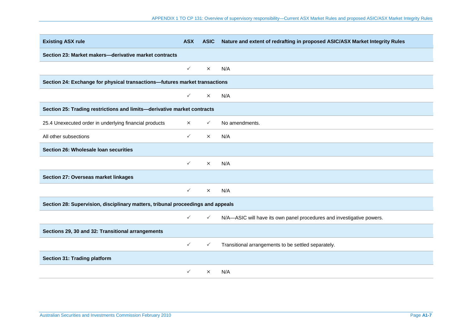| <b>Existing ASX rule</b>                                                        | <b>ASX</b>   | <b>ASIC</b>  | Nature and extent of redrafting in proposed ASIC/ASX Market Integrity Rules |
|---------------------------------------------------------------------------------|--------------|--------------|-----------------------------------------------------------------------------|
| Section 23: Market makers-derivative market contracts                           |              |              |                                                                             |
|                                                                                 | $\checkmark$ | $\times$     | N/A                                                                         |
| Section 24: Exchange for physical transactions-futures market transactions      |              |              |                                                                             |
|                                                                                 | $\checkmark$ | $\times$     | N/A                                                                         |
| Section 25: Trading restrictions and limits-derivative market contracts         |              |              |                                                                             |
| 25.4 Unexecuted order in underlying financial products                          | $\times$     | $\checkmark$ | No amendments.                                                              |
| All other subsections                                                           | $\checkmark$ | $\times$     | N/A                                                                         |
| Section 26: Wholesale loan securities                                           |              |              |                                                                             |
|                                                                                 | ✓            | $\times$     | N/A                                                                         |
| Section 27: Overseas market linkages                                            |              |              |                                                                             |
|                                                                                 | $\checkmark$ | $\times$     | N/A                                                                         |
| Section 28: Supervision, disciplinary matters, tribunal proceedings and appeals |              |              |                                                                             |
|                                                                                 | $\checkmark$ | $\checkmark$ | N/A-ASIC will have its own panel procedures and investigative powers.       |
| Sections 29, 30 and 32: Transitional arrangements                               |              |              |                                                                             |
|                                                                                 | $\checkmark$ | $\checkmark$ | Transitional arrangements to be settled separately.                         |
| <b>Section 31: Trading platform</b>                                             |              |              |                                                                             |
|                                                                                 | $\checkmark$ | $\times$     | N/A                                                                         |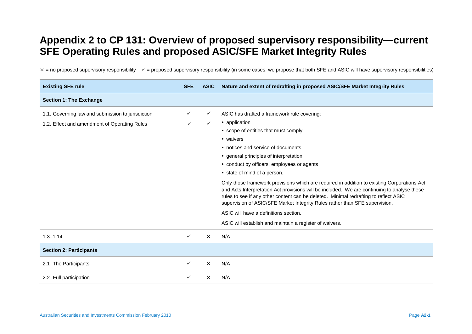## <span id="page-30-0"></span>**Appendix 2 to CP 131: Overview of proposed supervisory responsibility—current SFE Operating Rules and proposed ASIC/SFE Market Integrity Rules**

 $x =$  no proposed supervisory responsibility  $y =$  proposed supervisory responsibility (in some cases, we propose that both SFE and ASIC will have supervisory responsibilities)

| <b>Existing SFE rule</b>                          | <b>SFE</b>   | <b>ASIC</b>  | Nature and extent of redrafting in proposed ASIC/SFE Market Integrity Rules                                                                                                                                                                                                                                                                                       |
|---------------------------------------------------|--------------|--------------|-------------------------------------------------------------------------------------------------------------------------------------------------------------------------------------------------------------------------------------------------------------------------------------------------------------------------------------------------------------------|
| <b>Section 1: The Exchange</b>                    |              |              |                                                                                                                                                                                                                                                                                                                                                                   |
| 1.1. Governing law and submission to jurisdiction | ✓            | $\checkmark$ | ASIC has drafted a framework rule covering:                                                                                                                                                                                                                                                                                                                       |
| 1.2. Effect and amendment of Operating Rules      | $\checkmark$ | $\checkmark$ | • application                                                                                                                                                                                                                                                                                                                                                     |
|                                                   |              |              | • scope of entities that must comply                                                                                                                                                                                                                                                                                                                              |
|                                                   |              |              | • waivers                                                                                                                                                                                                                                                                                                                                                         |
|                                                   |              |              | • notices and service of documents                                                                                                                                                                                                                                                                                                                                |
|                                                   |              |              | • general principles of interpretation                                                                                                                                                                                                                                                                                                                            |
|                                                   |              |              | • conduct by officers, employees or agents                                                                                                                                                                                                                                                                                                                        |
|                                                   |              |              | • state of mind of a person.                                                                                                                                                                                                                                                                                                                                      |
|                                                   |              |              | Only those framework provisions which are required in addition to existing Corporations Act<br>and Acts Interpretation Act provisions will be included. We are continuing to analyse these<br>rules to see if any other content can be deleted. Minimal redrafting to reflect ASIC<br>supervision of ASIC/SFE Market Integrity Rules rather than SFE supervision. |
|                                                   |              |              | ASIC will have a definitions section.                                                                                                                                                                                                                                                                                                                             |
|                                                   |              |              | ASIC will establish and maintain a register of waivers.                                                                                                                                                                                                                                                                                                           |
| $1.3 - 1.14$                                      | $\checkmark$ | $\times$     | N/A                                                                                                                                                                                                                                                                                                                                                               |
| <b>Section 2: Participants</b>                    |              |              |                                                                                                                                                                                                                                                                                                                                                                   |
| 2.1 The Participants                              | $\checkmark$ | $\times$     | N/A                                                                                                                                                                                                                                                                                                                                                               |
| 2.2 Full participation                            | ✓            | $\times$     | N/A                                                                                                                                                                                                                                                                                                                                                               |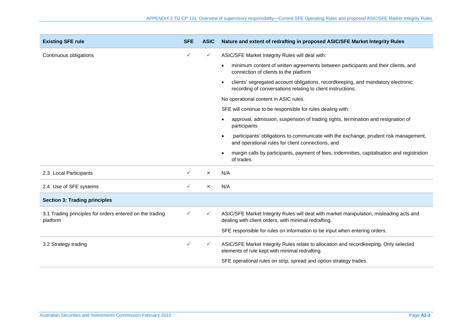| <b>Existing SFE rule</b>                                             | <b>SFE</b>   | <b>ASIC</b>  | Nature and extent of redrafting in proposed ASIC/SFE Market Integrity Rules                                                                     |
|----------------------------------------------------------------------|--------------|--------------|-------------------------------------------------------------------------------------------------------------------------------------------------|
| Continuous obligations                                               | $\checkmark$ | ✓            | ASIC/SFE Market Integrity Rules will deal with:                                                                                                 |
|                                                                      |              |              | minimum content of written agreements between participants and their clients, and<br>connection of clients to the platform                      |
|                                                                      |              |              | clients' segregated account obligations, recordkeeping, and mandatory electronic<br>recording of conversations relating to client instructions. |
|                                                                      |              |              | No operational content in ASIC rules.                                                                                                           |
|                                                                      |              |              | SFE will continue to be responsible for rules dealing with:                                                                                     |
|                                                                      |              |              | approval, admission, suspension of trading rights, termination and resignation of<br>participants                                               |
|                                                                      |              |              | participants' obligations to communicate with the exchange, prudent risk management,<br>and operational rules for client connections, and       |
|                                                                      |              |              | margin calls by participants, payment of fees, indemnities, capitalisation and registration<br>of trades.                                       |
| 2.3 Local Participants                                               | $\checkmark$ | $\times$     | N/A                                                                                                                                             |
| 2.4 Use of SFE systems                                               | $\checkmark$ | $\times$     | N/A                                                                                                                                             |
| <b>Section 3: Trading principles</b>                                 |              |              |                                                                                                                                                 |
| 3.1 Trading principles for orders entered on the trading<br>platform | ✓            | ✓            | ASIC/SFE Market Integrity Rules will deal with market manipulation, misleading acts and<br>dealing with client orders, with minimal redrafting. |
|                                                                      |              |              | SFE responsible for rules on information to be input when entering orders.                                                                      |
| 3.2 Strategy trading                                                 | $\checkmark$ | $\checkmark$ | ASIC/SFE Market Integrity Rules relate to allocation and recordkeeping. Only selected<br>elements of rule kept with minimal redrafting.         |
|                                                                      |              |              | SFE operational rules on strip, spread and option strategy trades.                                                                              |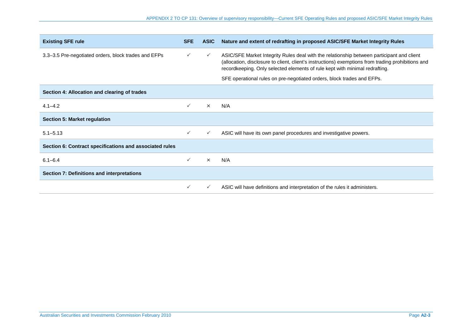| <b>Existing SFE rule</b>                                | <b>SFE</b> | <b>ASIC</b>  | Nature and extent of redrafting in proposed ASIC/SFE Market Integrity Rules                                                                                                                                                                                                    |
|---------------------------------------------------------|------------|--------------|--------------------------------------------------------------------------------------------------------------------------------------------------------------------------------------------------------------------------------------------------------------------------------|
| 3.3-3.5 Pre-negotiated orders, block trades and EFPs    |            | $\checkmark$ | ASIC/SFE Market Integrity Rules deal with the relationship between participant and client<br>(allocation, disclosure to client, client's instructions) exemptions from trading prohibitions and<br>recordkeeping. Only selected elements of rule kept with minimal redrafting. |
|                                                         |            |              | SFE operational rules on pre-negotiated orders, block trades and EFPs.                                                                                                                                                                                                         |
| Section 4: Allocation and clearing of trades            |            |              |                                                                                                                                                                                                                                                                                |
| $4.1 - 4.2$                                             |            | $\times$     | N/A                                                                                                                                                                                                                                                                            |
| <b>Section 5: Market regulation</b>                     |            |              |                                                                                                                                                                                                                                                                                |
| $5.1 - 5.13$                                            | ✓          | $\checkmark$ | ASIC will have its own panel procedures and investigative powers.                                                                                                                                                                                                              |
| Section 6: Contract specifications and associated rules |            |              |                                                                                                                                                                                                                                                                                |
| $6.1 - 6.4$                                             |            | $\times$     | N/A                                                                                                                                                                                                                                                                            |
| Section 7: Definitions and interpretations              |            |              |                                                                                                                                                                                                                                                                                |
|                                                         |            |              | ASIC will have definitions and interpretation of the rules it administers.                                                                                                                                                                                                     |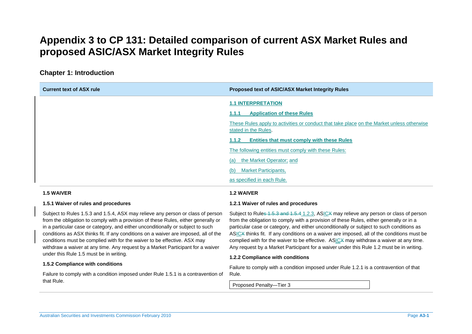## <span id="page-33-0"></span>**Appendix 3 to CP 131: Detailed comparison of current ASX Market Rules and proposed ASIC/ASX Market Integrity Rules**

### **Chapter 1: Introduction**

| <b>Current text of ASX rule</b> | Proposed text of ASIC/ASX Market Integrity Rules                                                                  |
|---------------------------------|-------------------------------------------------------------------------------------------------------------------|
|                                 | <b>1.1 INTERPRETATION</b>                                                                                         |
|                                 | <b>Application of these Rules</b><br>1.1.1                                                                        |
|                                 | These Rules apply to activities or conduct that take place on the Market unless otherwise<br>stated in the Rules. |
|                                 | <b>Entities that must comply with these Rules</b><br>1.1.2                                                        |
|                                 | The following entities must comply with these Rules:                                                              |
|                                 | the Market Operator; and<br>(a)                                                                                   |
|                                 | <b>Market Participants,</b><br>(b)                                                                                |
|                                 | as specified in each Rule.                                                                                        |
|                                 |                                                                                                                   |

### **1.5 WAIVER**

### **1.2 WAIVER**

#### **1.2.1 Waiver of rules and procedures**

Subject to Rules 1.5.3 and 1.5.4, ASX may relieve any person or class of person from the obligation to comply with a provision of these Rules, either generally or in a particular case or category, and either unconditionally or subject to such conditions as ASX thinks fit. If any conditions on a waiver are imposed, all of the conditions must be complied with for the waiver to be effective. ASX may withdraw a waiver at any time. Any request by a Market Participant for a waiver under this Rule 1.5 must be in writing.

#### **1.5.2 Compliance with conditions**

**1.5.1 Waiver of rules and procedures** 

Failure to comply with a condition imposed under Rule 1.5.1 is a contravention of that Rule.

Subject to Rule<del>s 1.5.3 and 1.5.4</del> <u>1.2.3</u>, AS<u>IC</u>X may relieve any person or class of person from the obligation to comply with a provision of these Rules, either generally or in a particular case or category, and either unconditionally or subject to such conditions as ASICX thinks fit. If any conditions on a waiver are imposed, all of the conditions must be complied with for the waiver to be effective. AS<u>IC</u>X may withdraw a waiver at any time. Any request by a Market Participant for a waiver under this Rule 1.2 must be in writing.

#### **1.2.2 Compliance with conditions**

Failure to comply with a condition imposed under Rule 1.2.1 is a contravention of that Rule.

Proposed Penalty—Tier 3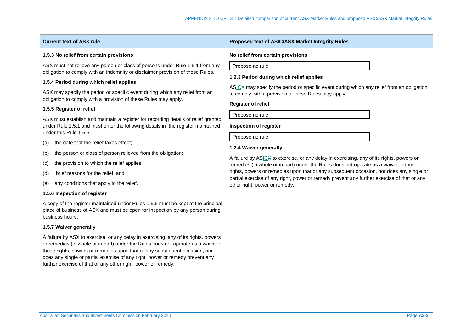### **1.5.3 No relief from certain provisions**

ASX must not relieve any person or class of persons under Rule 1.5.1 from any obligation to comply with an indemnity or disclaimer provision of these Rules.

### **1.5.4 Period during which relief applies**

ASX may specify the period or specific event during which any relief from an obligation to comply with a provision of these Rules may apply.

#### **1.5.5 Register of relief**

ASX must establish and maintain a register for recording details of relief granted under Rule 1.5.1 and must enter the following details in the register maintained under this Rule 1.5.5:

- (a) the date that the relief takes effect;
- (b) the person or class of person relieved from the obligation;
- (c) the provision to which the relief applies;
- (d) brief reasons for the relief; and
- (e) any conditions that apply to the relief.

#### **1.5.6 Inspection of register**

A copy of the register maintained under Rules 1.5.5 must be kept at the principal place of business of ASX and must be open for inspection by any person during business hours.

### **1.5.7 Waiver generally**

A failure by ASX to exercise, or any delay in exercising, any of its rights, powers or remedies (in whole or in part) under the Rules does not operate as a waiver of those rights, powers or remedies upon that or any subsequent occasion, nor does any single or partial exercise of any right, power or remedy prevent any further exercise of that or any other right, power or remedy.

### **Current text of ASX rule Proposed text of ASIC/ASX Market Integrity Rules**

#### **No relief from certain provisions**

| Propose no rule |  |
|-----------------|--|
|                 |  |

#### **1.2.3 Period during which relief applies**

ASICX may specify the period or specific event during which any relief from an obligation to comply with a provision of these Rules may apply.

#### **Register of relief**

Propose no rule

#### **Inspection of register**

Propose no rule

### **1.2.4 Waiver generally**

A failure by ASICX to exercise, or any delay in exercising, any of its rights, powers or remedies (in whole or in part) under the Rules does not operate as a waiver of those rights, powers or remedies upon that or any subsequent occasion, nor does any single or partial exercise of any right, power or remedy prevent any further exercise of that or any other right, power or remedy.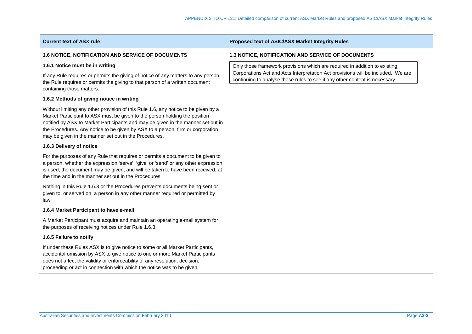### **1.6 NOTICE, NOTIFICATION AND SERVICE OF DOCUMENTS**

#### **1.6.1 Notice must be in writing**

If any Rule requires or permits the giving of notice of any matters to any person, the Rule requires or permits the giving to that person of a written document containing those matters.

### **1.6.2 Methods of giving notice in writing**

Without limiting any other provision of this Rule 1.6, any notice to be given by a Market Participant to ASX must be given to the person holding the position notified by ASX to Market Participants and may be given in the manner set out in the Procedures. Any notice to be given by ASX to a person, firm or corporation may be given in the manner set out in the Procedures.

#### **1.6.3 Delivery of notice**

For the purposes of any Rule that requires or permits a document to be given to a person, whether the expression 'serve', 'give' or 'send' or any other expression is used, the document may be given, and will be taken to have been received, at the time and in the manner set out in the Procedures.

Nothing in this Rule 1.6.3 or the Procedures prevents documents being sent or given to, or served on, a person in any other manner required or permitted by law.

#### **1.6.4 Market Participant to have e-mail**

A Market Participant must acquire and maintain an operating e-mail system for the purposes of receiving notices under Rule 1.6.3.

### **1.6.5 Failure to notify**

If under these Rules ASX is to give notice to some or all Market Participants, accidental omission by ASX to give notice to one or more Market Participants does not affect the validity or enforceability of any resolution, decision, proceeding or act in connection with which the notice was to be given.

### **Current text of ASX rule Proposed text of ASIC/ASX Market Integrity Rules**

### **1.3 NOTICE, NOTIFICATION AND SERVICE OF DOCUMENTS**

Only those framework provisions which are required in addition to existing Corporations Act and Acts Interpretation Act provisions will be included. We are continuing to analyse these rules to see if any other content is necessary.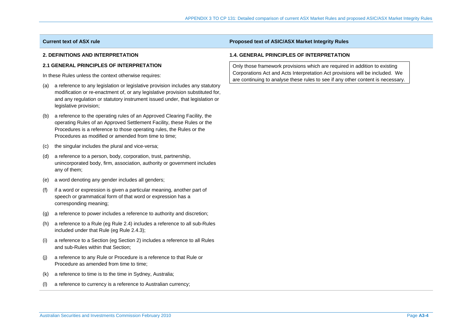### **2. DEFINITIONS AND INTERPRETATION**

### **2.1 GENERAL PRINCIPLES OF INTERPRETATION**

In these Rules unless the context otherwise requires:

- (a) a reference to any legislation or legislative provision includes any statutory modification or re-enactment of, or any legislative provision substituted for, and any regulation or statutory instrument issued under, that legislation or legislative provision;
- (b) a reference to the operating rules of an Approved Clearing Facility, the operating Rules of an Approved Settlement Facility, these Rules or the Procedures is a reference to those operating rules, the Rules or the Procedures as modified or amended from time to time;
- (c) the singular includes the plural and vice-versa;
- (d) a reference to a person, body, corporation, trust, partnership, unincorporated body, firm, association, authority or government includes any of them;
- (e) a word denoting any gender includes all genders;
- (f) if a word or expression is given a particular meaning, another part of speech or grammatical form of that word or expression has a corresponding meaning;
- (g) a reference to power includes a reference to authority and discretion;
- (h) a reference to a Rule (eg Rule 2.4) includes a reference to all sub-Rules included under that Rule (eg Rule 2.4.3);
- (i) a reference to a Section (eg Section 2) includes a reference to all Rules and sub-Rules within that Section;
- (j) a reference to any Rule or Procedure is a reference to that Rule or Procedure as amended from time to time;
- (k) a reference to time is to the time in Sydney, Australia;
- (l) a reference to currency is a reference to Australian currency;

## **Current text of ASX rule Proposed text of ASIC/ASX Market Integrity Rules**

## **1.4. GENERAL PRINCIPLES OF INTERPRETATION**

Only those framework provisions which are required in addition to existing Corporations Act and Acts Interpretation Act provisions will be included. We are continuing to analyse these rules to see if any other content is necessary.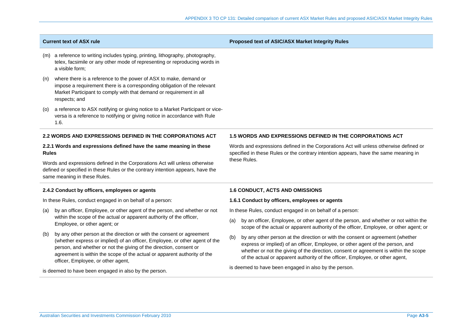## **Current text of ASX rule Proposed text of ASIC/ASX Market Integrity Rules**

- (m) a reference to writing includes typing, printing, lithography, photography, telex, facsimile or any other mode of representing or reproducing words in a visible form;
- (n) where there is a reference to the power of ASX to make, demand or impose a requirement there is a corresponding obligation of the relevant Market Participant to comply with that demand or requirement in all respects; and
- (o) a reference to ASX notifying or giving notice to a Market Participant or viceversa is a reference to notifying or giving notice in accordance with Rule 1.6.

### **2.2 WORDS AND EXPRESSIONS DEFINED IN THE CORPORATIONS ACT**

## **2.2.1 Words and expressions defined have the same meaning in these Rules**

Words and expressions defined in the Corporations Act will unless otherwise defined or specified in these Rules or the contrary intention appears, have the same meaning in these Rules.

## **2.4.2 Conduct by officers, employees or agents**

In these Rules, conduct engaged in on behalf of a person:

- (a) by an officer, Employee, or other agent of the person, and whether or not within the scope of the actual or apparent authority of the officer, Employee, or other agent; or
- (b) by any other person at the direction or with the consent or agreement (whether express or implied) of an officer, Employee, or other agent of the person, and whether or not the giving of the direction, consent or agreement is within the scope of the actual or apparent authority of the officer, Employee, or other agent,

is deemed to have been engaged in also by the person.

## **1.5 WORDS AND EXPRESSIONS DEFINED IN THE CORPORATIONS ACT**

Words and expressions defined in the Corporations Act will unless otherwise defined or specified in these Rules or the contrary intention appears, have the same meaning in these Rules.

## **1.6 CONDUCT, ACTS AND OMISSIONS**

### **1.6.1 Conduct by officers, employees or agents**

In these Rules, conduct engaged in on behalf of a person:

- (a) by an officer, Employee, or other agent of the person, and whether or not within the scope of the actual or apparent authority of the officer, Employee, or other agent; or
- (b) by any other person at the direction or with the consent or agreement (whether express or implied) of an officer, Employee, or other agent of the person, and whether or not the giving of the direction, consent or agreement is within the scope of the actual or apparent authority of the officer, Employee, or other agent,

is deemed to have been engaged in also by the person.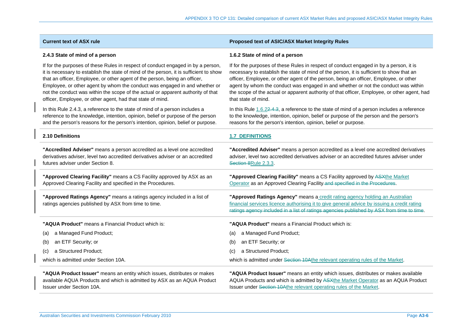| 2.4.3 State of mind of a person                                                                                                | 1.6.2 State of mind of a person                                                                                                                                                                                                                                          |
|--------------------------------------------------------------------------------------------------------------------------------|--------------------------------------------------------------------------------------------------------------------------------------------------------------------------------------------------------------------------------------------------------------------------|
| If for the purposes of these Rules in respect of conduct engaged in by a person,                                               | If for the purposes of these Rules in respect of conduct engaged in by a person, it is                                                                                                                                                                                   |
| it is necessary to establish the state of mind of the person, it is sufficient to show                                         | necessary to establish the state of mind of the person, it is sufficient to show that an                                                                                                                                                                                 |
| that an officer, Employee, or other agent of the person, being an officer,                                                     | officer, Employee, or other agent of the person, being an officer, Employee, or other                                                                                                                                                                                    |
| Employee, or other agent by whom the conduct was engaged in and whether or                                                     | agent by whom the conduct was engaged in and whether or not the conduct was within                                                                                                                                                                                       |
| not the conduct was within the scope of the actual or apparent authority of that                                               | the scope of the actual or apparent authority of that officer, Employee, or other agent, had                                                                                                                                                                             |
| officer, Employee, or other agent, had that state of mind.                                                                     | that state of mind.                                                                                                                                                                                                                                                      |
| In this Rule 2.4.3, a reference to the state of mind of a person includes a                                                    | In this Rule 1.6.22.4.3, a reference to the state of mind of a person includes a reference                                                                                                                                                                               |
| reference to the knowledge, intention, opinion, belief or purpose of the person                                                | to the knowledge, intention, opinion, belief or purpose of the person and the person's                                                                                                                                                                                   |
| and the person's reasons for the person's intention, opinion, belief or purpose.                                               | reasons for the person's intention, opinion, belief or purpose.                                                                                                                                                                                                          |
| 2.10 Definitions                                                                                                               | <b>1.7 DEFINITIONS</b>                                                                                                                                                                                                                                                   |
| "Accredited Adviser" means a person accredited as a level one accredited                                                       | "Accredited Adviser" means a person accredited as a level one accredited derivatives                                                                                                                                                                                     |
| derivatives adviser, level two accredited derivatives adviser or an accredited                                                 | adviser, level two accredited derivatives adviser or an accredited futures adviser under                                                                                                                                                                                 |
| futures adviser under Section 8.                                                                                               | Section 8Rule 2.3.3.                                                                                                                                                                                                                                                     |
| "Approved Clearing Facility" means a CS Facility approved by ASX as an                                                         | "Approved Clearing Facility" means a CS Facility approved by ASXthe Market                                                                                                                                                                                               |
| Approved Clearing Facility and specified in the Procedures.                                                                    | Operator as an Approved Clearing Facility-and specified in the Procedures.                                                                                                                                                                                               |
| "Approved Ratings Agency" means a ratings agency included in a list of<br>ratings agencies published by ASX from time to time. | "Approved Ratings Agency" means a credit rating agency holding an Australian<br>financial services licence authorising it to give general advice by issuing a credit rating<br>ratings agency included in a list of ratings agencies published by ASX from time to time. |
| "AQUA Product" means a Financial Product which is:                                                                             | "AQUA Product" means a Financial Product which is:                                                                                                                                                                                                                       |
| a Managed Fund Product;                                                                                                        | a Managed Fund Product;                                                                                                                                                                                                                                                  |
| (a)                                                                                                                            | (a)                                                                                                                                                                                                                                                                      |
| an ETF Security; or                                                                                                            | an ETF Security; or                                                                                                                                                                                                                                                      |
| (b)                                                                                                                            | (b)                                                                                                                                                                                                                                                                      |
| a Structured Product;                                                                                                          | a Structured Product;                                                                                                                                                                                                                                                    |
| (c)                                                                                                                            | (c)                                                                                                                                                                                                                                                                      |
| which is admitted under Section 10A.                                                                                           | which is admitted under Section 10Athe relevant operating rules of the Market.                                                                                                                                                                                           |
| "AQUA Product Issuer" means an entity which issues, distributes or makes                                                       | "AQUA Product Issuer" means an entity which issues, distributes or makes available                                                                                                                                                                                       |
| available AQUA Products and which is admitted by ASX as an AQUA Product                                                        | AQUA Products and which is admitted by ASXthe Market Operator as an AQUA Product                                                                                                                                                                                         |
| <b>Issuer under Section 10A.</b>                                                                                               | <b>Issuer under Section 10Athe relevant operating rules of the Market.</b>                                                                                                                                                                                               |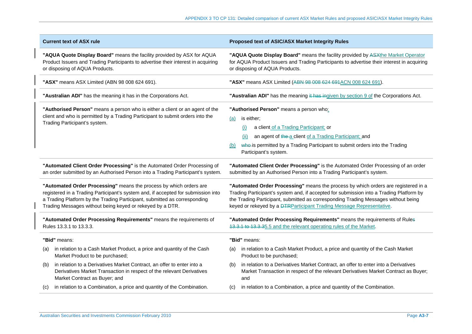| <b>Current text of ASX rule</b>                                                                                                                                                                 | Proposed text of ASIC/ASX Market Integrity Rules                                                                                                                                                                                                                                              |  |
|-------------------------------------------------------------------------------------------------------------------------------------------------------------------------------------------------|-----------------------------------------------------------------------------------------------------------------------------------------------------------------------------------------------------------------------------------------------------------------------------------------------|--|
| "AQUA Quote Display Board" means the facility provided by ASX for AQUA                                                                                                                          | "AQUA Quote Display Board" means the facility provided by ASXthe Market Operator                                                                                                                                                                                                              |  |
| Product Issuers and Trading Participants to advertise their interest in acquiring                                                                                                               | for AQUA Product Issuers and Trading Participants to advertise their interest in acquiring                                                                                                                                                                                                    |  |
| or disposing of AQUA Products.                                                                                                                                                                  | or disposing of AQUA Products.                                                                                                                                                                                                                                                                |  |
| "ASX" means ASX Limited (ABN 98 008 624 691).                                                                                                                                                   | "ASX" means ASX Limited (ABN 98 008 624 691ACN 008 624 691).                                                                                                                                                                                                                                  |  |
| "Australian ADI" has the meaning it has in the Corporations Act.                                                                                                                                | "Australian ADI" has the meaning it has ingiven by section 9 of the Corporations Act.                                                                                                                                                                                                         |  |
| "Authorised Person" means a person who is either a client or an agent of the<br>client and who is permitted by a Trading Participant to submit orders into the<br>Trading Participant's system. | "Authorised Person" means a person who:<br>is either;<br>(a)<br>a client of a Trading Participant; or<br>(i)<br>an agent of the a client of a Trading Participant; and<br>(ii)<br>who is permitted by a Trading Participant to submit orders into the Trading<br>(b)<br>Participant's system. |  |
| "Automated Client Order Processing" is the Automated Order Processing of                                                                                                                        | "Automated Client Order Processing" is the Automated Order Processing of an order                                                                                                                                                                                                             |  |
| an order submitted by an Authorised Person into a Trading Participant's system.                                                                                                                 | submitted by an Authorised Person into a Trading Participant's system.                                                                                                                                                                                                                        |  |
| "Automated Order Processing" means the process by which orders are                                                                                                                              | "Automated Order Processing" means the process by which orders are registered in a                                                                                                                                                                                                            |  |
| registered in a Trading Participant's system and, if accepted for submission into                                                                                                               | Trading Participant's system and, if accepted for submission into a Trading Platform by                                                                                                                                                                                                       |  |
| a Trading Platform by the Trading Participant, submitted as corresponding                                                                                                                       | the Trading Participant, submitted as corresponding Trading Messages without being                                                                                                                                                                                                            |  |
| Trading Messages without being keyed or rekeyed by a DTR.                                                                                                                                       | keyed or rekeyed by a DTRParticipant Trading Message Representative.                                                                                                                                                                                                                          |  |
| "Automated Order Processing Requirements" means the requirements of                                                                                                                             | "Automated Order Processing Requirements" means the requirements of Rules                                                                                                                                                                                                                     |  |
| Rules 13.3.1 to 13.3.3.                                                                                                                                                                         | 13.3.1 to 13.3.35.5 and the relevant operating rules of the Market.                                                                                                                                                                                                                           |  |
| "Bid" means:                                                                                                                                                                                    | "Bid" means:                                                                                                                                                                                                                                                                                  |  |
| in relation to a Cash Market Product, a price and quantity of the Cash                                                                                                                          | in relation to a Cash Market Product, a price and quantity of the Cash Market                                                                                                                                                                                                                 |  |
| (a)                                                                                                                                                                                             | (a)                                                                                                                                                                                                                                                                                           |  |
| Market Product to be purchased;                                                                                                                                                                 | Product to be purchased;                                                                                                                                                                                                                                                                      |  |
| in relation to a Derivatives Market Contract, an offer to enter into a                                                                                                                          | in relation to a Derivatives Market Contract, an offer to enter into a Derivatives                                                                                                                                                                                                            |  |
| (b)                                                                                                                                                                                             | (b)                                                                                                                                                                                                                                                                                           |  |
| Derivatives Market Transaction in respect of the relevant Derivatives                                                                                                                           | Market Transaction in respect of the relevant Derivatives Market Contract as Buyer;                                                                                                                                                                                                           |  |
| Market Contract as Buyer; and                                                                                                                                                                   | and                                                                                                                                                                                                                                                                                           |  |
| in relation to a Combination, a price and quantity of the Combination.                                                                                                                          | in relation to a Combination, a price and quantity of the Combination.                                                                                                                                                                                                                        |  |
| (C)                                                                                                                                                                                             | (C)                                                                                                                                                                                                                                                                                           |  |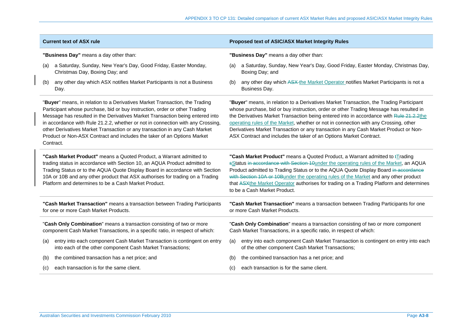| <b>Current text of ASX rule</b>                                                                                                                                                                                                                                                                                                                                                                                                                                                                     | Proposed text of ASIC/ASX Market Integrity Rules                                                                                                                                                                                                                                                                                                                                                                                                                                                                                   |  |  |
|-----------------------------------------------------------------------------------------------------------------------------------------------------------------------------------------------------------------------------------------------------------------------------------------------------------------------------------------------------------------------------------------------------------------------------------------------------------------------------------------------------|------------------------------------------------------------------------------------------------------------------------------------------------------------------------------------------------------------------------------------------------------------------------------------------------------------------------------------------------------------------------------------------------------------------------------------------------------------------------------------------------------------------------------------|--|--|
| "Business Day" means a day other than:                                                                                                                                                                                                                                                                                                                                                                                                                                                              | "Business Day" means a day other than:                                                                                                                                                                                                                                                                                                                                                                                                                                                                                             |  |  |
| a Saturday, Sunday, New Year's Day, Good Friday, Easter Monday,                                                                                                                                                                                                                                                                                                                                                                                                                                     | a Saturday, Sunday, New Year's Day, Good Friday, Easter Monday, Christmas Day,                                                                                                                                                                                                                                                                                                                                                                                                                                                     |  |  |
| (a)                                                                                                                                                                                                                                                                                                                                                                                                                                                                                                 | (a)                                                                                                                                                                                                                                                                                                                                                                                                                                                                                                                                |  |  |
| Christmas Day, Boxing Day; and                                                                                                                                                                                                                                                                                                                                                                                                                                                                      | Boxing Day; and                                                                                                                                                                                                                                                                                                                                                                                                                                                                                                                    |  |  |
| any other day which ASX notifies Market Participants is not a Business                                                                                                                                                                                                                                                                                                                                                                                                                              | any other day which ASX-the Market Operator notifies Market Participants is not a                                                                                                                                                                                                                                                                                                                                                                                                                                                  |  |  |
| (b)                                                                                                                                                                                                                                                                                                                                                                                                                                                                                                 | (b)                                                                                                                                                                                                                                                                                                                                                                                                                                                                                                                                |  |  |
| Day.                                                                                                                                                                                                                                                                                                                                                                                                                                                                                                | Business Day.                                                                                                                                                                                                                                                                                                                                                                                                                                                                                                                      |  |  |
| "Buyer" means, in relation to a Derivatives Market Transaction, the Trading<br>Participant whose purchase, bid or buy instruction, order or other Trading<br>Message has resulted in the Derivatives Market Transaction being entered into<br>in accordance with Rule 21.2.2, whether or not in connection with any Crossing,<br>other Derivatives Market Transaction or any transaction in any Cash Market<br>Product or Non-ASX Contract and includes the taker of an Options Market<br>Contract. | "Buyer" means, in relation to a Derivatives Market Transaction, the Trading Participant<br>whose purchase, bid or buy instruction, order or other Trading Message has resulted in<br>the Derivatives Market Transaction being entered into in accordance with Rule 21.2.2the<br>operating rules of the Market, whether or not in connection with any Crossing, other<br>Derivatives Market Transaction or any transaction in any Cash Market Product or Non-<br>ASX Contract and includes the taker of an Options Market Contract. |  |  |
| "Cash Market Product" means a Quoted Product, a Warrant admitted to<br>trading status in accordance with Section 10, an AQUA Product admitted to<br>Trading Status or to the AQUA Quote Display Board in accordance with Section<br>10A or 10B and any other product that ASX authorises for trading on a Trading<br>Platform and determines to be a Cash Market Product.                                                                                                                           | "Cash Market Product" means a Quoted Product, a Warrant admitted to <i>E</i> rading<br>sStatus in accordance with Section 10under the operating rules of the Market, an AQUA<br>Product admitted to Trading Status or to the AQUA Quote Display Board in accordance<br>with Section 10A or 10Bunder the operating rules of the Market and any other product<br>that ASXthe Market Operator authorises for trading on a Trading Platform and determines<br>to be a Cash Market Product.                                             |  |  |
| "Cash Market Transaction" means a transaction between Trading Participants                                                                                                                                                                                                                                                                                                                                                                                                                          | "Cash Market Transaction" means a transaction between Trading Participants for one                                                                                                                                                                                                                                                                                                                                                                                                                                                 |  |  |
| for one or more Cash Market Products.                                                                                                                                                                                                                                                                                                                                                                                                                                                               | or more Cash Market Products.                                                                                                                                                                                                                                                                                                                                                                                                                                                                                                      |  |  |
| "Cash Only Combination" means a transaction consisting of two or more                                                                                                                                                                                                                                                                                                                                                                                                                               | "Cash Only Combination" means a transaction consisting of two or more component                                                                                                                                                                                                                                                                                                                                                                                                                                                    |  |  |
| component Cash Market Transactions, in a specific ratio, in respect of which:                                                                                                                                                                                                                                                                                                                                                                                                                       | Cash Market Transactions, in a specific ratio, in respect of which:                                                                                                                                                                                                                                                                                                                                                                                                                                                                |  |  |
| entry into each component Cash Market Transaction is contingent on entry                                                                                                                                                                                                                                                                                                                                                                                                                            | entry into each component Cash Market Transaction is contingent on entry into each                                                                                                                                                                                                                                                                                                                                                                                                                                                 |  |  |
| (a)                                                                                                                                                                                                                                                                                                                                                                                                                                                                                                 | (a)                                                                                                                                                                                                                                                                                                                                                                                                                                                                                                                                |  |  |
| into each of the other component Cash Market Transactions;                                                                                                                                                                                                                                                                                                                                                                                                                                          | of the other component Cash Market Transactions;                                                                                                                                                                                                                                                                                                                                                                                                                                                                                   |  |  |
| the combined transaction has a net price; and                                                                                                                                                                                                                                                                                                                                                                                                                                                       | the combined transaction has a net price; and                                                                                                                                                                                                                                                                                                                                                                                                                                                                                      |  |  |
| (b)                                                                                                                                                                                                                                                                                                                                                                                                                                                                                                 | (b)                                                                                                                                                                                                                                                                                                                                                                                                                                                                                                                                |  |  |
| each transaction is for the same client.                                                                                                                                                                                                                                                                                                                                                                                                                                                            | each transaction is for the same client.                                                                                                                                                                                                                                                                                                                                                                                                                                                                                           |  |  |
| (c)                                                                                                                                                                                                                                                                                                                                                                                                                                                                                                 | (c)                                                                                                                                                                                                                                                                                                                                                                                                                                                                                                                                |  |  |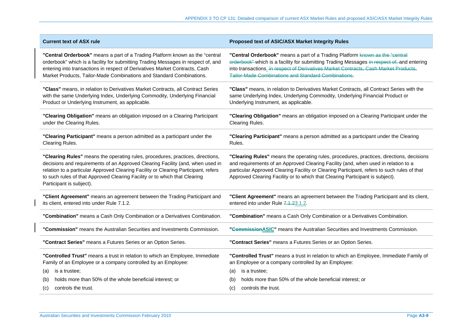| <b>Current text of ASX rule</b>                                                                                                                                                                                                                                                                                                                                   | Proposed text of ASIC/ASX Market Integrity Rules                                                                                                                                                                                                                                                                                                               |
|-------------------------------------------------------------------------------------------------------------------------------------------------------------------------------------------------------------------------------------------------------------------------------------------------------------------------------------------------------------------|----------------------------------------------------------------------------------------------------------------------------------------------------------------------------------------------------------------------------------------------------------------------------------------------------------------------------------------------------------------|
| "Central Orderbook" means a part of a Trading Platform known as the "central<br>orderbook" which is a facility for submitting Trading Messages in respect of, and<br>entering into transactions in respect of Derivatives Market Contracts, Cash<br>Market Products, Tailor-Made Combinations and Standard Combinations.                                          | "Central Orderbook" means a part of a Trading Platform known as the "central<br>orderbook" which is a facility for submitting Trading Messages in respect of, and entering<br>into transactions. in respect of Derivatives Market Contracts, Cash Market Products,<br>Tailor-Made Combinations and Standard Combinations.                                      |
| "Class" means, in relation to Derivatives Market Contracts, all Contract Series<br>with the same Underlying Index, Underlying Commodity, Underlying Financial<br>Product or Underlying Instrument, as applicable.                                                                                                                                                 | "Class" means, in relation to Derivatives Market Contracts, all Contract Series with the<br>same Underlying Index, Underlying Commodity, Underlying Financial Product or<br>Underlying Instrument, as applicable.                                                                                                                                              |
| "Clearing Obligation" means an obligation imposed on a Clearing Participant<br>under the Clearing Rules.                                                                                                                                                                                                                                                          | "Clearing Obligation" means an obligation imposed on a Clearing Participant under the<br>Clearing Rules.                                                                                                                                                                                                                                                       |
| "Clearing Participant" means a person admitted as a participant under the<br>Clearing Rules.                                                                                                                                                                                                                                                                      | "Clearing Participant" means a person admitted as a participant under the Clearing<br>Rules.                                                                                                                                                                                                                                                                   |
| "Clearing Rules" means the operating rules, procedures, practices, directions,<br>decisions and requirements of an Approved Clearing Facility (and, when used in<br>relation to a particular Approved Clearing Facility or Clearing Participant, refers<br>to such rules of that Approved Clearing Facility or to which that Clearing<br>Participant is subject). | "Clearing Rules" means the operating rules, procedures, practices, directions, decisions<br>and requirements of an Approved Clearing Facility (and, when used in relation to a<br>particular Approved Clearing Facility or Clearing Participant, refers to such rules of that<br>Approved Clearing Facility or to which that Clearing Participant is subject). |
| "Client Agreement" means an agreement between the Trading Participant and<br>its client, entered into under Rule 7.1.2.                                                                                                                                                                                                                                           | "Client Agreement" means an agreement between the Trading Participant and its client,<br>entered into under Rule 7.1.23.1.2.                                                                                                                                                                                                                                   |
| "Combination" means a Cash Only Combination or a Derivatives Combination.                                                                                                                                                                                                                                                                                         | "Combination" means a Cash Only Combination or a Derivatives Combination.                                                                                                                                                                                                                                                                                      |
| "Commission" means the Australian Securities and Investments Commission.                                                                                                                                                                                                                                                                                          | "Commission ASIC" means the Australian Securities and Investments Commission.                                                                                                                                                                                                                                                                                  |
| "Contract Series" means a Futures Series or an Option Series.                                                                                                                                                                                                                                                                                                     | "Contract Series" means a Futures Series or an Option Series.                                                                                                                                                                                                                                                                                                  |
| "Controlled Trust" means a trust in relation to which an Employee, Immediate<br>Family of an Employee or a company controlled by an Employee:                                                                                                                                                                                                                     | "Controlled Trust" means a trust in relation to which an Employee, Immediate Family of<br>an Employee or a company controlled by an Employee:                                                                                                                                                                                                                  |
| is a trustee:<br>(a)<br>holds more than 50% of the whole beneficial interest; or                                                                                                                                                                                                                                                                                  | is a trustee;<br>(a)                                                                                                                                                                                                                                                                                                                                           |
| (b)<br>controls the trust.<br>(c)                                                                                                                                                                                                                                                                                                                                 | holds more than 50% of the whole beneficial interest; or<br>(b)<br>controls the trust.<br>(c)                                                                                                                                                                                                                                                                  |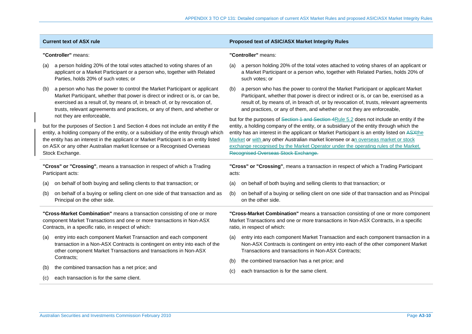|                                                                                                                                                                                                           | <b>Current text of ASX rule</b>                                                                                                                                                                                                                                                                                                                                  |                                                                                                                                                                                                           | <b>Proposed text of ASIC/ASX Market Integrity Rules</b>                                                                                                                                                                                                                                                                                                                                                                                      |  |
|-----------------------------------------------------------------------------------------------------------------------------------------------------------------------------------------------------------|------------------------------------------------------------------------------------------------------------------------------------------------------------------------------------------------------------------------------------------------------------------------------------------------------------------------------------------------------------------|-----------------------------------------------------------------------------------------------------------------------------------------------------------------------------------------------------------|----------------------------------------------------------------------------------------------------------------------------------------------------------------------------------------------------------------------------------------------------------------------------------------------------------------------------------------------------------------------------------------------------------------------------------------------|--|
| "Controller" means:                                                                                                                                                                                       |                                                                                                                                                                                                                                                                                                                                                                  |                                                                                                                                                                                                           | "Controller" means:                                                                                                                                                                                                                                                                                                                                                                                                                          |  |
| (a)                                                                                                                                                                                                       | a person holding 20% of the total votes attached to voting shares of an<br>applicant or a Market Participant or a person who, together with Related<br>Parties, holds 20% of such votes; or                                                                                                                                                                      | (a)                                                                                                                                                                                                       | a person holding 20% of the total votes attached to voting shares of an applicant or<br>a Market Participant or a person who, together with Related Parties, holds 20% of<br>such votes; or                                                                                                                                                                                                                                                  |  |
| (b)                                                                                                                                                                                                       | a person who has the power to control the Market Participant or applicant<br>Market Participant, whether that power is direct or indirect or is, or can be,<br>exercised as a result of, by means of, in breach of, or by revocation of,<br>trusts, relevant agreements and practices, or any of them, and whether or<br>not they are enforceable,               | (b)                                                                                                                                                                                                       | a person who has the power to control the Market Participant or applicant Market<br>Participant, whether that power is direct or indirect or is, or can be, exercised as a<br>result of, by means of, in breach of, or by revocation of, trusts, relevant agreements<br>and practices, or any of them, and whether or not they are enforceable,<br>but for the purposes of Section 1 and Section 4Rule 5.2 does not include an entity if the |  |
|                                                                                                                                                                                                           | but for the purposes of Section 1 and Section 4 does not include an entity if the<br>entity, a holding company of the entity, or a subsidiary of the entity through which<br>the entity has an interest in the applicant or Market Participant is an entity listed<br>on ASX or any other Australian market licensee or a Recognised Overseas<br>Stock Exchange. |                                                                                                                                                                                                           | entity, a holding company of the entity, or a subsidiary of the entity through which the<br>entity has an interest in the applicant or Market Participant is an entity listed on ASXthe<br>Market or with any other Australian market licensee or an overseas market or stock<br>exchange recognised by the Market Operator under the operating rules of the Market.<br>Recognised Overseas Stock Exchange.                                  |  |
|                                                                                                                                                                                                           | "Cross" or "Crossing", means a transaction in respect of which a Trading<br>Participant acts:                                                                                                                                                                                                                                                                    | "Cross" or "Crossing", means a transaction in respect of which a Trading Participant<br>acts:                                                                                                             |                                                                                                                                                                                                                                                                                                                                                                                                                                              |  |
| (a)                                                                                                                                                                                                       | on behalf of both buying and selling clients to that transaction; or                                                                                                                                                                                                                                                                                             | on behalf of both buying and selling clients to that transaction; or<br>(a)                                                                                                                               |                                                                                                                                                                                                                                                                                                                                                                                                                                              |  |
| (b)                                                                                                                                                                                                       | on behalf of a buying or selling client on one side of that transaction and as<br>Principal on the other side.                                                                                                                                                                                                                                                   | (b)                                                                                                                                                                                                       | on behalf of a buying or selling client on one side of that transaction and as Principal<br>on the other side.                                                                                                                                                                                                                                                                                                                               |  |
| "Cross-Market Combination" means a transaction consisting of one or more<br>component Market Transactions and one or more transactions in Non-ASX<br>Contracts, in a specific ratio, in respect of which: |                                                                                                                                                                                                                                                                                                                                                                  | "Cross-Market Combination" means a transaction consisting of one or more component<br>Market Transactions and one or more transactions in Non-ASX Contracts, in a specific<br>ratio, in respect of which: |                                                                                                                                                                                                                                                                                                                                                                                                                                              |  |
| (a)                                                                                                                                                                                                       | entry into each component Market Transaction and each component<br>transaction in a Non-ASX Contracts is contingent on entry into each of the<br>other component Market Transactions and transactions in Non-ASX                                                                                                                                                 | (a)                                                                                                                                                                                                       | entry into each component Market Transaction and each component transaction in a<br>Non-ASX Contracts is contingent on entry into each of the other component Market<br>Transactions and transactions in Non-ASX Contracts;                                                                                                                                                                                                                  |  |
|                                                                                                                                                                                                           | Contracts;                                                                                                                                                                                                                                                                                                                                                       | (b)                                                                                                                                                                                                       | the combined transaction has a net price; and                                                                                                                                                                                                                                                                                                                                                                                                |  |
| (b)                                                                                                                                                                                                       | the combined transaction has a net price; and                                                                                                                                                                                                                                                                                                                    | (C)                                                                                                                                                                                                       | each transaction is for the same client.                                                                                                                                                                                                                                                                                                                                                                                                     |  |
| (C)                                                                                                                                                                                                       | each transaction is for the same client.                                                                                                                                                                                                                                                                                                                         |                                                                                                                                                                                                           |                                                                                                                                                                                                                                                                                                                                                                                                                                              |  |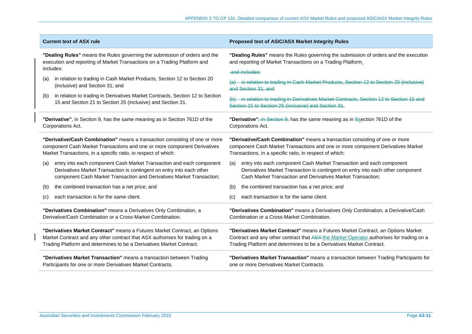| <b>Current text of ASX rule</b>                                                                                                                     | <b>Proposed text of ASIC/ASX Market Integrity Rules</b>                                                                                      |  |
|-----------------------------------------------------------------------------------------------------------------------------------------------------|----------------------------------------------------------------------------------------------------------------------------------------------|--|
| "Dealing Rules" means the Rules governing the submission of orders and the                                                                          | "Dealing Rules" means the Rules governing the submission of orders and the execution                                                         |  |
| execution and reporting of Market Transactions on a Trading Platform and                                                                            | and reporting of Market Transactions on a Trading Platform.                                                                                  |  |
| includes:                                                                                                                                           | and includes:                                                                                                                                |  |
| in relation to trading in Cash Market Products, Section 12 to Section 20<br>(a)<br>(inclusive) and Section 31; and                                  | (a) in relation to trading in Cash Market Products, Section 12 to Section 20 (inclusive)<br>and Section 31: and                              |  |
| in relation to trading in Derivatives Market Contracts, Section 12 to Section<br>(b)<br>15 and Section 21 to Section 25 (inclusive) and Section 31. | in relation to trading in Derivatives Market Contracts, Section 12 to Section 15 and<br>Section 21 to Section 25 (inclusive) and Section 31. |  |
| "Derivative", in Section 9, has the same meaning as in Section 761D of the                                                                          | "Derivative", in Section 9, has the same meaning as in Ssection 761D of the                                                                  |  |
| Corporations Act.                                                                                                                                   | Corporations Act.                                                                                                                            |  |
| "Derivative/Cash Combination" means a transaction consisting of one or more                                                                         | "Derivative/Cash Combination" means a transaction consisting of one or more                                                                  |  |
| component Cash Market Transactions and one or more component Derivatives                                                                            | component Cash Market Transactions and one or more component Derivatives Market                                                              |  |
| Market Transactions, in a specific ratio, in respect of which:                                                                                      | Transactions, in a specific ratio, in respect of which:                                                                                      |  |
| entry into each component Cash Market Transaction and each component                                                                                | entry into each component Cash Market Transaction and each component                                                                         |  |
| (a)                                                                                                                                                 | (a)                                                                                                                                          |  |
| Derivatives Market Transaction is contingent on entry into each other                                                                               | Derivatives Market Transaction is contingent on entry into each other component                                                              |  |
| component Cash Market Transaction and Derivatives Market Transaction;                                                                               | Cash Market Transaction and Derivatives Market Transaction;                                                                                  |  |
| the combined transaction has a net price; and                                                                                                       | the combined transaction has a net price; and                                                                                                |  |
| (b)                                                                                                                                                 | (b)                                                                                                                                          |  |
| each transaction is for the same client.                                                                                                            | each transaction is for the same client.                                                                                                     |  |
| (c)                                                                                                                                                 | (C)                                                                                                                                          |  |
| "Derivatives Combination" means a Derivatives Only Combination, a                                                                                   | "Derivatives Combination" means a Derivatives Only Combination, a Derivative/Cash                                                            |  |
| Derivative/Cash Combination or a Cross-Market Combination.                                                                                          | Combination or a Cross-Market Combination.                                                                                                   |  |
| "Derivatives Market Contract" means a Futures Market Contract, an Options                                                                           | "Derivatives Market Contract" means a Futures Market Contract, an Options Market                                                             |  |
| Market Contract and any other contract that ASX authorises for trading on a                                                                         | Contract and any other contract that ASX-the Market Operator authorises for trading on a                                                     |  |
| Trading Platform and determines to be a Derivatives Market Contract.                                                                                | Trading Platform and determines to be a Derivatives Market Contract.                                                                         |  |
| "Derivatives Market Transaction" means a transaction between Trading                                                                                | "Derivatives Market Transaction" means a transaction between Trading Participants for                                                        |  |
| Participants for one or more Derivatives Market Contracts.                                                                                          | one or more Derivatives Market Contracts.                                                                                                    |  |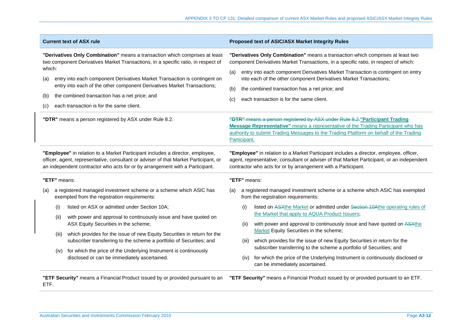|                             | <b>Current text of ASX rule</b>                                                                                                                                                                                                                                                                                                                                                                                       | Proposed text of ASIC/ASX Market Integrity Rules                                                                                                                                                                                                                                                                                                                                                                                                  |
|-----------------------------|-----------------------------------------------------------------------------------------------------------------------------------------------------------------------------------------------------------------------------------------------------------------------------------------------------------------------------------------------------------------------------------------------------------------------|---------------------------------------------------------------------------------------------------------------------------------------------------------------------------------------------------------------------------------------------------------------------------------------------------------------------------------------------------------------------------------------------------------------------------------------------------|
| which:<br>(a)<br>(b)<br>(C) | "Derivatives Only Combination" means a transaction which comprises at least<br>two component Derivatives Market Transactions, in a specific ratio, in respect of<br>entry into each component Derivatives Market Transaction is contingent on<br>entry into each of the other component Derivatives Market Transactions;<br>the combined transaction has a net price; and<br>each transaction is for the same client. | "Derivatives Only Combination" means a transaction which comprises at least two<br>component Derivatives Market Transactions, in a specific ratio, in respect of which:<br>entry into each component Derivatives Market Transaction is contingent on entry<br>(a)<br>into each of the other component Derivatives Market Transactions;<br>(b)<br>the combined transaction has a net price; and<br>each transaction is for the same client.<br>(c) |
|                             | "DTR" means a person registered by ASX under Rule 8.2.                                                                                                                                                                                                                                                                                                                                                                | "DTR" means a person registered by ASX under Rule 8.2." Participant Trading<br><b>Message Representative"</b> means a representative of the Trading Participant who has<br>authority to submit Trading Messages to the Trading Platform on behalf of the Trading<br>Participant.                                                                                                                                                                  |
|                             | "Employee" in relation to a Market Participant includes a director, employee,<br>officer, agent, representative, consultant or adviser of that Market Participant, or<br>an independent contractor who acts for or by arrangement with a Participant.                                                                                                                                                                 | "Employee" in relation to a Market Participant includes a director, employee, officer,<br>agent, representative, consultant or adviser of that Market Participant, or an independent<br>contractor who acts for or by arrangement with a Participant.                                                                                                                                                                                             |
|                             | "ETF" means:                                                                                                                                                                                                                                                                                                                                                                                                          | "ETF" means:                                                                                                                                                                                                                                                                                                                                                                                                                                      |
| (a)                         | a registered managed investment scheme or a scheme which ASIC has<br>exempted from the registration requirements:                                                                                                                                                                                                                                                                                                     | a registered managed investment scheme or a scheme which ASIC has exempted<br>(a)<br>from the registration requirements:                                                                                                                                                                                                                                                                                                                          |
|                             | listed on ASX or admitted under Section 10A;<br>(i)                                                                                                                                                                                                                                                                                                                                                                   | listed on ASXthe Market or admitted under Section 10Athe operating rules of<br>(i)                                                                                                                                                                                                                                                                                                                                                                |
|                             | with power and approval to continuously issue and have quoted on<br>(ii)<br>ASX Equity Securities in the scheme;                                                                                                                                                                                                                                                                                                      | the Market that apply to AQUA Product Issuers;<br>with power and approval to continuously issue and have quoted on ASXthe<br>(ii)<br>Market Equity Securities in the scheme;                                                                                                                                                                                                                                                                      |
|                             | which provides for the issue of new Equity Securities in return for the<br>(iii)<br>subscriber transferring to the scheme a portfolio of Securities; and                                                                                                                                                                                                                                                              | which provides for the issue of new Equity Securities in return for the<br>(iii)                                                                                                                                                                                                                                                                                                                                                                  |
|                             | for which the price of the Underlying Instrument is continuously<br>(iv)<br>disclosed or can be immediately ascertained.                                                                                                                                                                                                                                                                                              | subscriber transferring to the scheme a portfolio of Securities; and<br>for which the price of the Underlying Instrument is continuously disclosed or<br>(iv)<br>can be immediately ascertained.                                                                                                                                                                                                                                                  |
| ETF.                        | "ETF Security" means a Financial Product issued by or provided pursuant to an                                                                                                                                                                                                                                                                                                                                         | "ETF Security" means a Financial Product issued by or provided pursuant to an ETF.                                                                                                                                                                                                                                                                                                                                                                |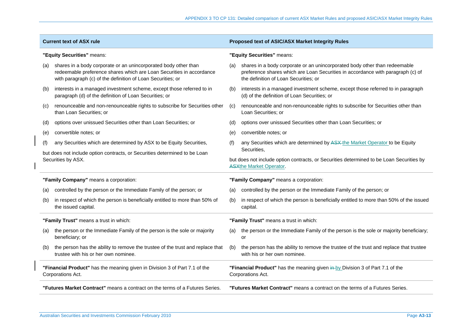| <b>Current text of ASX rule</b>        |                                                                                                                                                                                                        | Proposed text of ASIC/ASX Market Integrity Rules                                                                                          |                                                                                                                                                                                                        |  |
|----------------------------------------|--------------------------------------------------------------------------------------------------------------------------------------------------------------------------------------------------------|-------------------------------------------------------------------------------------------------------------------------------------------|--------------------------------------------------------------------------------------------------------------------------------------------------------------------------------------------------------|--|
| "Equity Securities" means:             |                                                                                                                                                                                                        | "Equity Securities" means:                                                                                                                |                                                                                                                                                                                                        |  |
| (a)                                    | shares in a body corporate or an unincorporated body other than<br>redeemable preference shares which are Loan Securities in accordance<br>with paragraph (c) of the definition of Loan Securities; or | (a)                                                                                                                                       | shares in a body corporate or an unincorporated body other than redeemable<br>preference shares which are Loan Securities in accordance with paragraph (c) of<br>the definition of Loan Securities; or |  |
| (b)                                    | interests in a managed investment scheme, except those referred to in<br>paragraph (d) of the definition of Loan Securities; or                                                                        | (b)                                                                                                                                       | interests in a managed investment scheme, except those referred to in paragraph<br>(d) of the definition of Loan Securities; or                                                                        |  |
| (c)                                    | renounceable and non-renounceable rights to subscribe for Securities other<br>than Loan Securities; or                                                                                                 | (c)                                                                                                                                       | renounceable and non-renounceable rights to subscribe for Securities other than<br>Loan Securities; or                                                                                                 |  |
| (d)                                    | options over unissued Securities other than Loan Securities; or                                                                                                                                        | (d)                                                                                                                                       | options over unissued Securities other than Loan Securities; or                                                                                                                                        |  |
| (e)                                    | convertible notes; or                                                                                                                                                                                  | (e)                                                                                                                                       | convertible notes; or                                                                                                                                                                                  |  |
| (f)                                    | any Securities which are determined by ASX to be Equity Securities,                                                                                                                                    | (f)                                                                                                                                       | any Securities which are determined by ASX-the Market Operator to be Equity                                                                                                                            |  |
|                                        | but does not include option contracts, or Securities determined to be Loan<br>Securities by ASX.                                                                                                       | Securities,<br>but does not include option contracts, or Securities determined to be Loan Securities by<br><b>ASXthe Market Operator.</b> |                                                                                                                                                                                                        |  |
| "Family Company" means a corporation:  |                                                                                                                                                                                                        | "Family Company" means a corporation:                                                                                                     |                                                                                                                                                                                                        |  |
| (a)                                    | controlled by the person or the Immediate Family of the person; or                                                                                                                                     | (a)                                                                                                                                       | controlled by the person or the Immediate Family of the person; or                                                                                                                                     |  |
| (b)                                    | in respect of which the person is beneficially entitled to more than 50% of<br>the issued capital.                                                                                                     | (b)                                                                                                                                       | in respect of which the person is beneficially entitled to more than 50% of the issued<br>capital.                                                                                                     |  |
| "Family Trust" means a trust in which: |                                                                                                                                                                                                        | "Family Trust" means a trust in which:                                                                                                    |                                                                                                                                                                                                        |  |
| (a)                                    | the person or the Immediate Family of the person is the sole or majority<br>beneficiary; or                                                                                                            | (a)                                                                                                                                       | the person or the Immediate Family of the person is the sole or majority beneficiary;<br>or                                                                                                            |  |
| (b)                                    | the person has the ability to remove the trustee of the trust and replace that<br>trustee with his or her own nominee.                                                                                 | (b)                                                                                                                                       | the person has the ability to remove the trustee of the trust and replace that trustee<br>with his or her own nominee.                                                                                 |  |
|                                        | "Financial Product" has the meaning given in Division 3 of Part 7.1 of the<br>Corporations Act.                                                                                                        |                                                                                                                                           | "Financial Product" has the meaning given in by Division 3 of Part 7.1 of the<br>Corporations Act.                                                                                                     |  |
|                                        | "Futures Market Contract" means a contract on the terms of a Futures Series.                                                                                                                           |                                                                                                                                           | "Futures Market Contract" means a contract on the terms of a Futures Series.                                                                                                                           |  |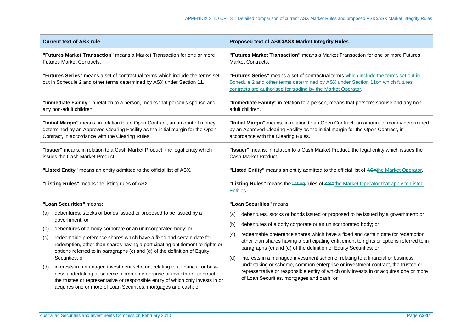| <b>Current text of ASX rule</b>                                                                                                                                                                                   |                                                                                                                                                                                                                                                                                                    | Proposed text of ASIC/ASX Market Integrity Rules                                                                                                                                                                                                         |  |  |
|-------------------------------------------------------------------------------------------------------------------------------------------------------------------------------------------------------------------|----------------------------------------------------------------------------------------------------------------------------------------------------------------------------------------------------------------------------------------------------------------------------------------------------|----------------------------------------------------------------------------------------------------------------------------------------------------------------------------------------------------------------------------------------------------------|--|--|
| "Futures Market Transaction" means a Market Transaction for one or more<br>Futures Market Contracts.                                                                                                              |                                                                                                                                                                                                                                                                                                    | "Futures Market Transaction" means a Market Transaction for one or more Futures<br>Market Contracts.                                                                                                                                                     |  |  |
| "Futures Series" means a set of contractual terms which include the terms set<br>out in Schedule 2 and other terms determined by ASX under Section 11.                                                            |                                                                                                                                                                                                                                                                                                    | "Futures Series" means a set of contractual terms which include the terms set out in<br>Schedule 2 and other terms determined by ASX under Section 11on which futures<br>contracts are authorised for trading by the Market Operator.                    |  |  |
| "Immediate Family" in relation to a person, means that person's spouse and<br>any non-adult children.                                                                                                             |                                                                                                                                                                                                                                                                                                    | "Immediate Family" in relation to a person, means that person's spouse and any non-<br>adult children.                                                                                                                                                   |  |  |
| "Initial Margin" means, in relation to an Open Contract, an amount of money<br>determined by an Approved Clearing Facility as the initial margin for the Open<br>Contract, in accordance with the Clearing Rules. |                                                                                                                                                                                                                                                                                                    | "Initial Margin" means, in relation to an Open Contract, an amount of money determined<br>by an Approved Clearing Facility as the initial margin for the Open Contract, in<br>accordance with the Clearing Rules.                                        |  |  |
| "Issuer" means, in relation to a Cash Market Product, the legal entity which<br>issues the Cash Market Product.                                                                                                   |                                                                                                                                                                                                                                                                                                    | "Issuer" means, in relation to a Cash Market Product, the legal entity which issues the<br>Cash Market Product.                                                                                                                                          |  |  |
| "Listed Entity" means an entity admitted to the official list of ASX.                                                                                                                                             |                                                                                                                                                                                                                                                                                                    | "Listed Entity" means an entity admitted to the official list of ASXthe Market Operator.                                                                                                                                                                 |  |  |
|                                                                                                                                                                                                                   |                                                                                                                                                                                                                                                                                                    |                                                                                                                                                                                                                                                          |  |  |
|                                                                                                                                                                                                                   | "Listing Rules" means the listing rules of ASX.                                                                                                                                                                                                                                                    | "Listing Rules" means the listing-rules of ASXthe Market Operator that apply to Listed<br>Entities.                                                                                                                                                      |  |  |
|                                                                                                                                                                                                                   | "Loan Securities" means:                                                                                                                                                                                                                                                                           | "Loan Securities" means:                                                                                                                                                                                                                                 |  |  |
| (a)                                                                                                                                                                                                               | debentures, stocks or bonds issued or proposed to be issued by a                                                                                                                                                                                                                                   | debentures, stocks or bonds issued or proposed to be issued by a government; or<br>(a)                                                                                                                                                                   |  |  |
|                                                                                                                                                                                                                   | government; or                                                                                                                                                                                                                                                                                     | debentures of a body corporate or an unincorporated body; or<br>(b)                                                                                                                                                                                      |  |  |
| (b)<br>(c)                                                                                                                                                                                                        | debentures of a body corporate or an unincorporated body; or<br>redeemable preference shares which have a fixed and certain date for<br>redemption, other than shares having a participating entitlement to rights or<br>options referred to in paragraphs (c) and (d) of the definition of Equity | redeemable preference shares which have a fixed and certain date for redemption,<br>(c)<br>other than shares having a participating entitlement to rights or options referred to in<br>paragraphs (c) and (d) of the definition of Equity Securities; or |  |  |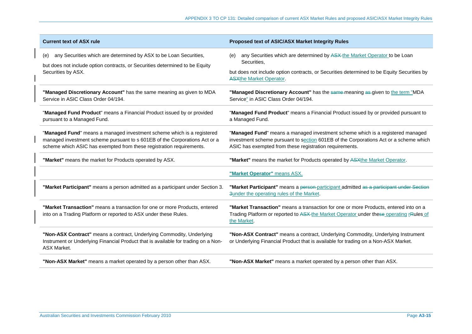| <b>Current text of ASX rule</b>                                                                                                                                                                                              | Proposed text of ASIC/ASX Market Integrity Rules                                                                                                                                                                                   |
|------------------------------------------------------------------------------------------------------------------------------------------------------------------------------------------------------------------------------|------------------------------------------------------------------------------------------------------------------------------------------------------------------------------------------------------------------------------------|
| any Securities which are determined by ASX to be Loan Securities,<br>(e)<br>but does not include option contracts, or Securities determined to be Equity<br>Securities by ASX.                                               | any Securities which are determined by ASX the Market Operator to be Loan<br>(e)<br>Securities,                                                                                                                                    |
|                                                                                                                                                                                                                              | but does not include option contracts, or Securities determined to be Equity Securities by<br><b>ASXthe Market Operator.</b>                                                                                                       |
| "Managed Discretionary Account" has the same meaning as given to MDA<br>Service in ASIC Class Order 04/194.                                                                                                                  | "Managed Discretionary Account" has the same-meaning as-given to the term "MDA<br>Service" in ASIC Class Order 04/194.                                                                                                             |
| "Managed Fund Product" means a Financial Product issued by or provided<br>pursuant to a Managed Fund.                                                                                                                        | "Managed Fund Product" means a Financial Product issued by or provided pursuant to<br>a Managed Fund.                                                                                                                              |
| "Managed Fund" means a managed investment scheme which is a registered<br>managed investment scheme pursuant to s 601EB of the Corporations Act or a<br>scheme which ASIC has exempted from these registration requirements. | "Managed Fund" means a managed investment scheme which is a registered managed<br>investment scheme pursuant to section 601EB of the Corporations Act or a scheme which<br>ASIC has exempted from these registration requirements. |
| "Market" means the market for Products operated by ASX.                                                                                                                                                                      | "Market" means the market for Products operated by ASXthe Market Operator.                                                                                                                                                         |
|                                                                                                                                                                                                                              | "Market Operator" means ASX.                                                                                                                                                                                                       |
| "Market Participant" means a person admitted as a participant under Section 3.                                                                                                                                               | "Market Participant" means a person-participant admitted as a participant under Section<br>3under the operating rules of the Market.                                                                                               |
| "Market Transaction" means a transaction for one or more Products, entered<br>into on a Trading Platform or reported to ASX under these Rules.                                                                               | "Market Transaction" means a transaction for one or more Products, entered into on a<br>Trading Platform or reported to ASX-the Market Operator under these operating rRules of<br>the Market.                                     |
| "Non-ASX Contract" means a contract, Underlying Commodity, Underlying<br>Instrument or Underlying Financial Product that is available for trading on a Non-<br><b>ASX Market.</b>                                            | "Non-ASX Contract" means a contract, Underlying Commodity, Underlying Instrument<br>or Underlying Financial Product that is available for trading on a Non-ASX Market.                                                             |
| "Non-ASX Market" means a market operated by a person other than ASX.                                                                                                                                                         | "Non-ASX Market" means a market operated by a person other than ASX.                                                                                                                                                               |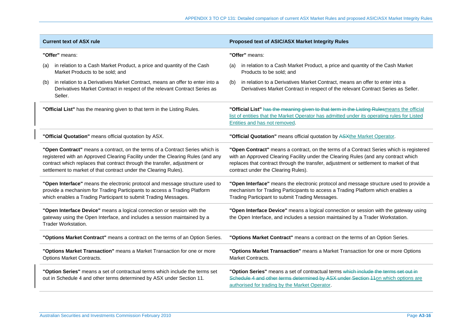| <b>Current text of ASX rule</b>                                                                                                                                                                                                                                                                                  | Proposed text of ASIC/ASX Market Integrity Rules                                                                                                                                                                                                                                                                 |  |  |
|------------------------------------------------------------------------------------------------------------------------------------------------------------------------------------------------------------------------------------------------------------------------------------------------------------------|------------------------------------------------------------------------------------------------------------------------------------------------------------------------------------------------------------------------------------------------------------------------------------------------------------------|--|--|
| "Offer" means:                                                                                                                                                                                                                                                                                                   | "Offer" means:                                                                                                                                                                                                                                                                                                   |  |  |
| in relation to a Cash Market Product, a price and quantity of the Cash<br>(a)<br>Market Products to be sold; and                                                                                                                                                                                                 | in relation to a Cash Market Product, a price and quantity of the Cash Market<br>(a)<br>Products to be sold; and                                                                                                                                                                                                 |  |  |
| in relation to a Derivatives Market Contract, means an offer to enter into a<br>(b)<br>Derivatives Market Contract in respect of the relevant Contract Series as<br>Seller.                                                                                                                                      | in relation to a Derivatives Market Contract, means an offer to enter into a<br>(b)<br>Derivatives Market Contract in respect of the relevant Contract Series as Seller.                                                                                                                                         |  |  |
| "Official List" has the meaning given to that term in the Listing Rules.                                                                                                                                                                                                                                         | "Official List" has the meaning given to that term in the Listing Rulesmeans the official<br>list of entities that the Market Operator has admitted under its operating rules for Listed<br>Entities and has not removed.                                                                                        |  |  |
| "Official Quotation" means official quotation by ASX.                                                                                                                                                                                                                                                            | "Official Quotation" means official quotation by ASXthe Market Operator.                                                                                                                                                                                                                                         |  |  |
| "Open Contract" means a contract, on the terms of a Contract Series which is<br>registered with an Approved Clearing Facility under the Clearing Rules (and any<br>contract which replaces that contract through the transfer, adjustment or<br>settlement to market of that contract under the Clearing Rules). | "Open Contract" means a contract, on the terms of a Contract Series which is registered<br>with an Approved Clearing Facility under the Clearing Rules (and any contract which<br>replaces that contract through the transfer, adjustment or settlement to market of that<br>contract under the Clearing Rules). |  |  |
| "Open Interface" means the electronic protocol and message structure used to<br>provide a mechanism for Trading Participants to access a Trading Platform<br>which enables a Trading Participant to submit Trading Messages.                                                                                     | "Open Interface" means the electronic protocol and message structure used to provide a<br>mechanism for Trading Participants to access a Trading Platform which enables a<br>Trading Participant to submit Trading Messages.                                                                                     |  |  |
| "Open Interface Device" means a logical connection or session with the<br>gateway using the Open Interface, and includes a session maintained by a<br>Trader Workstation.                                                                                                                                        | "Open Interface Device" means a logical connection or session with the gateway using<br>the Open Interface, and includes a session maintained by a Trader Workstation.                                                                                                                                           |  |  |
| "Options Market Contract" means a contract on the terms of an Option Series.                                                                                                                                                                                                                                     | "Options Market Contract" means a contract on the terms of an Option Series.                                                                                                                                                                                                                                     |  |  |
| "Options Market Transaction" means a Market Transaction for one or more<br><b>Options Market Contracts.</b>                                                                                                                                                                                                      | "Options Market Transaction" means a Market Transaction for one or more Options<br><b>Market Contracts.</b>                                                                                                                                                                                                      |  |  |
| "Option Series" means a set of contractual terms which include the terms set<br>out in Schedule 4 and other terms determined by ASX under Section 11.                                                                                                                                                            | "Option Series" means a set of contractual terms which include the terms set out in<br>Schedule 4 and other terms determined by ASX under Section 11on which options are<br>authorised for trading by the Market Operator.                                                                                       |  |  |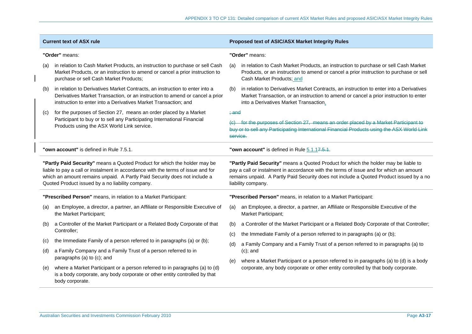| <b>Current text of ASX rule</b>                                 |                                                                                                                                                                                                                                                                                                | Proposed text of ASIC/ASX Market Integrity Rules                |                                                                                                                                                                                                                                                                                                |  |
|-----------------------------------------------------------------|------------------------------------------------------------------------------------------------------------------------------------------------------------------------------------------------------------------------------------------------------------------------------------------------|-----------------------------------------------------------------|------------------------------------------------------------------------------------------------------------------------------------------------------------------------------------------------------------------------------------------------------------------------------------------------|--|
| "Order" means:                                                  |                                                                                                                                                                                                                                                                                                |                                                                 | "Order" means:                                                                                                                                                                                                                                                                                 |  |
| (a)                                                             | in relation to Cash Market Products, an instruction to purchase or sell Cash<br>Market Products, or an instruction to amend or cancel a prior instruction to<br>purchase or sell Cash Market Products;                                                                                         | (a)                                                             | in relation to Cash Market Products, an instruction to purchase or sell Cash Market<br>Products, or an instruction to amend or cancel a prior instruction to purchase or sell<br>Cash Market Products; and                                                                                     |  |
| (b)                                                             | in relation to Derivatives Market Contracts, an instruction to enter into a<br>Derivatives Market Transaction, or an instruction to amend or cancel a prior<br>instruction to enter into a Derivatives Market Transaction; and                                                                 | (b)                                                             | in relation to Derivatives Market Contracts, an instruction to enter into a Derivatives<br>Market Transaction, or an instruction to amend or cancel a prior instruction to enter<br>into a Derivatives Market Transaction.                                                                     |  |
| (c)                                                             | for the purposes of Section 27, means an order placed by a Market<br>Participant to buy or to sell any Participating International Financial<br>Products using the ASX World Link service.                                                                                                     | $\div$ and                                                      | (c) for the purposes of Section 27, means an order placed by a Market Participant to<br>buy or to sell any Participating International Financial Products using the ASX World Link<br>service.                                                                                                 |  |
|                                                                 | "own account" is defined in Rule 7.5.1.                                                                                                                                                                                                                                                        |                                                                 | "own account" is defined in Rule 5.1.17.5.1.                                                                                                                                                                                                                                                   |  |
|                                                                 | "Partly Paid Security" means a Quoted Product for which the holder may be<br>liable to pay a call or instalment in accordance with the terms of issue and for<br>which an amount remains unpaid. A Partly Paid Security does not include a<br>Quoted Product issued by a no liability company. |                                                                 | "Partly Paid Security" means a Quoted Product for which the holder may be liable to<br>pay a call or instalment in accordance with the terms of issue and for which an amount<br>remains unpaid. A Partly Paid Security does not include a Quoted Product issued by a no<br>liability company. |  |
| "Prescribed Person" means, in relation to a Market Participant: |                                                                                                                                                                                                                                                                                                | "Prescribed Person" means, in relation to a Market Participant: |                                                                                                                                                                                                                                                                                                |  |
| (a)                                                             | an Employee, a director, a partner, an Affiliate or Responsible Executive of<br>the Market Participant;                                                                                                                                                                                        | (a)                                                             | an Employee, a director, a partner, an Affiliate or Responsible Executive of the<br>Market Participant;                                                                                                                                                                                        |  |
| (b)                                                             | a Controller of the Market Participant or a Related Body Corporate of that                                                                                                                                                                                                                     | (b)                                                             | a Controller of the Market Participant or a Related Body Corporate of that Controller;                                                                                                                                                                                                         |  |
|                                                                 | Controller;                                                                                                                                                                                                                                                                                    | (c)                                                             | the Immediate Family of a person referred to in paragraphs (a) or (b);                                                                                                                                                                                                                         |  |
| (c)                                                             | the Immediate Family of a person referred to in paragraphs (a) or (b);                                                                                                                                                                                                                         | (d)                                                             | a Family Company and a Family Trust of a person referred to in paragraphs (a) to                                                                                                                                                                                                               |  |
|                                                                 | a Family Company and a Family Trust of a person referred to in                                                                                                                                                                                                                                 |                                                                 | $(c)$ ; and                                                                                                                                                                                                                                                                                    |  |
| (d)                                                             | paragraphs (a) to (c); and                                                                                                                                                                                                                                                                     | (e)                                                             | where a Market Participant or a person referred to in paragraphs (a) to (d) is a body                                                                                                                                                                                                          |  |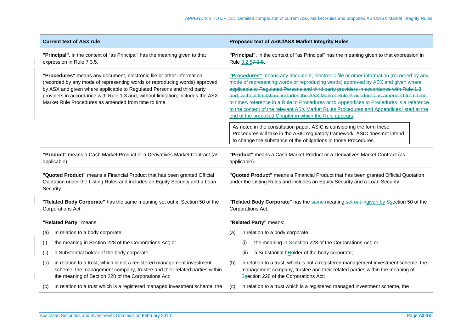| <b>Current text of ASX rule</b>                                                                                                                                                                                                                                                                                                                                          |                                                                                                                                                                                                            |     | Proposed text of ASIC/ASX Market Integrity Rules                                                                                                                                                                                                                                                                                                                                                                                                                                                                                                                                                              |  |  |
|--------------------------------------------------------------------------------------------------------------------------------------------------------------------------------------------------------------------------------------------------------------------------------------------------------------------------------------------------------------------------|------------------------------------------------------------------------------------------------------------------------------------------------------------------------------------------------------------|-----|---------------------------------------------------------------------------------------------------------------------------------------------------------------------------------------------------------------------------------------------------------------------------------------------------------------------------------------------------------------------------------------------------------------------------------------------------------------------------------------------------------------------------------------------------------------------------------------------------------------|--|--|
| "Principal", in the context of "as Principal" has the meaning given to that<br>expression in Rule 7.3.5.                                                                                                                                                                                                                                                                 |                                                                                                                                                                                                            |     | "Principal", in the context of "as Principal" has the meaning given to that expression in<br>Rule 3.2.57.3.5.                                                                                                                                                                                                                                                                                                                                                                                                                                                                                                 |  |  |
| "Procedures" means any document, electronic file or other information<br>(recorded by any mode of representing words or reproducing words) approved<br>by ASX and given where applicable to Regulated Persons and third party<br>providers in accordance with Rule 1.3 and, without limitation, includes the ASX<br>Market Rule Procedures as amended from time to time. |                                                                                                                                                                                                            |     | "Procedures" means any document, electronic file or other information (recorded by any<br>mode of representing words or reproducing words) approved by ASX and given where<br>applicable to Regulated Persons and third party providers in accordance with Rule 1.3<br>and, without limitation, includes the ASX Market Rule Procedures as amended from time<br>to timeA reference in a Rule to Procedures or to Appendices to Procedures is a reference<br>to the content of the relevant ASX Market Rules Procedures and Appendices listed at the<br>end of the proposed Chapter in which the Rule appears. |  |  |
|                                                                                                                                                                                                                                                                                                                                                                          |                                                                                                                                                                                                            |     | As noted in the consultation paper, ASIC is considering the form these<br>Procedures will take in the ASIC regulatory framework. ASIC does not intend<br>to change the substance of the obligations in those Procedures.                                                                                                                                                                                                                                                                                                                                                                                      |  |  |
| "Product" means a Cash Market Product or a Derivatives Market Contract (as<br>applicable).                                                                                                                                                                                                                                                                               |                                                                                                                                                                                                            |     | "Product" means a Cash Market Product or a Derivatives Market Contract (as<br>applicable).                                                                                                                                                                                                                                                                                                                                                                                                                                                                                                                    |  |  |
| "Quoted Product" means a Financial Product that has been granted Official<br>Quotation under the Listing Rules and includes an Equity Security and a Loan<br>Security.                                                                                                                                                                                                   |                                                                                                                                                                                                            |     | "Quoted Product" means a Financial Product that has been granted Official Quotation<br>under the Listing Rules and includes an Equity Security and a Loan Security.                                                                                                                                                                                                                                                                                                                                                                                                                                           |  |  |
| "Related Body Corporate" has the same meaning set out in Section 50 of the<br>Corporations Act.                                                                                                                                                                                                                                                                          |                                                                                                                                                                                                            |     | "Related Body Corporate" has the same-meaning set out ingiven by Ssection 50 of the<br>Corporations Act.                                                                                                                                                                                                                                                                                                                                                                                                                                                                                                      |  |  |
|                                                                                                                                                                                                                                                                                                                                                                          | "Related Party" means:                                                                                                                                                                                     |     | "Related Party" means:                                                                                                                                                                                                                                                                                                                                                                                                                                                                                                                                                                                        |  |  |
| (a)                                                                                                                                                                                                                                                                                                                                                                      | in relation to a body corporate:                                                                                                                                                                           | (a) | in relation to a body corporate:                                                                                                                                                                                                                                                                                                                                                                                                                                                                                                                                                                              |  |  |
| (i)                                                                                                                                                                                                                                                                                                                                                                      | the meaning in Section 228 of the Corporations Act; or                                                                                                                                                     |     | the meaning in Ssection 228 of the Corporations Act; or<br>(i)                                                                                                                                                                                                                                                                                                                                                                                                                                                                                                                                                |  |  |
| (ii)                                                                                                                                                                                                                                                                                                                                                                     | a Substantial holder of the body corporate;                                                                                                                                                                |     | a Substantial <b>AHolder</b> of the body corporate;<br>(ii)                                                                                                                                                                                                                                                                                                                                                                                                                                                                                                                                                   |  |  |
| (b)                                                                                                                                                                                                                                                                                                                                                                      | in relation to a trust, which is not a registered management investment<br>scheme, the management company, trustee and their related parties within<br>the meaning of Section 228 of the Corporations Act; | (b) | in relation to a trust, which is not a registered management investment scheme, the<br>management company, trustee and their related parties within the meaning of<br>Ssection 228 of the Corporations Act;                                                                                                                                                                                                                                                                                                                                                                                                   |  |  |
| (C)                                                                                                                                                                                                                                                                                                                                                                      | in relation to a trust which is a registered managed investment scheme, the                                                                                                                                | (c) | in relation to a trust which is a registered managed investment scheme, the                                                                                                                                                                                                                                                                                                                                                                                                                                                                                                                                   |  |  |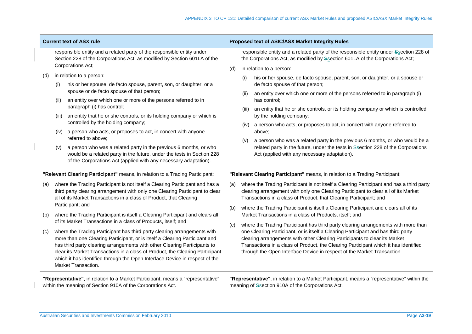| <b>Current text of ASX rule</b>                                              |                                                                           |                                                                                                                                                                                                                                     |                                                                              | Proposed text of ASIC/ASX Market Integrity Rules                                                                                                                                                                                                     |  |  |
|------------------------------------------------------------------------------|---------------------------------------------------------------------------|-------------------------------------------------------------------------------------------------------------------------------------------------------------------------------------------------------------------------------------|------------------------------------------------------------------------------|------------------------------------------------------------------------------------------------------------------------------------------------------------------------------------------------------------------------------------------------------|--|--|
|                                                                              |                                                                           | responsible entity and a related party of the responsible entity under<br>Section 228 of the Corporations Act, as modified by Section 601LA of the<br>Corporations Act;                                                             |                                                                              | responsible entity and a related party of the responsible entity under Ssection 228 of<br>the Corporations Act, as modified by Ssection 601LA of the Corporations Act;                                                                               |  |  |
|                                                                              |                                                                           |                                                                                                                                                                                                                                     | (d)                                                                          | in relation to a person:                                                                                                                                                                                                                             |  |  |
| (d)                                                                          |                                                                           | in relation to a person:                                                                                                                                                                                                            |                                                                              | his or her spouse, de facto spouse, parent, son, or daughter, or a spouse or<br>(i)                                                                                                                                                                  |  |  |
|                                                                              | his or her spouse, de facto spouse, parent, son, or daughter, or a<br>(i) |                                                                                                                                                                                                                                     | de facto spouse of that person;                                              |                                                                                                                                                                                                                                                      |  |  |
|                                                                              |                                                                           | spouse or de facto spouse of that person;                                                                                                                                                                                           |                                                                              | an entity over which one or more of the persons referred to in paragraph (i)<br>(ii)                                                                                                                                                                 |  |  |
|                                                                              | (ii)                                                                      | an entity over which one or more of the persons referred to in<br>paragraph (i) has control;                                                                                                                                        |                                                                              | has control;                                                                                                                                                                                                                                         |  |  |
|                                                                              | (iii)                                                                     | an entity that he or she controls, or its holding company or which is                                                                                                                                                               |                                                                              | an entity that he or she controls, or its holding company or which is controlled<br>(iii)<br>by the holding company;                                                                                                                                 |  |  |
|                                                                              |                                                                           | controlled by the holding company;                                                                                                                                                                                                  |                                                                              | a person who acts, or proposes to act, in concert with anyone referred to<br>(iv)                                                                                                                                                                    |  |  |
|                                                                              | (iv)                                                                      | a person who acts, or proposes to act, in concert with anyone                                                                                                                                                                       |                                                                              | above;                                                                                                                                                                                                                                               |  |  |
|                                                                              |                                                                           | referred to above;                                                                                                                                                                                                                  |                                                                              | a person who was a related party in the previous 6 months, or who would be a<br>(v)                                                                                                                                                                  |  |  |
|                                                                              | (v)                                                                       | a person who was a related party in the previous 6 months, or who<br>would be a related party in the future, under the tests in Section 228<br>of the Corporations Act (applied with any necessary adaptation).                     |                                                                              | related party in the future, under the tests in Ssection 228 of the Corporations<br>Act (applied with any necessary adaptation).                                                                                                                     |  |  |
| "Relevant Clearing Participant" means, in relation to a Trading Participant: |                                                                           |                                                                                                                                                                                                                                     | "Relevant Clearing Participant" means, in relation to a Trading Participant: |                                                                                                                                                                                                                                                      |  |  |
| (a)                                                                          |                                                                           | where the Trading Participant is not itself a Clearing Participant and has a<br>third party clearing arrangement with only one Clearing Participant to clear<br>all of its Market Transactions in a class of Product, that Clearing | (a)                                                                          | where the Trading Participant is not itself a Clearing Participant and has a third party<br>clearing arrangement with only one Clearing Participant to clear all of its Market<br>Transactions in a class of Product, that Clearing Participant; and |  |  |
|                                                                              |                                                                           | Participant; and                                                                                                                                                                                                                    | (b)                                                                          | where the Trading Participant is itself a Clearing Participant and clears all of its                                                                                                                                                                 |  |  |
| (b)                                                                          |                                                                           | where the Trading Participant is itself a Clearing Participant and clears all                                                                                                                                                       | (c)                                                                          | Market Transactions in a class of Products, itself; and                                                                                                                                                                                              |  |  |
|                                                                              |                                                                           | of its Market Transactions in a class of Products, itself; and                                                                                                                                                                      |                                                                              | where the Trading Participant has third party clearing arrangements with more than                                                                                                                                                                   |  |  |
| (c)                                                                          |                                                                           | where the Trading Participant has third party clearing arrangements with                                                                                                                                                            |                                                                              | one Clearing Participant, or is itself a Clearing Participant and has third party                                                                                                                                                                    |  |  |
|                                                                              |                                                                           | more than one Clearing Participant, or is itself a Clearing Participant and<br>has third party clearing arrangements with other Clearing Participants to                                                                            |                                                                              | clearing arrangements with other Clearing Participants to clear its Market<br>Transactions in a class of Product, the Clearing Participant which it has identified                                                                                   |  |  |
|                                                                              |                                                                           | clear its Market Transactions in a class of Product, the Clearing Participant                                                                                                                                                       |                                                                              | through the Open Interface Device in respect of the Market Transaction.                                                                                                                                                                              |  |  |
|                                                                              |                                                                           | which it has identified through the Open Interface Device in respect of the                                                                                                                                                         |                                                                              |                                                                                                                                                                                                                                                      |  |  |

**"Representative"**, in relation to a Market Participant, means a "representative" within the meaning of Section 910A of the Corporations Act.

**"Representative"**, in relation to a Market Participant, means a "representative" within the meaning of Ssection 910A of the Corporations Act.

Market Transaction.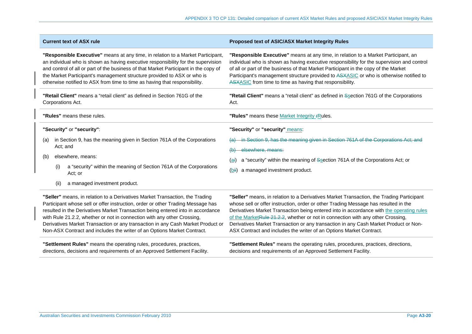| <b>Current text of ASX rule</b>                                                                                                                                                                                                                                                                                                                                                                                                                                                             | Proposed text of ASIC/ASX Market Integrity Rules                                                                                                                                                                                                                                                                                                                                                                                                                                                                               |  |
|---------------------------------------------------------------------------------------------------------------------------------------------------------------------------------------------------------------------------------------------------------------------------------------------------------------------------------------------------------------------------------------------------------------------------------------------------------------------------------------------|--------------------------------------------------------------------------------------------------------------------------------------------------------------------------------------------------------------------------------------------------------------------------------------------------------------------------------------------------------------------------------------------------------------------------------------------------------------------------------------------------------------------------------|--|
| "Responsible Executive" means at any time, in relation to a Market Participant,<br>an individual who is shown as having executive responsibility for the supervision<br>and control of all or part of the business of that Market Participant in the copy of<br>the Market Participant's management structure provided to ASX or who is<br>otherwise notified to ASX from time to time as having that responsibility.                                                                       | "Responsible Executive" means at any time, in relation to a Market Participant, an<br>individual who is shown as having executive responsibility for the supervision and control<br>of all or part of the business of that Market Participant in the copy of the Market<br>Participant's management structure provided to ASXASIC or who is otherwise notified to<br>ASXASIC from time to time as having that responsibility.                                                                                                  |  |
| "Retail Client" means a "retail client" as defined in Section 761G of the<br>Corporations Act.                                                                                                                                                                                                                                                                                                                                                                                              | "Retail Client" means a "retail client" as defined in Ssection 761G of the Corporations<br>Act.                                                                                                                                                                                                                                                                                                                                                                                                                                |  |
| "Rules" means these rules.                                                                                                                                                                                                                                                                                                                                                                                                                                                                  | "Rules" means these Market Integrity FRules.                                                                                                                                                                                                                                                                                                                                                                                                                                                                                   |  |
| "Security" or "security":                                                                                                                                                                                                                                                                                                                                                                                                                                                                   | "Security" or "security" means:                                                                                                                                                                                                                                                                                                                                                                                                                                                                                                |  |
| in Section 9, has the meaning given in Section 761A of the Corporations<br>(a)<br>Act; and<br>elsewhere, means:<br>(b)                                                                                                                                                                                                                                                                                                                                                                      | in Section 9, has the meaning given in Section 761A of the Corporations Act; and<br>elsewhere, means:<br>(b)                                                                                                                                                                                                                                                                                                                                                                                                                   |  |
| a "security" within the meaning of Section 761A of the Corporations<br>(i)<br>Act; or                                                                                                                                                                                                                                                                                                                                                                                                       | a "security" within the meaning of Ssection 761A of the Corporations Act; or<br>(ai)<br>a managed investment product.<br>(bii)                                                                                                                                                                                                                                                                                                                                                                                                 |  |
| (ii)<br>a managed investment product.                                                                                                                                                                                                                                                                                                                                                                                                                                                       |                                                                                                                                                                                                                                                                                                                                                                                                                                                                                                                                |  |
| "Seller" means, in relation to a Derivatives Market Transaction, the Trading<br>Participant whose sell or offer instruction, order or other Trading Message has<br>resulted in the Derivatives Market Transaction being entered into in accordance<br>with Rule 21.2.2, whether or not in connection with any other Crossing,<br>Derivatives Market Transaction or any transaction in any Cash Market Product or<br>Non-ASX Contract and includes the writer of an Options Market Contract. | "Seller" means, in relation to a Derivatives Market Transaction, the Trading Participant<br>whose sell or offer instruction, order or other Trading Message has resulted in the<br>Derivatives Market Transaction being entered into in accordance with the operating rules<br>of the Market Rule 21.2.2, whether or not in connection with any other Crossing,<br>Derivatives Market Transaction or any transaction in any Cash Market Product or Non-<br>ASX Contract and includes the writer of an Options Market Contract. |  |

**"Settlement Rules"** means the operating rules, procedures, practices, directions, decisions and requirements of an Approved Settlement Facility.

**"Settlement Rules"** means the operating rules, procedures, practices, directions, decisions and requirements of an Approved Settlement Facility.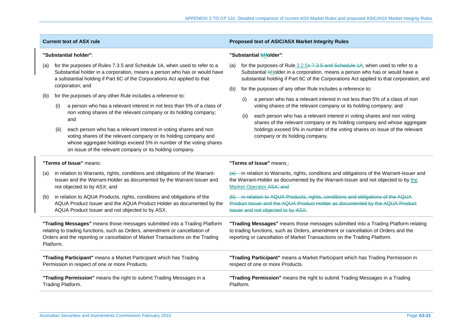| <b>Current text of ASX rule</b>                                                                                                                                                                                                                         |                                                                                                                                              |                                                                                                                                                                                                                                                                       | Proposed text of ASIC/ASX Market Integrity Rules |                                                                                                                                                                                                                                                      |                                                                                                                                                                                                                                                            |
|---------------------------------------------------------------------------------------------------------------------------------------------------------------------------------------------------------------------------------------------------------|----------------------------------------------------------------------------------------------------------------------------------------------|-----------------------------------------------------------------------------------------------------------------------------------------------------------------------------------------------------------------------------------------------------------------------|--------------------------------------------------|------------------------------------------------------------------------------------------------------------------------------------------------------------------------------------------------------------------------------------------------------|------------------------------------------------------------------------------------------------------------------------------------------------------------------------------------------------------------------------------------------------------------|
| "Substantial holder":                                                                                                                                                                                                                                   |                                                                                                                                              |                                                                                                                                                                                                                                                                       | "Substantial hHolder":                           |                                                                                                                                                                                                                                                      |                                                                                                                                                                                                                                                            |
| (a)                                                                                                                                                                                                                                                     |                                                                                                                                              | for the purposes of Rules 7.3.5 and Schedule 1A, when used to refer to a<br>Substantial holder in a corporation, means a person who has or would have<br>a substantial holding if Part 6C of the Corporations Act applied to that                                     | (a)                                              |                                                                                                                                                                                                                                                      | for the purposes of Rule 3.2.5 s 7.3.5 and Schedule 1A, when used to refer to a<br>Substantial hHolder in a corporation, means a person who has or would have a<br>substantial holding if Part 6C of the Corporations Act applied to that corporation; and |
|                                                                                                                                                                                                                                                         |                                                                                                                                              | corporation; and                                                                                                                                                                                                                                                      | (b)                                              |                                                                                                                                                                                                                                                      | for the purposes of any other Rule includes a reference to:                                                                                                                                                                                                |
| (b)                                                                                                                                                                                                                                                     | for the purposes of any other Rule includes a reference to:<br>a person who has a relevant interest in not less than 5% of a class of<br>(i) |                                                                                                                                                                                                                                                                       |                                                  | a person who has a relevant interest in not less than 5% of a class of non<br>(i)<br>voting shares of the relevant company or its holding company; and                                                                                               |                                                                                                                                                                                                                                                            |
|                                                                                                                                                                                                                                                         |                                                                                                                                              | non voting shares of the relevant company or its holding company;<br>and                                                                                                                                                                                              |                                                  |                                                                                                                                                                                                                                                      | each person who has a relevant interest in voting shares and non voting<br>(ii)<br>shares of the relevant company or its holding company and whose aggregate                                                                                               |
|                                                                                                                                                                                                                                                         | (ii)                                                                                                                                         | each person who has a relevant interest in voting shares and non<br>voting shares of the relevant company or its holding company and<br>whose aggregate holdings exceed 5% in number of the voting shares<br>on issue of the relevant company or its holding company. |                                                  |                                                                                                                                                                                                                                                      | holdings exceed 5% in number of the voting shares on issue of the relevant<br>company or its holding company.                                                                                                                                              |
|                                                                                                                                                                                                                                                         |                                                                                                                                              | "Terms of Issue" means:                                                                                                                                                                                                                                               | "Terms of Issue" means :                         |                                                                                                                                                                                                                                                      |                                                                                                                                                                                                                                                            |
| (a)                                                                                                                                                                                                                                                     |                                                                                                                                              | in relation to Warrants, rights, conditions and obligations of the Warrant-<br>Issuer and the Warrant-Holder as documented by the Warrant-Issuer and<br>not objected to by ASX; and                                                                                   |                                                  |                                                                                                                                                                                                                                                      | $\overline{a}$ -in relation to Warrants, rights, conditions and obligations of the Warrant-Issuer and<br>the Warrant-Holder as documented by the Warrant-Issuer and not objected to by the<br>Market Operator.ASX; and                                     |
| (b)                                                                                                                                                                                                                                                     |                                                                                                                                              | in relation to AQUA Products, rights, conditions and obligations of the<br>AQUA Product Issuer and the AQUA Product Holder as documented by the<br>AQUA Product Issuer and not objected to by ASX.                                                                    |                                                  |                                                                                                                                                                                                                                                      | (b) in relation to AQUA Products, rights, conditions and obligations of the AQUA<br>Product Issuer and the AQUA Product Holder as documented by the AQUA Product<br>Issuer and not objected to by ASX.                                                     |
| "Trading Messages" means those messages submitted into a Trading Platform<br>relating to trading functions, such as Orders, amendment or cancellation of<br>Orders and the reporting or cancellation of Market Transactions on the Trading<br>Platform. |                                                                                                                                              |                                                                                                                                                                                                                                                                       |                                                  | "Trading Messages" means those messages submitted into a Trading Platform relating<br>to trading functions, such as Orders, amendment or cancellation of Orders and the<br>reporting or cancellation of Market Transactions on the Trading Platform. |                                                                                                                                                                                                                                                            |
|                                                                                                                                                                                                                                                         | "Trading Participant" means a Market Participant which has Trading<br>Permission in respect of one or more Products.                         |                                                                                                                                                                                                                                                                       |                                                  |                                                                                                                                                                                                                                                      | "Trading Participant" means a Market Participant which has Trading Permission in<br>respect of one or more Products.                                                                                                                                       |
|                                                                                                                                                                                                                                                         | "Trading Permission" means the right to submit Trading Messages in a<br>Trading Platform.                                                    |                                                                                                                                                                                                                                                                       | Platform.                                        |                                                                                                                                                                                                                                                      | "Trading Permission" means the right to submit Trading Messages in a Trading                                                                                                                                                                               |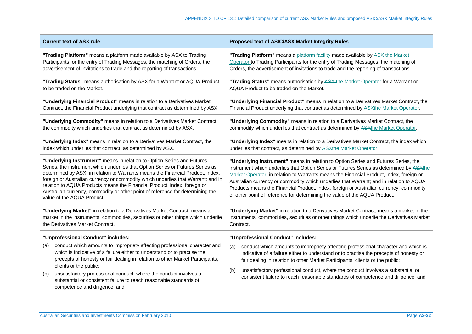| <b>Current text of ASX rule</b>                                                                                                                                                                                                                                                                                                                                                                                                                                                                                            | Proposed text of ASIC/ASX Market Integrity Rules                                                                                                                                                                                                                                                                                                                                                                                                                                                                                           |  |  |
|----------------------------------------------------------------------------------------------------------------------------------------------------------------------------------------------------------------------------------------------------------------------------------------------------------------------------------------------------------------------------------------------------------------------------------------------------------------------------------------------------------------------------|--------------------------------------------------------------------------------------------------------------------------------------------------------------------------------------------------------------------------------------------------------------------------------------------------------------------------------------------------------------------------------------------------------------------------------------------------------------------------------------------------------------------------------------------|--|--|
| "Trading Platform" means a platform made available by ASX to Trading                                                                                                                                                                                                                                                                                                                                                                                                                                                       | "Trading Platform" means a platform-facility made available by ASX-the Market                                                                                                                                                                                                                                                                                                                                                                                                                                                              |  |  |
| Participants for the entry of Trading Messages, the matching of Orders, the                                                                                                                                                                                                                                                                                                                                                                                                                                                | Operator to Trading Participants for the entry of Trading Messages, the matching of                                                                                                                                                                                                                                                                                                                                                                                                                                                        |  |  |
| advertisement of invitations to trade and the reporting of transactions.                                                                                                                                                                                                                                                                                                                                                                                                                                                   | Orders, the advertisement of invitations to trade and the reporting of transactions.                                                                                                                                                                                                                                                                                                                                                                                                                                                       |  |  |
| "Trading Status" means authorisation by ASX for a Warrant or AQUA Product                                                                                                                                                                                                                                                                                                                                                                                                                                                  | "Trading Status" means authorisation by ASX-the Market Operator for a Warrant or                                                                                                                                                                                                                                                                                                                                                                                                                                                           |  |  |
| to be traded on the Market.                                                                                                                                                                                                                                                                                                                                                                                                                                                                                                | AQUA Product to be traded on the Market.                                                                                                                                                                                                                                                                                                                                                                                                                                                                                                   |  |  |
| "Underlying Financial Product" means in relation to a Derivatives Market                                                                                                                                                                                                                                                                                                                                                                                                                                                   | "Underlying Financial Product" means in relation to a Derivatives Market Contract, the                                                                                                                                                                                                                                                                                                                                                                                                                                                     |  |  |
| Contract, the Financial Product underlying that contract as determined by ASX.                                                                                                                                                                                                                                                                                                                                                                                                                                             | Financial Product underlying that contract as determined by ASXthe Market Operator.                                                                                                                                                                                                                                                                                                                                                                                                                                                        |  |  |
| "Underlying Commodity" means in relation to a Derivatives Market Contract,                                                                                                                                                                                                                                                                                                                                                                                                                                                 | "Underlying Commodity" means in relation to a Derivatives Market Contract, the                                                                                                                                                                                                                                                                                                                                                                                                                                                             |  |  |
| the commodity which underlies that contract as determined by ASX.                                                                                                                                                                                                                                                                                                                                                                                                                                                          | commodity which underlies that contract as determined by ASXthe Market Operator.                                                                                                                                                                                                                                                                                                                                                                                                                                                           |  |  |
| "Underlying Index" means in relation to a Derivatives Market Contract, the                                                                                                                                                                                                                                                                                                                                                                                                                                                 | "Underlying Index" means in relation to a Derivatives Market Contract, the index which                                                                                                                                                                                                                                                                                                                                                                                                                                                     |  |  |
| index which underlies that contract, as determined by ASX.                                                                                                                                                                                                                                                                                                                                                                                                                                                                 | underlies that contract, as determined by ASXthe Market Operator.                                                                                                                                                                                                                                                                                                                                                                                                                                                                          |  |  |
| "Underlying Instrument" means in relation to Option Series and Futures<br>Series, the instrument which underlies that Option Series or Futures Series as<br>determined by ASX; in relation to Warrants means the Financial Product, index,<br>foreign or Australian currency or commodity which underlies that Warrant; and in<br>relation to AQUA Products means the Financial Product, index, foreign or<br>Australian currency, commodity or other point of reference for determining the<br>value of the AQUA Product. | "Underlying Instrument" means in relation to Option Series and Futures Series, the<br>instrument which underlies that Option Series or Futures Series as determined by ASXthe<br>Market Operator; in relation to Warrants means the Financial Product, index, foreign or<br>Australian currency or commodity which underlies that Warrant; and in relation to AQUA<br>Products means the Financial Product, index, foreign or Australian currency, commodity<br>or other point of reference for determining the value of the AQUA Product. |  |  |
| "Underlying Market" in relation to a Derivatives Market Contract, means a                                                                                                                                                                                                                                                                                                                                                                                                                                                  | "Underlying Market" in relation to a Derivatives Market Contract, means a market in the                                                                                                                                                                                                                                                                                                                                                                                                                                                    |  |  |
| market in the instruments, commodities, securities or other things which underlie                                                                                                                                                                                                                                                                                                                                                                                                                                          | instruments, commodities, securities or other things which underlie the Derivatives Market                                                                                                                                                                                                                                                                                                                                                                                                                                                 |  |  |
| the Derivatives Market Contract.                                                                                                                                                                                                                                                                                                                                                                                                                                                                                           | Contract.                                                                                                                                                                                                                                                                                                                                                                                                                                                                                                                                  |  |  |
| "Unprofessional Conduct" includes:                                                                                                                                                                                                                                                                                                                                                                                                                                                                                         | "Unprofessional Conduct" includes:                                                                                                                                                                                                                                                                                                                                                                                                                                                                                                         |  |  |
| conduct which amounts to impropriety affecting professional character and<br>(a)<br>which is indicative of a failure either to understand or to practise the<br>precepts of honesty or fair dealing in relation to other Market Participants,<br>clients or the public;                                                                                                                                                                                                                                                    | conduct which amounts to impropriety affecting professional character and which is<br>(a)<br>indicative of a failure either to understand or to practise the precepts of honesty or<br>fair dealing in relation to other Market Participants, clients or the public;                                                                                                                                                                                                                                                                       |  |  |
| unsatisfactory professional conduct, where the conduct involves a<br>(b)<br>substantial or consistent failure to reach reasonable standards of<br>competence and diligence; and                                                                                                                                                                                                                                                                                                                                            | unsatisfactory professional conduct, where the conduct involves a substantial or<br>(b)<br>consistent failure to reach reasonable standards of competence and diligence; and                                                                                                                                                                                                                                                                                                                                                               |  |  |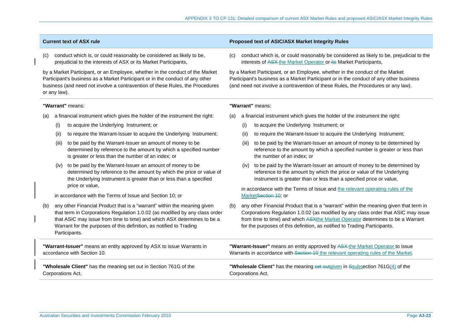(c) conduct which is, or could reasonably be considered as likely to be, prejudicial to the interests of ASX or its Market Participants,

by a Market Participant, or an Employee, whether in the conduct of the Market Participant's business as a Market Participant or in the conduct of any other business (and need not involve a contravention of these Rules, the Procedures or any law).

### **"Warrant"** means:

- (a) a financial instrument which gives the holder of the instrument the right:
	- (i) to acquire the Underlying Instrument; or
	- (ii) to require the Warrant-Issuer to acquire the Underlying Instrument;
	- (iii) to be paid by the Warrant-Issuer an amount of money to be determined by reference to the amount by which a specified number is greater or less than the number of an index; or
	- (iv) to be paid by the Warrant-Issuer an amount of money to be determined by reference to the amount by which the price or value of the Underlying Instrument is greater than or less than a specified price or value,

in accordance with the Terms of Issue and Section 10; or

(b) any other Financial Product that is a "warrant" within the meaning given that term in Corporations Regulation 1.0.02 (as modified by any class order that ASIC may issue from time to time) and which ASX determines to be a Warrant for the purposes of this definition, as notified to Trading Participants.

**"Warrant-Issuer"** means an entity approved by ASX to issue Warrants in accordance with Section 10.

**"Wholesale Client"** has the meaning set out in Section 761G of the Corporations Act.

### **Current text of ASX rule Proposed text of ASIC/ASX Market Integrity Rules**

conduct which is, or could reasonably be considered as likely to be, prejudicial to the interests of ASX the Market Operator or its Market Participants,

by a Market Participant, or an Employee, whether in the conduct of the Market Participant's business as a Market Participant or in the conduct of any other business (and need not involve a contravention of these Rules, the Procedures or any law).

### **"Warrant"** means:

- (a) a financial instrument which gives the holder of the instrument the right:
	- (i) to acquire the Underlying Instrument; or
	- (ii) to require the Warrant-Issuer to acquire the Underlying Instrument;
	- (iii) to be paid by the Warrant-Issuer an amount of money to be determined by reference to the amount by which a specified number is greater or less than the number of an index; or
	- (iv) to be paid by the Warrant-Issuer an amount of money to be determined by reference to the amount by which the price or value of the Underlying Instrument is greater than or less than a specified price or value,

 in accordance with the Terms of Issue and the relevant operating rules of the MarketSection 10; or

(b) any other Financial Product that is a "warrant" within the meaning given that term in Corporations Regulation 1.0.02 (as modified by any class order that ASIC may issue from time to time) and which ASXthe Market Operator determines to be a Warrant for the purposes of this definition, as notified to Trading Participants.

**"Warrant-Issuer"** means an entity approved by ASX the Market Operator to issue Warrants in accordance with Section 10 the relevant operating rules of the Market.

**"Wholesale Client"** has the meaning set outgiven in Ssubsection 761G(4) of the Corporations Act.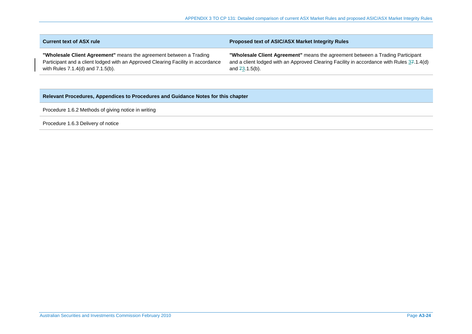| <b>Current text of ASX rule</b>                                                  | <b>Proposed text of ASIC/ASX Market Integrity Rules</b>                                   |
|----------------------------------------------------------------------------------|-------------------------------------------------------------------------------------------|
| "Wholesale Client Agreement" means the agreement between a Trading               | "Wholesale Client Agreement" means the agreement between a Trading Participant            |
| Participant and a client lodged with an Approved Clearing Facility in accordance | and a client lodged with an Approved Clearing Facility in accordance with Rules 37.1.4(d) |
| with Rules $7.1.4(d)$ and $7.1.5(b)$ .                                           | and $73.1.5(b)$ .                                                                         |

# **Relevant Procedures, Appendices to Procedures and Guidance Notes for this chapter**

Procedure 1.6.2 Methods of giving notice in writing

Procedure 1.6.3 Delivery of notice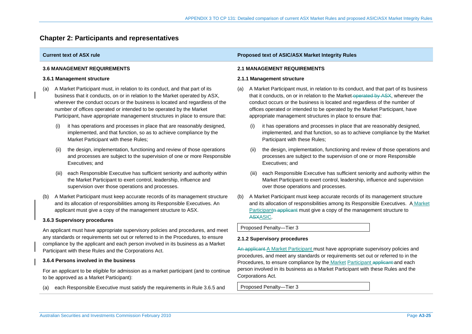# **Chapter 2: Participants and representatives**

## **3.6 MANAGEMENT REQUIREMENTS**

### **3.6.1 Management structure**

- (a) A Market Participant must, in relation to its conduct, and that part of its business that it conducts, on or in relation to the Market operated by ASX, wherever the conduct occurs or the business is located and regardless of the number of offices operated or intended to be operated by the Market Participant, have appropriate management structures in place to ensure that:
	- (i) it has operations and processes in place that are reasonably designed, implemented, and that function, so as to achieve compliance by the Market Participant with these Rules;
	- the design, implementation, functioning and review of those operations and processes are subject to the supervision of one or more Responsible Executives; and
	- (iii) each Responsible Executive has sufficient seniority and authority within the Market Participant to exert control, leadership, influence and supervision over those operations and processes.
- (b) A Market Participant must keep accurate records of its management structure and its allocation of responsibilities among its Responsible Executives. An applicant must give a copy of the management structure to ASX.

### **3.6.3 Supervisory procedures**

An applicant must have appropriate supervisory policies and procedures, and meet any standards or requirements set out or referred to in the Procedures, to ensure compliance by the applicant and each person involved in its business as a Market Participant with these Rules and the Corporations Act.

### **3.6.4 Persons involved in the business**

For an applicant to be eligible for admission as a market participant (and to continue to be approved as a Market Participant):

(a) each Responsible Executive must satisfy the requirements in Rule 3.6.5 and

## **Current text of ASX rule Proposed text of ASIC/ASX Market Integrity Rules Proposed text of ASIC/ASX Market Integrity Rules**

### **2.1 MANAGEMENT REQUIREMENTS**

### **2.1.1 Management structure**

- (a) A Market Participant must, in relation to its conduct, and that part of its business that it conducts, on or in relation to the Market-operated by ASX, wherever the conduct occurs or the business is located and regardless of the number of offices operated or intended to be operated by the Market Participant, have appropriate management structures in place to ensure that:
	- (i) it has operations and processes in place that are reasonably designed, implemented, and that function, so as to achieve compliance by the Market Participant with these Rules;
	- (ii) the design, implementation, functioning and review of those operations and processes are subject to the supervision of one or more Responsible Executives; and
	- (iii) each Responsible Executive has sufficient seniority and authority within the Market Participant to exert control, leadership, influence and supervision over those operations and processes.
- (b) A Market Participant must keep accurate records of its management structure and its allocation of responsibilities among its Responsible Executives. A Market Participantn applicant must give a copy of the management structure to ASXASIC.

Proposed Penalty—Tier 3

### **2.1.2 Supervisory procedures**

An applicant A Market Participant must have appropriate supervisory policies and procedures, and meet any standards or requirements set out or referred to in the Procedures, to ensure compliance by the Market Participant applicant and each person involved in its business as a Market Participant with these Rules and the Corporations Act.

Proposed Penalty—Tier 3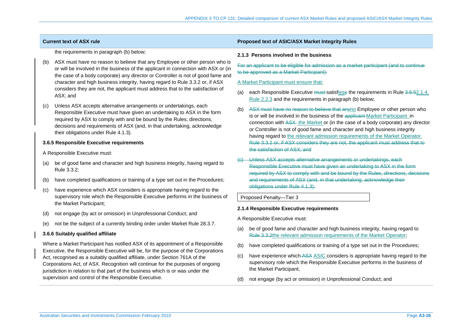the requirements in paragraph (b) below;

- (b) ASX must have no reason to believe that any Employee or other person who is or will be involved in the business of the applicant in connection with ASX or (in the case of a body corporate) any director or Controller is not of good fame and character and high business integrity, having regard to Rule 3.3.2 or, if ASX considers they are not, the applicant must address that to the satisfaction of ASX; and
- (c) Unless ASX accepts alternative arrangements or undertakings, each Responsible Executive must have given an undertaking to ASX in the form required by ASX to comply with and be bound by the Rules, directions, decisions and requirements of ASX (and, in that undertaking, acknowledge their obligations under Rule 4.1.3).

## **3.6.5 Responsible Executive requirements**

A Responsible Executive must:

- (a) be of good fame and character and high business integrity, having regard to Rule 3.3.2;
- (b) have completed qualifications or training of a type set out in the Procedures;
- (c) have experience which ASX considers is appropriate having regard to the supervisory role which the Responsible Executive performs in the business of the Market Participant;
- (d) not engage (by act or omission) in Unprofessional Conduct; and
- (e) not be the subject of a currently binding order under Market Rule 28.3.7.

## **3.6.6 Suitably qualified affiliate**

Where a Market Participant has notified ASX of its appointment of a Responsible Executive, the Responsible Executive will be, for the purpose of the Corporations Act, recognised as a suitably qualified affiliate, under Section 761A of the Corporations Act, of ASX. Recognition will continue for the purposes of ongoing jurisdiction in relation to that part of the business which is or was under the supervision and control of the Responsible Executive.

## **Current text of ASX rule Proposed text of ASIC/ASX Market Integrity Rules Proposed text of ASIC/ASX Market Integrity Rules**

### **2.1.3 Persons involved in the business**

For an applicant to be eligible for admission as a market participant (and to continue to be approved as a Market Participant):

### A Market Participant must ensure that:

- (a) each Responsible Executive must-satisfies the requirements in Rule 3.6.52.1.4, Rule 2.2.3 and the requirements in paragraph (b) below;
- (b) ASX must have no reason to believe that anyno Employee or other person who is or will be involved in the business of the applicant Market Participant in connection with ASX the Market or (in the case of a body corporate) any director or Controller is not of good fame and character and high business integrity having regard to the relevant admission requirements of the Market Operator. Rule 3.3.2 or, if ASX considers they are not, the applicant must address that to the satisfaction of ASX; and
- Unless ASX accepts alternative arrangements or undertakings, each Responsible Executive must have given an undertaking to ASX in the form required by ASX to comply with and be bound by the Rules, directions, decisions and requirements of ASX (and, in that undertaking, acknowledge their obligations under Rule 4.1.3).

### Proposed Penalty—Tier 3

### **2.1.4 Responsible Executive requirements**

A Responsible Executive must:

- (a) be of good fame and character and high business integrity, having regard to Rule 3.3.2the relevant admission requirements of the Market Operator;
- (b) have completed qualifications or training of a type set out in the Procedures;
- (c) have experience which ASX ASIC considers is appropriate having regard to the supervisory role which the Responsible Executive performs in the business of the Market Participant;
- (d) not engage (by act or omission) in Unprofessional Conduct; and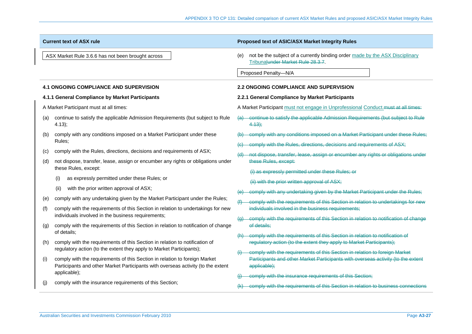|     | <b>Current text of ASX rule</b>                                                                                                                                | Proposed text of ASIC/ASX Market Integrity Rules                                                                                                 |
|-----|----------------------------------------------------------------------------------------------------------------------------------------------------------------|--------------------------------------------------------------------------------------------------------------------------------------------------|
|     | ASX Market Rule 3.6.6 has not been brought across                                                                                                              | not be the subject of a currently binding order made by the ASX Disciplinary<br>(e)<br>Tribunalunder Market Rule 28.3.7.<br>Proposed Penalty-N/A |
|     | <b>4.1 ONGOING COMPLIANCE AND SUPERVISION</b>                                                                                                                  | <b>2.2 ONGOING COMPLIANCE AND SUPERVISION</b>                                                                                                    |
|     | 4.1.1 General Compliance by Market Participants                                                                                                                | 2.2.1 General Compliance by Market Participants                                                                                                  |
|     | A Market Participant must at all times:                                                                                                                        | A Market Participant must not engage in Unprofessional Conduct must at all times:                                                                |
| (a) | continue to satisfy the applicable Admission Requirements (but subject to Rule<br>4.13);                                                                       | (a) continue to satisfy the applicable Admission Requirements (but subject to Rule<br>4.13;                                                      |
| (b) | comply with any conditions imposed on a Market Participant under these                                                                                         | comply with any conditions imposed on a Market Participant under these Rules;                                                                    |
|     | Rules;                                                                                                                                                         | comply with the Rules, directions, decisions and requirements of ASX;                                                                            |
| (c) | comply with the Rules, directions, decisions and requirements of ASX;                                                                                          | not dispose, transfer, lease, assign or encumber any rights or obligations under                                                                 |
| (d) | not dispose, transfer, lease, assign or encumber any rights or obligations under<br>these Rules, except:                                                       | these Rules, except:                                                                                                                             |
|     |                                                                                                                                                                | (i) as expressly permitted under these Rules; or                                                                                                 |
|     | as expressly permitted under these Rules; or<br>(i)                                                                                                            | (ii) with the prior written approval of ASX;                                                                                                     |
|     | with the prior written approval of ASX;<br>(ii)                                                                                                                | comply with any undertaking given by the Market Participant under the Rules;                                                                     |
| (e) | comply with any undertaking given by the Market Participant under the Rules;                                                                                   | comply with the requirements of this Section in relation to undertakings for new                                                                 |
| (f) | comply with the requirements of this Section in relation to undertakings for new                                                                               | individuals involved in the business requirements;                                                                                               |
|     | individuals involved in the business requirements;                                                                                                             | comply with the requirements of this Section in relation to notification of change<br>$\left(\mathrm{g}\right)$                                  |
| (g) | comply with the requirements of this Section in relation to notification of change                                                                             | of details;                                                                                                                                      |
|     | of details;                                                                                                                                                    | comply with the requirements of this Section in relation to notification of                                                                      |
| (h) | comply with the requirements of this Section in relation to notification of<br>regulatory action (to the extent they apply to Market Participants);            | regulatory action (to the extent they apply to Market Participants);                                                                             |
|     |                                                                                                                                                                | comply with the requirements of this Section in relation to foreign Market                                                                       |
| (i) | comply with the requirements of this Section in relation to foreign Market<br>Participants and other Market Participants with overseas activity (to the extent | Participants and other Market Participants with overseas activity (to the extent<br>applicable);                                                 |
|     | applicable);                                                                                                                                                   | comply with the insurance requirements of this Section;                                                                                          |
| (i) | comply with the insurance requirements of this Section;                                                                                                        | comply with the requirements of this Section in relation to business connections                                                                 |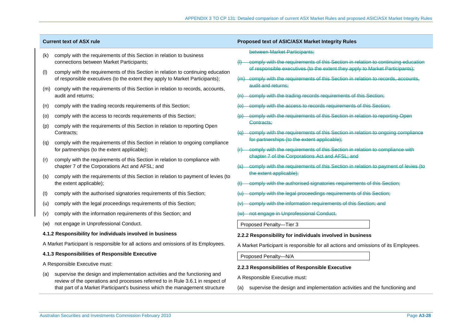- (k) comply with the requirements of this Section in relation to business connections between Market Participants;
- (l) comply with the requirements of this Section in relation to continuing education of responsible executives (to the extent they apply to Market Participants);
- (m) comply with the requirements of this Section in relation to records, accounts, audit and returns;
- (n) comply with the trading records requirements of this Section;
- (o) comply with the access to records requirements of this Section;
- (p) comply with the requirements of this Section in relation to reporting Open Contracts;
- (q) comply with the requirements of this Section in relation to ongoing compliance for partnerships (to the extent applicable);
- (r) comply with the requirements of this Section in relation to compliance with chapter 7 of the Corporations Act and AFSL; and
- (s) comply with the requirements of this Section in relation to payment of levies (to the extent applicable);
- comply with the authorised signatories requirements of this Section;
- (u) comply with the legal proceedings requirements of this Section;
- (v) comply with the information requirements of this Section; and
- (w) not engage in Unprofessional Conduct.

### **4.1.2 Responsibility for individuals involved in business**

A Market Participant is responsible for all actions and omissions of its Employees.

### **4.1.3 Responsibilities of Responsible Executive**

A Responsible Executive must:

(a) supervise the design and implementation activities and the functioning and review of the operations and processes referred to in Rule 3.6.1 in respect of that part of a Market Participant's business which the management structure

### **Current text of ASX rule Proposed text of ASIC/ASX Market Integrity Rules Proposed text of ASIC/ASX Market Integrity Rules**

between Market Participants;

- **Comply with the requirements of this Section in relation to continuing education** of responsible executives (to the extent they apply to Market Participants);
- (m) comply with the requirements of this Section in relation to records, accounts, audit and returns;
- comply with the trading records requirements of this Section;
- comply with the access to records requirements of this Section;
- comply with the requirements of this Section in relation to reporting Open Contracts;
- (q) comply with the requirements of this Section in relation to ongoing compliance for partnerships (to the extent applicable);
- (r) comply with the requirements of this Section in relation to compliance with chapter 7 of the Corporations Act and AFSL; and
- (s) comply with the requirements of this Section in relation to payment of levies (to the extent applicable);
- (t) comply with the authorised signatories requirements of this Section;
- comply with the legal proceedings requirements of this Section;
- comply with the information requirements of this Section; and
- (w) not engage in Unprofessional Conduct.

Proposed Penalty—Tier 3

- **2.2.2 Responsibility for individuals involved in business**
- A Market Participant is responsible for all actions and omissions of its Employees.

Proposed Penalty—N/A

- **2.2.3 Responsibilities of Responsible Executive**
- A Responsible Executive must:
- (a) supervise the design and implementation activities and the functioning and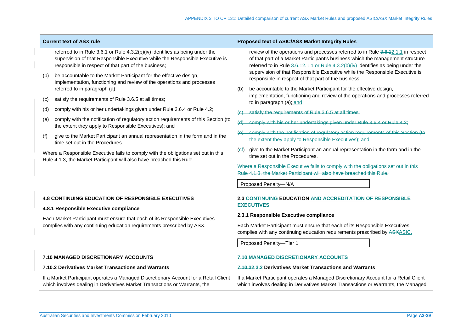|     | <b>Current text of ASX rule</b>                                                                                                                                                                                      | Proposed text of ASIC/ASX Market Integrity Rules                                                                                                                                                                                                                                                                                                                                                                                                                                                                                                                                                                                                                               |
|-----|----------------------------------------------------------------------------------------------------------------------------------------------------------------------------------------------------------------------|--------------------------------------------------------------------------------------------------------------------------------------------------------------------------------------------------------------------------------------------------------------------------------------------------------------------------------------------------------------------------------------------------------------------------------------------------------------------------------------------------------------------------------------------------------------------------------------------------------------------------------------------------------------------------------|
|     | referred to in Rule 3.6.1 or Rule 4.3.2(b)(iv) identifies as being under the<br>supervision of that Responsible Executive while the Responsible Executive is<br>responsible in respect of that part of the business; | review of the operations and processes referred to in Rule 3.6.42.1.1 in respect<br>of that part of a Market Participant's business which the management structure<br>referred to in Rule 3.6.12.1.1-or Rule 4.3.2(b)(iv) identifies as being under the<br>supervision of that Responsible Executive while the Responsible Executive is<br>responsible in respect of that part of the business;<br>be accountable to the Market Participant for the effective design,<br>(b)<br>implementation, functioning and review of the operations and processes referred<br>to in paragraph (a); and<br>satisfy the requirements of Rule 3.6.5 at all times;<br>$\left( \theta \right)$ |
| (b) | be accountable to the Market Participant for the effective design,<br>implementation, functioning and review of the operations and processes<br>referred to in paragraph (a);                                        |                                                                                                                                                                                                                                                                                                                                                                                                                                                                                                                                                                                                                                                                                |
| (c) | satisfy the requirements of Rule 3.6.5 at all times;                                                                                                                                                                 |                                                                                                                                                                                                                                                                                                                                                                                                                                                                                                                                                                                                                                                                                |
| (d) | comply with his or her undertakings given under Rule 3.6.4 or Rule 4.2;                                                                                                                                              |                                                                                                                                                                                                                                                                                                                                                                                                                                                                                                                                                                                                                                                                                |
| (e) | comply with the notification of regulatory action requirements of this Section (to<br>the extent they apply to Responsible Executives); and                                                                          | comply with his or her undertakings given under Rule 3.6.4 or Rule 4.2;<br>(d)                                                                                                                                                                                                                                                                                                                                                                                                                                                                                                                                                                                                 |
| (f) | give to the Market Participant an annual representation in the form and in the<br>time set out in the Procedures.                                                                                                    | comply with the notification of regulatory action requirements of this Section (to<br><del>(e)</del><br>the extent they apply to Responsible Executives); and                                                                                                                                                                                                                                                                                                                                                                                                                                                                                                                  |
|     | Where a Responsible Executive fails to comply with the obligations set out in this<br>Rule 4.1.3, the Market Participant will also have breached this Rule.                                                          | give to the Market Participant an annual representation in the form and in the<br>(ct)<br>time set out in the Procedures.<br>Where a Responsible Executive fails to comply with the obligations set out in this<br>Rule 4.1.3, the Market Participant will also have breached this Rule.<br>Proposed Penalty-N/A                                                                                                                                                                                                                                                                                                                                                               |
|     | <b>4.8 CONTINUING EDUCATION OF RESPONSIBLE EXECUTIVES</b>                                                                                                                                                            | 2.3 CONTINUING EDUCATION AND ACCREDITATION OF RESPONSIBLE                                                                                                                                                                                                                                                                                                                                                                                                                                                                                                                                                                                                                      |
|     | 4.8.1 Responsible Executive compliance                                                                                                                                                                               | <b>EXECUTIVES</b>                                                                                                                                                                                                                                                                                                                                                                                                                                                                                                                                                                                                                                                              |
|     | Each Market Participant must ensure that each of its Responsible Executives                                                                                                                                          | 2.3.1 Responsible Executive compliance                                                                                                                                                                                                                                                                                                                                                                                                                                                                                                                                                                                                                                         |
|     | complies with any continuing education requirements prescribed by ASX.                                                                                                                                               | Each Market Participant must ensure that each of its Responsible Executives<br>complies with any continuing education requirements prescribed by ASXASIC.                                                                                                                                                                                                                                                                                                                                                                                                                                                                                                                      |
|     |                                                                                                                                                                                                                      | Proposed Penalty-Tier 1                                                                                                                                                                                                                                                                                                                                                                                                                                                                                                                                                                                                                                                        |
|     | 7.10 MANAGED DISCRETIONARY ACCOUNTS                                                                                                                                                                                  | 7.10 MANAGED DISCRETIONARY ACCOUNTS                                                                                                                                                                                                                                                                                                                                                                                                                                                                                                                                                                                                                                            |
|     | 7.10.2 Derivatives Market Transactions and Warrants                                                                                                                                                                  | 7.10.22.3.2 Derivatives Market Transactions and Warrants                                                                                                                                                                                                                                                                                                                                                                                                                                                                                                                                                                                                                       |
|     | If a Market Participant operates a Managed Discretionary Account for a Retail Client<br>which involves dealing in Derivatives Market Transactions or Warrants, the                                                   | If a Market Participant operates a Managed Discretionary Account for a Retail Client<br>which involves dealing in Derivatives Market Transactions or Warrants, the Managed                                                                                                                                                                                                                                                                                                                                                                                                                                                                                                     |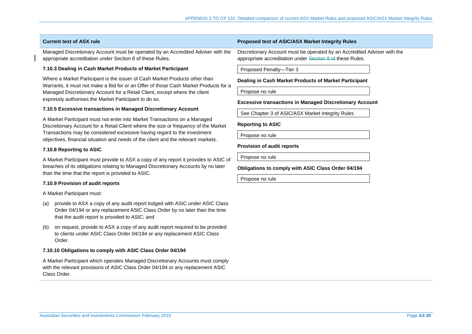Managed Discretionary Account must be operated by an Accredited Adviser with the appropriate accreditation under Section 8 of these Rules.

## **7.10.3 Dealing in Cash Market Products of Market Participant**

Where a Market Participant is the issuer of Cash Market Products other than Warrants, it must not make a Bid for or an Offer of those Cash Market Products for a Managed Discretionary Account for a Retail Client, except where the client expressly authorises the Market Participant to do so.

## **7.10.5 Excessive transactions in Managed Discretionary Account**

A Market Participant must not enter into Market Transactions on a Managed Discretionary Account for a Retail Client where the size or frequency of the Market Transactions may be considered excessive having regard to the investment objectives, financial situation and needs of the client and the relevant markets.

### **7.10.8 Reporting to ASIC**

A Market Participant must provide to ASX a copy of any report it provides to ASIC of breaches of its obligations relating to Managed Discretionary Accounts by no later than the time that the report is provided to ASIC.

## **7.10.9 Provision of audit reports**

A Market Participant must:

- (a) provide to ASX a copy of any audit report lodged with ASIC under ASIC Class Order 04/194 or any replacement ASIC Class Order by no later than the time that the audit report is provided to ASIC; and
- (b) on request, provide to ASX a copy of any audit report required to be provided to clients under ASIC Class Order 04/194 or any replacement ASIC Class Order.

## **7.10.10 Obligations to comply with ASIC Class Order 04/194**

A Market Participant which operates Managed Discretionary Accounts must comply with the relevant provisions of ASIC Class Order 04/194 or any replacement ASIC Class Order.

## **Current text of ASX rule Proposed text of ASIC/ASX Market Integrity Rules Proposed text of ASIC/ASX Market Integrity Rules**

Discretionary Account must be operated by an Accredited Adviser with the appropriate accreditation under Section 8 of these Rules.

Proposed Penalty—Tier 3

### **Dealing in Cash Market Products of Market Participant**

Propose no rule

## **Excessive transactions in Managed Discretionary Account**

See Chapter 3 of ASIC/ASX Market Integrity Rules

### **Reporting to ASIC**

Propose no rule

## **Provision of audit reports**

Propose no rule

## **Obligations to comply with ASIC Class Order 04/194**

Propose no rule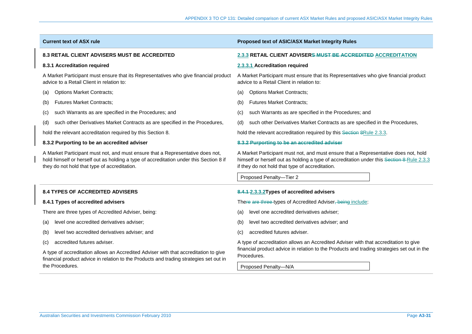| <b>Current text of ASX rule</b>                                                                                                                                                                                          | <b>Proposed text of ASIC/ASX Market Integrity Rules</b>                                                                                                                                                                             |  |  |
|--------------------------------------------------------------------------------------------------------------------------------------------------------------------------------------------------------------------------|-------------------------------------------------------------------------------------------------------------------------------------------------------------------------------------------------------------------------------------|--|--|
| <b>8.3 RETAIL CLIENT ADVISERS MUST BE ACCREDITED</b>                                                                                                                                                                     | 2.3.3 RETAIL CLIENT ADVISERS MUST BE ACCREDITED ACCREDITATION                                                                                                                                                                       |  |  |
| 8.3.1 Accreditation required                                                                                                                                                                                             | 2.3.3.1 Accreditation required                                                                                                                                                                                                      |  |  |
| A Market Participant must ensure that its Representatives who give financial product<br>advice to a Retail Client in relation to:                                                                                        | A Market Participant must ensure that its Representatives who give financial product<br>advice to a Retail Client in relation to:                                                                                                   |  |  |
| <b>Options Market Contracts;</b><br>(a)                                                                                                                                                                                  | <b>Options Market Contracts;</b><br>(a)                                                                                                                                                                                             |  |  |
| <b>Futures Market Contracts;</b><br>(b)                                                                                                                                                                                  | <b>Futures Market Contracts;</b><br>(b)                                                                                                                                                                                             |  |  |
| such Warrants as are specified in the Procedures; and<br>(c)                                                                                                                                                             | such Warrants as are specified in the Procedures; and<br>(c)                                                                                                                                                                        |  |  |
| such other Derivatives Market Contracts as are specified in the Procedures,<br>(d)                                                                                                                                       | such other Derivatives Market Contracts as are specified in the Procedures,<br>(d)                                                                                                                                                  |  |  |
| hold the relevant accreditation required by this Section 8.                                                                                                                                                              | hold the relevant accreditation required by this Section 8Rule 2.3.3.                                                                                                                                                               |  |  |
| 8.3.2 Purporting to be an accredited adviser                                                                                                                                                                             | 8.3.2 Purporting to be an accredited adviser                                                                                                                                                                                        |  |  |
| A Market Participant must not, and must ensure that a Representative does not,<br>hold himself or herself out as holding a type of accreditation under this Section 8 if<br>they do not hold that type of accreditation. | A Market Participant must not, and must ensure that a Representative does not, hold<br>himself or herself out as holding a type of accreditation under this Section 8-Rule 2.3.3<br>if they do not hold that type of accreditation. |  |  |
|                                                                                                                                                                                                                          | Proposed Penalty-Tier 2                                                                                                                                                                                                             |  |  |
| <b>8.4 TYPES OF ACCREDITED ADVISERS</b>                                                                                                                                                                                  | 8.4.1-2.3.3.2Types of accredited advisers                                                                                                                                                                                           |  |  |
| 8.4.1 Types of accredited advisers                                                                                                                                                                                       | There are three types of Accredited Adviser, being include:                                                                                                                                                                         |  |  |
| There are three types of Accredited Adviser, being:                                                                                                                                                                      | level one accredited derivatives adviser;<br>(a)                                                                                                                                                                                    |  |  |
| level one accredited derivatives adviser;<br>(a)                                                                                                                                                                         | level two accredited derivatives adviser; and<br>(b)                                                                                                                                                                                |  |  |
| level two accredited derivatives adviser; and<br>(b)                                                                                                                                                                     | accredited futures adviser.<br>(C)                                                                                                                                                                                                  |  |  |
| accredited futures adviser.<br>(c)                                                                                                                                                                                       | A type of accreditation allows an Accredited Adviser with that accreditation to give                                                                                                                                                |  |  |
| A type of accreditation allows an Accredited Adviser with that accreditation to give<br>financial product advice in relation to the Products and trading strategies set out in<br>the Procedures.                        | financial product advice in relation to the Products and trading strategies set out in the<br>Procedures.<br>Proposed Penalty-N/A                                                                                                   |  |  |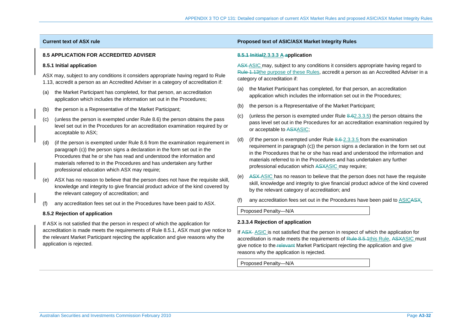## **8.5 APPLICATION FOR ACCREDITED ADVISER**

## **8.5.1 Initial application**

ASX may, subject to any conditions it considers appropriate having regard to Rule 1.13, accredit a person as an Accredited Adviser in a category of accreditation if:

- (a) the Market Participant has completed, for that person, an accreditation application which includes the information set out in the Procedures;
- (b) the person is a Representative of the Market Participant;
- (c) (unless the person is exempted under Rule 8.6) the person obtains the pass level set out in the Procedures for an accreditation examination required by or acceptable to ASX;
- (d) (if the person is exempted under Rule 8.6 from the examination requirement in paragraph (c)) the person signs a declaration in the form set out in the Procedures that he or she has read and understood the information and materials referred to in the Procedures and has undertaken any further professional education which ASX may require;
- ASX has no reason to believe that the person does not have the requisite skill, knowledge and integrity to give financial product advice of the kind covered by the relevant category of accreditation; and
- (f) any accreditation fees set out in the Procedures have been paid to ASX.

## **8.5.2 Rejection of application**

If ASX is not satisfied that the person in respect of which the application for accreditation is made meets the requirements of Rule 8.5.1, ASX must give notice to the relevant Market Participant rejecting the application and give reasons why the application is rejected.

## **Current text of ASX rule Proposed text of ASIC/ASX Market Integrity Rules Proposed text of ASIC/ASX Market Integrity Rules**

## **8.5.1 Initial2.3.3.3 A application**

ASX-ASIC may, subject to any conditions it considers appropriate having regard to Rule 1.13the purpose of these Rules, accredit a person as an Accredited Adviser in a category of accreditation if:

- (a) the Market Participant has completed, for that person, an accreditation application which includes the information set out in the Procedures;
- (b) the person is a Representative of the Market Participant;
- (c) (unless the person is exempted under Rule 8.62.3.3.5) the person obtains the pass level set out in the Procedures for an accreditation examination required by or acceptable to ASXASIC;
- (d) (if the person is exempted under Rule  $8.6-2.3.3.5$  from the examination requirement in paragraph (c)) the person signs a declaration in the form set out in the Procedures that he or she has read and understood the information and materials referred to in the Procedures and has undertaken any further professional education which ASXASIC may require;
- (e) ASX ASIC has no reason to believe that the person does not have the requisite skill, knowledge and integrity to give financial product advice of the kind covered by the relevant category of accreditation; and
- (f) any accreditation fees set out in the Procedures have been paid to ASICASX.

Proposed Penalty—N/A

## **2.3.3.4 Rejection of application**

If ASX ASIC is not satisfied that the person in respect of which the application for accreditation is made meets the requirements of Rule 8.5.1this Rule, ASXASIC must give notice to the relevant Market Participant rejecting the application and give reasons why the application is rejected.

Proposed Penalty—N/A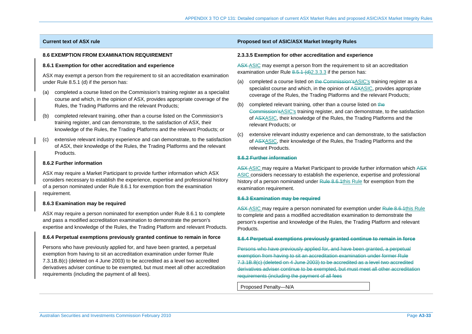## **8.6 EXEMPTION FROM EXAMINATION REQUIREMENT**

## **8.6.1 Exemption for other accreditation and experience**

ASX may exempt a person from the requirement to sit an accreditation examination under Rule 8.5.1 (d) if the person has:

- (a) completed a course listed on the Commission's training register as a specialist course and which, in the opinion of ASX, provides appropriate coverage of the Rules, the Trading Platforms and the relevant Products;
- (b) completed relevant training, other than a course listed on the Commission's training register, and can demonstrate, to the satisfaction of ASX, their knowledge of the Rules, the Trading Platforms and the relevant Products; or
- (c) extensive relevant industry experience and can demonstrate, to the satisfaction of ASX, their knowledge of the Rules, the Trading Platforms and the relevant Products.

## **8.6.2 Further information**

ASX may require a Market Participant to provide further information which ASX considers necessary to establish the experience, expertise and professional history of a person nominated under Rule 8.6.1 for exemption from the examination requirement.

## **8.6.3 Examination may be required**

ASX may require a person nominated for exemption under Rule 8.6.1 to complete and pass a modified accreditation examination to demonstrate the person's expertise and knowledge of the Rules, the Trading Platform and relevant Products.

### **8.6.4 Perpetual exemptions previously granted continue to remain in force**

Persons who have previously applied for, and have been granted, a perpetual exemption from having to sit an accreditation examination under former Rule 7.3.1B.8(c) (deleted on 4 June 2003) to be accredited as a level two accredited derivatives adviser continue to be exempted, but must meet all other accreditation requirements (including the payment of all fees).

## **Current text of ASX rule Proposed text of ASIC/ASX Market Integrity Rules Proposed text of ASIC/ASX Market Integrity Rules**

### **2.3.3.5 Exemption for other accreditation and experience**

ASX-ASIC may exempt a person from the requirement to sit an accreditation examination under Rule  $8.5.1$  (d)  $2.3.3.3$  if the person has:

- (a) completed a course listed on the Commission's ASIC's training register as a specialist course and which, in the opinion of ASXASIC, provides appropriate coverage of the Rules, the Trading Platforms and the relevant Products;
- (b) completed relevant training, other than a course listed on the Commission'sASIC's training register, and can demonstrate, to the satisfaction of ASXASIC, their knowledge of the Rules, the Trading Platforms and the relevant Products; or
- (c) extensive relevant industry experience and can demonstrate, to the satisfaction of ASXASIC, their knowledge of the Rules, the Trading Platforms and the relevant Products.

## **8.6.2 Further information**

ASX-ASIC may require a Market Participant to provide further information which ASX ASIC considers necessary to establish the experience, expertise and professional history of a person nominated under Rule 8.6.1this Rule for exemption from the examination requirement.

### **8.6.3 Examination may be required**

ASX-ASIC may require a person nominated for exemption under Rule 8.6.1this Rule to complete and pass a modified accreditation examination to demonstrate the person's expertise and knowledge of the Rules, the Trading Platform and relevant Products.

### **8.6.4 Perpetual exemptions previously granted continue to remain in force**

Persons who have previously applied for, and have been granted, a perpetual exemption from having to sit an accreditation examination under former Rule 7.3.1B.8(c) (deleted on 4 June 2003) to be accredited as a level two accredited derivatives adviser continue to be exempted, but must meet all other accreditation requirements (including the payment of all fees

Proposed Penalty—N/A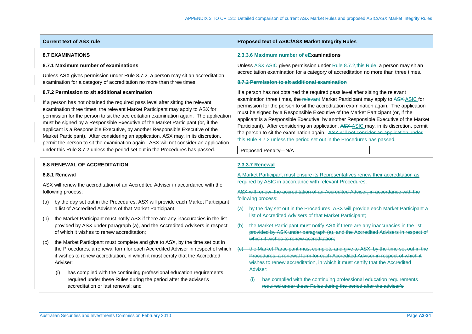## **8.7 EXAMINATIONS**

## **8.7.1 Maximum number of examinations**

Unless ASX gives permission under Rule 8.7.2, a person may sit an accreditation examination for a category of accreditation no more than three times.

## **8.7.2 Permission to sit additional examination**

If a person has not obtained the required pass level after sitting the relevant examination three times, the relevant Market Participant may apply to ASX for permission for the person to sit the accreditation examination again. The application must be signed by a Responsible Executive of the Market Participant (or, if the applicant is a Responsible Executive, by another Responsible Executive of the Market Participant). After considering an application, ASX may, in its discretion, permit the person to sit the examination again. ASX will not consider an application under this Rule 8.7.2 unless the period set out in the Procedures has passed.

## **8.8 RENEWAL OF ACCREDITATION**

### **8.8.1 Renewal**

ASX will renew the accreditation of an Accredited Adviser in accordance with the following process:

- (a) by the day set out in the Procedures, ASX will provide each Market Participant a list of Accredited Advisers of that Market Participant;
- (b) the Market Participant must notify ASX if there are any inaccuracies in the list provided by ASX under paragraph (a), and the Accredited Advisers in respect of which it wishes to renew accreditation;
- (c) the Market Participant must complete and give to ASX, by the time set out in the Procedures, a renewal form for each Accredited Adviser in respect of which it wishes to renew accreditation, in which it must certify that the Accredited Adviser:
	- (i) has complied with the continuing professional education requirements required under these Rules during the period after the adviser's accreditation or last renewal; and

## **Current text of ASX rule Proposed text of ASIC/ASX Market Integrity Rules Proposed text of ASIC/ASX Market Integrity Rules**

## **2.3.3.6 Maximum number of eExaminations**

Unless ASX-ASIC gives permission under Rule 8.7.2, this Rule, a person may sit an accreditation examination for a category of accreditation no more than three times.

## **8.7.2 Permission to sit additional examination**

If a person has not obtained the required pass level after sitting the relevant examination three times, the relevant Market Participant may apply to ASX-ASIC for permission for the person to sit the accreditation examination again. The application must be signed by a Responsible Executive of the Market Participant (or, if the applicant is a Responsible Executive, by another Responsible Executive of the Market Participant). After considering an application, ASX ASIC may, in its discretion, permit the person to sit the examination again. ASX will not consider an application under this Rule 8.7.2 unless the period set out in the Procedures has passed.

Proposed Penalty—N/A

## **2.3.3.7 Renewal**

A Market Participant must ensure its Representatives renew their accreditation as required by ASIC in accordance with relevant Procedures.

ASX will renew the accreditation of an Accredited Adviser. in accordance with the following process:

- (a) by the day set out in the Procedures, ASX will provide each Market Participant a list of Accredited Advisers of that Market Participant;
- (b) the Market Participant must notify ASX if there are any inaccuracies in the list provided by ASX under paragraph (a), and the Accredited Advisers in respect of which it wishes to renew accreditation:
- (c) the Market Participant must complete and give to ASX, by the time set out in the Procedures, a renewal form for each Accredited Adviser in respect of which it wishes to renew accreditation, in which it must certify that the Accredited Adviser:
	- has complied with the continuing professional education requirements required under these Rules during the period after the adviser's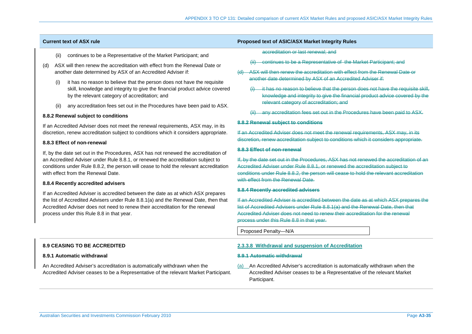- (ii) continues to be a Representative of the Market Participant; and
- (d) ASX will then renew the accreditation with effect from the Renewal Date or another date determined by ASX of an Accredited Adviser if:
	- it has no reason to believe that the person does not have the requisite skill, knowledge and integrity to give the financial product advice covered by the relevant category of accreditation; and
	- (ii) any accreditation fees set out in the Procedures have been paid to ASX.

### **8.8.2 Renewal subject to conditions**

If an Accredited Adviser does not meet the renewal requirements, ASX may, in its discretion, renew accreditation subject to conditions which it considers appropriate.

### **8.8.3 Effect of non-renewal**

If, by the date set out in the Procedures, ASX has not renewed the accreditation of an Accredited Adviser under Rule 8.8.1, or renewed the accreditation subject to conditions under Rule 8.8.2, the person will cease to hold the relevant accreditation with effect from the Renewal Date.

### **8.8.4 Recently accredited advisers**

If an Accredited Adviser is accredited between the date as at which ASX prepares the list of Accredited Advisers under Rule 8.8.1(a) and the Renewal Date, then that Accredited Adviser does not need to renew their accreditation for the renewal process under this Rule 8.8 in that year.

# **Current text of ASX rule Proposed text of ASIC/ASX Market Integrity Rules Proposed text of ASIC/ASX Market Integrity Rules**

accreditation or last renewal; and

- **Continues to be a Representative of the Market Participant: and**
- (d) ASX will then renew the accreditation with effect from the Renewal Date or another date determined by ASX of an Accredited Adviser if:
	- it has no reason to believe that the person does not have the requisite skill, knowledge and integrity to give the financial product advice covered by the relevant category of accreditation; and
	- (ii) any accreditation fees set out in the Procedures have been paid to ASX.

### **8.8.2 Renewal subject to conditions**

If an Accredited Adviser does not meet the renewal requirements, ASX may, in its discretion, renew accreditation subject to conditions which it considers appropriate.

### **8.8.3 Effect of non-renewal**

If, by the date set out in the Procedures, ASX has not renewed the accreditation of an Accredited Adviser under Rule 8.8.1, or renewed the accreditation subject to conditions under Rule 8.8.2, the person will cease to hold the relevant accreditation with effect from the Renewal Date.

### **8.8.4 Recently accredited advisers**

If an Accredited Adviser is accredited between the date as at which ASX prepares the list of Accredited Advisers under Rule 8.8.1(a) and the Renewal Date, then that Accredited Adviser does not need to renew their accreditation for the renewal process under this Rule 8.8 in that year.

Proposed Penalty—N/A

### **2.3.3.8 Withdrawal and suspension of Accreditation**

### **8.9.1 Automatic withdrawal**

(a) An Accredited Adviser's accreditation is automatically withdrawn when the Accredited Adviser ceases to be a Representative of the relevant Market Participant.

## **8.9 CEASING TO BE ACCREDITED**

### **8.9.1 Automatic withdrawal**

An Accredited Adviser's accreditation is automatically withdrawn when the Accredited Adviser ceases to be a Representative of the relevant Market Participant.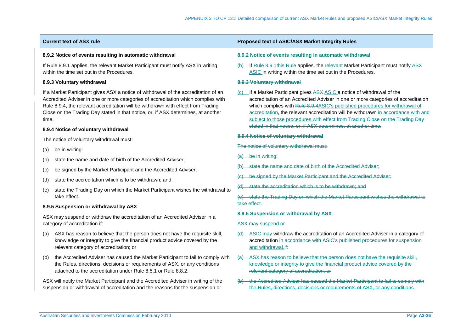### **8.9.2 Notice of events resulting in automatic withdrawal**

If Rule 8.9.1 applies, the relevant Market Participant must notify ASX in writing within the time set out in the Procedures.

## **8.9.3 Voluntary withdrawal**

If a Market Participant gives ASX a notice of withdrawal of the accreditation of an Accredited Adviser in one or more categories of accreditation which complies with Rule 8.9.4, the relevant accreditation will be withdrawn with effect from Trading Close on the Trading Day stated in that notice, or, if ASX determines, at another time.

## **8.9.4 Notice of voluntary withdrawal**

The notice of voluntary withdrawal must:

- (a) be in writing:
- (b) state the name and date of birth of the Accredited Adviser;
- (c) be signed by the Market Participant and the Accredited Adviser;
- (d) state the accreditation which is to be withdrawn; and
- (e) state the Trading Day on which the Market Participant wishes the withdrawal to take effect.

## **8.9.5 Suspension or withdrawal by ASX**

ASX may suspend or withdraw the accreditation of an Accredited Adviser in a category of accreditation if:

- (a) ASX has reason to believe that the person does not have the requisite skill, knowledge or integrity to give the financial product advice covered by the relevant category of accreditation; or
- (b) the Accredited Adviser has caused the Market Participant to fail to comply with the Rules, directions, decisions or requirements of ASX, or any conditions attached to the accreditation under Rule 8.5.1 or Rule 8.8.2.

ASX will notify the Market Participant and the Accredited Adviser in writing of the suspension or withdrawal of accreditation and the reasons for the suspension or

## **Current text of ASX rule Proposed text of ASIC/ASX Market Integrity Rules Proposed text of ASIC/ASX Market Integrity Rules**

### **8.9.2 Notice of events resulting in automatic withdrawal**

(b) If Rule 8.9.1this Rule applies, the relevant Market Participant must notify ASX ASIC in writing within the time set out in the Procedures.

## **8.9.3 Voluntary withdrawal**

(c) If a Market Participant gives ASX ASIC a notice of withdrawal of the accreditation of an Accredited Adviser in one or more categories of accreditation which complies with Rule 8.9.4ASIC's published procedures for withdrawal of accreditation, the relevant accreditation will be withdrawn in accordance with and subject to those procedures.with effect from Trading Close on the Trading Day stated in that notice, or, if ASX determines, at another time.

### **8.9.4 Notice of voluntary withdrawal**

### The notice of voluntary withdrawal must:

- (a) be in writing:
- (b) state the name and date of birth of the Accredited Adviser;
- (c) be signed by the Market Participant and the Accredited Adviser;
- (d) state the accreditation which is to be withdrawn; and
- (e) state the Trading Day on which the Market Participant wishes the withdrawal to take effect.

## **8.9.5 Suspension or withdrawal by ASX**

### ASX may suspend or

- (d) ASIC may withdraw the accreditation of an Accredited Adviser in a category of accreditation in accordance with ASIC's published procedures for suspension and withdrawal.if:
- (a) ASX has reason to believe that the person does not have the requisite skill, knowledge or integrity to give the financial product advice covered by the relevant category of accreditation; or
- (b) the Accredited Adviser has caused the Market Participant to fail to comply with the Rules, directions, decisions or requirements of ASX, or any conditions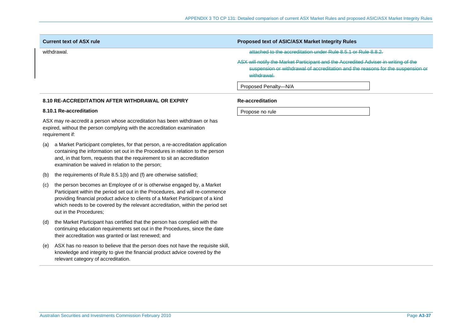| <b>Current text of ASX rule</b> | <b>Proposed text of ASIC/ASX Market Integrity Rules</b>                                                                                                                               |
|---------------------------------|---------------------------------------------------------------------------------------------------------------------------------------------------------------------------------------|
| withdrawal.                     | attached to the accreditation under Rule 8.5.1 or Rule 8.8.2.                                                                                                                         |
|                                 | ASX will notify the Market Participant and the Accredited Adviser in writing of the<br>suspension or withdrawal of accreditation and the reasons for the suspension or<br>withdrawal. |
|                                 | Proposed Penalty-N/A                                                                                                                                                                  |

## **8.10 RE-ACCREDITATION AFTER WITHDRAWAL OR EXPIRY**

### **8.10.1 Re-accreditation**

ASX may re-accredit a person whose accreditation has been withdrawn or has expired, without the person complying with the accreditation examination requirement if:

- (a) a Market Participant completes, for that person, a re-accreditation application containing the information set out in the Procedures in relation to the person and, in that form, requests that the requirement to sit an accreditation examination be waived in relation to the person;
- (b) the requirements of Rule 8.5.1(b) and (f) are otherwise satisfied;
- (c) the person becomes an Employee of or is otherwise engaged by, a Market Participant within the period set out in the Procedures, and will re-commence providing financial product advice to clients of a Market Participant of a kind which needs to be covered by the relevant accreditation, within the period set out in the Procedures;
- (d) the Market Participant has certified that the person has complied with the continuing education requirements set out in the Procedures, since the date their accreditation was granted or last renewed; and
- (e) ASX has no reason to believe that the person does not have the requisite skill, knowledge and integrity to give the financial product advice covered by the relevant category of accreditation.

## **Re-accreditation**

Propose no rule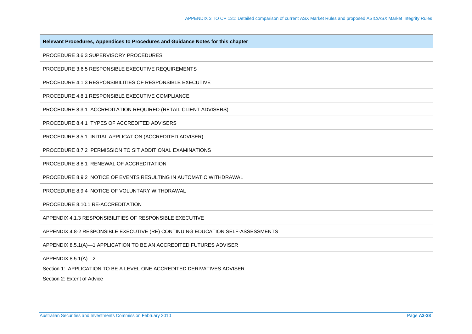**Relevant Procedures, Appendices to Procedures and Guidance Notes for this chapter** 

PROCEDURE 3.6.3 SUPERVISORY PROCEDURES

PROCEDURE 3.6.5 RESPONSIBLE EXECUTIVE REQUIREMENTS

PROCEDURE 4.1.3 RESPONSIBILITIES OF RESPONSIBLE EXECUTIVE

PROCEDURE 4.8.1 RESPONSIBLE EXECUTIVE COMPLIANCE

PROCEDURE 8.3.1 ACCREDITATION REQUIRED (RETAIL CLIENT ADVISERS)

PROCEDURE 8.4.1 TYPES OF ACCREDITED ADVISERS

PROCEDURE 8.5.1 INITIAL APPLICATION (ACCREDITED ADVISER)

PROCEDURE 8.7.2 PERMISSION TO SIT ADDITIONAL EXAMINATIONS

PROCEDURE 8.8.1 RENEWAL OF ACCREDITATION

PROCEDURE 8.9.2 NOTICE OF EVENTS RESULTING IN AUTOMATIC WITHDRAWAL

PROCEDURE 8.9.4 NOTICE OF VOLUNTARY WITHDRAWAL

PROCEDURE 8.10.1 RE-ACCREDITATION

APPENDIX 4.1.3 RESPONSIBILITIES OF RESPONSIBLE EXECUTIVE

APPENDIX 4.8-2 RESPONSIBLE EXECUTIVE (RE) CONTINUING EDUCATION SELF-ASSESSMENTS

APPENDIX 8.5.1(A)—1 APPLICATION TO BE AN ACCREDITED FUTURES ADVISER

APPENDIX 8.5.1(A)—2

Section 1: APPLICATION TO BE A LEVEL ONE ACCREDITED DERIVATIVES ADVISER

Section 2: Extent of Advice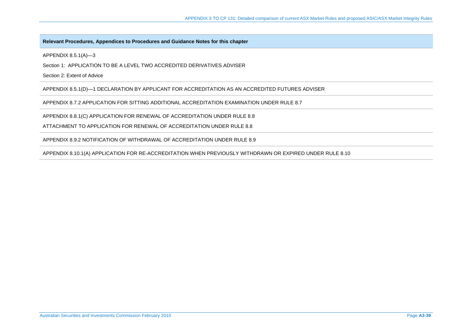## **Relevant Procedures, Appendices to Procedures and Guidance Notes for this chapter**

APPENDIX 8.5.1(A)—3

Section 1: APPLICATION TO BE A LEVEL TWO ACCREDITED DERIVATIVES ADVISER

Section 2: Extent of Advice

APPENDIX 8.5.1(D)—1 DECLARATION BY APPLICANT FOR ACCREDITATION AS AN ACCREDITED FUTURES ADVISER

APPENDIX 8.7.2 APPLICATION FOR SITTING ADDITIONAL ACCREDITATION EXAMINATION UNDER RULE 8.7

APPENDIX 8.8.1(C) APPLICATION FOR RENEWAL OF ACCREDITATION UNDER RULE 8.8

ATTACHMENT TO APPLICATION FOR RENEWAL OF ACCREDITATION UNDER RULE 8.8

APPENDIX 8.9.2 NOTIFICATION OF WITHDRAWAL OF ACCREDITATION UNDER RULE 8.9

APPENDIX 8.10.1(A) APPLICATION FOR RE-ACCREDITATION WHEN PREVIOUSLY WITHDRAWN OR EXPIRED UNDER RULE 8.10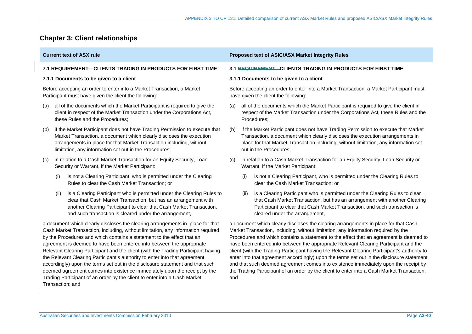# **Chapter 3: Client relationships**

| <b>7.1 REQUIREMENT-CLIENTS TRADING IN PRODUCTS FOR FIRST TIME</b>                                                                                                                                                                                                                                                                                                                                                                                                                                                                                                                                                                                                                                                                                       |      |                                                                                                                                                                                                                                                                                      | 3.1 REQUIREMENT-CLIENTS TRADING IN PRODUCTS FOR FIRST TIME                                                                                                                                                                                                                                                                                                                                                                                                                                                                                                                                                                                                                                                                                    |                                                                                                                                                                                                                                                                                      |  |  |  |
|---------------------------------------------------------------------------------------------------------------------------------------------------------------------------------------------------------------------------------------------------------------------------------------------------------------------------------------------------------------------------------------------------------------------------------------------------------------------------------------------------------------------------------------------------------------------------------------------------------------------------------------------------------------------------------------------------------------------------------------------------------|------|--------------------------------------------------------------------------------------------------------------------------------------------------------------------------------------------------------------------------------------------------------------------------------------|-----------------------------------------------------------------------------------------------------------------------------------------------------------------------------------------------------------------------------------------------------------------------------------------------------------------------------------------------------------------------------------------------------------------------------------------------------------------------------------------------------------------------------------------------------------------------------------------------------------------------------------------------------------------------------------------------------------------------------------------------|--------------------------------------------------------------------------------------------------------------------------------------------------------------------------------------------------------------------------------------------------------------------------------------|--|--|--|
| 7.1.1 Documents to be given to a client                                                                                                                                                                                                                                                                                                                                                                                                                                                                                                                                                                                                                                                                                                                 |      |                                                                                                                                                                                                                                                                                      |                                                                                                                                                                                                                                                                                                                                                                                                                                                                                                                                                                                                                                                                                                                                               | 3.1.1 Documents to be given to a client                                                                                                                                                                                                                                              |  |  |  |
| Before accepting an order to enter into a Market Transaction, a Market<br>Participant must have given the client the following:                                                                                                                                                                                                                                                                                                                                                                                                                                                                                                                                                                                                                         |      |                                                                                                                                                                                                                                                                                      |                                                                                                                                                                                                                                                                                                                                                                                                                                                                                                                                                                                                                                                                                                                                               | Before accepting an order to enter into a Market Transaction, a Market Participant must<br>have given the client the following:                                                                                                                                                      |  |  |  |
| (a)                                                                                                                                                                                                                                                                                                                                                                                                                                                                                                                                                                                                                                                                                                                                                     |      | all of the documents which the Market Participant is required to give the<br>client in respect of the Market Transaction under the Corporations Act,<br>these Rules and the Procedures;                                                                                              | (a)                                                                                                                                                                                                                                                                                                                                                                                                                                                                                                                                                                                                                                                                                                                                           | all of the documents which the Market Participant is required to give the client in<br>respect of the Market Transaction under the Corporations Act, these Rules and the<br>Procedures;                                                                                              |  |  |  |
| (b)                                                                                                                                                                                                                                                                                                                                                                                                                                                                                                                                                                                                                                                                                                                                                     |      | if the Market Participant does not have Trading Permission to execute that<br>Market Transaction, a document which clearly discloses the execution<br>arrangements in place for that Market Transaction including, without<br>limitation, any information set out in the Procedures; | (b)                                                                                                                                                                                                                                                                                                                                                                                                                                                                                                                                                                                                                                                                                                                                           | if the Market Participant does not have Trading Permission to execute that Market<br>Transaction, a document which clearly discloses the execution arrangements in<br>place for that Market Transaction including, without limitation, any information set<br>out in the Procedures; |  |  |  |
| (c)                                                                                                                                                                                                                                                                                                                                                                                                                                                                                                                                                                                                                                                                                                                                                     |      | in relation to a Cash Market Transaction for an Equity Security, Loan<br>Security or Warrant, if the Market Participant:                                                                                                                                                             | (C)                                                                                                                                                                                                                                                                                                                                                                                                                                                                                                                                                                                                                                                                                                                                           | in relation to a Cash Market Transaction for an Equity Security, Loan Security or<br>Warrant, if the Market Participant:                                                                                                                                                             |  |  |  |
|                                                                                                                                                                                                                                                                                                                                                                                                                                                                                                                                                                                                                                                                                                                                                         | (i)  | is not a Clearing Participant, who is permitted under the Clearing<br>Rules to clear the Cash Market Transaction; or                                                                                                                                                                 |                                                                                                                                                                                                                                                                                                                                                                                                                                                                                                                                                                                                                                                                                                                                               | is not a Clearing Participant, who is permitted under the Clearing Rules to<br>(i)<br>clear the Cash Market Transaction; or                                                                                                                                                          |  |  |  |
|                                                                                                                                                                                                                                                                                                                                                                                                                                                                                                                                                                                                                                                                                                                                                         | (II) | is a Clearing Participant who is permitted under the Clearing Rules to<br>clear that Cash Market Transaction, but has an arrangement with<br>another Clearing Participant to clear that Cash Market Transaction,<br>and such transaction is cleared under the arrangement,           |                                                                                                                                                                                                                                                                                                                                                                                                                                                                                                                                                                                                                                                                                                                                               | is a Clearing Participant who is permitted under the Clearing Rules to clear<br>(ii)<br>that Cash Market Transaction, but has an arrangement with another Clearing<br>Participant to clear that Cash Market Transaction, and such transaction is<br>cleared under the arrangement,   |  |  |  |
| a document which clearly discloses the clearing arrangements in place for that<br>Cash Market Transaction, including, without limitation, any information required<br>by the Procedures and which contains a statement to the effect that an<br>agreement is deemed to have been entered into between the appropriate<br>Relevant Clearing Participant and the client (with the Trading Participant having<br>the Relevant Clearing Participant's authority to enter into that agreement<br>accordingly) upon the terms set out in the disclosure statement and that such<br>deemed agreement comes into existence immediately upon the receipt by the<br>Trading Participant of an order by the client to enter into a Cash Market<br>Transaction; and |      | and                                                                                                                                                                                                                                                                                  | a document which clearly discloses the clearing arrangements in place for that Cash<br>Market Transaction, including, without limitation, any information required by the<br>Procedures and which contains a statement to the effect that an agreement is deemed to<br>have been entered into between the appropriate Relevant Clearing Participant and the<br>client (with the Trading Participant having the Relevant Clearing Participant's authority to<br>enter into that agreement accordingly) upon the terms set out in the disclosure statement<br>and that such deemed agreement comes into existence immediately upon the receipt by<br>the Trading Participant of an order by the client to enter into a Cash Market Transaction; |                                                                                                                                                                                                                                                                                      |  |  |  |
|                                                                                                                                                                                                                                                                                                                                                                                                                                                                                                                                                                                                                                                                                                                                                         |      |                                                                                                                                                                                                                                                                                      |                                                                                                                                                                                                                                                                                                                                                                                                                                                                                                                                                                                                                                                                                                                                               |                                                                                                                                                                                                                                                                                      |  |  |  |
|                                                                                                                                                                                                                                                                                                                                                                                                                                                                                                                                                                                                                                                                                                                                                         |      | Australian Securities and Investments Commission February 2010                                                                                                                                                                                                                       |                                                                                                                                                                                                                                                                                                                                                                                                                                                                                                                                                                                                                                                                                                                                               | <b>Page A3-40</b>                                                                                                                                                                                                                                                                    |  |  |  |

**Current text of ASX rule Current text of ASIC/ASX Market Integrity Rules**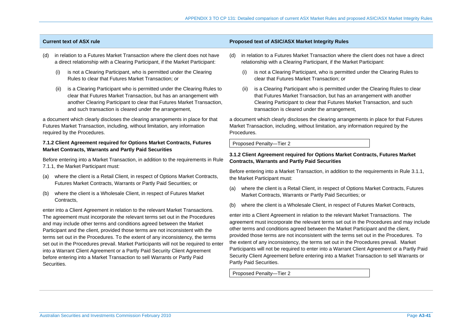- (d) in relation to a Futures Market Transaction where the client does not have a direct relationship with a Clearing Participant, if the Market Participant:
	- (i) is not a Clearing Participant, who is permitted under the Clearing Rules to clear that Futures Market Transaction; or
	- (ii) is a Clearing Participant who is permitted under the Clearing Rules to clear that Futures Market Transaction, but has an arrangement with another Clearing Participant to clear that Futures Market Transaction, and such transaction is cleared under the arrangement,

a document which clearly discloses the clearing arrangements in place for that Futures Market Transaction, including, without limitation, any information required by the Procedures.

## **7.1.2 Client Agreement required for Options Market Contracts, Futures Market Contracts, Warrants and Partly Paid Securities**

Before entering into a Market Transaction, in addition to the requirements in Rule 7.1.1, the Market Participant must:

- (a) where the client is a Retail Client, in respect of Options Market Contracts, Futures Market Contracts, Warrants or Partly Paid Securities; or
- (b) where the client is a Wholesale Client, in respect of Futures Market Contracts,

enter into a Client Agreement in relation to the relevant Market Transactions. The agreement must incorporate the relevant terms set out in the Procedures and may include other terms and conditions agreed between the Market Participant and the client, provided those terms are not inconsistent with the terms set out in the Procedures. To the extent of any inconsistency, the terms set out in the Procedures prevail. Market Participants will not be required to enter into a Warrant Client Agreement or a Partly Paid Security Client Agreement before entering into a Market Transaction to sell Warrants or Partly Paid Securities.

## **Current text of ASX rule Proposed text of ASIC/ASX Market Integrity Rules**

- (d) in relation to a Futures Market Transaction where the client does not have a direct relationship with a Clearing Participant, if the Market Participant:
	- (i) is not a Clearing Participant, who is permitted under the Clearing Rules to clear that Futures Market Transaction; or
	- (ii) is a Clearing Participant who is permitted under the Clearing Rules to clear that Futures Market Transaction, but has an arrangement with another Clearing Participant to clear that Futures Market Transaction, and such transaction is cleared under the arrangement,

a document which clearly discloses the clearing arrangements in place for that Futures Market Transaction, including, without limitation, any information required by the Procedures.

Proposed Penalty—Tier 2

## **3.1.2 Client Agreement required for Options Market Contracts, Futures Market Contracts, Warrants and Partly Paid Securities**

Before entering into a Market Transaction, in addition to the requirements in Rule 3.1.1, the Market Participant must:

- (a) where the client is a Retail Client, in respect of Options Market Contracts, Futures Market Contracts, Warrants or Partly Paid Securities; or
- (b) where the client is a Wholesale Client, in respect of Futures Market Contracts,

enter into a Client Agreement in relation to the relevant Market Transactions. The agreement must incorporate the relevant terms set out in the Procedures and may include other terms and conditions agreed between the Market Participant and the client, provided those terms are not inconsistent with the terms set out in the Procedures. To the extent of any inconsistency, the terms set out in the Procedures prevail. Market Participants will not be required to enter into a Warrant Client Agreement or a Partly Paid Security Client Agreement before entering into a Market Transaction to sell Warrants or Partly Paid Securities.

Proposed Penalty—Tier 2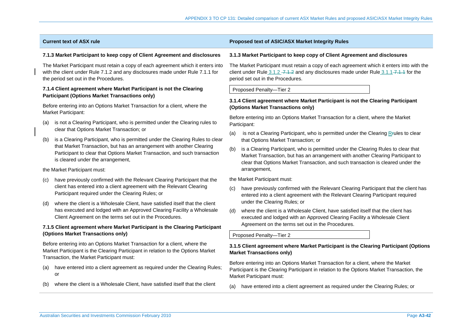### **7.1.3 Market Participant to keep copy of Client Agreement and disclosures**

The Market Participant must retain a copy of each agreement which it enters into with the client under Rule 7.1.2 and any disclosures made under Rule 7.1.1 for the period set out in the Procedures.

## **7.1.4 Client agreement where Market Participant is not the Clearing Participant (Options Market Transactions only)**

Before entering into an Options Market Transaction for a client, where the Market Participant:

- (a) is not a Clearing Participant, who is permitted under the Clearing rules to clear that Options Market Transaction; or
- (b) is a Clearing Participant, who is permitted under the Clearing Rules to clear that Market Transaction, but has an arrangement with another Clearing Participant to clear that Options Market Transaction, and such transaction is cleared under the arrangement,

the Market Participant must:

- have previously confirmed with the Relevant Clearing Participant that the client has entered into a client agreement with the Relevant Clearing Participant required under the Clearing Rules; or
- (d) where the client is a Wholesale Client, have satisfied itself that the client has executed and lodged with an Approved Clearing Facility a Wholesale Client Agreement on the terms set out in the Procedures.

## **7.1.5 Client agreement where Market Participant is the Clearing Participant (Options Market Transactions only)**

Before entering into an Options Market Transaction for a client, where the Market Participant is the Clearing Participant in relation to the Options Market Transaction, the Market Participant must:

- (a) have entered into a client agreement as required under the Clearing Rules; or
- (b) where the client is a Wholesale Client, have satisfied itself that the client

## **Current text of ASX rule Proposed text of ASIC/ASX Market Integrity Rules**

### **3.1.3 Market Participant to keep copy of Client Agreement and disclosures**

The Market Participant must retain a copy of each agreement which it enters into with the client under Rule  $3.1.2$  -  $7.1.2$  and any disclosures made under Rule  $3.1.1$ - $7.1.1$  for the period set out in the Procedures.

Proposed Penalty—Tier 2

## **3.1.4 Client agreement where Market Participant is not the Clearing Participant (Options Market Transactions only)**

Before entering into an Options Market Transaction for a client, where the Market Participant:

- (a) is not a Clearing Participant, who is permitted under the Clearing Rrules to clear that Options Market Transaction; or
- (b) is a Clearing Participant, who is permitted under the Clearing Rules to clear that Market Transaction, but has an arrangement with another Clearing Participant to clear that Options Market Transaction, and such transaction is cleared under the arrangement,

the Market Participant must:

- (c) have previously confirmed with the Relevant Clearing Participant that the client has entered into a client agreement with the Relevant Clearing Participant required under the Clearing Rules; or
- (d) where the client is a Wholesale Client, have satisfied itself that the client has executed and lodged with an Approved Clearing Facility a Wholesale Client Agreement on the terms set out in the Procedures.

Proposed Penalty—Tier 2

## **3.1.5 Client agreement where Market Participant is the Clearing Participant (Options Market Transactions only)**

Before entering into an Options Market Transaction for a client, where the Market Participant is the Clearing Participant in relation to the Options Market Transaction, the Market Participant must:

(a) have entered into a client agreement as required under the Clearing Rules; or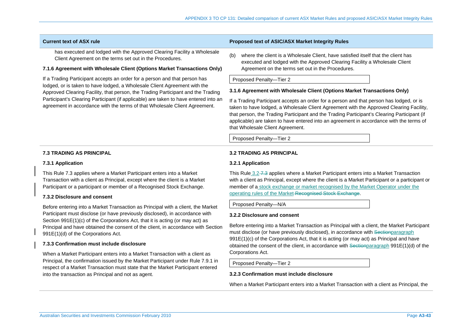has executed and lodged with the Approved Clearing Facility a Wholesale Client Agreement on the terms set out in the Procedures.

## **7.1.6 Agreement with Wholesale Client (Options Market Transactions Only)**

If a Trading Participant accepts an order for a person and that person has lodged, or is taken to have lodged, a Wholesale Client Agreement with the Approved Clearing Facility, that person, the Trading Participant and the Trading Participant's Clearing Participant (if applicable) are taken to have entered into an agreement in accordance with the terms of that Wholesale Client Agreement.

## **Current text of ASX rule Proposed text of ASIC/ASX Market Integrity Rules**

(b) where the client is a Wholesale Client, have satisfied itself that the client has executed and lodged with the Approved Clearing Facility a Wholesale Client Agreement on the terms set out in the Procedures.

Proposed Penalty—Tier 2

### **3.1.6 Agreement with Wholesale Client (Options Market Transactions Only)**

If a Trading Participant accepts an order for a person and that person has lodged, or is taken to have lodged, a Wholesale Client Agreement with the Approved Clearing Facility, that person, the Trading Participant and the Trading Participant's Clearing Participant (if applicable) are taken to have entered into an agreement in accordance with the terms of that Wholesale Client Agreement.

Proposed Penalty—Tier 2

### **7.3 TRADING AS PRINCIPAL**

#### **7.3.1 Application**

This Rule 7.3 applies where a Market Participant enters into a Market Transaction with a client as Principal, except where the client is a Market Participant or a participant or member of a Recognised Stock Exchange.

## **7.3.2 Disclosure and consent**

Before entering into a Market Transaction as Principal with a client, the Market Participant must disclose (or have previously disclosed), in accordance with Section 991E(1)(c) of the Corporations Act, that it is acting (or may act) as Principal and have obtained the consent of the client, in accordance with Section 991E(1)(d) of the Corporations Act.

## **7.3.3 Confirmation must include disclosure**

When a Market Participant enters into a Market Transaction with a client as Principal, the confirmation issued by the Market Participant under Rule 7.9.1 in respect of a Market Transaction must state that the Market Participant entered into the transaction as Principal and not as agent.

## **3.2 TRADING AS PRINCIPAL**

#### **3.2.1 Application**

This Rule 3.2–7.3 applies where a Market Participant enters into a Market Transaction with a client as Principal, except where the client is a Market Participant or a participant or member of a stock exchange or market recognised by the Market Operator under the operating rules of the Market Recognised Stock Exchange.

Proposed Penalty—N/A

## **3.2.2 Disclosure and consent**

Before entering into a Market Transaction as Principal with a client, the Market Participant must disclose (or have previously disclosed), in accordance with Sectionparagraph 991E(1)(c) of the Corporations Act, that it is acting (or may act) as Principal and have obtained the consent of the client, in accordance with Sectionparagraph 991E(1)(d) of the Corporations Act.

Proposed Penalty—Tier 2

## **3.2.3 Confirmation must include disclosure**

When a Market Participant enters into a Market Transaction with a client as Principal, the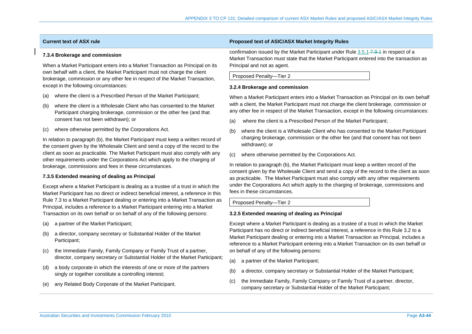### **7.3.4 Brokerage and commission**

When a Market Participant enters into a Market Transaction as Principal on its own behalf with a client, the Market Participant must not charge the client brokerage, commission or any other fee in respect of the Market Transaction, except in the following circumstances:

- (a) where the client is a Prescribed Person of the Market Participant;
- (b) where the client is a Wholesale Client who has consented to the Market Participant charging brokerage, commission or the other fee (and that consent has not been withdrawn); or
- (c) where otherwise permitted by the Corporations Act.

In relation to paragraph (b), the Market Participant must keep a written record of the consent given by the Wholesale Client and send a copy of the record to the client as soon as practicable. The Market Participant must also comply with any other requirements under the Corporations Act which apply to the charging of brokerage, commissions and fees in these circumstances.

#### **7.3.5 Extended meaning of dealing as Principal**

Except where a Market Participant is dealing as a trustee of a trust in which the Market Participant has no direct or indirect beneficial interest, a reference in this Rule 7.3 to a Market Participant dealing or entering into a Market Transaction as Principal, includes a reference to a Market Participant entering into a Market Transaction on its own behalf or on behalf of any of the following persons:

- (a) a partner of the Market Participant;
- (b) a director, company secretary or Substantial Holder of the Market Participant;
- (c) the Immediate Family, Family Company or Family Trust of a partner, director, company secretary or Substantial Holder of the Market Participant;
- (d) a body corporate in which the interests of one or more of the partners singly or together constitute a controlling interest;
- (e) any Related Body Corporate of the Market Participant.

## **Current text of ASX rule Proposed text of ASIC/ASX Market Integrity Rules**

confirmation issued by the Market Participant under Rule  $3.5.1 -7.9$ . 1 in respect of a Market Transaction must state that the Market Participant entered into the transaction as Principal and not as agent.



#### **3.2.4 Brokerage and commission**

When a Market Participant enters into a Market Transaction as Principal on its own behalf with a client, the Market Participant must not charge the client brokerage, commission or any other fee in respect of the Market Transaction, except in the following circumstances:

- (a) where the client is a Prescribed Person of the Market Participant;
- (b) where the client is a Wholesale Client who has consented to the Market Participant charging brokerage, commission or the other fee (and that consent has not been withdrawn); or
- (c) where otherwise permitted by the Corporations Act.

In relation to paragraph (b), the Market Participant must keep a written record of the consent given by the Wholesale Client and send a copy of the record to the client as soon as practicable. The Market Participant must also comply with any other requirements under the Corporations Act which apply to the charging of brokerage, commissions and fees in these circumstances.

Proposed Penalty—Tier 2

#### **3.2.5 Extended meaning of dealing as Principal**

Except where a Market Participant is dealing as a trustee of a trust in which the Market Participant has no direct or indirect beneficial interest, a reference in this Rule 3.2 to a Market Participant dealing or entering into a Market Transaction as Principal, includes a reference to a Market Participant entering into a Market Transaction on its own behalf or on behalf of any of the following persons:

- (a) a partner of the Market Participant;
- (b) a director, company secretary or Substantial Holder of the Market Participant;
- (c) the Immediate Family, Family Company or Family Trust of a partner, director, company secretary or Substantial Holder of the Market Participant;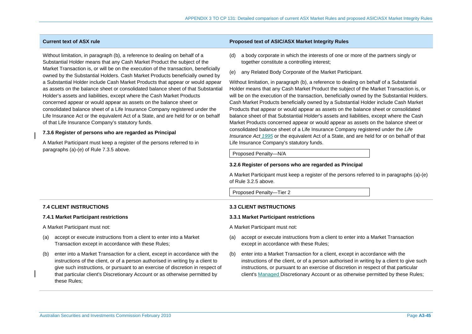Without limitation, in paragraph (b), a reference to dealing on behalf of a Substantial Holder means that any Cash Market Product the subject of the Market Transaction is, or will be on the execution of the transaction, beneficially owned by the Substantial Holders. Cash Market Products beneficially owned by a Substantial Holder include Cash Market Products that appear or would appear as assets on the balance sheet or consolidated balance sheet of that Substantial Holder's assets and liabilities, except where the Cash Market Products concerned appear or would appear as assets on the balance sheet or consolidated balance sheet of a Life Insurance Company registered under the Life Insurance Act or the equivalent Act of a State, and are held for or on behalf of that Life Insurance Company's statutory funds.

### **7.3.6 Register of persons who are regarded as Principal**

A Market Participant must keep a register of the persons referred to in paragraphs (a)-(e) of Rule 7.3.5 above.

## **Current text of ASX rule Proposed text of ASIC/ASX Market Integrity Rules**

- (d) a body corporate in which the interests of one or more of the partners singly or together constitute a controlling interest;
- (e) any Related Body Corporate of the Market Participant.

Without limitation, in paragraph (b), a reference to dealing on behalf of a Substantial Holder means that any Cash Market Product the subject of the Market Transaction is, or will be on the execution of the transaction, beneficially owned by the Substantial Holders. Cash Market Products beneficially owned by a Substantial Holder include Cash Market Products that appear or would appear as assets on the balance sheet or consolidated balance sheet of that Substantial Holder's assets and liabilities, except where the Cash Market Products concerned appear or would appear as assets on the balance sheet or consolidated balance sheet of a Life Insurance Company registered under the *Life Insurance Act 1995* or the equivalent Act of a State, and are held for or on behalf of that Life Insurance Company's statutory funds.

#### Proposed Penalty—N/A

#### **3.2.6 Register of persons who are regarded as Principal**

A Market Participant must keep a register of the persons referred to in paragraphs (a)-(e) of Rule 3.2.5 above.

Proposed Penalty—Tier 2

## **7.4 CLIENT INSTRUCTIONS**

#### **7.4.1 Market Participant restrictions**

A Market Participant must not:

- (a) accept or execute instructions from a client to enter into a Market Transaction except in accordance with these Rules;
- (b) enter into a Market Transaction for a client, except in accordance with the instructions of the client, or of a person authorised in writing by a client to give such instructions, or pursuant to an exercise of discretion in respect of that particular client's Discretionary Account or as otherwise permitted by these Rules;

## **3.3 CLIENT INSTRUCTIONS**

#### **3.3.1 Market Participant restrictions**

A Market Participant must not:

- (a) accept or execute instructions from a client to enter into a Market Transaction except in accordance with these Rules;
- (b) enter into a Market Transaction for a client, except in accordance with the instructions of the client, or of a person authorised in writing by a client to give such instructions, or pursuant to an exercise of discretion in respect of that particular client's Managed Discretionary Account or as otherwise permitted by these Rules;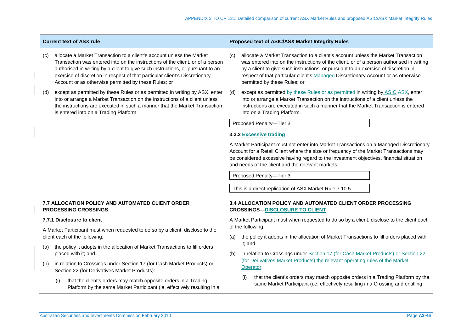|     | <b>Current text of ASX rule</b>                                                                                                                                                                                                                                                                                                                                                  |     | Proposed text of ASIC/ASX Market Integrity Rules                                                                                                                                                                                                                                                                                                                                         |
|-----|----------------------------------------------------------------------------------------------------------------------------------------------------------------------------------------------------------------------------------------------------------------------------------------------------------------------------------------------------------------------------------|-----|------------------------------------------------------------------------------------------------------------------------------------------------------------------------------------------------------------------------------------------------------------------------------------------------------------------------------------------------------------------------------------------|
| (c) | allocate a Market Transaction to a client's account unless the Market<br>Transaction was entered into on the instructions of the client, or of a person<br>authorised in writing by a client to give such instructions, or pursuant to an<br>exercise of discretion in respect of that particular client's Discretionary<br>Account or as otherwise permitted by these Rules; or | (C) | allocate a Market Transaction to a client's account unless the Market Transaction<br>was entered into on the instructions of the client, or of a person authorised in writing<br>by a client to give such instructions, or pursuant to an exercise of discretion in<br>respect of that particular client's Managed Discretionary Account or as otherwise<br>permitted by these Rules; or |
| (d) | except as permitted by these Rules or as permitted in writing by ASX, enter<br>into or arrange a Market Transaction on the instructions of a client unless<br>the instructions are executed in such a manner that the Market Transaction<br>is entered into on a Trading Platform.                                                                                               | (d) | except as permitted by these Rules or as permitted in writing by ASIC-ASX, enter<br>into or arrange a Market Transaction on the instructions of a client unless the<br>instructions are executed in such a manner that the Market Transaction is entered<br>into on a Trading Platform.                                                                                                  |
|     |                                                                                                                                                                                                                                                                                                                                                                                  |     | Proposed Penalty-Tier 3                                                                                                                                                                                                                                                                                                                                                                  |
|     |                                                                                                                                                                                                                                                                                                                                                                                  |     | 3.3.2 Excessive trading                                                                                                                                                                                                                                                                                                                                                                  |
|     |                                                                                                                                                                                                                                                                                                                                                                                  |     | A Market Participant must not enter into Market Transactions on a Managed Discretionary<br>Account for a Retail Client where the size or frequency of the Market Transactions may<br>be considered excessive having regard to the investment objectives, financial situation<br>and needs of the client and the relevant markets.                                                        |
|     |                                                                                                                                                                                                                                                                                                                                                                                  |     | Proposed Penalty-Tier 3                                                                                                                                                                                                                                                                                                                                                                  |
|     |                                                                                                                                                                                                                                                                                                                                                                                  |     | This is a direct replication of ASX Market Rule 7.10.5                                                                                                                                                                                                                                                                                                                                   |
|     | <b>7.7 ALLOCATION POLICY AND AUTOMATED CLIENT ORDER</b><br><b>PROCESSING CROSSINGS</b>                                                                                                                                                                                                                                                                                           |     | <b>3.4 ALLOCATION POLICY AND AUTOMATED CLIENT ORDER PROCESSING</b><br><b>CROSSINGS-DISCLOSURE TO CLIENT</b>                                                                                                                                                                                                                                                                              |
|     | 7.7.1 Disclosure to client                                                                                                                                                                                                                                                                                                                                                       |     | A Market Participant must when requested to do so by a client, disclose to the client each                                                                                                                                                                                                                                                                                               |
|     | A Market Participant must when requested to do so by a client, disclose to the<br>client each of the following:                                                                                                                                                                                                                                                                  | (a) | of the following:<br>the policy it adopts in the allocation of Market Transactions to fill orders placed with<br>it; and                                                                                                                                                                                                                                                                 |
| (a) | the policy it adopts in the allocation of Market Transactions to fill orders<br>placed with it; and                                                                                                                                                                                                                                                                              | (b) | in relation to Crossings under-Section 17 (for Cash Market Products) or Section 22                                                                                                                                                                                                                                                                                                       |
| (b) | in relation to Crossings under Section 17 (for Cash Market Products) or<br>Section 22 (for Derivatives Market Products):                                                                                                                                                                                                                                                         |     | (for Derivatives Market Products) the relevant operating rules of the Market<br>Operator:                                                                                                                                                                                                                                                                                                |
|     | that the client's orders may match opposite orders in a Trading<br>(i)<br>Platform by the same Market Participant (ie. effectively resulting in a                                                                                                                                                                                                                                |     | that the client's orders may match opposite orders in a Trading Platform by the<br>(i)<br>same Market Participant (i.e. effectively resulting in a Crossing and entitling                                                                                                                                                                                                                |
|     |                                                                                                                                                                                                                                                                                                                                                                                  |     |                                                                                                                                                                                                                                                                                                                                                                                          |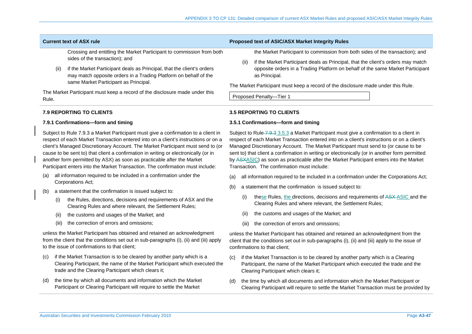Crossing and entitling the Market Participant to commission from both sides of the transaction); and

(ii) if the Market Participant deals as Principal, that the client's orders may match opposite orders in a Trading Platform on behalf of the same Market Participant as Principal.

The Market Participant must keep a record of the disclosure made under this Rule.

## **7.9 REPORTING TO CLIENTS**

### **7.9.1 Confirmations—form and timing**

Subject to Rule 7.9.3 a Market Participant must give a confirmation to a client in respect of each Market Transaction entered into on a client's instructions or on a client's Managed Discretionary Account. The Market Participant must send to (or cause to be sent to) that client a confirmation in writing or electronically (or in another form permitted by ASX) as soon as practicable after the Market Participant enters into the Market Transaction. The confirmation must include:

- (a) all information required to be included in a confirmation under the Corporations Act;
- (b) a statement that the confirmation is issued subject to:
	- (i) the Rules, directions, decisions and requirements of ASX and the Clearing Rules and where relevant, the Settlement Rules;
	- (ii) the customs and usages of the Market; and
	- (iii) the correction of errors and omissions;

unless the Market Participant has obtained and retained an acknowledgment from the client that the conditions set out in sub-paragraphs (i), (ii) and (iii) apply to the issue of confirmations to that client;

- (c) if the Market Transaction is to be cleared by another party which is a Clearing Participant, the name of the Market Participant which executed the trade and the Clearing Participant which clears it;
- (d) the time by which all documents and information which the Market Participant or Clearing Participant will require to settle the Market

#### **Current text of ASX rule Proposed text of ASIC/ASX Market Integrity Rules**

the Market Participant to commission from both sides of the transaction); and

(ii) if the Market Participant deals as Principal, that the client's orders may match opposite orders in a Trading Platform on behalf of the same Market Participant as Principal.

The Market Participant must keep a record of the disclosure made under this Rule.

Proposed Penalty—Tier 1

## **3.5 REPORTING TO CLIENTS**

#### **3.5.1 Confirmations—form and timing**

Subject to Rule 7.9.3 3.5.3 a Market Participant must give a confirmation to a client in respect of each Market Transaction entered into on a client's instructions or on a client's Managed Discretionary Account. The Market Participant must send to (or cause to be sent to) that client a confirmation in writing or electronically (or in another form permitted by ASXASIC) as soon as practicable after the Market Participant enters into the Market Transaction. The confirmation must include:

- (a) all information required to be included in a confirmation under the Corporations Act;
- (b) a statement that the confirmation is issued subject to:
	- (i) these Rules, the directions, decisions and requirements of ASX ASIC and the Clearing Rules and where relevant, the Settlement Rules;
	- (ii) the customs and usages of the Market; and
	- (iii) the correction of errors and omissions;

unless the Market Participant has obtained and retained an acknowledgment from the client that the conditions set out in sub-paragraphs (i), (ii) and (iii) apply to the issue of confirmations to that client;

- (c) if the Market Transaction is to be cleared by another party which is a Clearing Participant, the name of the Market Participant which executed the trade and the Clearing Participant which clears it;
- (d) the time by which all documents and information which the Market Participant or Clearing Participant will require to settle the Market Transaction must be provided by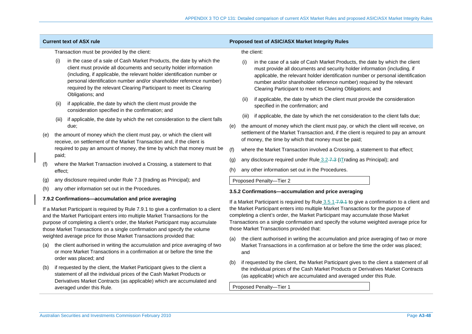|  |     |                                                                                                                                                                                                                                                                                                                                   | Transaction must be provided by the client:                                                                                                                                                                                                                                                                                                                                           |                                                      |                                                                                                                                                                                                                                                                                                              | the client:                                                                                                                                                                                                                                                                                                                                                                        |  |  |
|--|-----|-----------------------------------------------------------------------------------------------------------------------------------------------------------------------------------------------------------------------------------------------------------------------------------------------------------------------------------|---------------------------------------------------------------------------------------------------------------------------------------------------------------------------------------------------------------------------------------------------------------------------------------------------------------------------------------------------------------------------------------|------------------------------------------------------|--------------------------------------------------------------------------------------------------------------------------------------------------------------------------------------------------------------------------------------------------------------------------------------------------------------|------------------------------------------------------------------------------------------------------------------------------------------------------------------------------------------------------------------------------------------------------------------------------------------------------------------------------------------------------------------------------------|--|--|
|  |     | (i)                                                                                                                                                                                                                                                                                                                               | in the case of a sale of Cash Market Products, the date by which the<br>client must provide all documents and security holder information<br>(including, if applicable, the relevant holder identification number or<br>personal identification number and/or shareholder reference number)<br>required by the relevant Clearing Participant to meet its Clearing<br>Obligations; and |                                                      | (i)                                                                                                                                                                                                                                                                                                          | in the case of a sale of Cash Market Products, the date by which the client<br>must provide all documents and security holder information (including, if<br>applicable, the relevant holder identification number or personal identification<br>number and/or shareholder reference number) required by the relevant<br>Clearing Participant to meet its Clearing Obligations; and |  |  |
|  |     | if applicable, the date by which the client must provide the<br>(ii)<br>consideration specified in the confirmation; and<br>if applicable, the date by which the net consideration to the client falls<br>(iii)                                                                                                                   |                                                                                                                                                                                                                                                                                                                                                                                       | (ii)                                                 | if applicable, the date by which the client must provide the consideration<br>specified in the confirmation; and                                                                                                                                                                                             |                                                                                                                                                                                                                                                                                                                                                                                    |  |  |
|  |     |                                                                                                                                                                                                                                                                                                                                   |                                                                                                                                                                                                                                                                                                                                                                                       | (iii)                                                | if applicable, the date by which the net consideration to the client falls due;                                                                                                                                                                                                                              |                                                                                                                                                                                                                                                                                                                                                                                    |  |  |
|  |     |                                                                                                                                                                                                                                                                                                                                   | due:                                                                                                                                                                                                                                                                                                                                                                                  | (e)                                                  |                                                                                                                                                                                                                                                                                                              | the amount of money which the client must pay, or which the client will receive, on                                                                                                                                                                                                                                                                                                |  |  |
|  | (e) |                                                                                                                                                                                                                                                                                                                                   | the amount of money which the client must pay, or which the client will<br>receive, on settlement of the Market Transaction and, if the client is                                                                                                                                                                                                                                     |                                                      |                                                                                                                                                                                                                                                                                                              | settlement of the Market Transaction and, if the client is required to pay an amount<br>of money, the time by which that money must be paid;                                                                                                                                                                                                                                       |  |  |
|  |     | required to pay an amount of money, the time by which that money must be                                                                                                                                                                                                                                                          |                                                                                                                                                                                                                                                                                                                                                                                       | (f)                                                  |                                                                                                                                                                                                                                                                                                              | where the Market Transaction involved a Crossing, a statement to that effect;                                                                                                                                                                                                                                                                                                      |  |  |
|  | (f) | paid;<br>where the Market Transaction involved a Crossing, a statement to that<br>effect;                                                                                                                                                                                                                                         |                                                                                                                                                                                                                                                                                                                                                                                       | (g)                                                  |                                                                                                                                                                                                                                                                                                              | any disclosure required under Rule 3.2-7.3 (tTrading as Principal); and                                                                                                                                                                                                                                                                                                            |  |  |
|  |     |                                                                                                                                                                                                                                                                                                                                   |                                                                                                                                                                                                                                                                                                                                                                                       | (h)                                                  |                                                                                                                                                                                                                                                                                                              | any other information set out in the Procedures.                                                                                                                                                                                                                                                                                                                                   |  |  |
|  | (g) | any disclosure required under Rule 7.3 (trading as Principal); and                                                                                                                                                                                                                                                                |                                                                                                                                                                                                                                                                                                                                                                                       |                                                      |                                                                                                                                                                                                                                                                                                              | Proposed Penalty-Tier 2                                                                                                                                                                                                                                                                                                                                                            |  |  |
|  | (h) | any other information set out in the Procedures.                                                                                                                                                                                                                                                                                  |                                                                                                                                                                                                                                                                                                                                                                                       | 3.5.2 Confirmations-accumulation and price averaging |                                                                                                                                                                                                                                                                                                              |                                                                                                                                                                                                                                                                                                                                                                                    |  |  |
|  |     | 7.9.2 Confirmations-accumulation and price averaging                                                                                                                                                                                                                                                                              |                                                                                                                                                                                                                                                                                                                                                                                       |                                                      | If a Market Participant is required by Rule 3.5.1–7.9.1 to give a confirmation to a client and                                                                                                                                                                                                               |                                                                                                                                                                                                                                                                                                                                                                                    |  |  |
|  |     | If a Market Participant is required by Rule 7.9.1 to give a confirmation to a client<br>and the Market Participant enters into multiple Market Transactions for the<br>purpose of completing a client's order, the Market Participant may accumulate<br>those Market Transactions on a single confirmation and specify the volume |                                                                                                                                                                                                                                                                                                                                                                                       |                                                      | the Market Participant enters into multiple Market Transactions for the purpose of<br>completing a client's order, the Market Participant may accumulate those Market<br>Transactions on a single confirmation and specify the volume weighted average price for<br>those Market Transactions provided that: |                                                                                                                                                                                                                                                                                                                                                                                    |  |  |
|  |     |                                                                                                                                                                                                                                                                                                                                   | weighted average price for those Market Transactions provided that:                                                                                                                                                                                                                                                                                                                   |                                                      |                                                                                                                                                                                                                                                                                                              | the client authorised in writing the accumulation and price averaging of two or more                                                                                                                                                                                                                                                                                               |  |  |
|  | (a) |                                                                                                                                                                                                                                                                                                                                   | the client authorised in writing the accumulation and price averaging of two<br>or more Market Transactions in a confirmation at or before the time the                                                                                                                                                                                                                               |                                                      | Market Transactions in a confirmation at or before the time the order was placed;<br>and                                                                                                                                                                                                                     |                                                                                                                                                                                                                                                                                                                                                                                    |  |  |
|  |     |                                                                                                                                                                                                                                                                                                                                   | order was placed; and                                                                                                                                                                                                                                                                                                                                                                 | (b)                                                  |                                                                                                                                                                                                                                                                                                              | if requested by the client, the Market Participant gives to the client a statement of all                                                                                                                                                                                                                                                                                          |  |  |
|  | (b) | if requested by the client, the Market Participant gives to the client a<br>statement of all the individual prices of the Cash Market Products or<br>Derivatives Market Contracts (as applicable) which are accumulated and                                                                                                       |                                                                                                                                                                                                                                                                                                                                                                                       |                                                      |                                                                                                                                                                                                                                                                                                              | the individual prices of the Cash Market Products or Derivatives Market Contracts<br>(as applicable) which are accumulated and averaged under this Rule.                                                                                                                                                                                                                           |  |  |
|  |     |                                                                                                                                                                                                                                                                                                                                   |                                                                                                                                                                                                                                                                                                                                                                                       |                                                      |                                                                                                                                                                                                                                                                                                              |                                                                                                                                                                                                                                                                                                                                                                                    |  |  |

**Current text of ASX rule Proposed text of ASIC/ASX Market Integrity Rules** 

Proposed Penalty—Tier 1

averaged under this Rule.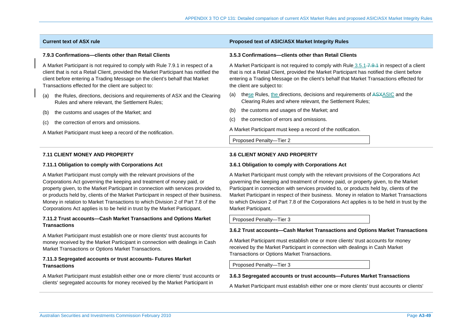#### **7.9.3 Confirmations—clients other than Retail Clients**

A Market Participant is not required to comply with Rule 7.9.1 in respect of a client that is not a Retail Client, provided the Market Participant has notified the client before entering a Trading Message on the client's behalf that Market Transactions effected for the client are subject to:

- (a) the Rules, directions, decisions and requirements of ASX and the Clearing Rules and where relevant, the Settlement Rules;
- (b) the customs and usages of the Market; and
- (c) the correction of errors and omissions.

A Market Participant must keep a record of the notification.

## **7.11 CLIENT MONEY AND PROPERTY**

#### **7.11.1 Obligation to comply with Corporations Act**

A Market Participant must comply with the relevant provisions of the Corporations Act governing the keeping and treatment of money paid, or property given, to the Market Participant in connection with services provided to, or products held by, clients of the Market Participant in respect of their business. Money in relation to Market Transactions to which Division 2 of Part 7.8 of the Corporations Act applies is to be held in trust by the Market Participant.

## **7.11.2 Trust accounts—Cash Market Transactions and Options Market Transactions**

A Market Participant must establish one or more clients' trust accounts for money received by the Market Participant in connection with dealings in Cash Market Transactions or Options Market Transactions.

## **7.11.3 Segregated accounts or trust accounts- Futures Market Transactions**

A Market Participant must establish either one or more clients' trust accounts or clients' segregated accounts for money received by the Market Participant in

## **Current text of ASX rule Proposed text of ASIC/ASX Market Integrity Rules**

#### **3.5.3 Confirmations—clients other than Retail Clients**

A Market Participant is not required to comply with Rule 3.5.1–7.9.4 in respect of a client that is not a Retail Client, provided the Market Participant has notified the client before entering a Trading Message on the client's behalf that Market Transactions effected for the client are subject to:

- (a) these Rules, the directions, decisions and requirements of ASXASIC and the Clearing Rules and where relevant, the Settlement Rules;
- (b) the customs and usages of the Market; and
- (c) the correction of errors and omissions.

A Market Participant must keep a record of the notification.

Proposed Penalty—Tier 2

### **3.6 CLIENT MONEY AND PROPERTY**

#### **3.6.1 Obligation to comply with Corporations Act**

A Market Participant must comply with the relevant provisions of the Corporations Act governing the keeping and treatment of money paid, or property given, to the Market Participant in connection with services provided to, or products held by, clients of the Market Participant in respect of their business. Money in relation to Market Transactions to which Division 2 of Part 7.8 of the Corporations Act applies is to be held in trust by the Market Participant.

Proposed Penalty—Tier 3

## **3.6.2 Trust accounts—Cash Market Transactions and Options Market Transactions**

A Market Participant must establish one or more clients' trust accounts for money received by the Market Participant in connection with dealings in Cash Market Transactions or Options Market Transactions.

Proposed Penalty—Tier 3

#### **3.6.3 Segregated accounts or trust accounts—Futures Market Transactions**

A Market Participant must establish either one or more clients' trust accounts or clients'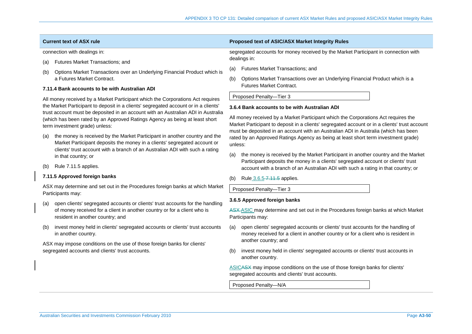connection with dealings in:

- (a) Futures Market Transactions; and
- (b) Options Market Transactions over an Underlying Financial Product which is a Futures Market Contract.

#### **7.11.4 Bank accounts to be with Australian ADI**

All money received by a Market Participant which the Corporations Act requires the Market Participant to deposit in a clients' segregated account or in a clients' trust account must be deposited in an account with an Australian ADI in Australia (which has been rated by an Approved Ratings Agency as being at least short term investment grade) unless:

- (a) the money is received by the Market Participant in another country and the Market Participant deposits the money in a clients' segregated account or clients' trust account with a branch of an Australian ADI with such a rating in that country; or
- (b) Rule 7.11.5 applies.

## **7.11.5 Approved foreign banks**

ASX may determine and set out in the Procedures foreign banks at which Market Participants may:

- (a) open clients' segregated accounts or clients' trust accounts for the handling of money received for a client in another country or for a client who is resident in another country; and
- (b) invest money held in clients' segregated accounts or clients' trust accounts in another country.

ASX may impose conditions on the use of those foreign banks for clients' segregated accounts and clients' trust accounts.

#### **Current text of ASX rule Proposed text of ASIC/ASX Market Integrity Rules**

segregated accounts for money received by the Market Participant in connection with dealings in:

- (a) Futures Market Transactions; and
- (b) Options Market Transactions over an Underlying Financial Product which is a Futures Market Contract.

Proposed Penalty—Tier 3

#### **3.6.4 Bank accounts to be with Australian ADI**

All money received by a Market Participant which the Corporations Act requires the Market Participant to deposit in a clients' segregated account or in a clients' trust account must be deposited in an account with an Australian ADI in Australia (which has been rated by an Approved Ratings Agency as being at least short term investment grade) unless:

- (a) the money is received by the Market Participant in another country and the Market Participant deposits the money in a clients' segregated account or clients' trust account with a branch of an Australian ADI with such a rating in that country; or
- (b) Rule  $3.6.5 7.11.5$  applies.

Proposed Penalty—Tier 3

#### **3.6.5 Approved foreign banks**

ASX-ASIC may determine and set out in the Procedures foreign banks at which Market Participants may:

- (a) open clients' segregated accounts or clients' trust accounts for the handling of money received for a client in another country or for a client who is resident in another country; and
- (b) invest money held in clients' segregated accounts or clients' trust accounts in another country.

ASICASX may impose conditions on the use of those foreign banks for clients' segregated accounts and clients' trust accounts.

Proposed Penalty—N/A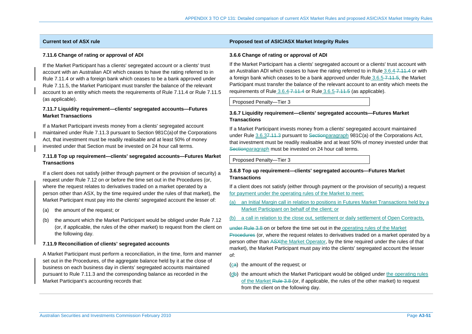### **7.11.6 Change of rating or approval of ADI**

If the Market Participant has a clients' segregated account or a clients' trust account with an Australian ADI which ceases to have the rating referred to in Rule 7.11.4 or with a foreign bank which ceases to be a bank approved under Rule 7.11.5, the Market Participant must transfer the balance of the relevant account to an entity which meets the requirements of Rule 7.11.4 or Rule 7.11.5 (as applicable).

## **7.11.7 Liquidity requirement—clients' segregated accounts—Futures Market Transactions**

If a Market Participant invests money from a clients' segregated account maintained under Rule 7.11.3 pursuant to Section 981C(a) of the Corporations Act, that investment must be readily realisable and at least 50% of money invested under that Section must be invested on 24 hour call terms.

## **7.11.8 Top up requirement—clients' segregated accounts—Futures Market Transactions**

If a client does not satisfy (either through payment or the provision of security) a request under Rule 7.12 on or before the time set out in the Procedures (or, where the request relates to derivatives traded on a market operated by a person other than ASX, by the time required under the rules of that market), the Market Participant must pay into the clients' segregated account the lesser of:

- (a) the amount of the request; or
- (b) the amount which the Market Participant would be obliged under Rule 7.12 (or, if applicable, the rules of the other market) to request from the client on the following day.

## **7.11.9 Reconciliation of clients' segregated accounts**

A Market Participant must perform a reconciliation, in the time, form and manner set out in the Procedures, of the aggregate balance held by it at the close of business on each business day in clients' segregated accounts maintained pursuant to Rule 7.11.3 and the corresponding balance as recorded in the Market Participant's accounting records that:

## **Current text of ASX rule Proposed text of ASIC/ASX Market Integrity Rules**

## **3.6.6 Change of rating or approval of ADI**

If the Market Participant has a clients' segregated account or a clients' trust account with an Australian ADI which ceases to have the rating referred to in Rule 3.6.4-7.11.4 or with a foreign bank which ceases to be a bank approved under Rule  $3.6.5 - 7.11 - 5$ , the Market Participant must transfer the balance of the relevant account to an entity which meets the requirements of Rule 3.6.4-7.11.4 or Rule 3.6.5-7.11.5 (as applicable).

Proposed Penalty—Tier 3

## **3.6.7 Liquidity requirement—clients' segregated accounts—Futures Market Transactions**

If a Market Participant invests money from a clients' segregated account maintained under Rule 3.6.37.11.3 pursuant to Sectionparagraph 981C(a) of the Corporations Act, that investment must be readily realisable and at least 50% of money invested under that Sectionparagraph must be invested on 24 hour call terms.

### Proposed Penalty—Tier 3

## **3.6.8 Top up requirement—clients' segregated accounts—Futures Market Transactions**

If a client does not satisfy (either through payment or the provision of security) a request for payment under the operating rules of the Market to meet:

- (a) an Initial Margin call in relation to positions in Futures Market Transactions held by a Market Participant on behalf of the client; or
- (b) a call in relation to the close out, settlement or daily settlement of Open Contracts,

<del>under Rule 3.8</del>-on or before the time set out in the <u>operating rules of the Market</u> Procedures (or, where the request relates to derivatives traded on a market operated by a person other than ASXthe Market Operator, by the time required under the rules of that market), the Market Participant must pay into the clients' segregated account the lesser of:

- (ca) the amount of the request; or
- (db) the amount which the Market Participant would be obliged under the operating rules of the Market Rule 3.8 (or, if applicable, the rules of the other market) to request from the client on the following day.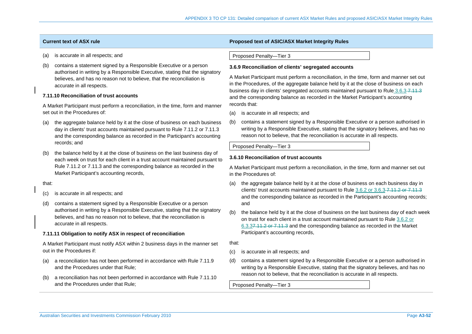| <b>Current text of ASX rule</b> | <b>Proposed text of ASIC/ASX Market Integrity Rules</b> |
|---------------------------------|---------------------------------------------------------|

- (a) is accurate in all respects; and
- (b) contains a statement signed by a Responsible Executive or a person authorised in writing by a Responsible Executive, stating that the signatory believes, and has no reason not to believe, that the reconciliation is accurate in all respects.

## **7.11.10 Reconciliation of trust accounts**

A Market Participant must perform a reconciliation, in the time, form and manner set out in the Procedures of:

- (a) the aggregate balance held by it at the close of business on each business day in clients' trust accounts maintained pursuant to Rule 7.11.2 or 7.11.3 and the corresponding balance as recorded in the Participant's accounting records; and
- (b) the balance held by it at the close of business on the last business day of each week on trust for each client in a trust account maintained pursuant to Rule 7.11.2 or 7.11.3 and the corresponding balance as recorded in the Market Participant's accounting records,

#### that:

- (c) is accurate in all respects; and
- (d) contains a statement signed by a Responsible Executive or a person authorised in writing by a Responsible Executive, stating that the signatory believes, and has no reason not to believe, that the reconciliation is accurate in all respects.

#### **7.11.11 Obligation to notify ASX in respect of reconciliation**

A Market Participant must notify ASX within 2 business days in the manner set out in the Procedures if:

- (a) a reconciliation has not been performed in accordance with Rule 7.11.9 and the Procedures under that Rule;
- (b) a reconciliation has not been performed in accordance with Rule 7.11.10 and the Procedures under that Rule;

#### Proposed Penalty—Tier 3

#### **3.6.9 Reconciliation of clients' segregated accounts**

A Market Participant must perform a reconciliation, in the time, form and manner set out in the Procedures, of the aggregate balance held by it at the close of business on each business day in clients' segregated accounts maintained pursuant to Rule 3.6.3-7.11.3 and the corresponding balance as recorded in the Market Participant's accounting records that:

- (a) is accurate in all respects; and
- (b) contains a statement signed by a Responsible Executive or a person authorised in writing by a Responsible Executive, stating that the signatory believes, and has no reason not to believe, that the reconciliation is accurate in all respects.

Proposed Penalty—Tier 3

#### **3.6.10 Reconciliation of trust accounts**

A Market Participant must perform a reconciliation, in the time, form and manner set out in the Procedures of:

- (a) the aggregate balance held by it at the close of business on each business day in clients' trust accounts maintained pursuant to Rule 3.6.2 or 3.6.3 7.11.2 or 7.11.3 and the corresponding balance as recorded in the Participant's accounting records; and
- (b) the balance held by it at the close of business on the last business day of each week on trust for each client in a trust account maintained pursuant to Rule 3.6.2 or 6.3.37.11.2 or 7.11.3 and the corresponding balance as recorded in the Market Participant's accounting records,

that:

- (c) is accurate in all respects; and
- (d) contains a statement signed by a Responsible Executive or a person authorised in writing by a Responsible Executive, stating that the signatory believes, and has no reason not to believe, that the reconciliation is accurate in all respects.

Proposed Penalty—Tier 3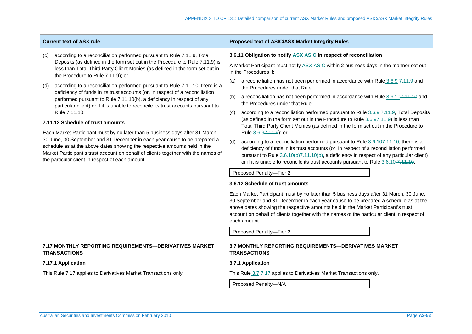- (c) according to a reconciliation performed pursuant to Rule 7.11.9, Total Deposits (as defined in the form set out in the Procedure to Rule 7.11.9) is less than Total Third Party Client Monies (as defined in the form set out in the Procedure to Rule 7.11.9); or
- (d) according to a reconciliation performed pursuant to Rule 7.11.10, there is a deficiency of funds in its trust accounts (or, in respect of a reconciliation performed pursuant to Rule 7.11.10(b), a deficiency in respect of any particular client) or if it is unable to reconcile its trust accounts pursuant to Rule 7.11.10.

#### **7.11.12 Schedule of trust amounts**

Each Market Participant must by no later than 5 business days after 31 March, 30 June, 30 September and 31 December in each year cause to be prepared a schedule as at the above dates showing the respective amounts held in the Market Participant's trust account on behalf of clients together with the names of the particular client in respect of each amount.

## **Current text of ASX rule Proposed text of ASIC/ASX Market Integrity Rules**

#### **3.6.11 Obligation to notify ASX ASIC in respect of reconciliation**

A Market Participant must notify ASX ASIC within 2 business days in the manner set out in the Procedures if:

- (a) a reconciliation has not been performed in accordance with Rule  $3.6.9 7.11.9$  and the Procedures under that Rule;
- (b) a reconciliation has not been performed in accordance with Rule 3.6.107.11.10 and the Procedures under that Rule;
- (c) according to a reconciliation performed pursuant to Rule  $3.6.9 7.11.9$ , Total Deposits (as defined in the form set out in the Procedure to Rule 3.6.97.11.9) is less than Total Third Party Client Monies (as defined in the form set out in the Procedure to Rule 3.6.97.11.9); or
- (d) according to a reconciliation performed pursuant to Rule  $3.6.107,11.10$ , there is a deficiency of funds in its trust accounts (or, in respect of a reconciliation performed pursuant to Rule  $3.6.10(b)7.11.10(b)$ , a deficiency in respect of any particular client) or if it is unable to reconcile its trust accounts pursuant to Rule 3.6.10-7.11.10.

Proposed Penalty—Tier 2

#### **3.6.12 Schedule of trust amounts**

Each Market Participant must by no later than 5 business days after 31 March, 30 June, 30 September and 31 December in each year cause to be prepared a schedule as at the above dates showing the respective amounts held in the Market Participant's trust account on behalf of clients together with the names of the particular client in respect of each amount.

Proposed Penalty—Tier 2

| 7.17 MONTHLY REPORTING REQUIREMENTS—DERIVATIVES MARKET<br><b>TRANSACTIONS</b> | 3.7 MONTHLY REPORTING REQUIREMENTS—DERIVATIVES MARKET<br><b>TRANSACTIONS</b> |
|-------------------------------------------------------------------------------|------------------------------------------------------------------------------|
| 7.17.1 Application                                                            | 3.7.1 Application                                                            |
| This Rule 7.17 applies to Derivatives Market Transactions only.               | This Rule 3.7–7.47 applies to Derivatives Market Transactions only.          |
|                                                                               | Proposed Penalty-N/A                                                         |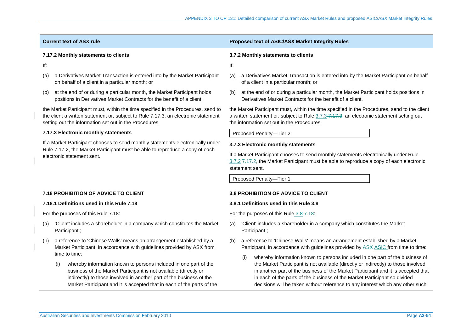|                                                                                          | <b>Current text of ASX rule</b>                                                                                                                                                                                                                                                               | Proposed text of ASIC/ASX Market Integrity Rules                                                                                                                                                                                                                                                                                                                                                                              |  |  |
|------------------------------------------------------------------------------------------|-----------------------------------------------------------------------------------------------------------------------------------------------------------------------------------------------------------------------------------------------------------------------------------------------|-------------------------------------------------------------------------------------------------------------------------------------------------------------------------------------------------------------------------------------------------------------------------------------------------------------------------------------------------------------------------------------------------------------------------------|--|--|
|                                                                                          | 7.17.2 Monthly statements to clients                                                                                                                                                                                                                                                          | 3.7.2 Monthly statements to clients                                                                                                                                                                                                                                                                                                                                                                                           |  |  |
| lf:                                                                                      |                                                                                                                                                                                                                                                                                               | If:                                                                                                                                                                                                                                                                                                                                                                                                                           |  |  |
| (a)                                                                                      | a Derivatives Market Transaction is entered into by the Market Participant<br>on behalf of a client in a particular month; or                                                                                                                                                                 | a Derivatives Market Transaction is entered into by the Market Participant on behalf<br>(a)<br>of a client in a particular month; or                                                                                                                                                                                                                                                                                          |  |  |
| (b)                                                                                      | at the end of or during a particular month, the Market Participant holds<br>positions in Derivatives Market Contracts for the benefit of a client,                                                                                                                                            | at the end of or during a particular month, the Market Participant holds positions in<br>(b)<br>Derivatives Market Contracts for the benefit of a client,                                                                                                                                                                                                                                                                     |  |  |
|                                                                                          | the Market Participant must, within the time specified in the Procedures, send to<br>the client a written statement or, subject to Rule 7.17.3, an electronic statement<br>setting out the information set out in the Procedures.                                                             | the Market Participant must, within the time specified in the Procedures, send to the client<br>a written statement or, subject to Rule 3.7.3-7.47.3, an electronic statement setting out<br>the information set out in the Procedures.                                                                                                                                                                                       |  |  |
|                                                                                          | 7.17.3 Electronic monthly statements                                                                                                                                                                                                                                                          | Proposed Penalty-Tier 2                                                                                                                                                                                                                                                                                                                                                                                                       |  |  |
|                                                                                          | If a Market Participant chooses to send monthly statements electronically under<br>Rule 7.17.2, the Market Participant must be able to reproduce a copy of each<br>electronic statement sent.                                                                                                 | 3.7.3 Electronic monthly statements<br>If a Market Participant chooses to send monthly statements electronically under Rule<br>3.7.2-7.17.2, the Market Participant must be able to reproduce a copy of each electronic<br>statement sent.<br>Proposed Penalty-Tier 1                                                                                                                                                         |  |  |
|                                                                                          |                                                                                                                                                                                                                                                                                               |                                                                                                                                                                                                                                                                                                                                                                                                                               |  |  |
| <b>7.18 PROHIBITION OF ADVICE TO CLIENT</b><br>7.18.1 Definitions used in this Rule 7.18 |                                                                                                                                                                                                                                                                                               | 3.8 PROHIBITION OF ADVICE TO CLIENT<br>3.8.1 Definitions used in this Rule 3.8                                                                                                                                                                                                                                                                                                                                                |  |  |
|                                                                                          | For the purposes of this Rule 7.18:                                                                                                                                                                                                                                                           | For the purposes of this Rule 3.8-7.18:                                                                                                                                                                                                                                                                                                                                                                                       |  |  |
| (a)                                                                                      | 'Client' includes a shareholder in a company which constitutes the Market<br>Participant.;                                                                                                                                                                                                    | 'Client' includes a shareholder in a company which constitutes the Market<br>(a)<br>Participant-;                                                                                                                                                                                                                                                                                                                             |  |  |
| (b)                                                                                      | a reference to 'Chinese Walls' means an arrangement established by a<br>Market Participant, in accordance with guidelines provided by ASX from<br>time to time:                                                                                                                               | a reference to 'Chinese Walls' means an arrangement established by a Market<br>(b)<br>Participant, in accordance with guidelines provided by ASX-ASIC from time to time:                                                                                                                                                                                                                                                      |  |  |
|                                                                                          | whereby information known to persons included in one part of the<br>(i)<br>business of the Market Participant is not available (directly or<br>indirectly) to those involved in another part of the business of the<br>Market Participant and it is accepted that in each of the parts of the | whereby information known to persons included in one part of the business of<br>(i)<br>the Market Participant is not available (directly or indirectly) to those involved<br>in another part of the business of the Market Participant and it is accepted that<br>in each of the parts of the business of the Market Participant so divided<br>decisions will be taken without reference to any interest which any other such |  |  |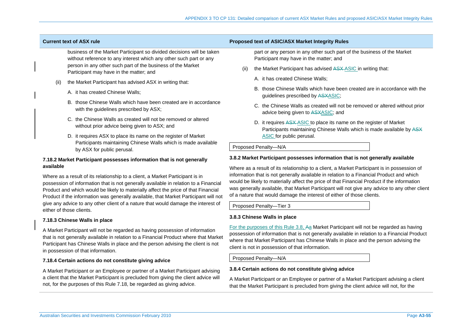business of the Market Participant so divided decisions will be taken without reference to any interest which any other such part or any person in any other such part of the business of the Market Participant may have in the matter; and

- (ii) the Market Participant has advised ASX in writing that:
	- A. it has created Chinese Walls;
	- B. those Chinese Walls which have been created are in accordance with the guidelines prescribed by ASX;
	- C. the Chinese Walls as created will not be removed or altered without prior advice being given to ASX; and
	- D. it requires ASX to place its name on the register of Market Participants maintaining Chinese Walls which is made available by ASX for public perusal.

## **7.18.2 Market Participant possesses information that is not generally available**

Where as a result of its relationship to a client, a Market Participant is in possession of information that is not generally available in relation to a Financial Product and which would be likely to materially affect the price of that Financial Product if the information was generally available, that Market Participant will not give any advice to any other client of a nature that would damage the interest of either of those clients.

## **7.18.3 Chinese Walls in place**

A Market Participant will not be regarded as having possession of information that is not generally available in relation to a Financial Product where that Market Participant has Chinese Walls in place and the person advising the client is not in possession of that information.

## **7.18.4 Certain actions do not constitute giving advice**

A Market Participant or an Employee or partner of a Market Participant advising a client that the Market Participant is precluded from giving the client advice will not, for the purposes of this Rule 7.18, be regarded as giving advice.

## **Current text of ASX rule Proposed text of ASIC/ASX Market Integrity Rules**

part or any person in any other such part of the business of the Market Participant may have in the matter; and

- the Market Participant has advised ASX-ASIC in writing that:
	- A. it has created Chinese Walls;
	- B. those Chinese Walls which have been created are in accordance with the guidelines prescribed by ASXASIC;
	- C. the Chinese Walls as created will not be removed or altered without prior advice being given to ASXASIC; and
	- D. it requires ASX-ASIC to place its name on the register of Market Participants maintaining Chinese Walls which is made available by ASX ASIC for public perusal.

## Proposed Penalty—N/A

## **3.8.2 Market Participant possesses information that is not generally available**

Where as a result of its relationship to a client, a Market Participant is in possession of information that is not generally available in relation to a Financial Product and which would be likely to materially affect the price of that Financial Product if the information was generally available, that Market Participant will not give any advice to any other client of a nature that would damage the interest of either of those clients.

Proposed Penalty—Tier 3

## **3.8.3 Chinese Walls in place**

For the purposes of this Rule 3.8, Aa Market Participant will not be regarded as having possession of information that is not generally available in relation to a Financial Product where that Market Participant has Chinese Walls in place and the person advising the client is not in possession of that information.

Proposed Penalty—N/A

## **3.8.4 Certain actions do not constitute giving advice**

A Market Participant or an Employee or partner of a Market Participant advising a client that the Market Participant is precluded from giving the client advice will not, for the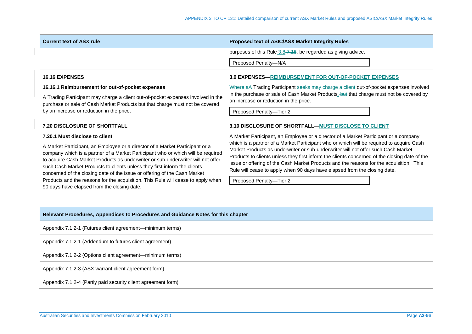| <b>Current text of ASX rule</b>                                                                                                                                                                                                                                                                                                                                                                                | Proposed text of ASIC/ASX Market Integrity Rules                                                                                                                                                                                                                                                                                                                                                                                                       |  |  |  |
|----------------------------------------------------------------------------------------------------------------------------------------------------------------------------------------------------------------------------------------------------------------------------------------------------------------------------------------------------------------------------------------------------------------|--------------------------------------------------------------------------------------------------------------------------------------------------------------------------------------------------------------------------------------------------------------------------------------------------------------------------------------------------------------------------------------------------------------------------------------------------------|--|--|--|
|                                                                                                                                                                                                                                                                                                                                                                                                                | purposes of this Rule 3.8-7.18, be regarded as giving advice.                                                                                                                                                                                                                                                                                                                                                                                          |  |  |  |
|                                                                                                                                                                                                                                                                                                                                                                                                                | Proposed Penalty-N/A                                                                                                                                                                                                                                                                                                                                                                                                                                   |  |  |  |
| <b>16.16 EXPENSES</b>                                                                                                                                                                                                                                                                                                                                                                                          | <b>3.9 EXPENSES—REIMBURSEMENT FOR OUT-OF-POCKET EXPENSES</b>                                                                                                                                                                                                                                                                                                                                                                                           |  |  |  |
| 16.16.1 Reimbursement for out-of-pocket expenses<br>A Trading Participant may charge a client out-of-pocket expenses involved in the<br>purchase or sale of Cash Market Products but that charge must not be covered<br>by an increase or reduction in the price.                                                                                                                                              | Where aA Trading Participant seeks may charge a client out-of-pocket expenses involved                                                                                                                                                                                                                                                                                                                                                                 |  |  |  |
|                                                                                                                                                                                                                                                                                                                                                                                                                | in the purchase or sale of Cash Market Products, but that charge must not be covered by<br>an increase or reduction in the price.                                                                                                                                                                                                                                                                                                                      |  |  |  |
|                                                                                                                                                                                                                                                                                                                                                                                                                | Proposed Penalty-Tier 2                                                                                                                                                                                                                                                                                                                                                                                                                                |  |  |  |
| <b>7.20 DISCLOSURE OF SHORTFALL</b>                                                                                                                                                                                                                                                                                                                                                                            | 3.10 DISCLOSURE OF SHORTFALL-MUST DISCLOSE TO CLIENT                                                                                                                                                                                                                                                                                                                                                                                                   |  |  |  |
| 7.20.1 Must disclose to client                                                                                                                                                                                                                                                                                                                                                                                 | A Market Participant, an Employee or a director of a Market Participant or a company                                                                                                                                                                                                                                                                                                                                                                   |  |  |  |
| A Market Participant, an Employee or a director of a Market Participant or a<br>company which is a partner of a Market Participant who or which will be required<br>to acquire Cash Market Products as underwriter or sub-underwriter will not offer<br>such Cash Market Products to clients unless they first inform the clients<br>concerned of the closing date of the issue or offering of the Cash Market | which is a partner of a Market Participant who or which will be required to acquire Cash<br>Market Products as underwriter or sub-underwriter will not offer such Cash Market<br>Products to clients unless they first inform the clients concerned of the closing date of the<br>issue or offering of the Cash Market Products and the reasons for the acquisition. This<br>Rule will cease to apply when 90 days have elapsed from the closing date. |  |  |  |
| Products and the reasons for the acquisition. This Rule will cease to apply when<br>90 days have elapsed from the closing date.                                                                                                                                                                                                                                                                                | Proposed Penalty-Tier 2                                                                                                                                                                                                                                                                                                                                                                                                                                |  |  |  |

Appendix 7.1.2-1 (Futures client agreement—minimum terms)

Appendix 7.1.2-1 (Addendum to futures client agreement)

Appendix 7.1.2-2 (Options client agreement—minimum terms)

Appendix 7.1.2-3 (ASX warrant client agreement form)

Appendix 7.1.2-4 (Partly paid security client agreement form)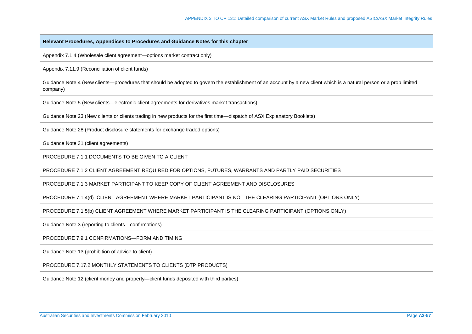Appendix 7.1.4 (Wholesale client agreement—options market contract only)

Appendix 7.11.9 (Reconciliation of client funds)

Guidance Note 4 (New clients—procedures that should be adopted to govern the establishment of an account by a new client which is a natural person or a prop limited company)

Guidance Note 5 (New clients—electronic client agreements for derivatives market transactions)

Guidance Note 23 (New clients or clients trading in new products for the first time—dispatch of ASX Explanatory Booklets)

Guidance Note 28 (Product disclosure statements for exchange traded options)

Guidance Note 31 (client agreements)

PROCEDURE 7.1.1 DOCUMENTS TO BE GIVEN TO A CLIENT

PROCEDURE 7.1.2 CLIENT AGREEMENT REQUIRED FOR OPTIONS, FUTURES, WARRANTS AND PARTLY PAID SECURITIES

PROCEDURE 7.1.3 MARKET PARTICIPANT TO KEEP COPY OF CLIENT AGREEMENT AND DISCLOSURES

PROCEDURE 7.1.4(d) CLIENT AGREEMENT WHERE MARKET PARTICIPANT IS NOT THE CLEARING PARTICIPANT (OPTIONS ONLY)

PROCEDURE 7.1.5(b) CLIENT AGREEMENT WHERE MARKET PARTICIPANT IS THE CLEARING PARTICIPANT (OPTIONS ONLY)

Guidance Note 3 (reporting to clients—confirmations)

PROCEDURE 7.9.1 CONFIRMATIONS—FORM AND TIMING

Guidance Note 13 (prohibition of advice to client)

PROCEDURE 7.17.2 MONTHLY STATEMENTS TO CLIENTS (DTP PRODUCTS)

Guidance Note 12 (client money and property—client funds deposited with third parties)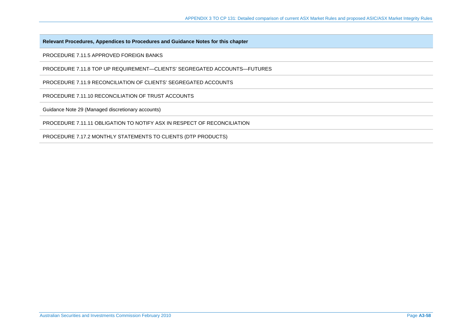PROCEDURE 7.11.5 APPROVED FOREIGN BANKS

PROCEDURE 7.11.8 TOP UP REQUIREMENT—CLIENTS' SEGREGATED ACCOUNTS—FUTURES

PROCEDURE 7.11.9 RECONCILIATION OF CLIENTS' SEGREGATED ACCOUNTS

PROCEDURE 7.11.10 RECONCILIATION OF TRUST ACCOUNTS

Guidance Note 29 (Managed discretionary accounts)

PROCEDURE 7.11.11 OBLIGATION TO NOTIFY ASX IN RESPECT OF RECONCILIATION

PROCEDURE 7.17.2 MONTHLY STATEMENTS TO CLIENTS (DTP PRODUCTS)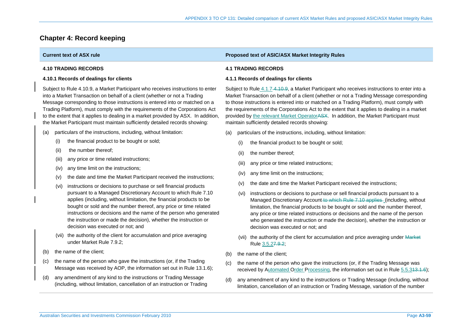# **Chapter 4: Record keeping**

|  | <b>Current text of ASX rule</b>                                                                                                                                                                                                                                                                                                                                                                                                                                                                  | <b>Proposed text of ASIC/ASX Market Integrity Rules</b>                                                                                                                                                                                                                                                                                                                                                                                                                                                                             |  |  |  |  |
|--|--------------------------------------------------------------------------------------------------------------------------------------------------------------------------------------------------------------------------------------------------------------------------------------------------------------------------------------------------------------------------------------------------------------------------------------------------------------------------------------------------|-------------------------------------------------------------------------------------------------------------------------------------------------------------------------------------------------------------------------------------------------------------------------------------------------------------------------------------------------------------------------------------------------------------------------------------------------------------------------------------------------------------------------------------|--|--|--|--|
|  | <b>4.10 TRADING RECORDS</b>                                                                                                                                                                                                                                                                                                                                                                                                                                                                      | <b>4.1 TRADING RECORDS</b>                                                                                                                                                                                                                                                                                                                                                                                                                                                                                                          |  |  |  |  |
|  | 4.10.1 Records of dealings for clients                                                                                                                                                                                                                                                                                                                                                                                                                                                           | 4.1.1 Records of dealings for clients                                                                                                                                                                                                                                                                                                                                                                                                                                                                                               |  |  |  |  |
|  | Subject to Rule 4.10.9, a Market Participant who receives instructions to enter<br>into a Market Transaction on behalf of a client (whether or not a Trading<br>Message corresponding to those instructions is entered into or matched on a<br>Trading Platform), must comply with the requirements of the Corporations Act<br>to the extent that it applies to dealing in a market provided by ASX. In addition,<br>the Market Participant must maintain sufficiently detailed records showing: | Subject to Rule 4.1.7-4.10.9, a Market Participant who receives instructions to enter into a<br>Market Transaction on behalf of a client (whether or not a Trading Message corresponding<br>to those instructions is entered into or matched on a Trading Platform), must comply with<br>the requirements of the Corporations Act to the extent that it applies to dealing in a market<br>provided by the relevant Market Operator ASX. In addition, the Market Participant must<br>maintain sufficiently detailed records showing: |  |  |  |  |
|  | particulars of the instructions, including, without limitation:<br>(a)                                                                                                                                                                                                                                                                                                                                                                                                                           | particulars of the instructions, including, without limitation:<br>(a)                                                                                                                                                                                                                                                                                                                                                                                                                                                              |  |  |  |  |
|  | the financial product to be bought or sold;<br>(i)                                                                                                                                                                                                                                                                                                                                                                                                                                               | the financial product to be bought or sold;<br>(i)                                                                                                                                                                                                                                                                                                                                                                                                                                                                                  |  |  |  |  |
|  | the number thereof;<br>(ii)                                                                                                                                                                                                                                                                                                                                                                                                                                                                      | the number thereof:<br>(ii)                                                                                                                                                                                                                                                                                                                                                                                                                                                                                                         |  |  |  |  |
|  | any price or time related instructions;<br>(iii)                                                                                                                                                                                                                                                                                                                                                                                                                                                 | any price or time related instructions;<br>(iii)                                                                                                                                                                                                                                                                                                                                                                                                                                                                                    |  |  |  |  |
|  | any time limit on the instructions;<br>(iv)                                                                                                                                                                                                                                                                                                                                                                                                                                                      | any time limit on the instructions;<br>(IV)                                                                                                                                                                                                                                                                                                                                                                                                                                                                                         |  |  |  |  |
|  | the date and time the Market Participant received the instructions;<br>(v)                                                                                                                                                                                                                                                                                                                                                                                                                       | the date and time the Market Participant received the instructions;<br>(v)                                                                                                                                                                                                                                                                                                                                                                                                                                                          |  |  |  |  |
|  | instructions or decisions to purchase or sell financial products<br>(vi)<br>pursuant to a Managed Discretionary Account to which Rule 7.10<br>applies (including, without limitation, the financial products to be<br>bought or sold and the number thereof, any price or time related<br>instructions or decisions and the name of the person who generated<br>the instruction or made the decision), whether the instruction or<br>decision was executed or not; and                           | instructions or decisions to purchase or sell financial products pursuant to a<br>(vi)<br>Managed Discretionary Account-to-which Rule 7.10 applies (including, without<br>limitation, the financial products to be bought or sold and the number thereof,<br>any price or time related instructions or decisions and the name of the person<br>who generated the instruction or made the decision), whether the instruction or<br>decision was executed or not; and                                                                 |  |  |  |  |
|  | (vii) the authority of the client for accumulation and price averaging<br>under Market Rule 7.9.2;                                                                                                                                                                                                                                                                                                                                                                                               | (vii) the authority of the client for accumulation and price averaging under Market<br>Rule 3.5.27.9.2;                                                                                                                                                                                                                                                                                                                                                                                                                             |  |  |  |  |
|  | the name of the client;<br>(b)                                                                                                                                                                                                                                                                                                                                                                                                                                                                   | the name of the client;<br>(b)                                                                                                                                                                                                                                                                                                                                                                                                                                                                                                      |  |  |  |  |
|  | the name of the person who gave the instructions (or, if the Trading<br>(C)<br>Message was received by AOP, the information set out in Rule 13.1.6);                                                                                                                                                                                                                                                                                                                                             | the name of the person who gave the instructions (or, if the Trading Message was<br>(c)<br>received by Automated Order Processing, the information set out in Rule 5.5.313.1.6);                                                                                                                                                                                                                                                                                                                                                    |  |  |  |  |
|  | any amendment of any kind to the instructions or Trading Message<br>(d)<br>(including, without limitation, cancellation of an instruction or Trading                                                                                                                                                                                                                                                                                                                                             | any amendment of any kind to the instructions or Trading Message (including, without<br>(d)<br>limitation, cancellation of an instruction or Trading Message, variation of the number                                                                                                                                                                                                                                                                                                                                               |  |  |  |  |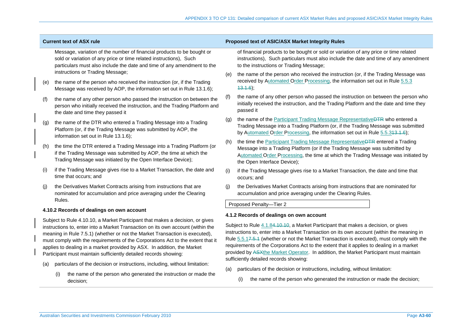| <b>Current text of ASX rule</b>           |                                                                                                                                                                                                                                                                                                                                                                                                                                                                                                                                                                  | Proposed text of ASIC/ASX Market Integrity Rules                                                                                                                                                                                                                                                                                                                                                                                                                                                                                                                                                                                                |  |  |
|-------------------------------------------|------------------------------------------------------------------------------------------------------------------------------------------------------------------------------------------------------------------------------------------------------------------------------------------------------------------------------------------------------------------------------------------------------------------------------------------------------------------------------------------------------------------------------------------------------------------|-------------------------------------------------------------------------------------------------------------------------------------------------------------------------------------------------------------------------------------------------------------------------------------------------------------------------------------------------------------------------------------------------------------------------------------------------------------------------------------------------------------------------------------------------------------------------------------------------------------------------------------------------|--|--|
|                                           | Message, variation of the number of financial products to be bought or<br>sold or variation of any price or time related instructions), Such<br>particulars must also include the date and time of any amendment to the                                                                                                                                                                                                                                                                                                                                          | of financial products to be bought or sold or variation of any price or time related<br>instructions), Such particulars must also include the date and time of any amendment<br>to the instructions or Trading Message;                                                                                                                                                                                                                                                                                                                                                                                                                         |  |  |
| (e)                                       | instructions or Trading Message;<br>the name of the person who received the instruction (or, if the Trading<br>Message was received by AOP, the information set out in Rule 13.1.6);                                                                                                                                                                                                                                                                                                                                                                             | the name of the person who received the instruction (or, if the Trading Message was<br>(e)<br>received by Automated Order Processing, the information set out in Rule 5.5.3<br>43.1.6                                                                                                                                                                                                                                                                                                                                                                                                                                                           |  |  |
| (f)                                       | the name of any other person who passed the instruction on between the<br>person who initially received the instruction, and the Trading Platform and<br>the date and time they passed it                                                                                                                                                                                                                                                                                                                                                                        | the name of any other person who passed the instruction on between the person who<br>(f)<br>initially received the instruction, and the Trading Platform and the date and time they<br>passed it                                                                                                                                                                                                                                                                                                                                                                                                                                                |  |  |
| (q)                                       | the name of the DTR who entered a Trading Message into a Trading<br>Platform (or, if the Trading Message was submitted by AOP, the<br>information set out in Rule 13.1.6);                                                                                                                                                                                                                                                                                                                                                                                       | the name of the Participant Trading Message RepresentativeDTR who entered a<br>(q)<br>Trading Message into a Trading Platform (or, if the Trading Message was submitted<br>by Automated Order Processing, the information set out in Rule 5.5.343.1.6);                                                                                                                                                                                                                                                                                                                                                                                         |  |  |
| (h)                                       | the time the DTR entered a Trading Message into a Trading Platform (or<br>if the Trading Message was submitted by AOP, the time at which the<br>Trading Message was initiated by the Open Interface Device);                                                                                                                                                                                                                                                                                                                                                     | the time the <b>Participant Trading Message Representative DTR</b> entered a Trading<br>(h)<br>Message into a Trading Platform (or if the Trading Message was submitted by<br>Automated Order Processing, the time at which the Trading Message was initiated by<br>the Open Interface Device);                                                                                                                                                                                                                                                                                                                                                 |  |  |
| (i)                                       | if the Trading Message gives rise to a Market Transaction, the date and<br>time that occurs; and                                                                                                                                                                                                                                                                                                                                                                                                                                                                 | if the Trading Message gives rise to a Market Transaction, the date and time that<br>(i)<br>occurs; and                                                                                                                                                                                                                                                                                                                                                                                                                                                                                                                                         |  |  |
| (i)                                       | the Derivatives Market Contracts arising from instructions that are<br>nominated for accumulation and price averaging under the Clearing<br>Rules.                                                                                                                                                                                                                                                                                                                                                                                                               | the Derivatives Market Contracts arising from instructions that are nominated for<br>(i)<br>accumulation and price averaging under the Clearing Rules.                                                                                                                                                                                                                                                                                                                                                                                                                                                                                          |  |  |
| 4.10.2 Records of dealings on own account |                                                                                                                                                                                                                                                                                                                                                                                                                                                                                                                                                                  | Proposed Penalty-Tier 2                                                                                                                                                                                                                                                                                                                                                                                                                                                                                                                                                                                                                         |  |  |
| (a)                                       | Subject to Rule 4.10.10, a Market Participant that makes a decision, or gives<br>instructions to, enter into a Market Transaction on its own account (within the<br>meaning in Rule 7.5.1) (whether or not the Market Transaction is executed),<br>must comply with the requirements of the Corporations Act to the extent that it<br>applies to dealing in a market provided by ASX. In addition, the Market<br>Participant must maintain sufficiently detailed records showing:<br>particulars of the decision or instructions, including, without limitation: | 4.1.2 Records of dealings on own account<br>Subject to Rule 4.1.84.10.10, a Market Participant that makes a decision, or gives<br>instructions to, enter into a Market Transaction on its own account (within the meaning in<br>Rule 5.5.17.5.4 (whether or not the Market Transaction is executed), must comply with the<br>requirements of the Corporations Act to the extent that it applies to dealing in a market<br>provided by ASXthe Market Operator. In addition, the Market Participant must maintain<br>sufficiently detailed records showing:<br>particulars of the decision or instructions, including, without limitation:<br>(a) |  |  |
|                                           | the name of the person who generated the instruction or made the<br>(i)<br>decision;                                                                                                                                                                                                                                                                                                                                                                                                                                                                             | the name of the person who generated the instruction or made the decision;<br>(i)                                                                                                                                                                                                                                                                                                                                                                                                                                                                                                                                                               |  |  |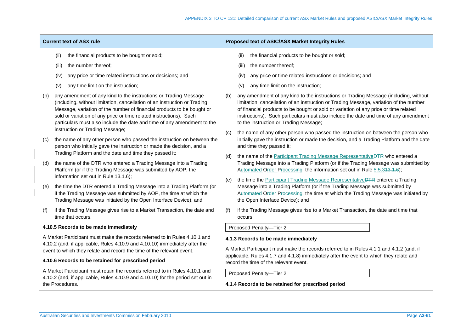- the financial products to be bought or sold;
- (iii) the number thereof;
- (iv) any price or time related instructions or decisions; and
- (v) any time limit on the instruction;
- (b) any amendment of any kind to the instructions or Trading Message (including, without limitation, cancellation of an instruction or Trading Message, variation of the number of financial products to be bought or sold or variation of any price or time related instructions). Such particulars must also include the date and time of any amendment to the instruction or Trading Message;
- (c) the name of any other person who passed the instruction on between the person who initially gave the instruction or made the decision, and a Trading Platform and the date and time they passed it;
- (d) the name of the DTR who entered a Trading Message into a Trading Platform (or if the Trading Message was submitted by AOP, the information set out in Rule 13.1.6);
- (e) the time the DTR entered a Trading Message into a Trading Platform (or if the Trading Message was submitted by AOP, the time at which the Trading Message was initiated by the Open Interface Device); and
- if the Trading Message gives rise to a Market Transaction, the date and time that occurs.

## **4.10.5 Records to be made immediately**

A Market Participant must make the records referred to in Rules 4.10.1 and 4.10.2 (and, if applicable, Rules 4.10.9 and 4.10.10) immediately after the event to which they relate and record the time of the relevant event.

## **4.10.6 Records to be retained for prescribed period**

A Market Participant must retain the records referred to in Rules 4.10.1 and 4.10.2 (and, if applicable, Rules 4.10.9 and 4.10.10) for the period set out in the Procedures.

### **Current text of ASX rule Proposed text of ASIC/ASX Market Integrity Rules**

- (ii) the financial products to be bought or sold;
- (iii) the number thereof;
- (iv) any price or time related instructions or decisions; and
- (v) any time limit on the instruction;
- (b) any amendment of any kind to the instructions or Trading Message (including, without limitation, cancellation of an instruction or Trading Message, variation of the number of financial products to be bought or sold or variation of any price or time related instructions). Such particulars must also include the date and time of any amendment to the instruction or Trading Message;
- (c) the name of any other person who passed the instruction on between the person who initially gave the instruction or made the decision, and a Trading Platform and the date and time they passed it;
- (d) the name of the Participant Trading Message RepresentativeDTR who entered a Trading Message into a Trading Platform (or if the Trading Message was submitted by Automated Order Processing, the information set out in Rule 5.5.313.1.6);
- (e) the time the Participant Trading Message RepresentativeDTR entered a Trading Message into a Trading Platform (or if the Trading Message was submitted by Automated Order Processing, the time at which the Trading Message was initiated by the Open Interface Device); and
- (f) if the Trading Message gives rise to a Market Transaction, the date and time that occurs.

Proposed Penalty—Tier 2

## **4.1.3 Records to be made immediately**

A Market Participant must make the records referred to in Rules 4.1.1 and 4.1.2 (and, if applicable, Rules 4.1.7 and 4.1.8) immediately after the event to which they relate and record the time of the relevant event.

Proposed Penalty—Tier 2

**4.1.4 Records to be retained for prescribed period**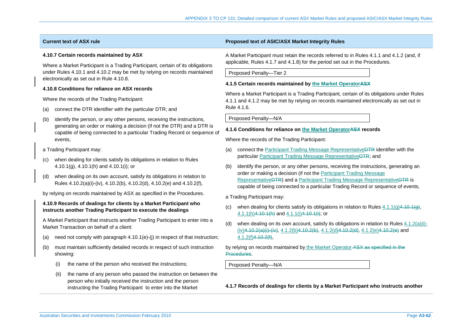### **4.10.7 Certain records maintained by ASX**

Where a Market Participant is a Trading Participant, certain of its obligations under Rules 4.10.1 and 4.10.2 may be met by relying on records maintained electronically as set out in Rule 4.10.8.

## **4.10.8 Conditions for reliance on ASX records**

Where the records of the Trading Participant:

- (a) connect the DTR identifier with the particular DTR; and
- (b) identify the person, or any other persons, receiving the instructions, generating an order or making a decision (if not the DTR) and a DTR is capable of being connected to a particular Trading Record or sequence of events,
- a Trading Participant may:
- (c) when dealing for clients satisfy its obligations in relation to Rules 4.10.1(g), 4.10.1(h) and 4.10.1(i); or
- (d) when dealing on its own account, satisfy its obligations in relation to Rules 4.10.2(a)(i)-(iv), 4.10.2(b), 4.10.2(d), 4.10.2(e) and 4.10.2(f),

by relying on records maintained by ASX as specified in the Procedures.

## **4.10.9 Records of dealings for clients by a Market Participant who instructs another Trading Participant to execute the dealings**

A Market Participant that instructs another Trading Participant to enter into a Market Transaction on behalf of a client:

- (a) need not comply with paragraph  $4.10.1(e)$ -(j) in respect of that instruction;
- (b) must maintain sufficiently detailed records in respect of such instruction showing:
	- (i) the name of the person who received the instructions;
	- (ii) the name of any person who passed the instruction on between the person who initially received the instruction and the person instructing the Trading Participant to enter into the Market

## **Current text of ASX rule Proposed text of ASIC/ASX Market Integrity Rules**

A Market Participant must retain the records referred to in Rules 4.1.1 and 4.1.2 (and, if applicable, Rules 4.1.7 and 4.1.8) for the period set out in the Procedures.

Proposed Penalty—Tier 2

## **4.1.5 Certain records maintained by the Market OperatorASX**

Where a Market Participant is a Trading Participant, certain of its obligations under Rules 4.1.1 and 4.1.2 may be met by relying on records maintained electronically as set out in Rule 4.1.6.

Proposed Penalty—N/A

#### **4.1.6 Conditions for reliance on the Market OperatorASX records**

Where the records of the Trading Participant:

- (a) connect the Participant Trading Message RepresentativeDTR identifier with the particular Participant Trading Message RepresentativeDTR; and
- (b) identify the person, or any other persons, receiving the instructions, generating an order or making a decision (if not the Participant Trading Message RepresentativeDTR) and a Participant Trading Message RepresentativeDTR is capable of being connected to a particular Trading Record or sequence of events,

a Trading Participant may:

- (c) when dealing for clients satisfy its obligations in relation to Rules  $4.1.1(q)4.10.1(q)$ ,  $4.1.1(h)4.10.1(h)$  and  $4.1.1(i)4.10.1(i)$ ; or
- when dealing on its own account, satisfy its obligations in relation to Rules  $4.1.2(a)(i)$ - $(iv)4.10.2(a)(i)-(iv), 4.1.2(b)4.10.2(b), 4.1.2(d)4.10.2(d), 4.1.2(e)4.10.2(e)$  and 4.1.2(f)4.10.2(f),

## by relying on records maintained by the Market Operator ASX as specified in the Procedures.

Proposed Penalty—N/A

**4.1.7 Records of dealings for clients by a Market Participant who instructs another**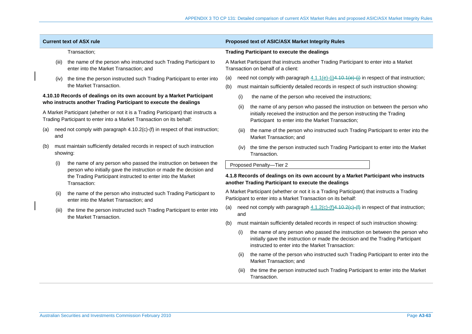| <b>Current text of ASX rule</b> |              |                                                                                                                                                             |                                                                                                                                           | Proposed text of ASIC/ASX Market Integrity Rules                                                             |                                                                                                                                                                                                                    |  |
|---------------------------------|--------------|-------------------------------------------------------------------------------------------------------------------------------------------------------------|-------------------------------------------------------------------------------------------------------------------------------------------|--------------------------------------------------------------------------------------------------------------|--------------------------------------------------------------------------------------------------------------------------------------------------------------------------------------------------------------------|--|
|                                 | Transaction; |                                                                                                                                                             |                                                                                                                                           | <b>Trading Participant to execute the dealings</b>                                                           |                                                                                                                                                                                                                    |  |
|                                 | (iii)        | the name of the person who instructed such Trading Participant to<br>enter into the Market Transaction; and                                                 |                                                                                                                                           |                                                                                                              | A Market Participant that instructs another Trading Participant to enter into a Market<br>Transaction on behalf of a client:                                                                                       |  |
|                                 | (iv)         | the time the person instructed such Trading Participant to enter into                                                                                       | (a)                                                                                                                                       |                                                                                                              | need not comply with paragraph $4.1.1(e)$ -(i) $4.10.1(e)$ -(i) in respect of that instruction;                                                                                                                    |  |
|                                 |              | the Market Transaction.                                                                                                                                     | (b)                                                                                                                                       |                                                                                                              | must maintain sufficiently detailed records in respect of such instruction showing:                                                                                                                                |  |
|                                 |              | 4.10.10 Records of dealings on its own account by a Market Participant<br>who instructs another Trading Participant to execute the dealings                 |                                                                                                                                           | (i)                                                                                                          | the name of the person who received the instructions;                                                                                                                                                              |  |
|                                 |              | A Market Participant (whether or not it is a Trading Participant) that instructs a<br>Trading Participant to enter into a Market Transaction on its behalf: |                                                                                                                                           | (ii)                                                                                                         | the name of any person who passed the instruction on between the person who<br>initially received the instruction and the person instructing the Trading<br>Participant to enter into the Market Transaction;      |  |
| (a)                             | and          | need not comply with paragraph 4.10.2(c)-(f) in respect of that instruction;                                                                                |                                                                                                                                           | (iii)                                                                                                        | the name of the person who instructed such Trading Participant to enter into the<br>Market Transaction; and                                                                                                        |  |
| (b)                             |              | must maintain sufficiently detailed records in respect of such instruction<br>showing:                                                                      |                                                                                                                                           | (iv)                                                                                                         | the time the person instructed such Trading Participant to enter into the Market<br>Transaction.                                                                                                                   |  |
|                                 | (i)          | the name of any person who passed the instruction on between the                                                                                            |                                                                                                                                           | Proposed Penalty-Tier 2                                                                                      |                                                                                                                                                                                                                    |  |
|                                 |              | person who initially gave the instruction or made the decision and<br>the Trading Participant instructed to enter into the Market<br>Transaction:           | 4.1.8 Records of dealings on its own account by a Market Participant who instructs<br>another Trading Participant to execute the dealings |                                                                                                              |                                                                                                                                                                                                                    |  |
|                                 | (ii)         | the name of the person who instructed such Trading Participant to<br>enter into the Market Transaction; and                                                 | Participant to enter into a Market Transaction on its behalf:                                                                             |                                                                                                              | A Market Participant (whether or not it is a Trading Participant) that instructs a Trading                                                                                                                         |  |
|                                 | (iii)        | the time the person instructed such Trading Participant to enter into<br>the Market Transaction.                                                            | (a)                                                                                                                                       | need not comply with paragraph $4.1.2(c)$ - $(f)$ $4.10.2(e)$ - $(f)$ in respect of that instruction;<br>and |                                                                                                                                                                                                                    |  |
|                                 |              |                                                                                                                                                             | (b)                                                                                                                                       |                                                                                                              | must maintain sufficiently detailed records in respect of such instruction showing:                                                                                                                                |  |
|                                 |              |                                                                                                                                                             |                                                                                                                                           | (i)                                                                                                          | the name of any person who passed the instruction on between the person who<br>initially gave the instruction or made the decision and the Trading Participant<br>instructed to enter into the Market Transaction: |  |
|                                 |              |                                                                                                                                                             |                                                                                                                                           | (ii)                                                                                                         | the name of the person who instructed such Trading Participant to enter into the<br>Market Transaction; and                                                                                                        |  |
|                                 |              |                                                                                                                                                             |                                                                                                                                           | (iii)                                                                                                        | the time the person instructed such Trading Participant to enter into the Market<br>Transaction.                                                                                                                   |  |
|                                 |              |                                                                                                                                                             |                                                                                                                                           |                                                                                                              |                                                                                                                                                                                                                    |  |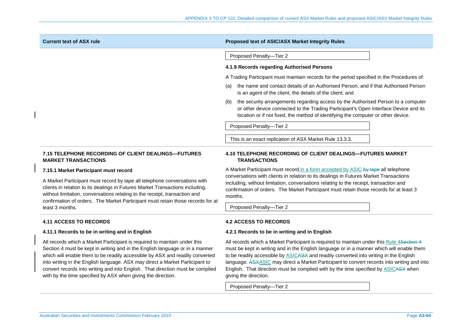| <b>Current text of ASX rule</b>                                                                                                                                                                                                                                                                                             | Proposed text of ASIC/ASX Market Integrity Rules                                                                                                                                                                                                                                     |  |  |
|-----------------------------------------------------------------------------------------------------------------------------------------------------------------------------------------------------------------------------------------------------------------------------------------------------------------------------|--------------------------------------------------------------------------------------------------------------------------------------------------------------------------------------------------------------------------------------------------------------------------------------|--|--|
|                                                                                                                                                                                                                                                                                                                             | Proposed Penalty-Tier 2                                                                                                                                                                                                                                                              |  |  |
|                                                                                                                                                                                                                                                                                                                             | 4.1.9 Records regarding Authorised Persons                                                                                                                                                                                                                                           |  |  |
|                                                                                                                                                                                                                                                                                                                             | A Trading Participant must maintain records for the period specified in the Procedures of:                                                                                                                                                                                           |  |  |
|                                                                                                                                                                                                                                                                                                                             | the name and contact details of an Authorised Person, and if that Authorised Person<br>(a)<br>is an agent of the client, the details of the client; and                                                                                                                              |  |  |
|                                                                                                                                                                                                                                                                                                                             | the security arrangements regarding access by the Authorised Person to a computer<br>(b)<br>or other device connected to the Trading Participant's Open Interface Device and its<br>location or if not fixed, the method of identifying the computer or other device.                |  |  |
|                                                                                                                                                                                                                                                                                                                             | Proposed Penalty-Tier 2                                                                                                                                                                                                                                                              |  |  |
|                                                                                                                                                                                                                                                                                                                             | This is an exact replication of ASX Market Rule 13.3.3.                                                                                                                                                                                                                              |  |  |
| 7.15 TELEPHONE RECORDING OF CLIENT DEALINGS—FUTURES<br><b>MARKET TRANSACTIONS</b>                                                                                                                                                                                                                                           | 4.10 TELEPHONE RECORDING OF CLIENT DEALINGS-FUTURES MARKET<br><b>TRANSACTIONS</b>                                                                                                                                                                                                    |  |  |
| 7.15.1 Market Participant must record                                                                                                                                                                                                                                                                                       | A Market Participant must record in a form accepted by ASIC-by tape all telephone                                                                                                                                                                                                    |  |  |
| A Market Participant must record by tape all telephone conversations with<br>clients in relation to its dealings in Futures Market Transactions including,<br>without limitation, conversations relating to the receipt, transaction and<br>confirmation of orders. The Market Participant must retain those records for at | conversations with clients in relation to its dealings in Futures Market Transactions<br>including, without limitation, conversations relating to the receipt, transaction and<br>confirmation of orders. The Market Participant must retain those records for at least 3<br>months. |  |  |
| least 3 months.                                                                                                                                                                                                                                                                                                             | Proposed Penalty-Tier 2                                                                                                                                                                                                                                                              |  |  |
| <b>4.11 ACCESS TO RECORDS</b>                                                                                                                                                                                                                                                                                               | <b>4.2 ACCESS TO RECORDS</b>                                                                                                                                                                                                                                                         |  |  |
| 4.11.1 Records to be in writing and in English                                                                                                                                                                                                                                                                              | 4.2.1 Records to be in writing and in English                                                                                                                                                                                                                                        |  |  |
| All records which a Market Participant is required to maintain under this<br>Section 4 must be kent in writing and in the English language or in a manner                                                                                                                                                                   | All records which a Market Participant is required to maintain under this Rule 4Section 4<br>must be kept in writing and in the English language or in a manner which will enable them                                                                                               |  |  |

Section 4 must be kept in writing and in the English language or in a manner which will enable them to be readily accessible by ASX and readily converted into writing in the English language. ASX may direct a Market Participant to convert records into writing and into English. That direction must be complied with by the time specified by ASX when giving the direction.

must be kept in writing and in the English language or in a manner which will enable them to be readily accessible by ASICASX and readily converted into writing in the English language. ASXASIC may direct a Market Participant to convert records into writing and into English. That direction must be complied with by the time specified by **ASICASX** when giving the direction.

Proposed Penalty—Tier 2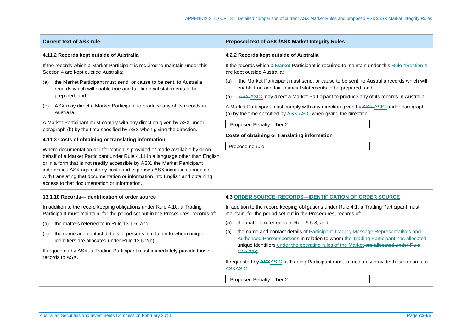### **4.11.2 Records kept outside of Australia**

If the records which a Market Participant is required to maintain under this Section 4 are kept outside Australia:

- (a) the Market Participant must send, or cause to be sent, to Australia records which will enable true and fair financial statements to be prepared; and
- (b) ASX may direct a Market Participant to produce any of its records in Australia.

A Market Participant must comply with any direction given by ASX under paragraph (b) by the time specified by ASX when giving the direction.

### **4.11.3 Costs of obtaining or translating information**

Where documentation or information is provided or made available by or on behalf of a Market Participant under Rule 4.11 in a language other than English or in a form that is not readily accessible by ASX, the Market Participant indemnifies ASX against any costs and expenses ASX incurs in connection with translating that documentation or information into English and obtaining access to that documentation or information.

## **13.1.10 Records—identification of order source**

In addition to the record keeping obligations under Rule 4.10, a Trading Participant must maintain, for the period set out in the Procedures, records of:

- (a) the matters referred to in Rule 13.1.6; and
- (b) the name and contact details of persons in relation to whom unique identifiers are allocated under Rule 12.5.2(b).

If requested by ASX, a Trading Participant must immediately provide those records to ASX.

### **Current text of ASX rule Proposed text of ASIC/ASX Market Integrity Rules**

#### **4.2.2 Records kept outside of Australia**

If the records which a Market Participant is required to maintain under this Rule 4Section 4 are kept outside Australia:

- (a) the Market Participant must send, or cause to be sent, to Australia records which will enable true and fair financial statements to be prepared; and
- (b) ASX ASIC may direct a Market Participant to produce any of its records in Australia.

A Market Participant must comply with any direction given by ASX ASIC under paragraph (b) by the time specified by ASX ASIC when giving the direction.

Proposed Penalty—Tier 2

#### **Costs of obtaining or translating information**

Propose no rule

#### **4.3 ORDER SOURCE: RECORDS—IDENTIFICATION OF ORDER SOURCE**

In addition to the record keeping obligations under Rule 4.1, a Trading Participant must maintain, for the period set out in the Procedures, records of:

- (a) the matters referred to in Rule 5.5.3; and
- (b) the name and contact details of Participant Trading Message Representatives and Authorised Personspersons in relation to whom the Trading Participant has allocated unique identifiers under the operating rules of the Market are allocated under Rule  $42.5.2(b)$ .

If requested by ASXASIC, a Trading Participant must immediately provide those records to ASXASIC.

Proposed Penalty—Tier 2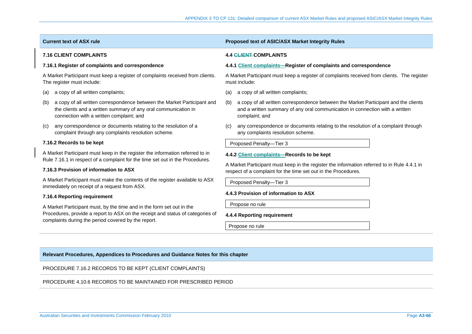| <b>Current text of ASX rule</b>                                                                                                                                                              | <b>Proposed text of ASIC/ASX Market Integrity Rules</b>                                                                                                                                      |  |  |  |
|----------------------------------------------------------------------------------------------------------------------------------------------------------------------------------------------|----------------------------------------------------------------------------------------------------------------------------------------------------------------------------------------------|--|--|--|
| <b>7.16 CLIENT COMPLAINTS</b>                                                                                                                                                                | <b>4.4 CLIENT-COMPLAINTS</b>                                                                                                                                                                 |  |  |  |
| 7.16.1 Register of complaints and correspondence                                                                                                                                             | 4.4.1 Client complaints—Register of complaints and correspondence                                                                                                                            |  |  |  |
| A Market Participant must keep a register of complaints received from clients.<br>The register must include:                                                                                 | A Market Participant must keep a register of complaints received from clients. The register<br>must include:                                                                                 |  |  |  |
| a copy of all written complaints;<br>(a)                                                                                                                                                     | a copy of all written complaints;<br>(a)                                                                                                                                                     |  |  |  |
| a copy of all written correspondence between the Market Participant and<br>(b)<br>the clients and a written summary of any oral communication in<br>connection with a written complaint; and | a copy of all written correspondence between the Market Participant and the clients<br>(b)<br>and a written summary of any oral communication in connection with a written<br>complaint; and |  |  |  |
| any correspondence or documents relating to the resolution of a<br>(c)<br>complaint through any complaints resolution scheme.                                                                | any correspondence or documents relating to the resolution of a complaint through<br>(c)<br>any complaints resolution scheme.                                                                |  |  |  |
| 7.16.2 Records to be kept                                                                                                                                                                    | Proposed Penalty-Tier 3                                                                                                                                                                      |  |  |  |
| A Market Participant must keep in the register the information referred to in<br>Rule 7.16.1 in respect of a complaint for the time set out in the Procedures.                               | 4.4.2 Client complaints-Records to be kept                                                                                                                                                   |  |  |  |
| 7.16.3 Provision of information to ASX                                                                                                                                                       | A Market Participant must keep in the register the information referred to in Rule 4.4.1 in<br>respect of a complaint for the time set out in the Procedures.                                |  |  |  |
| A Market Participant must make the contents of the register available to ASX<br>immediately on receipt of a request from ASX.                                                                | Proposed Penalty-Tier 3                                                                                                                                                                      |  |  |  |
| 7.16.4 Reporting requirement                                                                                                                                                                 | 4.4.3 Provision of information to ASX                                                                                                                                                        |  |  |  |
| A Market Participant must, by the time and in the form set out in the                                                                                                                        | Propose no rule                                                                                                                                                                              |  |  |  |
| Procedures, provide a report to ASX on the receipt and status of categories of<br>complaints during the period covered by the report.                                                        | 4.4.4 Reporting requirement                                                                                                                                                                  |  |  |  |

Propose no rule

## **Relevant Procedures, Appendices to Procedures and Guidance Notes for this chapter**

PROCEDURE 7.16.2 RECORDS TO BE KEPT (CLIENT COMPLAINTS)

PROCEDURE 4.10.6 RECORDS TO BE MAINTAINED FOR PRESCRIBED PERIOD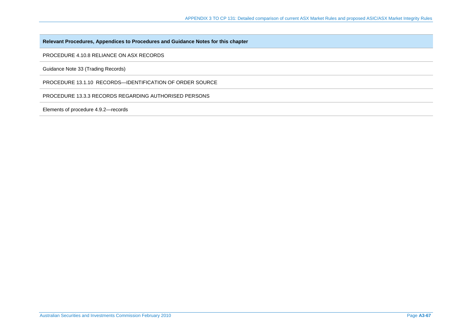PROCEDURE 4.10.8 RELIANCE ON ASX RECORDS

Guidance Note 33 (Trading Records)

PROCEDURE 13.1.10 RECORDS—IDENTIFICATION OF ORDER SOURCE

PROCEDURE 13.3.3 RECORDS REGARDING AUTHORISED PERSONS

Elements of procedure 4.9.2—records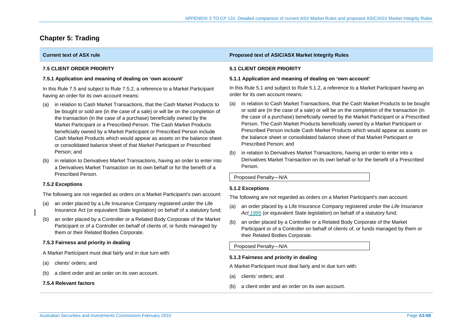# **Chapter 5: Trading**

## **7.5 CLIENT ORDER PRIORITY**

## **7.5.1 Application and meaning of dealing on 'own account'**

In this Rule 7.5 and subject to Rule 7.5.2, a reference to a Market Participant having an order for its own account means:

- (a) in relation to Cash Market Transactions, that the Cash Market Products to be bought or sold are (in the case of a sale) or will be on the completion of the transaction (in the case of a purchase) beneficially owned by the Market Participant or a Prescribed Person. The Cash Market Products beneficially owned by a Market Participant or Prescribed Person include Cash Market Products which would appear as assets on the balance sheet or consolidated balance sheet of that Market Participant or Prescribed Person; and
- (b) in relation to Derivatives Market Transactions, having an order to enter into a Derivatives Market Transaction on its own behalf or for the benefit of a Prescribed Person.

## **7.5.2 Exceptions**

The following are not regarded as orders on a Market Participant's own account:

- (a) an order placed by a Life Insurance Company registered under the Life Insurance Act (or equivalent State legislation) on behalf of a statutory fund;
- (b) an order placed by a Controller or a Related Body Corporate of the Market Participant or of a Controller on behalf of clients of, or funds managed by them or their Related Bodies Corporate.

## **7.5.3 Fairness and priority in dealing**

A Market Participant must deal fairly and in due turn with:

- (a) clients' orders; and
- (b) a client order and an order on its own account.

## **7.5.4 Relevant factors**

## **Current text of ASX rule Proposed text of ASIC/ASX Market Integrity Rules**

## **5.1 CLIENT ORDER PRIORITY**

## **5.1.1 Application and meaning of dealing on 'own account'**

In this Rule 5.1 and subject to Rule 5.1.2, a reference to a Market Participant having an order for its own account means:

- (a) in relation to Cash Market Transactions, that the Cash Market Products to be bought or sold are (in the case of a sale) or will be on the completion of the transaction (in the case of a purchase) beneficially owned by the Market Participant or a Prescribed Person. The Cash Market Products beneficially owned by a Market Participant or Prescribed Person include Cash Market Products which would appear as assets on the balance sheet or consolidated balance sheet of that Market Participant or Prescribed Person; and
- (b) in relation to Derivatives Market Transactions, having an order to enter into a Derivatives Market Transaction on its own behalf or for the benefit of a Prescribed Person.

Proposed Penalty—N/A

## **5.1.2 Exceptions**

The following are not regarded as orders on a Market Participant's own account:

- (a) an order placed by a Life Insurance Company registered under the *Life Insurance Act 1995* (or equivalent State legislation) on behalf of a statutory fund;
- (b) an order placed by a Controller or a Related Body Corporate of the Market Participant or of a Controller on behalf of clients of, or funds managed by them or their Related Bodies Corporate.

Proposed Penalty—N/A

## **5.1.3 Fairness and priority in dealing**

A Market Participant must deal fairly and in due turn with:

- (a) clients' orders; and
- (b) a client order and an order on its own account.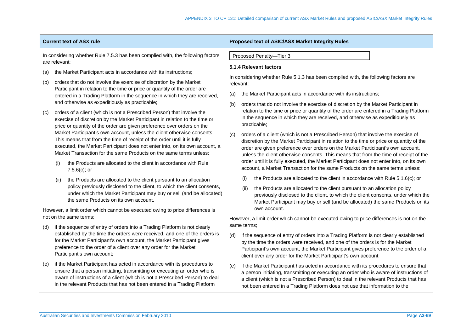In considering whether Rule 7.5.3 has been complied with, the following factors are relevant:

- (a) the Market Participant acts in accordance with its instructions;
- (b) orders that do not involve the exercise of discretion by the Market Participant in relation to the time or price or quantity of the order are entered in a Trading Platform in the sequence in which they are received, and otherwise as expeditiously as practicable;
- (c) orders of a client (which is not a Prescribed Person) that involve the exercise of discretion by the Market Participant in relation to the time or price or quantity of the order are given preference over orders on the Market Participant's own account, unless the client otherwise consents. This means that from the time of receipt of the order until it is fully executed, the Market Participant does not enter into, on its own account, a Market Transaction for the same Products on the same terms unless:
	- (i) the Products are allocated to the client in accordance with Rule 7.5.6(c); or
	- the Products are allocated to the client pursuant to an allocation policy previously disclosed to the client, to which the client consents, under which the Market Participant may buy or sell (and be allocated) the same Products on its own account.

However, a limit order which cannot be executed owing to price differences is not on the same terms;

- (d) if the sequence of entry of orders into a Trading Platform is not clearly established by the time the orders were received, and one of the orders is for the Market Participant's own account, the Market Participant gives preference to the order of a client over any order for the Market Participant's own account;
- (e) if the Market Participant has acted in accordance with its procedures to ensure that a person initiating, transmitting or executing an order who is aware of instructions of a client (which is not a Prescribed Person) to deal in the relevant Products that has not been entered in a Trading Platform

### **Current text of ASX rule Proposed text of ASIC/ASX Market Integrity Rules**

Proposed Penalty—Tier 3

### **5.1.4 Relevant factors**

In considering whether Rule 5.1.3 has been complied with, the following factors are relevant:

- (a) the Market Participant acts in accordance with its instructions;
- (b) orders that do not involve the exercise of discretion by the Market Participant in relation to the time or price or quantity of the order are entered in a Trading Platform in the sequence in which they are received, and otherwise as expeditiously as practicable;
- (c) orders of a client (which is not a Prescribed Person) that involve the exercise of discretion by the Market Participant in relation to the time or price or quantity of the order are given preference over orders on the Market Participant's own account, unless the client otherwise consents. This means that from the time of receipt of the order until it is fully executed, the Market Participant does not enter into, on its own account, a Market Transaction for the same Products on the same terms unless:
	- (i) the Products are allocated to the client in accordance with Rule  $5.1.6(c)$ ; or
	- (ii) the Products are allocated to the client pursuant to an allocation policy previously disclosed to the client, to which the client consents, under which the Market Participant may buy or sell (and be allocated) the same Products on its own account.

However, a limit order which cannot be executed owing to price differences is not on the same terms;

- (d) if the sequence of entry of orders into a Trading Platform is not clearly established by the time the orders were received, and one of the orders is for the Market Participant's own account, the Market Participant gives preference to the order of a client over any order for the Market Participant's own account;
- (e) if the Market Participant has acted in accordance with its procedures to ensure that a person initiating, transmitting or executing an order who is aware of instructions of a client (which is not a Prescribed Person) to deal in the relevant Products that has not been entered in a Trading Platform does not use that information to the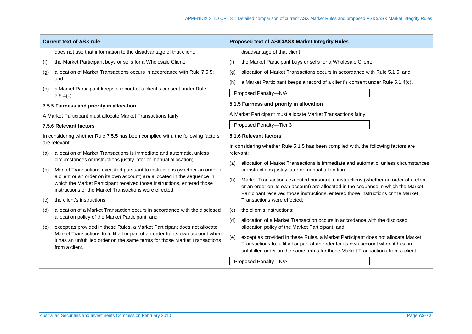does not use that information to the disadvantage of that client;

- (f) the Market Participant buys or sells for a Wholesale Client;
- (g) allocation of Market Transactions occurs in accordance with Rule 7.5.5; and
- (h) a Market Participant keeps a record of a client's consent under Rule 7.5.4(c).

### **7.5.5 Fairness and priority in allocation**

A Market Participant must allocate Market Transactions fairly.

#### **7.5.6 Relevant factors**

In considering whether Rule 7.5.5 has been complied with, the following factors are relevant:

- (a) allocation of Market Transactions is immediate and automatic, unless circumstances or instructions justify later or manual allocation;
- (b) Market Transactions executed pursuant to instructions (whether an order of a client or an order on its own account) are allocated in the sequence in which the Market Participant received those instructions, entered those instructions or the Market Transactions were effected;
- (c) the client's instructions;
- (d) allocation of a Market Transaction occurs in accordance with the disclosed allocation policy of the Market Participant; and
- (e) except as provided in these Rules, a Market Participant does not allocate Market Transactions to fulfil all or part of an order for its own account when it has an unfulfilled order on the same terms for those Market Transactions from a client.

## **Current text of ASX rule Proposed text of ASIC/ASX Market Integrity Rules**

disadvantage of that client;

- (f) the Market Participant buys or sells for a Wholesale Client;
- (g) allocation of Market Transactions occurs in accordance with Rule 5.1.5; and
- (h) a Market Participant keeps a record of a client's consent under Rule 5.1.4(c).

Proposed Penalty—N/A

### **5.1.5 Fairness and priority in allocation**

A Market Participant must allocate Market Transactions fairly.

Proposed Penalty—Tier 3

#### **5.1.6 Relevant factors**

In considering whether Rule 5.1.5 has been complied with, the following factors are relevant:

- (a) allocation of Market Transactions is immediate and automatic, unless circumstances or instructions justify later or manual allocation;
- (b) Market Transactions executed pursuant to instructions (whether an order of a client or an order on its own account) are allocated in the sequence in which the Market Participant received those instructions, entered those instructions or the Market Transactions were effected;
- (c) the client's instructions;
- (d) allocation of a Market Transaction occurs in accordance with the disclosed allocation policy of the Market Participant; and
- (e) except as provided in these Rules, a Market Participant does not allocate Market Transactions to fulfil all or part of an order for its own account when it has an unfulfilled order on the same terms for those Market Transactions from a client.

Proposed Penalty—N/A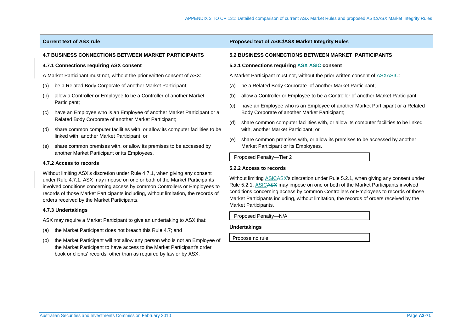## **4.7 BUSINESS CONNECTIONS BETWEEN MARKET PARTICIPANTS**

#### **4.7.1 Connections requiring ASX consent**

A Market Participant must not, without the prior written consent of ASX:

- (a) be a Related Body Corporate of another Market Participant;
- (b) allow a Controller or Employee to be a Controller of another Market Participant;
- (c) have an Employee who is an Employee of another Market Participant or a Related Body Corporate of another Market Participant;
- (d) share common computer facilities with, or allow its computer facilities to be linked with, another Market Participant; or
- (e) share common premises with, or allow its premises to be accessed by another Market Participant or its Employees.

#### **4.7.2 Access to records**

Without limiting ASX's discretion under Rule 4.7.1, when giving any consent under Rule 4.7.1, ASX may impose on one or both of the Market Participants involved conditions concerning access by common Controllers or Employees to records of those Market Participants including, without limitation, the records of orders received by the Market Participants.

#### **4.7.3 Undertakings**

ASX may require a Market Participant to give an undertaking to ASX that:

- (a) the Market Participant does not breach this Rule 4.7; and
- (b) the Market Participant will not allow any person who is not an Employee of the Market Participant to have access to the Market Participant's order book or clients' records, other than as required by law or by ASX.

### **Current text of ASX rule Proposed text of ASIC/ASX Market Integrity Rules**

#### **5.2 BUSINESS CONNECTIONS BETWEEN MARKET PARTICIPANTS**

#### **5.2.1 Connections requiring ASX ASIC consent**

A Market Participant must not, without the prior written consent of ASXASIC:

- (a) be a Related Body Corporate of another Market Participant;
- (b) allow a Controller or Employee to be a Controller of another Market Participant;
- (c) have an Employee who is an Employee of another Market Participant or a Related Body Corporate of another Market Participant;
- (d) share common computer facilities with, or allow its computer facilities to be linked with, another Market Participant; or
- (e) share common premises with, or allow its premises to be accessed by another Market Participant or its Employees.

Proposed Penalty—Tier 2

#### **5.2.2 Access to records**

Without limiting ASICASX's discretion under Rule 5.2.1, when giving any consent under Rule 5.2.1, ASICASX may impose on one or both of the Market Participants involved conditions concerning access by common Controllers or Employees to records of those Market Participants including, without limitation, the records of orders received by the Market Participants.

Proposed Penalty—N/A

#### **Undertakings**

Propose no rule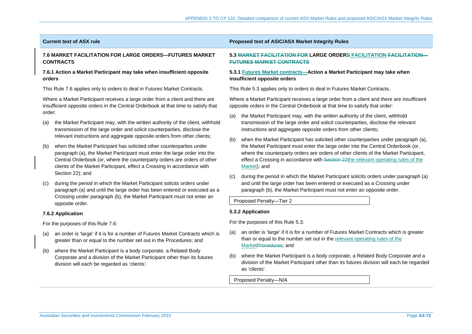### **Current text of ASX rule Proposed text of ASIC/ASX Market Integrity Rules**

### **7.6 MARKET FACILITATION FOR LARGE ORDERS—FUTURES MARKET CONTRACTS**

## **7.6.1 Action a Market Participant may take when insufficient opposite orders**

This Rule 7.6 applies only to orders to deal in Futures Market Contracts.

Where a Market Participant receives a large order from a client and there are insufficient opposite orders in the Central Orderbook at that time to satisfy that order:

- (a) the Market Participant may, with the written authority of the client, withhold transmission of the large order and solicit counterparties, disclose the relevant instructions and aggregate opposite orders from other clients;
- (b) when the Market Participant has solicited other counterparties under paragraph (a), the Market Participant must enter the large order into the Central Orderbook (or, where the counterparty orders are orders of other clients of the Market Participant, effect a Crossing in accordance with Section 22); and
- during the period in which the Market Participant solicits orders under paragraph (a) and until the large order has been entered or executed as a Crossing under paragraph (b), the Market Participant must not enter an opposite order.

## **7.6.2 Application**

For the purposes of this Rule 7.6:

- (a) an order is 'large' if it is for a number of Futures Market Contracts which is greater than or equal to the number set out in the Procedures; and
- (b) where the Market Participant is a body corporate, a Related Body Corporate and a division of the Market Participant other than its futures division will each be regarded as 'clients'.

## **5.3 MARKET FACILITATION FOR LARGE ORDERS FACILITATION FACILITATION—FUTURES MARKET CONTRACTS**

## **5.3.1 Futures Market contracts—Action a Market Participant may take when insufficient opposite orders**

This Rule 5.3 applies only to orders to deal in Futures Market Contracts.

Where a Market Participant receives a large order from a client and there are insufficient opposite orders in the Central Orderbook at that time to satisfy that order:

- (a) the Market Participant may, with the written authority of the client, withhold transmission of the large order and solicit counterparties, disclose the relevant instructions and aggregate opposite orders from other clients;
- (b) when the Market Participant has solicited other counterparties under paragraph (a), the Market Participant must enter the large order into the Central Orderbook (or, where the counterparty orders are orders of other clients of the Market Participant, effect a Crossing in accordance with Section 22the relevant operating rules of the Market); and
- (c) during the period in which the Market Participant solicits orders under paragraph (a) and until the large order has been entered or executed as a Crossing under paragraph (b), the Market Participant must not enter an opposite order.

Proposed Penalty—Tier 2

## **5.3.2 Application**

For the purposes of this Rule 5.3:

- (a) an order is 'large' if it is for a number of Futures Market Contracts which is greater than or equal to the number set out in the relevant operating rules of the MarketProcedures; and
- (b) where the Market Participant is a body corporate, a Related Body Corporate and a division of the Market Participant other than its futures division will each be regarded as 'clients'.

Proposed Penalty—N/A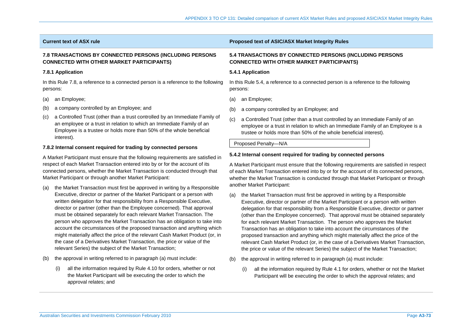## **7.8 TRANSACTIONS BY CONNECTED PERSONS (INCLUDING PERSONS CONNECTED WITH OTHER MARKET PARTICIPANTS)**

## **7.8.1 Application**

In this Rule 7.8, a reference to a connected person is a reference to the following persons:

- (a) an Employee;
- (b) a company controlled by an Employee; and
- (c) a Controlled Trust (other than a trust controlled by an Immediate Family of an employee or a trust in relation to which an Immediate Family of an Employee is a trustee or holds more than 50% of the whole beneficial interest).

## **7.8.2 Internal consent required for trading by connected persons**

A Market Participant must ensure that the following requirements are satisfied in respect of each Market Transaction entered into by or for the account of its connected persons, whether the Market Transaction is conducted through that Market Participant or through another Market Participant:

- (a) the Market Transaction must first be approved in writing by a Responsible Executive, director or partner of the Market Participant or a person with written delegation for that responsibility from a Responsible Executive, director or partner (other than the Employee concerned). That approval must be obtained separately for each relevant Market Transaction. The person who approves the Market Transaction has an obligation to take into account the circumstances of the proposed transaction and anything which might materially affect the price of the relevant Cash Market Product (or, in the case of a Derivatives Market Transaction, the price or value of the relevant Series) the subject of the Market Transaction;
- (b) the approval in writing referred to in paragraph (a) must include:
	- (i) all the information required by Rule 4.10 for orders, whether or not the Market Participant will be executing the order to which the approval relates; and

## **Current text of ASX rule Proposed text of ASIC/ASX Market Integrity Rules**

## **5.4 TRANSACTIONS BY CONNECTED PERSONS (INCLUDING PERSONS CONNECTED WITH OTHER MARKET PARTICIPANTS)**

### **5.4.1 Application**

In this Rule 5.4, a reference to a connected person is a reference to the following persons:

- (a) an Employee;
- (b) a company controlled by an Employee; and
- (c) a Controlled Trust (other than a trust controlled by an Immediate Family of an employee or a trust in relation to which an Immediate Family of an Employee is a trustee or holds more than 50% of the whole beneficial interest).

Proposed Penalty—N/A

## **5.4.2 Internal consent required for trading by connected persons**

A Market Participant must ensure that the following requirements are satisfied in respect of each Market Transaction entered into by or for the account of its connected persons, whether the Market Transaction is conducted through that Market Participant or through another Market Participant:

- (a) the Market Transaction must first be approved in writing by a Responsible Executive, director or partner of the Market Participant or a person with written delegation for that responsibility from a Responsible Executive, director or partner (other than the Employee concerned). That approval must be obtained separately for each relevant Market Transaction. The person who approves the Market Transaction has an obligation to take into account the circumstances of the proposed transaction and anything which might materially affect the price of the relevant Cash Market Product (or, in the case of a Derivatives Market Transaction, the price or value of the relevant Series) the subject of the Market Transaction;
- (b) the approval in writing referred to in paragraph (a) must include:
	- (i) all the information required by Rule 4.1 for orders, whether or not the Market Participant will be executing the order to which the approval relates; and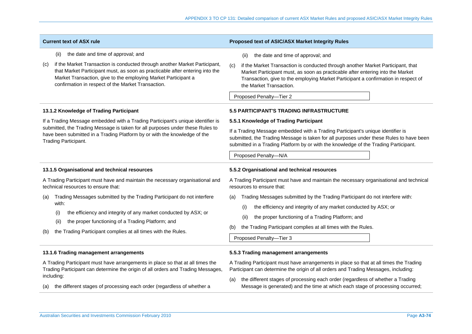| <b>Current text of ASX rule</b>                                                                                                                                                                                                                                                                                                                                                                                                                                                | Proposed text of ASIC/ASX Market Integrity Rules                                                                                                                                                                                                                                                                                                                                                                                                                                                      |
|--------------------------------------------------------------------------------------------------------------------------------------------------------------------------------------------------------------------------------------------------------------------------------------------------------------------------------------------------------------------------------------------------------------------------------------------------------------------------------|-------------------------------------------------------------------------------------------------------------------------------------------------------------------------------------------------------------------------------------------------------------------------------------------------------------------------------------------------------------------------------------------------------------------------------------------------------------------------------------------------------|
| the date and time of approval; and<br>(ii)<br>if the Market Transaction is conducted through another Market Participant,<br>(c)<br>that Market Participant must, as soon as practicable after entering into the<br>Market Transaction, give to the employing Market Participant a<br>confirmation in respect of the Market Transaction.                                                                                                                                        | the date and time of approval; and<br>(ii)<br>(c)<br>if the Market Transaction is conducted through another Market Participant, that<br>Market Participant must, as soon as practicable after entering into the Market<br>Transaction, give to the employing Market Participant a confirmation in respect of<br>the Market Transaction.<br>Proposed Penalty-Tier 2                                                                                                                                    |
| 13.1.2 Knowledge of Trading Participant<br>If a Trading Message embedded with a Trading Participant's unique identifier is<br>submitted, the Trading Message is taken for all purposes under these Rules to<br>have been submitted in a Trading Platform by or with the knowledge of the<br>Trading Participant.                                                                                                                                                               | 5.5 PARTICIPANT'S TRADING INFRASTRUCTURE<br>5.5.1 Knowledge of Trading Participant<br>If a Trading Message embedded with a Trading Participant's unique identifier is<br>submitted, the Trading Message is taken for all purposes under these Rules to have been<br>submitted in a Trading Platform by or with the knowledge of the Trading Participant.<br>Proposed Penalty-N/A                                                                                                                      |
| 13.1.5 Organisational and technical resources<br>A Trading Participant must have and maintain the necessary organisational and<br>technical resources to ensure that:<br>Trading Messages submitted by the Trading Participant do not interfere<br>(a)<br>with:<br>the efficiency and integrity of any market conducted by ASX; or<br>(i)<br>the proper functioning of a Trading Platform; and<br>(ii)<br>the Trading Participant complies at all times with the Rules.<br>(b) | 5.5.2 Organisational and technical resources<br>A Trading Participant must have and maintain the necessary organisational and technical<br>resources to ensure that:<br>Trading Messages submitted by the Trading Participant do not interfere with:<br>(a)<br>the efficiency and integrity of any market conducted by ASX; or<br>(i)<br>the proper functioning of a Trading Platform; and<br>(ii)<br>the Trading Participant complies at all times with the Rules.<br>(b)<br>Proposed Penalty-Tier 3 |
| 13.1.6 Trading management arrangements<br>A Trading Participant must have arrangements in place so that at all times the<br>Trading Participant can determine the origin of all orders and Trading Messages,<br>including:<br>the different stages of processing each order (regardless of whether a<br>(a)                                                                                                                                                                    | 5.5.3 Trading management arrangements<br>A Trading Participant must have arrangements in place so that at all times the Trading<br>Participant can determine the origin of all orders and Trading Messages, including:<br>the different stages of processing each order (regardless of whether a Trading<br>(a)<br>Message is generated) and the time at which each stage of processing occurred;                                                                                                     |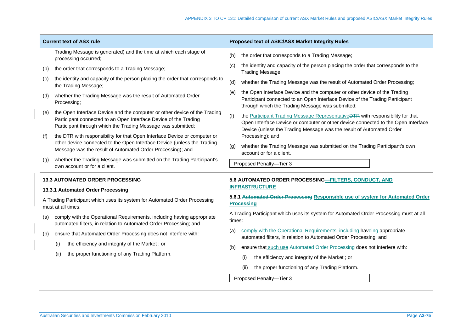|                                                                                                                                                              | <b>Current text of ASX rule</b>                                                                                                                                                                                    | Proposed text of ASIC/ASX Market Integrity Rules                                                                                                                                                                                                   |
|--------------------------------------------------------------------------------------------------------------------------------------------------------------|--------------------------------------------------------------------------------------------------------------------------------------------------------------------------------------------------------------------|----------------------------------------------------------------------------------------------------------------------------------------------------------------------------------------------------------------------------------------------------|
|                                                                                                                                                              | Trading Message is generated) and the time at which each stage of<br>processing occurred;                                                                                                                          | the order that corresponds to a Trading Message;<br>(b)                                                                                                                                                                                            |
| (b)                                                                                                                                                          | the order that corresponds to a Trading Message;                                                                                                                                                                   | the identity and capacity of the person placing the order that corresponds to the<br>(C)<br>Trading Message;                                                                                                                                       |
| (C)                                                                                                                                                          | the identity and capacity of the person placing the order that corresponds to<br>the Trading Message;                                                                                                              | whether the Trading Message was the result of Automated Order Processing;<br>(d)                                                                                                                                                                   |
| (d)                                                                                                                                                          | whether the Trading Message was the result of Automated Order<br>Processing;                                                                                                                                       | the Open Interface Device and the computer or other device of the Trading<br>(e)<br>Participant connected to an Open Interface Device of the Trading Participant<br>through which the Trading Message was submitted;                               |
| (e)                                                                                                                                                          | the Open Interface Device and the computer or other device of the Trading<br>Participant connected to an Open Interface Device of the Trading<br>Participant through which the Trading Message was submitted;      | the Participant Trading Message RepresentativeDTR with responsibility for that<br>(f)<br>Open Interface Device or computer or other device connected to the Open Interface<br>Device (unless the Trading Message was the result of Automated Order |
| (f)                                                                                                                                                          | the DTR with responsibility for that Open Interface Device or computer or<br>other device connected to the Open Interface Device (unless the Trading<br>Message was the result of Automated Order Processing); and | Processing); and<br>whether the Trading Message was submitted on the Trading Participant's own<br>(g)<br>account or for a client.                                                                                                                  |
| (g)                                                                                                                                                          | whether the Trading Message was submitted on the Trading Participant's<br>own account or for a client.                                                                                                             | Proposed Penalty-Tier 3                                                                                                                                                                                                                            |
| 5.6 AUTOMATED ORDER PROCESSING-FILTERS, CONDUCT, AND<br><b>13.3 AUTOMATED ORDER PROCESSING</b><br><b>INFRASTRUCTURE</b><br>13.3.1 Automated Order Processing |                                                                                                                                                                                                                    |                                                                                                                                                                                                                                                    |
|                                                                                                                                                              |                                                                                                                                                                                                                    |                                                                                                                                                                                                                                                    |
|                                                                                                                                                              | A Trading Participant which uses its system for Automated Order Processing<br>must at all times:                                                                                                                   | 5.6.1 Automated Order Processing Responsible use of system for Automated Order<br><b>Processing</b>                                                                                                                                                |
| (a)                                                                                                                                                          | comply with the Operational Requirements, including having appropriate<br>automated filters, in relation to Automated Order Processing; and                                                                        | A Trading Participant which uses its system for Automated Order Processing must at all<br>times:                                                                                                                                                   |
| (b)                                                                                                                                                          | ensure that Automated Order Processing does not interfere with:                                                                                                                                                    | comply with the Operational Requirements, including haveing appropriate<br>(a)<br>automated filters, in relation to Automated Order Processing; and                                                                                                |
|                                                                                                                                                              | the efficiency and integrity of the Market; or<br>(i)                                                                                                                                                              | ensure that such use Automated Order Processing does not interfere with:<br>(b)                                                                                                                                                                    |
|                                                                                                                                                              | the proper functioning of any Trading Platform.<br>(ii)                                                                                                                                                            | (i)<br>the efficiency and integrity of the Market; or                                                                                                                                                                                              |
|                                                                                                                                                              |                                                                                                                                                                                                                    | the proper functioning of any Trading Platform.<br>(ii)                                                                                                                                                                                            |
|                                                                                                                                                              |                                                                                                                                                                                                                    | Proposed Penalty-Tier 3                                                                                                                                                                                                                            |
|                                                                                                                                                              |                                                                                                                                                                                                                    |                                                                                                                                                                                                                                                    |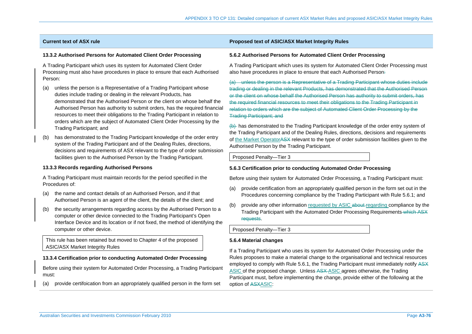# **13.3.2 Authorised Persons for Automated Client Order Processing**

A Trading Participant which uses its system for Automated Client Order Processing must also have procedures in place to ensure that each Authorised Person:

- (a) unless the person is a Representative of a Trading Participant whose duties include trading or dealing in the relevant Products, has demonstrated that the Authorised Person or the client on whose behalf the Authorised Person has authority to submit orders, has the required financial resources to meet their obligations to the Trading Participant in relation to orders which are the subject of Automated Client Order Processing by the Trading Participant; and
- (b) has demonstrated to the Trading Participant knowledge of the order entry system of the Trading Participant and of the Dealing Rules, directions, decisions and requirements of ASX relevant to the type of order submission facilities given to the Authorised Person by the Trading Participant.

# **13.3.3 Records regarding Authorised Persons**

A Trading Participant must maintain records for the period specified in the Procedures of:

- (a) the name and contact details of an Authorised Person, and if that Authorised Person is an agent of the client, the details of the client; and
- (b) the security arrangements regarding access by the Authorised Person to a computer or other device connected to the Trading Participant's Open Interface Device and its location or if not fixed, the method of identifying the computer or other device.

This rule has been retained but moved to Chapter 4 of the proposed ASIC/ASX Market Integrity Rules

# **13.3.4 Certification prior to conducting Automated Order Processing**

Before using their system for Automated Order Processing, a Trading Participant must:

(a) provide certifoication from an appropriately qualified person in the form set

# **Current text of ASX rule Proposed text of ASIC/ASX Market Integrity Rules**

# **5.6.2 Authorised Persons for Automated Client Order Processing**

A Trading Participant which uses its system for Automated Client Order Processing must also have procedures in place to ensure that each Authorised Person-

(a) unless the person is a Representative of a Trading Participant whose duties include trading or dealing in the relevant Products, has demonstrated that the Authorised Person or the client on whose behalf the Authorised Person has authority to submit orders, has the required financial resources to meet their obligations to the Trading Participant in relation to orders which are the subject of Automated Client Order Processing by the Trading Participant; and

(b) has demonstrated to the Trading Participant knowledge of the order entry system of the Trading Participant and of the Dealing Rules, directions, decisions and requirements of the Market OperatorASX relevant to the type of order submission facilities given to the Authorised Person by the Trading Participant.

Proposed Penalty—Tier 3

# **5.6.3 Certification prior to conducting Automated Order Processing**

Before using their system for Automated Order Processing, a Trading Participant must:

- (a) provide certification from an appropriately qualified person in the form set out in the Procedures concerning compliance by the Trading Participant with Rule 5.6.1; and
- (b) provide any other information requested by ASIC about regarding compliance by the Trading Participant with the Automated Order Processing Requirements which ASX requests.

Proposed Penalty—Tier 3

# **5.6.4 Material changes**

If a Trading Participant who uses its system for Automated Order Processing under the Rules proposes to make a material change to the organisational and technical resources employed to comply with Rule 5.6.1, the Trading Participant must immediately notify ASX ASIC of the proposed change. Unless ASX-ASIC agrees otherwise, the Trading Participant must, before implementing the change, provide either of the following at the option of ASXASIC: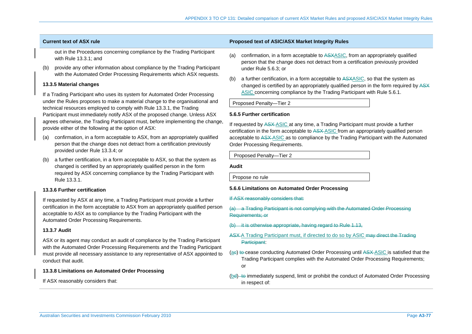out in the Procedures concerning compliance by the Trading Participant with Rule 13.3.1; and

(b) provide any other information about compliance by the Trading Participant with the Automated Order Processing Requirements which ASX requests.

# **13.3.5 Material changes**

If a Trading Participant who uses its system for Automated Order Processing under the Rules proposes to make a material change to the organisational and technical resources employed to comply with Rule 13.3.1, the Trading Participant must immediately notify ASX of the proposed change. Unless ASX agrees otherwise, the Trading Participant must, before implementing the change, provide either of the following at the option of ASX:

- (a) confirmation, in a form acceptable to ASX, from an appropriately qualified person that the change does not detract from a certification previously provided under Rule 13.3.4; or
- (b) a further certification, in a form acceptable to ASX, so that the system as changed is certified by an appropriately qualified person in the form required by ASX concerning compliance by the Trading Participant with Rule 13.3.1.

# **13.3.6 Further certification**

If requested by ASX at any time, a Trading Participant must provide a further certification in the form acceptable to ASX from an appropriately qualified person acceptable to ASX as to compliance by the Trading Participant with the Automated Order Processing Requirements.

# **13.3.7 Audit**

ASX or its agent may conduct an audit of compliance by the Trading Participant with the Automated Order Processing Requirements and the Trading Participant must provide all necessary assistance to any representative of ASX appointed to conduct that audit.

# **13.3.8 Limitations on Automated Order Processing**

If ASX reasonably considers that:

# **Current text of ASX rule Proposed text of ASIC/ASX Market Integrity Rules**

- (a) confirmation, in a form acceptable to ASXASIC, from an appropriately qualified person that the change does not detract from a certification previously provided under Rule 5.6.3; or
- (b) a further certification, in a form acceptable to ASXASIC, so that the system as changed is certified by an appropriately qualified person in the form required by ASX ASIC concerning compliance by the Trading Participant with Rule 5.6.1.

Proposed Penalty—Tier 2

# **5.6.5 Further certification**

If requested by ASX ASIC at any time, a Trading Participant must provide a further certification in the form acceptable to ASX ASIC from an appropriately qualified person acceptable to ASX ASIC as to compliance by the Trading Participant with the Automated Order Processing Requirements.

Proposed Penalty—Tier 2

**Audit** 

Propose no rule

# **5.6.6 Limitations on Automated Order Processing**

- If ASX reasonably considers that:
- (a) a Trading Participant is not complying with the Automated Order Processing Requirements; or
- (b) it is otherwise appropriate, having regard to Rule 1.13,
- ASX-A Trading Participant must, if directed to do so by ASIC may direct the Trading Participant:
- (ae) to cease conducting Automated Order Processing until ASX ASIC is satisfied that the Trading Participant complies with the Automated Order Processing Requirements; or
- (bd)-to immediately suspend, limit or prohibit the conduct of Automated Order Processing in respect of: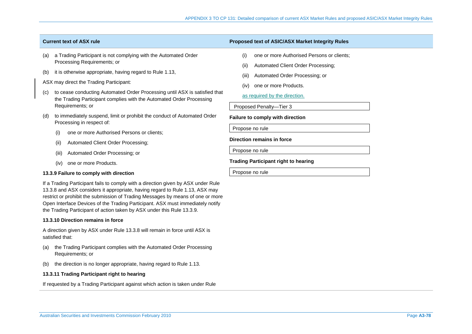- (a) a Trading Participant is not complying with the Automated Order Processing Requirements; or
- (b) it is otherwise appropriate, having regard to Rule 1.13,

# ASX may direct the Trading Participant:

- (c) to cease conducting Automated Order Processing until ASX is satisfied that the Trading Participant complies with the Automated Order Processing Requirements; or
- (d) to immediately suspend, limit or prohibit the conduct of Automated Order Processing in respect of:
	- (i) one or more Authorised Persons or clients;
	- (ii) Automated Client Order Processing;
	- (iii) Automated Order Processing; or
	- (iv) one or more Products.

# **13.3.9 Failure to comply with direction**

If a Trading Participant fails to comply with a direction given by ASX under Rule 13.3.8 and ASX considers it appropriate, having regard to Rule 1.13, ASX may restrict or prohibit the submission of Trading Messages by means of one or more Open Interface Devices of the Trading Participant. ASX must immediately notify the Trading Participant of action taken by ASX under this Rule 13.3.9.

# **13.3.10 Direction remains in force**

A direction given by ASX under Rule 13.3.8 will remain in force until ASX is satisfied that:

- (a) the Trading Participant complies with the Automated Order Processing Requirements; or
- (b) the direction is no longer appropriate, having regard to Rule 1.13.

# **13.3.11 Trading Participant right to hearing**

If requested by a Trading Participant against which action is taken under Rule

# **Current text of ASX rule Proposed text of ASIC/ASX Market Integrity Rules**

- (i) one or more Authorised Persons or clients;
- (ii) Automated Client Order Processing;
- (iii) Automated Order Processing; or
- (iv) one or more Products.

# as required by the direction.

Proposed Penalty—Tier 3

**Failure to comply with direction** 

Propose no rule

# **Direction remains in force**

Propose no rule

# **Trading Participant right to hearing**

Propose no rule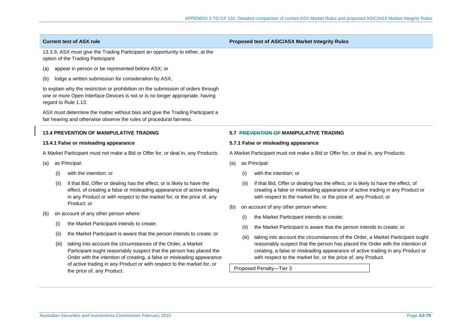**Current text of ASX rule Proposed text of ASIC/ASX Market Integrity Rules** 

13.3.9, ASX must give the Trading Participant an opportunity to either, at the option of the Trading Participant:

- (a) appear in person or be represented before ASX; or
- (b) lodge a written submission for consideration by ASX,

to explain why the restriction or prohibition on the submission of orders through one or more Open Interface Devices is not or is no longer appropriate, having regard to Rule 1.13.

ASX must determine the matter without bias and give the Trading Participant a fair hearing and otherwise observe the rules of procedural fairness.

# **13.4 PREVENTION OF MANIPULATIVE TRADING**

### **13.4.1 False or misleading appearance**

A Market Participant must not make a Bid or Offer for, or deal in, any Products:

- (a) as Principal:
	- (i) with the intention; or
	- (ii) if that Bid, Offer or dealing has the effect, or is likely to have the effect, of creating a false or misleading appearance of active trading in any Product or with respect to the market for, or the price of, any Product; or
- (b) on account of any other person where:
	- (i) the Market Participant intends to create;
	- (ii) the Market Participant is aware that the person intends to create; or
	- (iii) taking into account the circumstances of the Order, a Market Participant ought reasonably suspect that the person has placed the Order with the intention of creating, a false or misleading appearance of active trading in any Product or with respect to the market for, or the price of, any Product.

# **5.7 PREVENTION OF MANIPULATIVE TRADING**

### **5.7.1 False or misleading appearance**

A Market Participant must not make a Bid or Offer for, or deal in, any Products:

- (a) as Principal:
	- (i) with the intention; or
	- (ii) if that Bid, Offer or dealing has the effect, or is likely to have the effect, of creating a false or misleading appearance of active trading in any Product or with respect to the market for, or the price of, any Product; or
- (b) on account of any other person where:
	- (i) the Market Participant intends to create;
	- (ii) the Market Participant is aware that the person intends to create; or
	- (iii) taking into account the circumstances of the Order, a Market Participant ought reasonably suspect that the person has placed the Order with the intention of creating, a false or misleading appearance of active trading in any Product or with respect to the market for, or the price of, any Product.

Proposed Penalty—Tier 3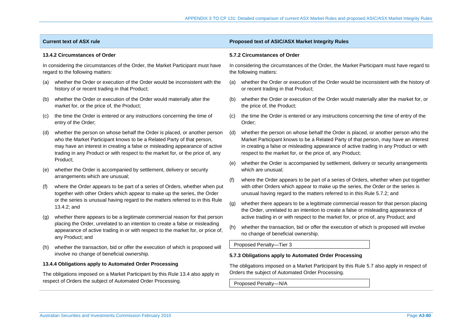| <b>Current text of ASX rule</b>                                                                                                                 |                                                                                                                                                                                                                                                                                                                                                                                                                                                                                                                                                                 | Proposed text of ASIC/ASX Market Integrity Rules                                          |                                                                                                                                                                                                                                                                                                                               |  |  |
|-------------------------------------------------------------------------------------------------------------------------------------------------|-----------------------------------------------------------------------------------------------------------------------------------------------------------------------------------------------------------------------------------------------------------------------------------------------------------------------------------------------------------------------------------------------------------------------------------------------------------------------------------------------------------------------------------------------------------------|-------------------------------------------------------------------------------------------|-------------------------------------------------------------------------------------------------------------------------------------------------------------------------------------------------------------------------------------------------------------------------------------------------------------------------------|--|--|
| 13.4.2 Circumstances of Order                                                                                                                   |                                                                                                                                                                                                                                                                                                                                                                                                                                                                                                                                                                 | 5.7.2 Circumstances of Order                                                              |                                                                                                                                                                                                                                                                                                                               |  |  |
| In considering the circumstances of the Order, the Market Participant must have<br>regard to the following matters:                             |                                                                                                                                                                                                                                                                                                                                                                                                                                                                                                                                                                 |                                                                                           | In considering the circumstances of the Order, the Market Participant must have regard to<br>the following matters:                                                                                                                                                                                                           |  |  |
| (a)                                                                                                                                             | whether the Order or execution of the Order would be inconsistent with the<br>history of or recent trading in that Product;                                                                                                                                                                                                                                                                                                                                                                                                                                     | (a)                                                                                       | whether the Order or execution of the Order would be inconsistent with the history of<br>or recent trading in that Product;                                                                                                                                                                                                   |  |  |
| (b)                                                                                                                                             | whether the Order or execution of the Order would materially alter the<br>market for, or the price of, the Product;                                                                                                                                                                                                                                                                                                                                                                                                                                             | (b)                                                                                       | whether the Order or execution of the Order would materially alter the market for, or<br>the price of, the Product;                                                                                                                                                                                                           |  |  |
| (C)                                                                                                                                             | the time the Order is entered or any instructions concerning the time of<br>entry of the Order;                                                                                                                                                                                                                                                                                                                                                                                                                                                                 | (C)                                                                                       | the time the Order is entered or any instructions concerning the time of entry of the<br>Order;                                                                                                                                                                                                                               |  |  |
| (d)                                                                                                                                             | whether the person on whose behalf the Order is placed, or another person<br>(d)<br>who the Market Participant knows to be a Related Party of that person,<br>may have an interest in creating a false or misleading appearance of active<br>trading in any Product or with respect to the market for, or the price of, any                                                                                                                                                                                                                                     |                                                                                           | whether the person on whose behalf the Order is placed, or another person who the<br>Market Participant knows to be a Related Party of that person, may have an interest<br>in creating a false or misleading appearance of active trading in any Product or with<br>respect to the market for, or the price of, any Product; |  |  |
| (e)                                                                                                                                             | Product;<br>whether the Order is accompanied by settlement, delivery or security                                                                                                                                                                                                                                                                                                                                                                                                                                                                                | (e)                                                                                       | whether the Order is accompanied by settlement, delivery or security arrangements<br>which are unusual;                                                                                                                                                                                                                       |  |  |
| (f)                                                                                                                                             | arrangements which are unusual;<br>where the Order appears to be part of a series of Orders, whether when put<br>together with other Orders which appear to make up the series, the Order<br>or the series is unusual having regard to the matters referred to in this Rule<br>13.4.2; and<br>whether there appears to be a legitimate commercial reason for that person<br>placing the Order, unrelated to an intention to create a false or misleading<br>appearance of active trading in or with respect to the market for, or price of,<br>any Product; and | (f)                                                                                       | where the Order appears to be part of a series of Orders, whether when put together<br>with other Orders which appear to make up the series, the Order or the series is<br>unusual having regard to the matters referred to in this Rule 5.7.2; and                                                                           |  |  |
|                                                                                                                                                 |                                                                                                                                                                                                                                                                                                                                                                                                                                                                                                                                                                 | (g)                                                                                       | whether there appears to be a legitimate commercial reason for that person placing<br>the Order, unrelated to an intention to create a false or misleading appearance of                                                                                                                                                      |  |  |
| $\mathsf{q}$                                                                                                                                    |                                                                                                                                                                                                                                                                                                                                                                                                                                                                                                                                                                 | (h)                                                                                       | active trading in or with respect to the market for, or price of, any Product; and<br>whether the transaction, bid or offer the execution of which is proposed will involve<br>no change of beneficial ownership.                                                                                                             |  |  |
| (h)                                                                                                                                             | whether the transaction, bid or offer the execution of which is proposed will<br>involve no change of beneficial ownership.                                                                                                                                                                                                                                                                                                                                                                                                                                     |                                                                                           | Proposed Penalty-Tier 3                                                                                                                                                                                                                                                                                                       |  |  |
|                                                                                                                                                 |                                                                                                                                                                                                                                                                                                                                                                                                                                                                                                                                                                 |                                                                                           | 5.7.3 Obligations apply to Automated Order Processing                                                                                                                                                                                                                                                                         |  |  |
|                                                                                                                                                 | 13.4.4 Obligations apply to Automated Order Processing                                                                                                                                                                                                                                                                                                                                                                                                                                                                                                          | The obligations imposed on a Market Participant by this Rule 5.7 also apply in respect of |                                                                                                                                                                                                                                                                                                                               |  |  |
| The obligations imposed on a Market Participant by this Rule 13.4 also apply in<br>respect of Orders the subject of Automated Order Processing. |                                                                                                                                                                                                                                                                                                                                                                                                                                                                                                                                                                 | Orders the subject of Automated Order Processing.                                         |                                                                                                                                                                                                                                                                                                                               |  |  |
|                                                                                                                                                 |                                                                                                                                                                                                                                                                                                                                                                                                                                                                                                                                                                 | Proposed Penalty-N/A                                                                      |                                                                                                                                                                                                                                                                                                                               |  |  |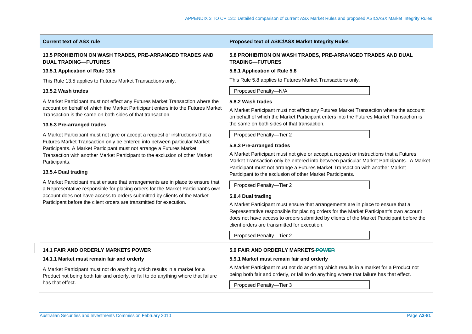# **13.5 PROHIBITION ON WASH TRADES, PRE-ARRANGED TRADES AND DUAL TRADING—FUTURES**

# **13.5.1 Application of Rule 13.5**

This Rule 13.5 applies to Futures Market Transactions only.

# **13.5.2 Wash trades**

A Market Participant must not effect any Futures Market Transaction where the account on behalf of which the Market Participant enters into the Futures Market Transaction is the same on both sides of that transaction.

# **13.5.3 Pre-arranged trades**

A Market Participant must not give or accept a request or instructions that a Futures Market Transaction only be entered into between particular Market Participants. A Market Participant must not arrange a Futures Market Transaction with another Market Participant to the exclusion of other Market Participants.

# **13.5.4 Dual trading**

A Market Participant must ensure that arrangements are in place to ensure that a Representative responsible for placing orders for the Market Participant's own account does not have access to orders submitted by clients of the Market Participant before the client orders are transmitted for execution.

# **Current text of ASX rule Proposed text of ASIC/ASX Market Integrity Rules**

# **5.8 PROHIBITION ON WASH TRADES, PRE-ARRANGED TRADES AND DUAL TRADING—FUTURES**

# **5.8.1 Application of Rule 5.8**

This Rule 5.8 applies to Futures Market Transactions only.

Proposed Penalty—N/A

# **5.8.2 Wash trades**

A Market Participant must not effect any Futures Market Transaction where the account on behalf of which the Market Participant enters into the Futures Market Transaction is the same on both sides of that transaction.

# Proposed Penalty—Tier 2

# **5.8.3 Pre-arranged trades**

A Market Participant must not give or accept a request or instructions that a Futures Market Transaction only be entered into between particular Market Participants. A Market Participant must not arrange a Futures Market Transaction with another Market Participant to the exclusion of other Market Participants.

Proposed Penalty—Tier 2

# **5.8.4 Dual trading**

A Market Participant must ensure that arrangements are in place to ensure that a Representative responsible for placing orders for the Market Participant's own account does not have access to orders submitted by clients of the Market Participant before the client orders are transmitted for execution.

Proposed Penalty—Tier 2

# **14.1 FAIR AND ORDERLY MARKETS POWER**

# **14.1.1 Market must remain fair and orderly**

A Market Participant must not do anything which results in a market for a Product not being both fair and orderly, or fail to do anything where that failure has that effect.

# **5.9 FAIR AND ORDERLY MARKETS POWER**

# **5.9.1 Market must remain fair and orderly**

A Market Participant must not do anything which results in a market for a Product not being both fair and orderly, or fail to do anything where that failure has that effect.

Proposed Penalty—Tier 3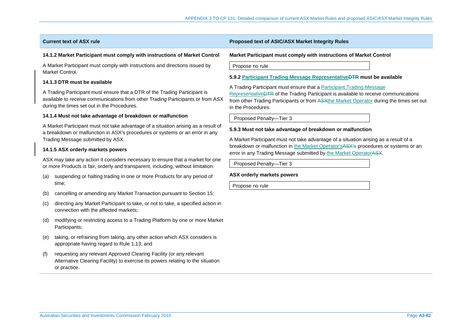# **14.1.2 Market Participant must comply with instructions of Market Control**

A Market Participant must comply with instructions and directions issued by Market Control.

# **14.1.3 DTR must be available**

A Trading Participant must ensure that a DTR of the Trading Participant is available to receive communications from other Trading Participants or from ASX during the times set out in the Procedures.

# **14.1.4 Must not take advantage of breakdown or malfunction**

A Market Participant must not take advantage of a situation arising as a result of a breakdown or malfunction in ASX's procedures or systems or an error in any Trading Message submitted by ASX.

# **14.1.5 ASX orderly markets powers**

ASX may take any action it considers necessary to ensure that a market for one or more Products is fair, orderly and transparent, including, without limitation:

- (a) suspending or halting trading in one or more Products for any period of time;
- (b) cancelling or amending any Market Transaction pursuant to Section 15;
- (c) directing any Market Participant to take, or not to take, a specified action in connection with the affected markets;
- (d) modifying or restricting access to a Trading Platform by one or more Market Participants;
- (e) taking, or refraining from taking, any other action which ASX considers is appropriate having regard to Rule 1.13; and
- (f) requesting any relevant Approved Clearing Facility (or any relevant Alternative Clearing Facility) to exercise its powers relating to the situation or practice.

# **Current text of ASX rule Proposed text of ASIC/ASX Market Integrity Rules**

**Market Participant must comply with instructions of Market Control** 

Propose no rule

**5.9.2 Participant Trading Message RepresentativeDTR must be available** 

A Trading Participant must ensure that a Participant Trading Message RepresentativeDTR of the Trading Participant is available to receive communications from other Trading Participants or from ASXthe Market Operator during the times set out in the Procedures.

Proposed Penalty—Tier 3

# **5.9.3 Must not take advantage of breakdown or malfunction**

A Market Participant must not take advantage of a situation arising as a result of a breakdown or malfunction in the Market Operator'sASX's procedures or systems or an error in any Trading Message submitted by the Market OperatorASX.

Proposed Penalty—Tier 3

# **ASX orderly markets powers**

Propose no rule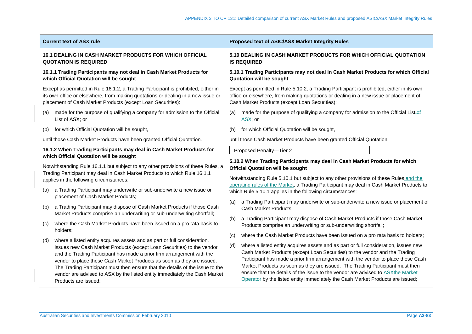# **16.1 DEALING IN CASH MARKET PRODUCTS FOR WHICH OFFICIAL QUOTATION IS REQUIRED**

# **16.1.1 Trading Participants may not deal in Cash Market Products for which Official Quotation will be sought**

Except as permitted in Rule 16.1.2, a Trading Participant is prohibited, either in its own office or elsewhere, from making quotations or dealing in a new issue or placement of Cash Market Products (except Loan Securities):

- (a) made for the purpose of qualifying a company for admission to the Official List of ASX; or
- (b) for which Official Quotation will be sought,

until those Cash Market Products have been granted Official Quotation.

# **16.1.2 When Trading Participants may deal in Cash Market Products for which Official Quotation will be sought**

Notwithstanding Rule 16.1.1 but subject to any other provisions of these Rules, a Trading Participant may deal in Cash Market Products to which Rule 16.1.1 applies in the following circumstances:

- (a) a Trading Participant may underwrite or sub-underwrite a new issue or placement of Cash Market Products;
- (b) a Trading Participant may dispose of Cash Market Products if those Cash Market Products comprise an underwriting or sub-underwriting shortfall;
- (c) where the Cash Market Products have been issued on a pro rata basis to holders;
- (d) where a listed entity acquires assets and as part or full consideration, issues new Cash Market Products (except Loan Securities) to the vendor and the Trading Participant has made a prior firm arrangement with the vendor to place these Cash Market Products as soon as they are issued. The Trading Participant must then ensure that the details of the issue to the vendor are advised to ASX by the listed entity immediately the Cash Market Products are issued;

# **Current text of ASX rule Proposed text of ASIC/ASX Market Integrity Rules**

# **5.10 DEALING IN CASH MARKET PRODUCTS FOR WHICH OFFICIAL QUOTATION IS REQUIRED**

# **5.10.1 Trading Participants may not deal in Cash Market Products for which Official Quotation will be sought**

Except as permitted in Rule 5.10.2, a Trading Participant is prohibited, either in its own office or elsewhere, from making quotations or dealing in a new issue or placement of Cash Market Products (except Loan Securities):

- (a) made for the purpose of qualifying a company for admission to the Official List-of ASX; or
- (b) for which Official Quotation will be sought,

until those Cash Market Products have been granted Official Quotation.

Proposed Penalty—Tier 2

# **5.10.2 When Trading Participants may deal in Cash Market Products for which Official Quotation will be sought**

Notwithstanding Rule 5.10.1 but subject to any other provisions of these Rules and the operating rules of the Market, a Trading Participant may deal in Cash Market Products to which Rule 5.10.1 applies in the following circumstances:

- (a) a Trading Participant may underwrite or sub-underwrite a new issue or placement of Cash Market Products;
- (b) a Trading Participant may dispose of Cash Market Products if those Cash Market Products comprise an underwriting or sub-underwriting shortfall;
- (c) where the Cash Market Products have been issued on a pro rata basis to holders;
- (d) where a listed entity acquires assets and as part or full consideration, issues new Cash Market Products (except Loan Securities) to the vendor and the Trading Participant has made a prior firm arrangement with the vendor to place these Cash Market Products as soon as they are issued. The Trading Participant must then ensure that the details of the issue to the vendor are advised to ASXthe Market Operator by the listed entity immediately the Cash Market Products are issued;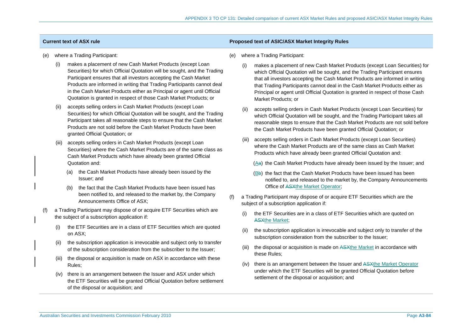# **Current text of ASX rule Proposed text of ASIC/ASX Market Integrity Rules**

- where a Trading Participant:
	- makes a placement of new Cash Market Products (except Loan Securities) for which Official Quotation will be sought, and the Trading Participant ensures that all investors accepting the Cash Market Products are informed in writing that Trading Participants cannot deal in the Cash Market Products either as Principal or agent until Official Quotation is granted in respect of those Cash Market Products; or
	- (ii) accepts selling orders in Cash Market Products (except Loan Securities) for which Official Quotation will be sought, and the Trading Participant takes all reasonable steps to ensure that the Cash Market Products are not sold before the Cash Market Products have been granted Official Quotation; or
	- (iii) accepts selling orders in Cash Market Products (except Loan Securities) where the Cash Market Products are of the same class as Cash Market Products which have already been granted Official Quotation and:
		- (a) the Cash Market Products have already been issued by the Issuer; and
		- (b) the fact that the Cash Market Products have been issued has been notified to, and released to the market by, the Company Announcements Office of ASX;
- (f) a Trading Participant may dispose of or acquire ETF Securities which are the subject of a subscription application if:
	- (i) the ETF Securities are in a class of ETF Securities which are quoted on ASX;
	- (ii) the subscription application is irrevocable and subject only to transfer of the subscription consideration from the subscriber to the Issuer;
	- (iii) the disposal or acquisition is made on ASX in accordance with these Rules;
	- (iv) there is an arrangement between the Issuer and ASX under which the ETF Securities will be granted Official Quotation before settlement of the disposal or acquisition; and
- (e) where a Trading Participant:
	- (i) makes a placement of new Cash Market Products (except Loan Securities) for which Official Quotation will be sought, and the Trading Participant ensures that all investors accepting the Cash Market Products are informed in writing that Trading Participants cannot deal in the Cash Market Products either as Principal or agent until Official Quotation is granted in respect of those Cash Market Products; or
	- (ii) accepts selling orders in Cash Market Products (except Loan Securities) for which Official Quotation will be sought, and the Trading Participant takes all reasonable steps to ensure that the Cash Market Products are not sold before the Cash Market Products have been granted Official Quotation; or
	- (iii) accepts selling orders in Cash Market Products (except Loan Securities) where the Cash Market Products are of the same class as Cash Market Products which have already been granted Official Quotation and:
		- (Aa) the Cash Market Products have already been issued by the Issuer; and
		- (Bb) the fact that the Cash Market Products have been issued has been notified to, and released to the market by, the Company Announcements Office of ASXthe Market Operator;
- (f) a Trading Participant may dispose of or acquire ETF Securities which are the subject of a subscription application if:
	- (i) the ETF Securities are in a class of ETF Securities which are quoted on ASXthe Market;
	- (ii) the subscription application is irrevocable and subject only to transfer of the subscription consideration from the subscriber to the Issuer;
	- (iii) the disposal or acquisition is made on ASXthe Market in accordance with these Rules;
	- (iv) there is an arrangement between the Issuer and ASXthe Market Operator under which the ETF Securities will be granted Official Quotation before settlement of the disposal or acquisition; and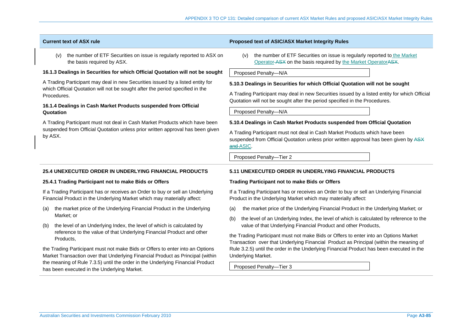| <b>Current text of ASX rule</b>                                                                                                                                                                                                                   | <b>Proposed text of ASIC/ASX Market Integrity Rules</b>                                                                                                                                                                                                      |  |  |  |
|---------------------------------------------------------------------------------------------------------------------------------------------------------------------------------------------------------------------------------------------------|--------------------------------------------------------------------------------------------------------------------------------------------------------------------------------------------------------------------------------------------------------------|--|--|--|
| the number of ETF Securities on issue is regularly reported to ASX on<br>(v)<br>the basis required by ASX.                                                                                                                                        | the number of ETF Securities on issue is regularly reported to the Market<br>(v)<br>Operator ASX on the basis required by the Market Operator ASX.                                                                                                           |  |  |  |
| 16.1.3 Dealings in Securities for which Official Quotation will not be sought                                                                                                                                                                     | Proposed Penalty-N/A                                                                                                                                                                                                                                         |  |  |  |
| A Trading Participant may deal in new Securities issued by a listed entity for<br>which Official Quotation will not be sought after the period specified in the<br>Procedures.<br>16.1.4 Dealings in Cash Market Products suspended from Official | 5.10.3 Dealings in Securities for which Official Quotation will not be sought<br>A Trading Participant may deal in new Securities issued by a listed entity for which Official<br>Quotation will not be sought after the period specified in the Procedures. |  |  |  |
| Quotation                                                                                                                                                                                                                                         | Proposed Penalty-N/A                                                                                                                                                                                                                                         |  |  |  |
| A Trading Participant must not deal in Cash Market Products which have been                                                                                                                                                                       | 5.10.4 Dealings in Cash Market Products suspended from Official Quotation                                                                                                                                                                                    |  |  |  |
| suspended from Official Quotation unless prior written approval has been given<br>by ASX.                                                                                                                                                         | A Trading Participant must not deal in Cash Market Products which have been<br>suspended from Official Quotation unless prior written approval has been given by ASX<br>and ASIC.                                                                            |  |  |  |
|                                                                                                                                                                                                                                                   | Proposed Penalty-Tier 2                                                                                                                                                                                                                                      |  |  |  |
| <b>25.4 UNEXECUTED ORDER IN UNDERLYING FINANCIAL PRODUCTS</b>                                                                                                                                                                                     | 5.11 UNEXECUTED ORDER IN UNDERLYING FINANCIAL PRODUCTS                                                                                                                                                                                                       |  |  |  |
| 25.4.1 Trading Participant not to make Bids or Offers                                                                                                                                                                                             | <b>Trading Participant not to make Bids or Offers</b>                                                                                                                                                                                                        |  |  |  |
| If a Trading Participant has or receives an Order to buy or sell an Underlying<br>Financial Product in the Underlying Market which may materially affect:                                                                                         | If a Trading Participant has or receives an Order to buy or sell an Underlying Financial<br>Product in the Underlying Market which may materially affect:                                                                                                    |  |  |  |

- (a) the market price of the Underlying Financial Product in the Underlying Market; or
- (b) the level of an Underlying Index, the level of which is calculated by reference to the value of that Underlying Financial Product and other Products,

the Trading Participant must not make Bids or Offers to enter into an Options Market Transaction over that Underlying Financial Product as Principal (within the meaning of Rule 7.3.5) until the order in the Underlying Financial Product has been executed in the Underlying Market.

- (a) the market price of the Underlying Financial Product in the Underlying Market; or
- (b) the level of an Underlying Index, the level of which is calculated by reference to the value of that Underlying Financial Product and other Products,

the Trading Participant must not make Bids or Offers to enter into an Options Market Transaction over that Underlying Financial Product as Principal (within the meaning of Rule 3.2.5) until the order in the Underlying Financial Product has been executed in the Underlying Market.

Proposed Penalty—Tier 3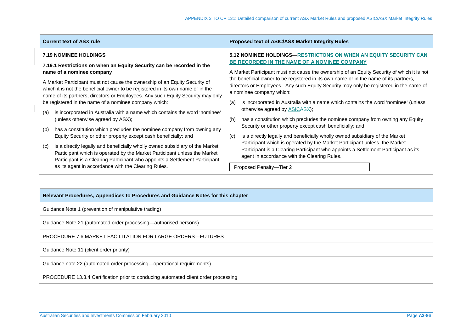# **7.19 NOMINEE HOLDINGS**

# **7.19.1 Restrictions on when an Equity Security can be recorded in the name of a nominee company**

A Market Participant must not cause the ownership of an Equity Security of which it is not the beneficial owner to be registered in its own name or in the name of its partners, directors or Employees. Any such Equity Security may only be registered in the name of a nominee company which:

- (a) is incorporated in Australia with a name which contains the word 'nominee' (unless otherwise agreed by ASX);
- (b) has a constitution which precludes the nominee company from owning any Equity Security or other property except cash beneficially; and
- (c) is a directly legally and beneficially wholly owned subsidiary of the Market Participant which is operated by the Market Participant unless the Market Participant is a Clearing Participant who appoints a Settlement Participant as its agent in accordance with the Clearing Rules.

# **Current text of ASX rule Proposed text of ASIC/ASX Market Integrity Rules**

# **5.12 NOMINEE HOLDINGS—RESTRICTONS ON WHEN AN EQUITY SECURITY CAN BE RECORDED IN THE NAME OF A NOMINEE COMPANY**

A Market Participant must not cause the ownership of an Equity Security of which it is not the beneficial owner to be registered in its own name or in the name of its partners, directors or Employees. Any such Equity Security may only be registered in the name of a nominee company which:

- (a) is incorporated in Australia with a name which contains the word 'nominee' (unless otherwise agreed by ASICASX);
- (b) has a constitution which precludes the nominee company from owning any Equity Security or other property except cash beneficially; and
- (c) is a directly legally and beneficially wholly owned subsidiary of the Market Participant which is operated by the Market Participant unless the Market Participant is a Clearing Participant who appoints a Settlement Participant as its agent in accordance with the Clearing Rules.

Proposed Penalty—Tier 2

### **Relevant Procedures, Appendices to Procedures and Guidance Notes for this chapter**

Guidance Note 1 (prevention of manipulative trading)

Guidance Note 21 (automated order processing—authorised persons)

PROCEDURE 7.6 MARKET FACILITATION FOR LARGE ORDERS—FUTURES

Guidance Note 11 (client order priority)

Guidance note 22 (automated order processing—operational requirements)

PROCEDURE 13.3.4 Certification prior to conducing automated client order processing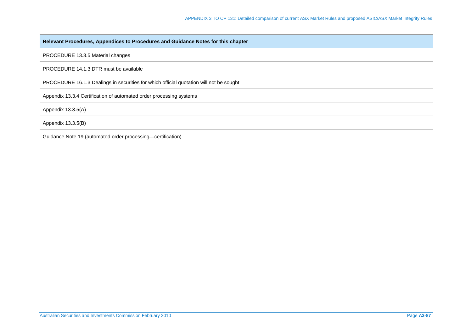# **Relevant Procedures, Appendices to Procedures and Guidance Notes for this chapter**

PROCEDURE 13.3.5 Material changes

PROCEDURE 14.1.3 DTR must be available

PROCEDURE 16.1.3 Dealings in securities for which official quotation will not be sought

Appendix 13.3.4 Certification of automated order processing systems

Appendix 13.3.5(A)

Appendix 13.3.5(B)

Guidance Note 19 (automated order processing—certification)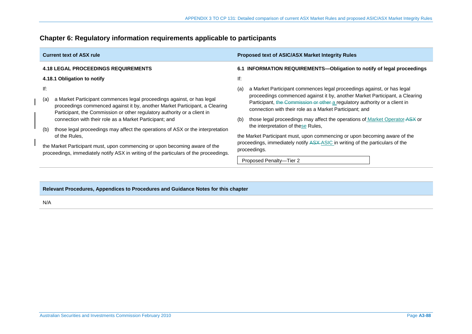| <b>Current text of ASX rule</b>                                                                                                                                                                                                                                                                                                          | Proposed text of ASIC/ASX Market Integrity Rules                                                                                                                                                                                                                                                                                   |  |  |
|------------------------------------------------------------------------------------------------------------------------------------------------------------------------------------------------------------------------------------------------------------------------------------------------------------------------------------------|------------------------------------------------------------------------------------------------------------------------------------------------------------------------------------------------------------------------------------------------------------------------------------------------------------------------------------|--|--|
| <b>4.18 LEGAL PROCEEDINGS REQUIREMENTS</b>                                                                                                                                                                                                                                                                                               | 6.1 INFORMATION REQUIREMENTS-Obligation to notify of legal proceedings                                                                                                                                                                                                                                                             |  |  |
| 4.18.1 Obligation to notify                                                                                                                                                                                                                                                                                                              | lf:                                                                                                                                                                                                                                                                                                                                |  |  |
| lf:<br>a Market Participant commences legal proceedings against, or has legal<br>(a)<br>proceedings commenced against it by, another Market Participant, a Clearing<br>Participant, the Commission or other regulatory authority or a client in                                                                                          | a Market Participant commences legal proceedings against, or has legal<br>(a)<br>proceedings commenced against it by, another Market Participant, a Clearing<br>Participant, the Commission or other a regulatory authority or a client in<br>connection with their role as a Market Participant; and                              |  |  |
| connection with their role as a Market Participant; and<br>those legal proceedings may affect the operations of ASX or the interpretation<br>(b)<br>of the Rules.<br>the Market Participant must, upon commencing or upon becoming aware of the<br>proceedings, immediately notify ASX in writing of the particulars of the proceedings. | those legal proceedings may affect the operations of Market Operator-ASX or<br>(b)<br>the interpretation of these Rules,<br>the Market Participant must, upon commencing or upon becoming aware of the<br>proceedings, immediately notify ASX-ASIC in writing of the particulars of the<br>proceedings.<br>Proposed Penalty-Tier 2 |  |  |

# **Chapter 6: Regulatory information requirements applicable to participants**

# **Relevant Procedures, Appendices to Procedures and Guidance Notes for this chapter**

N/A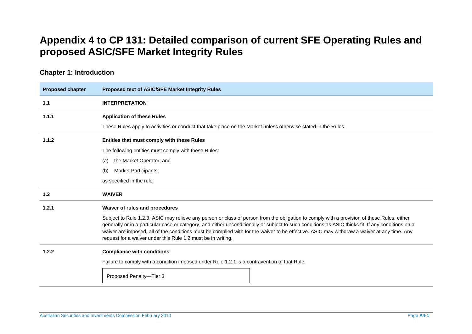# **Appendix 4 to CP 131: Detailed comparison of current SFE Operating Rules and proposed ASIC/SFE Market Integrity Rules**

# **Chapter 1: Introduction**

| <b>Proposed chapter</b> | <b>Proposed text of ASIC/SFE Market Integrity Rules</b>                                                                                                                                                                                                                                                                                                                                                                                                                                                          |  |  |
|-------------------------|------------------------------------------------------------------------------------------------------------------------------------------------------------------------------------------------------------------------------------------------------------------------------------------------------------------------------------------------------------------------------------------------------------------------------------------------------------------------------------------------------------------|--|--|
| 1.1                     | <b>INTERPRETATION</b>                                                                                                                                                                                                                                                                                                                                                                                                                                                                                            |  |  |
| 1.1.1                   | <b>Application of these Rules</b>                                                                                                                                                                                                                                                                                                                                                                                                                                                                                |  |  |
|                         | These Rules apply to activities or conduct that take place on the Market unless otherwise stated in the Rules.                                                                                                                                                                                                                                                                                                                                                                                                   |  |  |
| 1.1.2                   | Entities that must comply with these Rules                                                                                                                                                                                                                                                                                                                                                                                                                                                                       |  |  |
|                         | The following entities must comply with these Rules:                                                                                                                                                                                                                                                                                                                                                                                                                                                             |  |  |
|                         | the Market Operator; and<br>(a)                                                                                                                                                                                                                                                                                                                                                                                                                                                                                  |  |  |
|                         | <b>Market Participants;</b><br>(b)                                                                                                                                                                                                                                                                                                                                                                                                                                                                               |  |  |
|                         | as specified in the rule.                                                                                                                                                                                                                                                                                                                                                                                                                                                                                        |  |  |
| 1.2                     | <b>WAIVER</b>                                                                                                                                                                                                                                                                                                                                                                                                                                                                                                    |  |  |
| 1.2.1                   | Waiver of rules and procedures                                                                                                                                                                                                                                                                                                                                                                                                                                                                                   |  |  |
|                         | Subject to Rule 1.2.3, ASIC may relieve any person or class of person from the obligation to comply with a provision of these Rules, either<br>generally or in a particular case or category, and either unconditionally or subject to such conditions as ASIC thinks fit. If any conditions on a<br>waiver are imposed, all of the conditions must be complied with for the waiver to be effective. ASIC may withdraw a waiver at any time. Any<br>request for a waiver under this Rule 1.2 must be in writing. |  |  |
| 1.2.2                   | <b>Compliance with conditions</b>                                                                                                                                                                                                                                                                                                                                                                                                                                                                                |  |  |
|                         | Failure to comply with a condition imposed under Rule 1.2.1 is a contravention of that Rule.                                                                                                                                                                                                                                                                                                                                                                                                                     |  |  |
|                         | Proposed Penalty-Tier 3                                                                                                                                                                                                                                                                                                                                                                                                                                                                                          |  |  |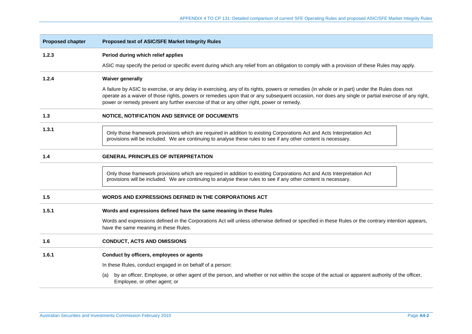| <b>Proposed chapter</b> | <b>Proposed text of ASIC/SFE Market Integrity Rules</b>                                                                                                                                                                                                                                                                                                                                             |
|-------------------------|-----------------------------------------------------------------------------------------------------------------------------------------------------------------------------------------------------------------------------------------------------------------------------------------------------------------------------------------------------------------------------------------------------|
| 1.2.3                   | Period during which relief applies                                                                                                                                                                                                                                                                                                                                                                  |
|                         | ASIC may specify the period or specific event during which any relief from an obligation to comply with a provision of these Rules may apply.                                                                                                                                                                                                                                                       |
| 1.2.4                   | <b>Waiver generally</b>                                                                                                                                                                                                                                                                                                                                                                             |
|                         | A failure by ASIC to exercise, or any delay in exercising, any of its rights, powers or remedies (in whole or in part) under the Rules does not<br>operate as a waiver of those rights, powers or remedies upon that or any subsequent occasion, nor does any single or partial exercise of any right,<br>power or remedy prevent any further exercise of that or any other right, power or remedy. |
| 1.3                     | NOTICE, NOTIFICATION AND SERVICE OF DOCUMENTS                                                                                                                                                                                                                                                                                                                                                       |
| 1.3.1                   | Only those framework provisions which are required in addition to existing Corporations Act and Acts Interpretation Act<br>provisions will be included. We are continuing to analyse these rules to see if any other content is necessary.                                                                                                                                                          |
| 1.4                     | <b>GENERAL PRINCIPLES OF INTERPRETATION</b>                                                                                                                                                                                                                                                                                                                                                         |
|                         | Only those framework provisions which are required in addition to existing Corporations Act and Acts Interpretation Act<br>provisions will be included. We are continuing to analyse these rules to see if any other content is necessary.                                                                                                                                                          |
| 1.5                     | WORDS AND EXPRESSIONS DEFINED IN THE CORPORATIONS ACT                                                                                                                                                                                                                                                                                                                                               |
| 1.5.1                   | Words and expressions defined have the same meaning in these Rules                                                                                                                                                                                                                                                                                                                                  |
|                         | Words and expressions defined in the Corporations Act will unless otherwise defined or specified in these Rules or the contrary intention appears,<br>have the same meaning in these Rules.                                                                                                                                                                                                         |
| 1.6                     | <b>CONDUCT, ACTS AND OMISSIONS</b>                                                                                                                                                                                                                                                                                                                                                                  |
| 1.6.1                   | Conduct by officers, employees or agents                                                                                                                                                                                                                                                                                                                                                            |
|                         | In these Rules, conduct engaged in on behalf of a person:                                                                                                                                                                                                                                                                                                                                           |
|                         | by an officer, Employee, or other agent of the person, and whether or not within the scope of the actual or apparent authority of the officer,<br>(a)<br>Employee, or other agent; or                                                                                                                                                                                                               |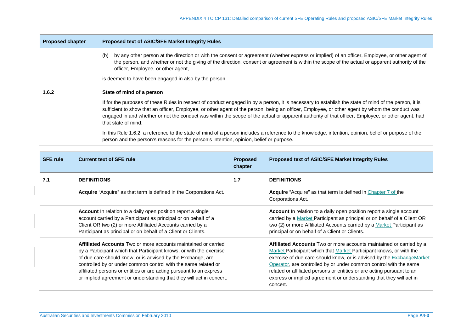| <b>Proposed chapter</b> |                                                                      |     | Proposed text of ASIC/SFE Market Integrity Rules                                                                                                                                                                                                                                                                                              |                            |                                                                                                                                                                                                                                                                                                                                                                                                                                                             |
|-------------------------|----------------------------------------------------------------------|-----|-----------------------------------------------------------------------------------------------------------------------------------------------------------------------------------------------------------------------------------------------------------------------------------------------------------------------------------------------|----------------------------|-------------------------------------------------------------------------------------------------------------------------------------------------------------------------------------------------------------------------------------------------------------------------------------------------------------------------------------------------------------------------------------------------------------------------------------------------------------|
|                         |                                                                      | (b) | officer, Employee, or other agent,                                                                                                                                                                                                                                                                                                            |                            | by any other person at the direction or with the consent or agreement (whether express or implied) of an officer, Employee, or other agent of<br>the person, and whether or not the giving of the direction, consent or agreement is within the scope of the actual or apparent authority of the                                                                                                                                                            |
|                         |                                                                      |     | is deemed to have been engaged in also by the person.                                                                                                                                                                                                                                                                                         |                            |                                                                                                                                                                                                                                                                                                                                                                                                                                                             |
| 1.6.2                   |                                                                      |     | State of mind of a person                                                                                                                                                                                                                                                                                                                     |                            |                                                                                                                                                                                                                                                                                                                                                                                                                                                             |
|                         |                                                                      |     | that state of mind.                                                                                                                                                                                                                                                                                                                           |                            | If for the purposes of these Rules in respect of conduct engaged in by a person, it is necessary to establish the state of mind of the person, it is<br>sufficient to show that an officer, Employee, or other agent of the person, being an officer, Employee, or other agent by whom the conduct was<br>engaged in and whether or not the conduct was within the scope of the actual or apparent authority of that officer, Employee, or other agent, had |
|                         |                                                                      |     | person and the person's reasons for the person's intention, opinion, belief or purpose.                                                                                                                                                                                                                                                       |                            | In this Rule 1.6.2, a reference to the state of mind of a person includes a reference to the knowledge, intention, opinion, belief or purpose of the                                                                                                                                                                                                                                                                                                        |
| <b>SFE rule</b>         |                                                                      |     | <b>Current text of SFE rule</b>                                                                                                                                                                                                                                                                                                               | <b>Proposed</b><br>chapter | Proposed text of ASIC/SFE Market Integrity Rules                                                                                                                                                                                                                                                                                                                                                                                                            |
| 7.1                     | <b>DEFINITIONS</b>                                                   |     |                                                                                                                                                                                                                                                                                                                                               | 1.7                        | <b>DEFINITIONS</b>                                                                                                                                                                                                                                                                                                                                                                                                                                          |
|                         |                                                                      |     | Acquire "Acquire" as that term is defined in the Corporations Act.                                                                                                                                                                                                                                                                            |                            | Acquire "Acquire" as that term is defined in Chapter 7 of the<br>Corporations Act.                                                                                                                                                                                                                                                                                                                                                                          |
|                         |                                                                      |     | Account In relation to a daily open position report a single<br>account carried by a Participant as principal or on behalf of a<br>Client OR two (2) or more Affiliated Accounts carried by a<br>Participant as principal or on behalf of a Client or Clients.                                                                                |                            | Account In relation to a daily open position report a single account<br>carried by a Market Participant as principal or on behalf of a Client OR<br>two (2) or more Affiliated Accounts carried by a Market Participant as<br>principal or on behalf of a Client or Clients.                                                                                                                                                                                |
|                         | or implied agreement or understanding that they will act in concert. |     | Affiliated Accounts Two or more accounts maintained or carried<br>by a Participant which that Participant knows, or with the exercise<br>of due care should know, or is advised by the Exchange, are<br>controlled by or under common control with the same related or<br>affiliated persons or entities or are acting pursuant to an express |                            | Affiliated Accounts Two or more accounts maintained or carried by a<br>Market Participant which that Market Participant knows, or with the<br>exercise of due care should know, or is advised by the ExchangeMarket<br>Operator, are controlled by or under common control with the same<br>related or affiliated persons or entities or are acting pursuant to an                                                                                          |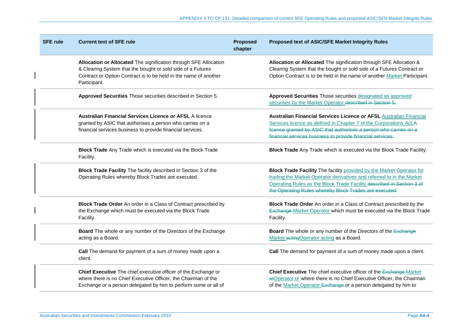| <b>SFE rule</b> | <b>Current text of SFE rule</b>                                                                                                                                                                                     | <b>Proposed</b><br>chapter | Proposed text of ASIC/SFE Market Integrity Rules                                                                                                                                                                                                                                  |
|-----------------|---------------------------------------------------------------------------------------------------------------------------------------------------------------------------------------------------------------------|----------------------------|-----------------------------------------------------------------------------------------------------------------------------------------------------------------------------------------------------------------------------------------------------------------------------------|
|                 | Allocation or Allocated The signification through SFE Allocation<br>& Clearing System that the bought or sold side of a Futures<br>Contract or Option Contract is to be held in the name of another<br>Participant. |                            | Allocation or Allocated The signification through SFE Allocation &<br>Clearing System that the bought or sold side of a Futures Contract or<br>Option Contract is to be held in the name of another Market Participant.                                                           |
|                 | Approved Securities Those securities described in Section 5.                                                                                                                                                        |                            | Approved Securities Those securities designated as approved<br>securities by the Market Operator described in Section 5.                                                                                                                                                          |
|                 | <b>Australian Financial Services Licence or AFSL A licence</b><br>granted by ASIC that authorises a person who carries on a<br>financial services business to provide financial services.                           |                            | Australian Financial Services Licence or AFSL Australian Financial<br>Services licence as defined in Chapter 7 of the Corporations Act.A<br>licence granted by ASIC that authorises a person who carries on a<br>financial services business to provide financial services.       |
|                 | Block Trade Any Trade which is executed via the Block Trade<br>Facility.                                                                                                                                            |                            | Block Trade Any Trade which is executed via the Block Trade Facility.                                                                                                                                                                                                             |
|                 | Block Trade Facility The facility described in Section 3 of the<br>Operating Rules whereby Block Trades are executed.                                                                                               |                            | Block Trade Facility The facility provided by the Market Operator for<br>trading the Market Operator derivatives and referred to in the Market<br>Operating Rules as the Block Trade Facility described in Section 3 of<br>the Operating Rules whereby Block Trades are executed. |
|                 | Block Trade Order An order in a Class of Contract prescribed by<br>the Exchange which must be executed via the Block Trade<br>Facility.                                                                             |                            | Block Trade Order An order in a Class of Contract prescribed by the<br>Exchange-Market Operator which must be executed via the Block Trade<br>Facility.                                                                                                                           |
|                 | Board The whole or any number of the Directors of the Exchange<br>acting as a Board.                                                                                                                                |                            | Board The whole or any number of the Directors of the Exchange<br>Market acting Operator acting as a Board.                                                                                                                                                                       |
|                 | Call The demand for payment of a sum of money made upon a<br>client.                                                                                                                                                |                            | Call The demand for payment of a sum of money made upon a client.                                                                                                                                                                                                                 |
|                 | Chief Executive The chief executive officer of the Exchange or<br>where there is no Chief Executive Officer, the Chairman of the<br>Exchange or a person delegated by him to perform some or all of                 |                            | Chief Executive The chief executive officer of the Exchange Market<br>erOperator or where there is no Chief Executive Officer, the Chairman<br>of the Market Operator Exchange or a person delegated by him to                                                                    |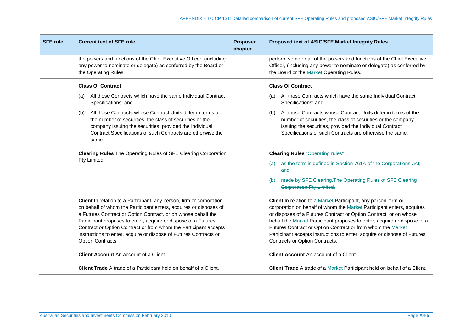| <b>SFE rule</b> | <b>Current text of SFE rule</b>                                                                                                                                                                                                                                                                                                                                                                                                            | <b>Proposed</b><br>chapter | Proposed text of ASIC/SFE Market Integrity Rules                                                                                                                                                                                                                                                                                                                                                                                                                       |
|-----------------|--------------------------------------------------------------------------------------------------------------------------------------------------------------------------------------------------------------------------------------------------------------------------------------------------------------------------------------------------------------------------------------------------------------------------------------------|----------------------------|------------------------------------------------------------------------------------------------------------------------------------------------------------------------------------------------------------------------------------------------------------------------------------------------------------------------------------------------------------------------------------------------------------------------------------------------------------------------|
|                 | the powers and functions of the Chief Executive Officer, (including<br>any power to nominate or delegate) as conferred by the Board or<br>the Operating Rules.                                                                                                                                                                                                                                                                             |                            | perform some or all of the powers and functions of the Chief Executive<br>Officer, (including any power to nominate or delegate) as conferred by<br>the Board or the Market Operating Rules.                                                                                                                                                                                                                                                                           |
|                 | <b>Class Of Contract</b>                                                                                                                                                                                                                                                                                                                                                                                                                   |                            | <b>Class Of Contract</b>                                                                                                                                                                                                                                                                                                                                                                                                                                               |
|                 | All those Contracts which have the same Individual Contract<br>(a)<br>Specifications; and                                                                                                                                                                                                                                                                                                                                                  |                            | All those Contracts which have the same Individual Contract<br>(a)<br>Specifications; and                                                                                                                                                                                                                                                                                                                                                                              |
|                 | All those Contracts whose Contract Units differ in terms of<br>(b)<br>the number of securities, the class of securities or the<br>company issuing the securities, provided the Individual<br>Contract Specifications of such Contracts are otherwise the<br>same.                                                                                                                                                                          |                            | All those Contracts whose Contract Units differ in terms of the<br>(b)<br>number of securities, the class of securities or the company<br>issuing the securities, provided the Individual Contract<br>Specifications of such Contracts are otherwise the same.                                                                                                                                                                                                         |
|                 | <b>Clearing Rules The Operating Rules of SFE Clearing Corporation</b>                                                                                                                                                                                                                                                                                                                                                                      |                            | <b>Clearing Rules "Operating rules"</b>                                                                                                                                                                                                                                                                                                                                                                                                                                |
|                 | Pty Limited.                                                                                                                                                                                                                                                                                                                                                                                                                               |                            | (a) as the term is defined in Section 761A of the Corporations Act;<br>and                                                                                                                                                                                                                                                                                                                                                                                             |
|                 |                                                                                                                                                                                                                                                                                                                                                                                                                                            |                            | made by SFE Clearing. The Operating Rules of SFE Clearing<br>(b)<br><b>Corporation Pty Limited.</b>                                                                                                                                                                                                                                                                                                                                                                    |
|                 | Client In relation to a Participant, any person, firm or corporation<br>on behalf of whom the Participant enters, acquires or disposes of<br>a Futures Contract or Option Contract, or on whose behalf the<br>Participant proposes to enter, acquire or dispose of a Futures<br>Contract or Option Contract or from whom the Participant accepts<br>instructions to enter, acquire or dispose of Futures Contracts or<br>Option Contracts. |                            | Client In relation to a Market Participant, any person, firm or<br>corporation on behalf of whom the Market Participant enters, acquires<br>or disposes of a Futures Contract or Option Contract, or on whose<br>behalf the Market Participant proposes to enter, acquire or dispose of a<br>Futures Contract or Option Contract or from whom the Market<br>Participant accepts instructions to enter, acquire or dispose of Futures<br>Contracts or Option Contracts. |
|                 | <b>Client Account</b> An account of a Client.                                                                                                                                                                                                                                                                                                                                                                                              |                            | <b>Client Account An account of a Client.</b>                                                                                                                                                                                                                                                                                                                                                                                                                          |
|                 | <b>Client Trade</b> A trade of a Participant held on behalf of a Client.                                                                                                                                                                                                                                                                                                                                                                   |                            | Client Trade A trade of a Market Participant held on behalf of a Client.                                                                                                                                                                                                                                                                                                                                                                                               |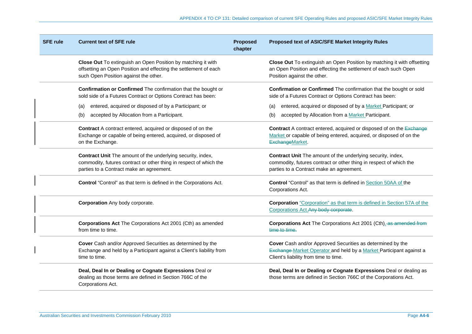| <b>SFE rule</b> | <b>Current text of SFE rule</b>                                                                                                                                                      | <b>Proposed</b><br>chapter | Proposed text of ASIC/SFE Market Integrity Rules                                                                                                                              |
|-----------------|--------------------------------------------------------------------------------------------------------------------------------------------------------------------------------------|----------------------------|-------------------------------------------------------------------------------------------------------------------------------------------------------------------------------|
|                 | Close Out To extinguish an Open Position by matching it with<br>offsetting an Open Position and effecting the settlement of each<br>such Open Position against the other.            |                            | Close Out To extinguish an Open Position by matching it with offsetting<br>an Open Position and effecting the settlement of each such Open<br>Position against the other.     |
|                 | Confirmation or Confirmed The confirmation that the bought or<br>sold side of a Futures Contract or Options Contract has been:                                                       |                            | Confirmation or Confirmed The confirmation that the bought or sold<br>side of a Futures Contract or Options Contract has been:                                                |
|                 | entered, acquired or disposed of by a Participant; or<br>(a)                                                                                                                         |                            | entered, acquired or disposed of by a Market Participant; or<br>(a)                                                                                                           |
|                 | accepted by Allocation from a Participant.<br>(b)                                                                                                                                    |                            | accepted by Allocation from a Market Participant.<br>(b)                                                                                                                      |
|                 | Contract A contract entered, acquired or disposed of on the<br>Exchange or capable of being entered, acquired, or disposed of<br>on the Exchange.                                    |                            | Contract A contract entered, acquired or disposed of on the Exchange<br>Market or capable of being entered, acquired, or disposed of on the<br>ExchangeMarket.                |
|                 | <b>Contract Unit</b> The amount of the underlying security, index,<br>commodity, futures contract or other thing in respect of which the<br>parties to a Contract make an agreement. |                            | Contract Unit The amount of the underlying security, index,<br>commodity, futures contract or other thing in respect of which the<br>parties to a Contract make an agreement. |
|                 | Control "Control" as that term is defined in the Corporations Act.                                                                                                                   |                            | Control "Control" as that term is defined in Section 50AA of the<br>Corporations Act.                                                                                         |
|                 | <b>Corporation</b> Any body corporate.                                                                                                                                               |                            | <b>Corporation</b> "Corporation" as that term is defined in Section 57A of the<br>Corporations Act. Any body corporate.                                                       |
|                 | Corporations Act The Corporations Act 2001 (Cth) as amended<br>from time to time.                                                                                                    |                            | <b>Corporations Act The Corporations Act 2001 (Cth)</b> as amended from<br>time to time.                                                                                      |
|                 | Cover Cash and/or Approved Securities as determined by the<br>Exchange and held by a Participant against a Client's liability from<br>time to time.                                  |                            | Cover Cash and/or Approved Securities as determined by the<br>Exchange-Market Operator and held by a Market Participant against a<br>Client's liability from time to time.    |
|                 | Deal, Deal In or Dealing or Cognate Expressions Deal or<br>dealing as those terms are defined in Section 766C of the<br>Corporations Act.                                            |                            | Deal, Deal In or Dealing or Cognate Expressions Deal or dealing as<br>those terms are defined in Section 766C of the Corporations Act.                                        |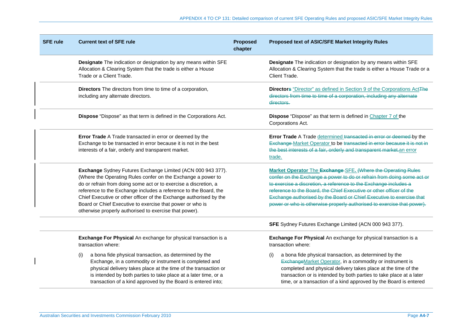| <b>SFE rule</b> | <b>Current text of SFE rule</b>                                                                                                                                                                                                                                                                                                                                                                                                                                  | <b>Proposed</b><br>chapter | Proposed text of ASIC/SFE Market Integrity Rules                                                                                                                                                                                                                                                                                                                                                                                    |
|-----------------|------------------------------------------------------------------------------------------------------------------------------------------------------------------------------------------------------------------------------------------------------------------------------------------------------------------------------------------------------------------------------------------------------------------------------------------------------------------|----------------------------|-------------------------------------------------------------------------------------------------------------------------------------------------------------------------------------------------------------------------------------------------------------------------------------------------------------------------------------------------------------------------------------------------------------------------------------|
|                 | Designate The indication or designation by any means within SFE<br>Allocation & Clearing System that the trade is either a House<br>Trade or a Client Trade.                                                                                                                                                                                                                                                                                                     |                            | Designate The indication or designation by any means within SFE<br>Allocation & Clearing System that the trade is either a House Trade or a<br>Client Trade.                                                                                                                                                                                                                                                                        |
|                 | Directors The directors from time to time of a corporation,<br>including any alternate directors.                                                                                                                                                                                                                                                                                                                                                                |                            | <b>Directors</b> "Director" as defined in Section 9 of the Corporations ActThe<br>directors from time to time of a corporation, including any alternate<br>directors.                                                                                                                                                                                                                                                               |
|                 | Dispose "Dispose" as that term is defined in the Corporations Act.                                                                                                                                                                                                                                                                                                                                                                                               |                            | Dispose "Dispose" as that term is defined in Chapter 7 of the<br>Corporations Act.                                                                                                                                                                                                                                                                                                                                                  |
|                 | Error Trade A Trade transacted in error or deemed by the<br>Exchange to be transacted in error because it is not in the best<br>interests of a fair, orderly and transparent market.                                                                                                                                                                                                                                                                             |                            | Error Trade A Trade determined transacted in error or deemed by the<br>Exchange-Market Operator to be transacted in error because it is not in<br>the best interests of a fair, orderly and transparent market.an error<br>trade.                                                                                                                                                                                                   |
|                 | Exchange Sydney Futures Exchange Limited (ACN 000 943 377).<br>(Where the Operating Rules confer on the Exchange a power to<br>do or refrain from doing some act or to exercise a discretion, a<br>reference to the Exchange includes a reference to the Board, the<br>Chief Executive or other officer of the Exchange authorised by the<br>Board or Chief Executive to exercise that power or who is<br>otherwise properly authorised to exercise that power). |                            | Market Operator The Exchange SFE. (Where the Operating Rules<br>confer on the Exchange a power to do or refrain from doing some act or<br>to exercise a discretion, a reference to the Exchange includes a<br>reference to the Board, the Chief Executive or other officer of the<br>Exchange authorised by the Board or Chief Executive to exercise that<br>power or who is otherwise properly authorised to exercise that power). |
|                 |                                                                                                                                                                                                                                                                                                                                                                                                                                                                  |                            | SFE Sydney Futures Exchange Limited (ACN 000 943 377).                                                                                                                                                                                                                                                                                                                                                                              |
|                 | Exchange For Physical An exchange for physical transaction is a<br>transaction where:                                                                                                                                                                                                                                                                                                                                                                            |                            | Exchange For Physical An exchange for physical transaction is a<br>transaction where:                                                                                                                                                                                                                                                                                                                                               |
|                 | a bona fide physical transaction, as determined by the<br>(i)<br>Exchange, in a commodity or instrument is completed and<br>physical delivery takes place at the time of the transaction or<br>is intended by both parties to take place at a later time, or a<br>transaction of a kind approved by the Board is entered into;                                                                                                                                   |                            | a bona fide physical transaction, as determined by the<br>(i)<br>ExchangeMarket Operator, in a commodity or instrument is<br>completed and physical delivery takes place at the time of the<br>transaction or is intended by both parties to take place at a later<br>time, or a transaction of a kind approved by the Board is entered                                                                                             |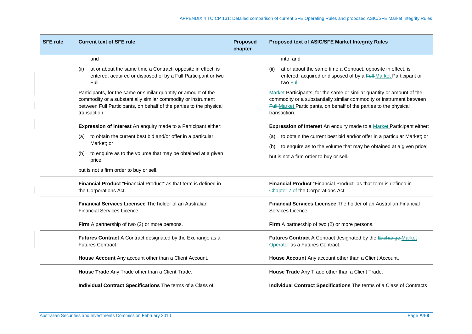| <b>SFE rule</b> | <b>Current text of SFE rule</b>                                                                                                                                                                                        | <b>Proposed</b><br>chapter | <b>Proposed text of ASIC/SFE Market Integrity Rules</b>                                                                                                                                                                              |
|-----------------|------------------------------------------------------------------------------------------------------------------------------------------------------------------------------------------------------------------------|----------------------------|--------------------------------------------------------------------------------------------------------------------------------------------------------------------------------------------------------------------------------------|
|                 | and                                                                                                                                                                                                                    |                            | into; and                                                                                                                                                                                                                            |
|                 | at or about the same time a Contract, opposite in effect, is<br>(ii)<br>entered, acquired or disposed of by a Full Participant or two<br>Full                                                                          |                            | at or about the same time a Contract, opposite in effect, is<br>(ii)<br>entered, acquired or disposed of by a Full-Market Participant or<br>two-Eull                                                                                 |
|                 | Participants, for the same or similar quantity or amount of the<br>commodity or a substantially similar commodity or instrument<br>between Full Participants, on behalf of the parties to the physical<br>transaction. |                            | Market Participants, for the same or similar quantity or amount of the<br>commodity or a substantially similar commodity or instrument between<br>Full-Market Participants, on behalf of the parties to the physical<br>transaction. |
|                 | Expression of Interest An enquiry made to a Participant either:                                                                                                                                                        |                            | Expression of Interest An enquiry made to a Market Participant either:                                                                                                                                                               |
|                 | to obtain the current best bid and/or offer in a particular<br>(a)<br>Market; or                                                                                                                                       |                            | to obtain the current best bid and/or offer in a particular Market; or<br>(a)<br>to enquire as to the volume that may be obtained at a given price;<br>(b)                                                                           |
|                 | to enquire as to the volume that may be obtained at a given<br>(b)<br>price;                                                                                                                                           |                            | but is not a firm order to buy or sell.                                                                                                                                                                                              |
|                 | but is not a firm order to buy or sell.                                                                                                                                                                                |                            |                                                                                                                                                                                                                                      |
|                 | Financial Product "Financial Product" as that term is defined in<br>the Corporations Act.                                                                                                                              |                            | Financial Product "Financial Product" as that term is defined in<br>Chapter 7 of the Corporations Act.                                                                                                                               |
|                 | Financial Services Licensee The holder of an Australian<br><b>Financial Services Licence.</b>                                                                                                                          |                            | Financial Services Licensee The holder of an Australian Financial<br>Services Licence.                                                                                                                                               |
|                 | Firm A partnership of two (2) or more persons.                                                                                                                                                                         |                            | Firm A partnership of two (2) or more persons.                                                                                                                                                                                       |
|                 | Futures Contract A Contract designated by the Exchange as a<br>Futures Contract.                                                                                                                                       |                            | Futures Contract A Contract designated by the Exchange Market<br>Operator as a Futures Contract.                                                                                                                                     |
|                 | House Account Any account other than a Client Account.                                                                                                                                                                 |                            | House Account Any account other than a Client Account.                                                                                                                                                                               |
|                 | House Trade Any Trade other than a Client Trade.                                                                                                                                                                       |                            | House Trade Any Trade other than a Client Trade.                                                                                                                                                                                     |
|                 | Individual Contract Specifications The terms of a Class of                                                                                                                                                             |                            | Individual Contract Specifications The terms of a Class of Contracts                                                                                                                                                                 |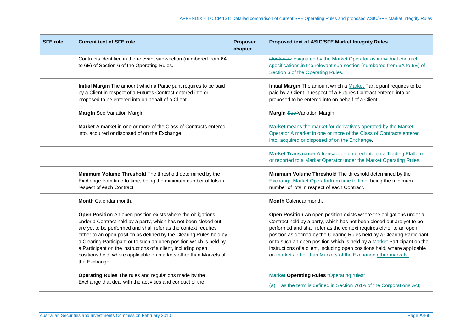| <b>SFE rule</b> | <b>Current text of SFE rule</b>                                                                                                                                                                                                                                                                                                                                                                                                                                                                        | <b>Proposed</b><br>chapter | Proposed text of ASIC/SFE Market Integrity Rules                                                                                                                                                                                                                                                                                                                                                                                                                                                                         |
|-----------------|--------------------------------------------------------------------------------------------------------------------------------------------------------------------------------------------------------------------------------------------------------------------------------------------------------------------------------------------------------------------------------------------------------------------------------------------------------------------------------------------------------|----------------------------|--------------------------------------------------------------------------------------------------------------------------------------------------------------------------------------------------------------------------------------------------------------------------------------------------------------------------------------------------------------------------------------------------------------------------------------------------------------------------------------------------------------------------|
|                 | Contracts identified in the relevant sub-section (numbered from 6A<br>to 6E) of Section 6 of the Operating Rules.                                                                                                                                                                                                                                                                                                                                                                                      |                            | identified-designated by the Market Operator as individual contract<br>specifications.in the relevant sub-section (numbered from 6A to 6E) of<br>Section 6 of the Operating Rules.                                                                                                                                                                                                                                                                                                                                       |
|                 | Initial Margin The amount which a Participant requires to be paid<br>by a Client in respect of a Futures Contract entered into or<br>proposed to be entered into on behalf of a Client.                                                                                                                                                                                                                                                                                                                |                            | Initial Margin The amount which a Market Participant requires to be<br>paid by a Client in respect of a Futures Contract entered into or<br>proposed to be entered into on behalf of a Client.                                                                                                                                                                                                                                                                                                                           |
|                 | <b>Margin See Variation Margin</b>                                                                                                                                                                                                                                                                                                                                                                                                                                                                     |                            | Margin See-Variation Margin                                                                                                                                                                                                                                                                                                                                                                                                                                                                                              |
|                 | Market A market in one or more of the Class of Contracts entered<br>into, acquired or disposed of on the Exchange.                                                                                                                                                                                                                                                                                                                                                                                     |                            | Market means the market for derivatives operated by the Market<br>Operator A market in one or more of the Class of Contracts entered<br>into, acquired or disposed of on the Exchange.                                                                                                                                                                                                                                                                                                                                   |
|                 |                                                                                                                                                                                                                                                                                                                                                                                                                                                                                                        |                            | Market Transaction A transaction entered into on a Trading Platform<br>or reported to a Market Operator under the Market Operating Rules.                                                                                                                                                                                                                                                                                                                                                                                |
|                 | Minimum Volume Threshold The threshold determined by the<br>Exchange from time to time, being the minimum number of lots in<br>respect of each Contract.                                                                                                                                                                                                                                                                                                                                               |                            | Minimum Volume Threshold The threshold determined by the<br>Exchange-Market Operatorfrom time to time, being the minimum<br>number of lots in respect of each Contract.                                                                                                                                                                                                                                                                                                                                                  |
|                 | Month Calendar month.                                                                                                                                                                                                                                                                                                                                                                                                                                                                                  |                            | Month Calendar month.                                                                                                                                                                                                                                                                                                                                                                                                                                                                                                    |
|                 | Open Position An open position exists where the obligations<br>under a Contract held by a party, which has not been closed out<br>are yet to be performed and shall refer as the context requires<br>either to an open position as defined by the Clearing Rules held by<br>a Clearing Participant or to such an open position which is held by<br>a Participant on the instructions of a client, including open<br>positions held, where applicable on markets other than Markets of<br>the Exchange. |                            | Open Position An open position exists where the obligations under a<br>Contract held by a party, which has not been closed out are yet to be<br>performed and shall refer as the context requires either to an open<br>position as defined by the Clearing Rules held by a Clearing Participant<br>or to such an open position which is held by a Market Participant on the<br>instructions of a client, including open positions held, where applicable<br>on markets other than Markets of the Exchange other markets. |
|                 | Operating Rules The rules and regulations made by the<br>Exchange that deal with the activities and conduct of the                                                                                                                                                                                                                                                                                                                                                                                     |                            | <b>Market Operating Rules "Operating rules"</b><br>(a) as the term is defined in Section 761A of the Corporations Act;                                                                                                                                                                                                                                                                                                                                                                                                   |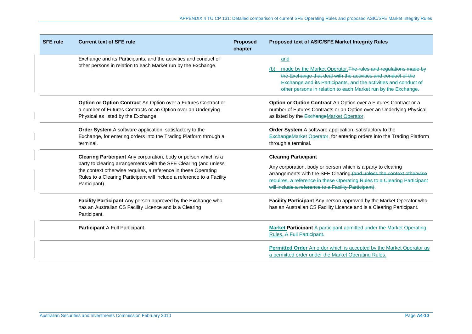| <b>SFE rule</b> | <b>Current text of SFE rule</b>                                                                                                                                                                                                                                                                  | <b>Proposed</b><br>chapter | <b>Proposed text of ASIC/SFE Market Integrity Rules</b>                                                                                                                                                                                                                                                 |
|-----------------|--------------------------------------------------------------------------------------------------------------------------------------------------------------------------------------------------------------------------------------------------------------------------------------------------|----------------------------|---------------------------------------------------------------------------------------------------------------------------------------------------------------------------------------------------------------------------------------------------------------------------------------------------------|
|                 | Exchange and its Participants, and the activities and conduct of<br>other persons in relation to each Market run by the Exchange.                                                                                                                                                                |                            | and<br>made by the Market Operator. The rules and regulations made by<br>the Exchange that deal with the activities and conduct of the<br>Exchange and its Participants, and the activities and conduct of<br>other persons in relation to each Market run by the Exchange.                             |
|                 | Option or Option Contract An Option over a Futures Contract or<br>a number of Futures Contracts or an Option over an Underlying<br>Physical as listed by the Exchange.                                                                                                                           |                            | Option or Option Contract An Option over a Futures Contract or a<br>number of Futures Contracts or an Option over an Underlying Physical<br>as listed by the ExchangeMarket Operator.                                                                                                                   |
|                 | Order System A software application, satisfactory to the<br>Exchange, for entering orders into the Trading Platform through a<br>terminal.                                                                                                                                                       |                            | Order System A software application, satisfactory to the<br>ExchangeMarket Operator, for entering orders into the Trading Platform<br>through a terminal.                                                                                                                                               |
|                 | Clearing Participant Any corporation, body or person which is a<br>party to clearing arrangements with the SFE Clearing (and unless<br>the context otherwise requires, a reference in these Operating<br>Rules to a Clearing Participant will include a reference to a Facility<br>Participant). |                            | <b>Clearing Participant</b><br>Any corporation, body or person which is a party to clearing<br>arrangements with the SFE Clearing (and unless the context otherwise<br>requires, a reference in these Operating Rules to a Clearing Participant<br>will include a reference to a Facility Participant). |
|                 | Facility Participant Any person approved by the Exchange who<br>has an Australian CS Facility Licence and is a Clearing<br>Participant.                                                                                                                                                          |                            | Facility Participant Any person approved by the Market Operator who<br>has an Australian CS Facility Licence and is a Clearing Participant.                                                                                                                                                             |
|                 | Participant A Full Participant.                                                                                                                                                                                                                                                                  |                            | Market Participant A participant admitted under the Market Operating<br>Rules.-A-Full-Participant.                                                                                                                                                                                                      |
|                 |                                                                                                                                                                                                                                                                                                  |                            | Permitted Order An order which is accepted by the Market Operator as<br>a permitted order under the Market Operating Rules.                                                                                                                                                                             |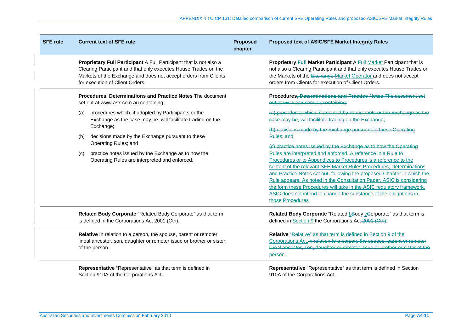| <b>SFE rule</b> | <b>Current text of SFE rule</b>                                                                                                                                                                                                             | <b>Proposed</b><br>chapter | <b>Proposed text of ASIC/SFE Market Integrity Rules</b>                                                                                                                                                                                                                                                                                                                                                                                                                                                                      |  |  |
|-----------------|---------------------------------------------------------------------------------------------------------------------------------------------------------------------------------------------------------------------------------------------|----------------------------|------------------------------------------------------------------------------------------------------------------------------------------------------------------------------------------------------------------------------------------------------------------------------------------------------------------------------------------------------------------------------------------------------------------------------------------------------------------------------------------------------------------------------|--|--|
|                 | Proprietary Full Participant A Full Participant that is not also a<br>Clearing Participant and that only executes House Trades on the<br>Markets of the Exchange and does not accept orders from Clients<br>for execution of Client Orders. |                            | Proprietary Full Market Participant A Full Market Participant that is<br>not also a Clearing Participant and that only executes House Trades on<br>the Markets of the Exchange-Market Operator and does not accept<br>orders from Clients for execution of Client Orders.                                                                                                                                                                                                                                                    |  |  |
|                 | Procedures, Determinations and Practice Notes The document<br>set out at www.asx.com.au containing:                                                                                                                                         |                            | Procedures, Determinations and Practice Notes The document set<br>out at www.asx.com.au containing:                                                                                                                                                                                                                                                                                                                                                                                                                          |  |  |
|                 | procedures which, if adopted by Participants or the<br>(a)<br>Exchange as the case may be, will facilitate trading on the<br>Exchange;                                                                                                      |                            | (a) procedures which, if adopted by Participants or the Exchange as the<br>case may be, will facilitate trading on the Exchange;<br>(b) decisions made by the Exchange pursuant to these Operating                                                                                                                                                                                                                                                                                                                           |  |  |
|                 | decisions made by the Exchange pursuant to these<br>(b)<br>Operating Rules; and                                                                                                                                                             |                            | Rules; and<br>(c) practice notes issued by the Exchange as to how the Operating                                                                                                                                                                                                                                                                                                                                                                                                                                              |  |  |
|                 | practice notes issued by the Exchange as to how the<br>(c)<br>Operating Rules are interpreted and enforced.                                                                                                                                 |                            | Rules are interpreted and enforced. A reference in a Rule to<br>Procedures or to Appendices to Procedures is a reference to the<br>content of the relevant SFE Market Rules Procedures, Determinations<br>and Practice Notes set out following the proposed Chapter in which the<br>Rule appears. As noted in the Consultation Paper, ASIC is considering<br>the form these Procedures will take in the ASIC regulatory framework.<br>ASIC does not intend to change the substance of the obligations in<br>those Procedures |  |  |
|                 | Related Body Corporate "Related Body Corporate" as that term<br>is defined in the Corporations Act 2001 (Cth).                                                                                                                              |                            | Related Body Corporate "Related bBody cGorporate" as that term is<br>defined in Section 9 the Corporations Act-2001 (Cth).                                                                                                                                                                                                                                                                                                                                                                                                   |  |  |
|                 | Relative In relation to a person, the spouse, parent or remoter<br>lineal ancestor, son, daughter or remoter issue or brother or sister<br>of the person.                                                                                   |                            | Relative "Relative" as that term is defined in Section 9 of the<br>Corporations Act. <sup>In</sup> relation to a person, the spouse, parent or remoter<br>lineal ancestor, son, daughter or remoter issue or brother or sister of the<br>person.                                                                                                                                                                                                                                                                             |  |  |
|                 | Representative "Representative" as that term is defined in<br>Section 910A of the Corporations Act.                                                                                                                                         |                            | Representative "Representative" as that term is defined in Section<br>910A of the Corporations Act.                                                                                                                                                                                                                                                                                                                                                                                                                          |  |  |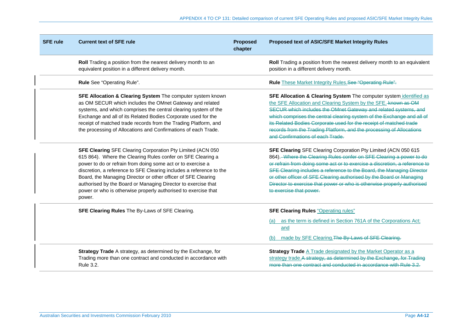| <b>SFE rule</b> | <b>Current text of SFE rule</b>                                                                                                                                                                                                                                                                                                                                                                                                                                                       | <b>Proposed</b><br>chapter | <b>Proposed text of ASIC/SFE Market Integrity Rules</b>                                                                                                                                                                                                                                                                                                                                                                                                                    |
|-----------------|---------------------------------------------------------------------------------------------------------------------------------------------------------------------------------------------------------------------------------------------------------------------------------------------------------------------------------------------------------------------------------------------------------------------------------------------------------------------------------------|----------------------------|----------------------------------------------------------------------------------------------------------------------------------------------------------------------------------------------------------------------------------------------------------------------------------------------------------------------------------------------------------------------------------------------------------------------------------------------------------------------------|
|                 | Roll Trading a position from the nearest delivery month to an<br>equivalent position in a different delivery month.                                                                                                                                                                                                                                                                                                                                                                   |                            | Roll Trading a position from the nearest delivery month to an equivalent<br>position in a different delivery month.                                                                                                                                                                                                                                                                                                                                                        |
|                 | Rule See "Operating Rule".                                                                                                                                                                                                                                                                                                                                                                                                                                                            |                            | Rule These Market Integrity Rules.See "Operating Rule".                                                                                                                                                                                                                                                                                                                                                                                                                    |
|                 | SFE Allocation & Clearing System The computer system known<br>as OM SECUR which includes the OMnet Gateway and related<br>systems, and which comprises the central clearing system of the<br>Exchange and all of its Related Bodies Corporate used for the<br>receipt of matched trade records from the Trading Platform, and<br>the processing of Allocations and Confirmations of each Trade.                                                                                       |                            | SFE Allocation & Clearing System The computer system identified as<br>the SFE Allocation and Clearing System by the SFE. known as OM<br>SECUR which includes the OMnet Gateway and related systems, and<br>which comprises the central clearing system of the Exchange and all of<br>its Related Bodies Corporate used for the receipt of matched trade<br>records from the Trading Platform, and the processing of Allocations<br>and Confirmations of each Trade.        |
|                 | <b>SFE Clearing SFE Clearing Corporation Pty Limited (ACN 050)</b><br>615 864). Where the Clearing Rules confer on SFE Clearing a<br>power to do or refrain from doing some act or to exercise a<br>discretion, a reference to SFE Clearing includes a reference to the<br>Board, the Managing Director or other officer of SFE Clearing<br>authorised by the Board or Managing Director to exercise that<br>power or who is otherwise properly authorised to exercise that<br>power. |                            | SFE Clearing SFE Clearing Corporation Pty Limited (ACN 050 615<br>864). Where the Clearing Rules confer on SFE Clearing a power to do<br>or refrain from doing some act or to exercise a discretion, a reference to<br>SFE Clearing includes a reference to the Board, the Managing Director<br>or other officer of SFE Clearing authorised by the Board or Managing<br>Director to exercise that power or who is otherwise properly authorised<br>to exercise that power. |
|                 | SFE Clearing Rules The By-Laws of SFE Clearing.                                                                                                                                                                                                                                                                                                                                                                                                                                       |                            | <b>SFE Clearing Rules "Operating rules"</b><br>(a) as the term is defined in Section 761A of the Corporations Act;<br>and<br>made by SFE Clearing. The By-Laws of SFE Clearing.<br>(b)                                                                                                                                                                                                                                                                                     |
|                 | Strategy Trade A strategy, as determined by the Exchange, for<br>Trading more than one contract and conducted in accordance with<br>Rule 3.2.                                                                                                                                                                                                                                                                                                                                         |                            | <b>Strategy Trade A Trade designated by the Market Operator as a</b><br>strategy trade.A strategy, as determined by the Exchange, for Trading<br>more than one contract and conducted in accordance with Rule 3.2.                                                                                                                                                                                                                                                         |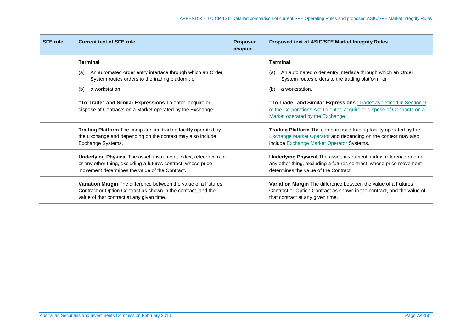| <b>SFE rule</b> | <b>Current text of SFE rule</b>                                                                                                                                                     | <b>Proposed</b><br>chapter | <b>Proposed text of ASIC/SFE Market Integrity Rules</b>                                                                                                                                  |
|-----------------|-------------------------------------------------------------------------------------------------------------------------------------------------------------------------------------|----------------------------|------------------------------------------------------------------------------------------------------------------------------------------------------------------------------------------|
|                 | <b>Terminal</b>                                                                                                                                                                     |                            | <b>Terminal</b>                                                                                                                                                                          |
|                 | An automated order entry interface through which an Order<br>(a)<br>System routes orders to the trading platform; or                                                                |                            | An automated order entry interface through which an Order<br>(a)<br>System routes orders to the trading platform; or                                                                     |
|                 | a workstation.<br>(b)                                                                                                                                                               |                            | a workstation.<br>(b)                                                                                                                                                                    |
|                 | "To Trade" and Similar Expressions To enter, acquire or<br>dispose of Contracts on a Market operated by the Exchange.                                                               |                            | "To Trade" and Similar Expressions "Trade" as defined in Section 9<br>of the Corporations Act. To enter, acquire or dispose of Contracts on a<br>Market operated by the Exchange.        |
|                 | <b>Trading Platform</b> The computerised trading facility operated by<br>the Exchange and depending on the context may also include<br>Exchange Systems.                            |                            | Trading Platform The computerised trading facility operated by the<br><b>Exchange-Market Operator and depending on the context may also</b><br>include Exchange Market Operator Systems. |
|                 | Underlying Physical The asset, instrument, index, reference rate<br>or any other thing, excluding a futures contract, whose price<br>movement determines the value of the Contract. |                            | Underlying Physical The asset, instrument, index, reference rate or<br>any other thing, excluding a futures contract, whose price movement<br>determines the value of the Contract.      |
|                 | Variation Margin The difference between the value of a Futures<br>Contract or Option Contract as shown in the contract, and the<br>value of that contract at any given time.        |                            | Variation Margin The difference between the value of a Futures<br>Contract or Option Contract as shown in the contract, and the value of<br>that contract at any given time.             |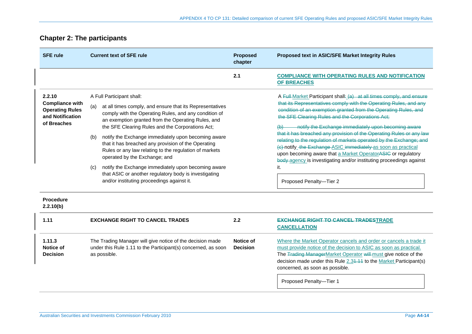# **Chapter 2: The participants**

| <b>SFE rule</b>                                                                               | <b>Current text of SFE rule</b>                                                                                                                                                                                                                                                                                                                                                                                                                                                                                                                                                                                                                      | <b>Proposed</b><br>chapter   | Proposed text in ASIC/SFE Market Integrity Rules                                                                                                                                                                                                                                                                                                                                                                                                                                                                                                                                                                                                                                                                                       |  |
|-----------------------------------------------------------------------------------------------|------------------------------------------------------------------------------------------------------------------------------------------------------------------------------------------------------------------------------------------------------------------------------------------------------------------------------------------------------------------------------------------------------------------------------------------------------------------------------------------------------------------------------------------------------------------------------------------------------------------------------------------------------|------------------------------|----------------------------------------------------------------------------------------------------------------------------------------------------------------------------------------------------------------------------------------------------------------------------------------------------------------------------------------------------------------------------------------------------------------------------------------------------------------------------------------------------------------------------------------------------------------------------------------------------------------------------------------------------------------------------------------------------------------------------------------|--|
|                                                                                               |                                                                                                                                                                                                                                                                                                                                                                                                                                                                                                                                                                                                                                                      | 2.1                          | <b>COMPLIANCE WITH OPERATING RULES AND NOTIFICATION</b><br><b>OF BREACHES</b>                                                                                                                                                                                                                                                                                                                                                                                                                                                                                                                                                                                                                                                          |  |
| 2.2.10<br><b>Compliance with</b><br><b>Operating Rules</b><br>and Notification<br>of Breaches | A Full Participant shall:<br>at all times comply, and ensure that its Representatives<br>(a)<br>comply with the Operating Rules, and any condition of<br>an exemption granted from the Operating Rules, and<br>the SFE Clearing Rules and the Corporations Act;<br>notify the Exchange immediately upon becoming aware<br>(b)<br>that it has breached any provision of the Operating<br>Rules or any law relating to the regulation of markets<br>operated by the Exchange; and<br>notify the Exchange immediately upon becoming aware<br>(c)<br>that ASIC or another regulatory body is investigating<br>and/or instituting proceedings against it. |                              | A Full-Market Participant shall: (a) at all times comply, and ensure<br>that its Representatives comply with the Operating Rules, and any<br>condition of an exemption granted from the Operating Rules, and<br>the SFE Clearing Rules and the Corporations Act;<br>notify the Exchange immediately upon becoming aware<br>$\leftrightarrow$<br>that it has breached any provision of the Operating Rules or any law<br>relating to the regulation of markets operated by the Exchange; and<br>(e) notify_the Exchange ASIC immediately as soon as practical<br>upon becoming aware that a Market Operator ASIC or regulatory<br>body agency is investigating and/or instituting proceedings against<br>it.<br>Proposed Penalty-Tier 2 |  |
| <b>Procedure</b><br>2.2.10(b)                                                                 |                                                                                                                                                                                                                                                                                                                                                                                                                                                                                                                                                                                                                                                      |                              |                                                                                                                                                                                                                                                                                                                                                                                                                                                                                                                                                                                                                                                                                                                                        |  |
| 1.11                                                                                          | <b>EXCHANGE RIGHT TO CANCEL TRADES</b>                                                                                                                                                                                                                                                                                                                                                                                                                                                                                                                                                                                                               | 2.2                          | <b>EXCHANGE RIGHT TO CANCEL TRADESTRADE</b><br><b>CANCELLATION</b>                                                                                                                                                                                                                                                                                                                                                                                                                                                                                                                                                                                                                                                                     |  |
| 1.11.3<br>Notice of<br><b>Decision</b>                                                        | The Trading Manager will give notice of the decision made<br>under this Rule 1.11 to the Participant(s) concerned, as soon<br>as possible.                                                                                                                                                                                                                                                                                                                                                                                                                                                                                                           | Notice of<br><b>Decision</b> | Where the Market Operator cancels and order or cancels a trade it<br>must provide notice of the decision to ASIC as soon as practical.<br>The Trading ManagerMarket Operator will must give notice of the<br>decision made under this Rule 2.34.44 to the Market Participant(s)<br>concerned, as soon as possible.<br>Proposed Penalty-Tier 1                                                                                                                                                                                                                                                                                                                                                                                          |  |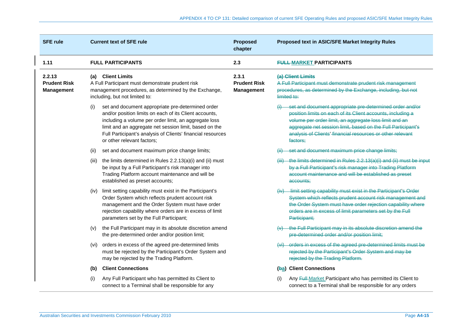| <b>SFE rule</b>                                    | <b>Current text of SFE rule</b>                                                                                                                                                                                                                                                                                                    | <b>Proposed</b><br>chapter                 | Proposed text in ASIC/SFE Market Integrity Rules                                                                                                                                                                                                                                                                            |  |  |
|----------------------------------------------------|------------------------------------------------------------------------------------------------------------------------------------------------------------------------------------------------------------------------------------------------------------------------------------------------------------------------------------|--------------------------------------------|-----------------------------------------------------------------------------------------------------------------------------------------------------------------------------------------------------------------------------------------------------------------------------------------------------------------------------|--|--|
| 1.11                                               | <b>FULL PARTICIPANTS</b>                                                                                                                                                                                                                                                                                                           | 2.3                                        | <b>FULL-MARKET PARTICIPANTS</b>                                                                                                                                                                                                                                                                                             |  |  |
| 2.2.13<br><b>Prudent Risk</b><br><b>Management</b> | <b>Client Limits</b><br>(a)<br>A Full Participant must demonstrate prudent risk<br>management procedures, as determined by the Exchange,<br>including, but not limited to:                                                                                                                                                         | 2.3.1<br><b>Prudent Risk</b><br>Management | (a) Client Limits<br>A Full Participant must demonstrate prudent risk management<br>procedures, as determined by the Exchange, including, but not<br>limited to:                                                                                                                                                            |  |  |
|                                                    | (i)<br>set and document appropriate pre-determined order<br>and/or position limits on each of its Client accounts,<br>including a volume per order limit, an aggregate loss<br>limit and an aggregate net session limit, based on the<br>Full Participant's analysis of Clients' financial resources<br>or other relevant factors: |                                            | set and document appropriate pre-determined order and/or<br>position limits on each of its Client accounts, including a<br>volume per order limit, an aggregate loss limit and an<br>aggregate net session limit, based on the Full Participant's<br>analysis of Clients' financial resources or other relevant<br>factors: |  |  |
|                                                    | set and document maximum price change limits;<br>(ii)                                                                                                                                                                                                                                                                              |                                            | set and document maximum price change limits;                                                                                                                                                                                                                                                                               |  |  |
|                                                    | the limits determined in Rules 2.2.13(a)(i) and (ii) must<br>(iii)<br>be input by a Full Participant's risk manager into<br>Trading Platform account maintenance and will be<br>established as preset accounts;                                                                                                                    |                                            | the limits determined in Rules 2.2.13(a)(i) and (ii) must be input<br>by a Full Participant's risk manager into Trading Platform<br>account maintenance and will be established as preset<br>accounts:                                                                                                                      |  |  |
|                                                    | limit setting capability must exist in the Participant's<br>(iv)<br>Order System which reflects prudent account risk<br>management and the Order System must have order<br>rejection capability where orders are in excess of limit<br>parameters set by the Full Participant;                                                     |                                            | limit setting capability must exist in the Participant's Order<br>System which reflects prudent account risk management and<br>the Order System must have order rejection capability where<br>orders are in excess of limit parameters set by the Full<br>Participant;                                                      |  |  |
|                                                    | the Full Participant may in its absolute discretion amend<br>(v)<br>the pre-determined order and/or position limit;                                                                                                                                                                                                                |                                            | the Full Participant may in its absolute discretion amend the<br>pre-determined order and/or position limit;                                                                                                                                                                                                                |  |  |
|                                                    | orders in excess of the agreed pre-determined limits<br>(vi)<br>must be rejected by the Participant's Order System and<br>may be rejected by the Trading Platform.                                                                                                                                                                 |                                            | (vi) orders in excess of the agreed pre-determined limits must be<br>rejected by the Participant's Order System and may be<br>rejected by the Trading Platform.                                                                                                                                                             |  |  |
|                                                    | <b>Client Connections</b><br>(b)                                                                                                                                                                                                                                                                                                   |                                            | (ba) Client Connections                                                                                                                                                                                                                                                                                                     |  |  |
|                                                    | Any Full Participant who has permitted its Client to<br>(i)<br>connect to a Terminal shall be responsible for any                                                                                                                                                                                                                  |                                            | Any Full-Market Participant who has permitted its Client to<br>(i)<br>connect to a Terminal shall be responsible for any orders                                                                                                                                                                                             |  |  |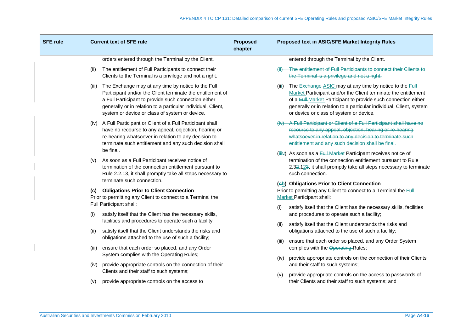| <b>SFE rule</b> |       | <b>Current text of SFE rule</b>                                                                                                                                                                                                                                                            | <b>Proposed</b><br>chapter |       | Proposed text in ASIC/SFE Market Integrity Rules                                                                                                                                                                                                                                                              |
|-----------------|-------|--------------------------------------------------------------------------------------------------------------------------------------------------------------------------------------------------------------------------------------------------------------------------------------------|----------------------------|-------|---------------------------------------------------------------------------------------------------------------------------------------------------------------------------------------------------------------------------------------------------------------------------------------------------------------|
|                 |       | orders entered through the Terminal by the Client.                                                                                                                                                                                                                                         |                            |       | entered through the Terminal by the Client.                                                                                                                                                                                                                                                                   |
|                 | (ii)  | The entitlement of Full Participants to connect their<br>Clients to the Terminal is a privilege and not a right.                                                                                                                                                                           |                            |       | The entitlement of Full Participants to connect their Clients to<br>the Terminal is a privilege and not a right.                                                                                                                                                                                              |
|                 | (iii) | The Exchange may at any time by notice to the Full<br>Participant and/or the Client terminate the entitlement of<br>a Full Participant to provide such connection either<br>generally or in relation to a particular individual, Client,<br>system or device or class of system or device. |                            | (iii) | The Exchange ASIC may at any time by notice to the Full<br>Market Participant and/or the Client terminate the entitlement<br>of a Full-Market Participant to provide such connection either<br>generally or in relation to a particular individual, Client, system<br>or device or class of system or device. |
|                 | (iv)  | A Full Participant or Client of a Full Participant shall<br>have no recourse to any appeal, objection, hearing or<br>re-hearing whatsoever in relation to any decision to<br>terminate such entitlement and any such decision shall                                                        |                            |       | A Full Participant or Client of a Full Participant shall have no<br>recourse to any appeal, objection, hearing or re-hearing<br>whatsoever in relation to any decision to terminate such<br>entitlement and any such decision shall be final.                                                                 |
|                 | (v)   | be final.<br>As soon as a Full Participant receives notice of<br>termination of the connection entitlement pursuant to<br>Rule 2.2.13, it shall promptly take all steps necessary to                                                                                                       |                            |       | (iiiv) As soon as a Full-Market Participant receives notice of<br>termination of the connection entitlement pursuant to Rule<br>2.32.123, it shall promptly take all steps necessary to terminate<br>such connection.                                                                                         |
|                 | (C)   | terminate such connection.<br><b>Obligations Prior to Client Connection</b><br>Prior to permitting any Client to connect to a Terminal the                                                                                                                                                 |                            |       | (eb) Obligations Prior to Client Connection<br>Prior to permitting any Client to connect to a Terminal the Full<br><b>Market Participant shall:</b>                                                                                                                                                           |
|                 | (i)   | Full Participant shall:<br>satisfy itself that the Client has the necessary skills,                                                                                                                                                                                                        |                            | (i)   | satisfy itself that the Client has the necessary skills, facilities<br>and procedures to operate such a facility;                                                                                                                                                                                             |
|                 | (ii)  | facilities and procedures to operate such a facility;<br>satisfy itself that the Client understands the risks and                                                                                                                                                                          |                            | (ii)  | satisfy itself that the Client understands the risks and<br>obligations attached to the use of such a facility;                                                                                                                                                                                               |
|                 | (iii) | obligations attached to the use of such a facility;<br>ensure that each order so placed, and any Order                                                                                                                                                                                     |                            | (iii) | ensure that each order so placed, and any Order System<br>complies with the Operating Rules;                                                                                                                                                                                                                  |
|                 | (iv)  | System complies with the Operating Rules;<br>provide appropriate controls on the connection of their                                                                                                                                                                                       |                            | (iv)  | provide appropriate controls on the connection of their Clients<br>and their staff to such systems;                                                                                                                                                                                                           |
|                 | (v)   | Clients and their staff to such systems;<br>provide appropriate controls on the access to                                                                                                                                                                                                  |                            | (v)   | provide appropriate controls on the access to passwords of<br>their Clients and their staff to such systems; and                                                                                                                                                                                              |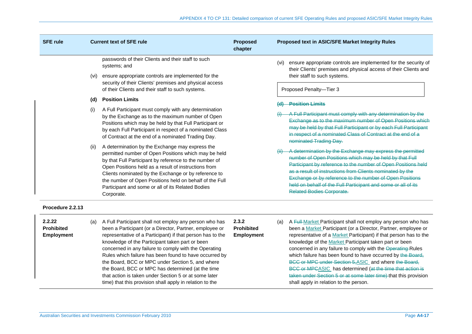| <b>SFE rule</b> |      | <b>Current text of SFE rule</b>                                                                                                                                                                                                                                                                                                                                                                                 | <b>Proposed</b><br>chapter | <b>Proposed text in ASIC/SFE Market Integrity Rules</b>                                                                                                                                                                                                                                                                                                                                                             |  |  |
|-----------------|------|-----------------------------------------------------------------------------------------------------------------------------------------------------------------------------------------------------------------------------------------------------------------------------------------------------------------------------------------------------------------------------------------------------------------|----------------------------|---------------------------------------------------------------------------------------------------------------------------------------------------------------------------------------------------------------------------------------------------------------------------------------------------------------------------------------------------------------------------------------------------------------------|--|--|
|                 | (vi) | passwords of their Clients and their staff to such<br>systems; and<br>ensure appropriate controls are implemented for the<br>security of their Clients' premises and physical access<br>of their Clients and their staff to such systems.                                                                                                                                                                       |                            | ensure appropriate controls are implemented for the security of<br>(vi)<br>their Clients' premises and physical access of their Clients and<br>their staff to such systems.<br>Proposed Penalty-Tier 3                                                                                                                                                                                                              |  |  |
|                 | (d)  | <b>Position Limits</b>                                                                                                                                                                                                                                                                                                                                                                                          |                            |                                                                                                                                                                                                                                                                                                                                                                                                                     |  |  |
|                 | (i)  | A Full Participant must comply with any determination<br>by the Exchange as to the maximum number of Open<br>Positions which may be held by that Full Participant or<br>by each Full Participant in respect of a nominated Class<br>of Contract at the end of a nominated Trading Day.                                                                                                                          |                            | <b>Position Limits</b><br>A Full Participant must comply with any determination by the<br>Exchange as to the maximum number of Open Positions which<br>may be held by that Full Participant or by each Full Participant<br>in respect of a nominated Class of Contract at the end of a<br>nominated Trading Day.                                                                                                    |  |  |
|                 | (ii) | A determination by the Exchange may express the<br>permitted number of Open Positions which may be held<br>by that Full Participant by reference to the number of<br>Open Positions held as a result of instructions from<br>Clients nominated by the Exchange or by reference to<br>the number of Open Positions held on behalf of the Full<br>Participant and some or all of its Related Bodies<br>Corporate. |                            | A determination by the Exchange may express the permitted<br>number of Open Positions which may be held by that Full<br>Participant by reference to the number of Open Positions held<br>as a result of instructions from Clients nominated by the<br>Exchange or by reference to the number of Open Positions<br>held on behalf of the Full Participant and some or all of its<br><b>Related Bodies Corporate.</b> |  |  |

# **Procedure 2.2.13**

| 2.2.22<br><b>Prohibited</b><br><b>Employment</b> | (a) | A Full Participant shall not employ any person who has<br>been a Participant (or a Director, Partner, employee or<br>representative of a Participant) if that person has to the<br>knowledge of the Participant taken part or been<br>concerned in any failure to comply with the Operating<br>Rules which failure has been found to have occurred by<br>the Board, BCC or MPC under Section 5, and where<br>the Board, BCC or MPC has determined (at the time<br>that action is taken under Section 5 or at some later<br>time) that this provision shall apply in relation to the | 2.3.2<br><b>Prohibited</b><br><b>Employment</b> |  | (a) A Full-Market Participant shall not employ any person who has<br>been a Market Participant (or a Director, Partner, employee or<br>representative of a Market Participant) if that person has to the<br>knowledge of the Market Participant taken part or been<br>concerned in any failure to comply with the Operating-Rules<br>which failure has been found to have occurred by the Board,<br>BCC or MPC under Section 5, ASIC and where the Board,<br>BCC or MPCASIC has determined (at the time that action is<br>taken under Section 5 or at some later time) that this provision<br>shall apply in relation to the person. |
|--------------------------------------------------|-----|-------------------------------------------------------------------------------------------------------------------------------------------------------------------------------------------------------------------------------------------------------------------------------------------------------------------------------------------------------------------------------------------------------------------------------------------------------------------------------------------------------------------------------------------------------------------------------------|-------------------------------------------------|--|--------------------------------------------------------------------------------------------------------------------------------------------------------------------------------------------------------------------------------------------------------------------------------------------------------------------------------------------------------------------------------------------------------------------------------------------------------------------------------------------------------------------------------------------------------------------------------------------------------------------------------------|
|--------------------------------------------------|-----|-------------------------------------------------------------------------------------------------------------------------------------------------------------------------------------------------------------------------------------------------------------------------------------------------------------------------------------------------------------------------------------------------------------------------------------------------------------------------------------------------------------------------------------------------------------------------------------|-------------------------------------------------|--|--------------------------------------------------------------------------------------------------------------------------------------------------------------------------------------------------------------------------------------------------------------------------------------------------------------------------------------------------------------------------------------------------------------------------------------------------------------------------------------------------------------------------------------------------------------------------------------------------------------------------------------|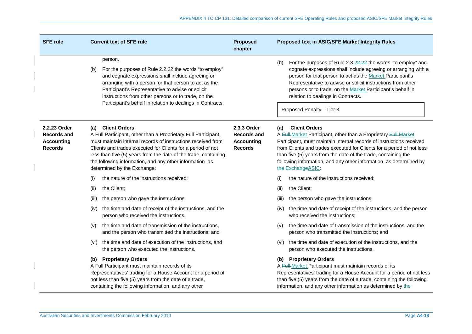| <b>SFE rule</b>                                                           | <b>Current text of SFE rule</b>                                                                                                                                                                                                                                                                                                                                                 | <b>Proposed</b><br>chapter                                               | Proposed text in ASIC/SFE Market Integrity Rules                                                                                                                                                                                                                                                                                                                                                             |
|---------------------------------------------------------------------------|---------------------------------------------------------------------------------------------------------------------------------------------------------------------------------------------------------------------------------------------------------------------------------------------------------------------------------------------------------------------------------|--------------------------------------------------------------------------|--------------------------------------------------------------------------------------------------------------------------------------------------------------------------------------------------------------------------------------------------------------------------------------------------------------------------------------------------------------------------------------------------------------|
|                                                                           | person.<br>For the purposes of Rule 2.2.22 the words "to employ"<br>(b)<br>and cognate expressions shall include agreeing or<br>arranging with a person for that person to act as the<br>Participant's Representative to advise or solicit<br>instructions from other persons or to trade, on the<br>Participant's behalf in relation to dealings in Contracts.                 |                                                                          | For the purposes of Rule 2.3.22.22 the words "to employ" and<br>(b)<br>cognate expressions shall include agreeing or arranging with a<br>person for that person to act as the Market Participant's<br>Representative to advise or solicit instructions from other<br>persons or to trade, on the Market Participant's behalf in<br>relation to dealings in Contracts.<br>Proposed Penalty-Tier 3             |
| 2.2.23 Order<br><b>Records and</b><br><b>Accounting</b><br><b>Records</b> | (a) Client Orders<br>A Full Participant, other than a Proprietary Full Participant,<br>must maintain internal records of instructions received from<br>Clients and trades executed for Clients for a period of not<br>less than five (5) years from the date of the trade, containing<br>the following information, and any other information as<br>determined by the Exchange: | 2.3.3 Order<br><b>Records and</b><br><b>Accounting</b><br><b>Records</b> | <b>Client Orders</b><br>(a)<br>A Full-Market Participant, other than a Proprietary Full-Market<br>Participant, must maintain internal records of instructions received<br>from Clients and trades executed for Clients for a period of not less<br>than five (5) years from the date of the trade, containing the<br>following information, and any other information as determined by<br>the Exchange ASIC: |
|                                                                           | the nature of the instructions received;<br>(i)                                                                                                                                                                                                                                                                                                                                 |                                                                          | the nature of the instructions received;<br>(i)                                                                                                                                                                                                                                                                                                                                                              |
|                                                                           | the Client:<br>(ii)                                                                                                                                                                                                                                                                                                                                                             |                                                                          | the Client:<br>(ii)                                                                                                                                                                                                                                                                                                                                                                                          |
|                                                                           | the person who gave the instructions;<br>(iii)                                                                                                                                                                                                                                                                                                                                  |                                                                          | the person who gave the instructions;<br>(iii)                                                                                                                                                                                                                                                                                                                                                               |
|                                                                           | the time and date of receipt of the instructions, and the<br>(iv)<br>person who received the instructions;                                                                                                                                                                                                                                                                      |                                                                          | the time and date of receipt of the instructions, and the person<br>(IV)<br>who received the instructions;                                                                                                                                                                                                                                                                                                   |
|                                                                           | the time and date of transmission of the instructions,<br>(v)<br>and the person who transmitted the instructions; and                                                                                                                                                                                                                                                           |                                                                          | the time and date of transmission of the instructions, and the<br>(v)<br>person who transmitted the instructions; and                                                                                                                                                                                                                                                                                        |
|                                                                           | (vi) the time and date of execution of the instructions, and<br>the person who executed the instructions.                                                                                                                                                                                                                                                                       |                                                                          | the time and date of execution of the instructions, and the<br>(vi)<br>person who executed the instructions.                                                                                                                                                                                                                                                                                                 |
|                                                                           | (b) Proprietary Orders<br>A Full Participant must maintain records of its<br>Representatives' trading for a House Account for a period of<br>not less than five (5) years from the date of a trade,<br>containing the following information, and any other                                                                                                                      |                                                                          | (b) Proprietary Orders<br>A Full-Market Participant must maintain records of its<br>Representatives' trading for a House Account for a period of not less<br>than five (5) years from the date of a trade, containing the following<br>information, and any other information as determined by the                                                                                                           |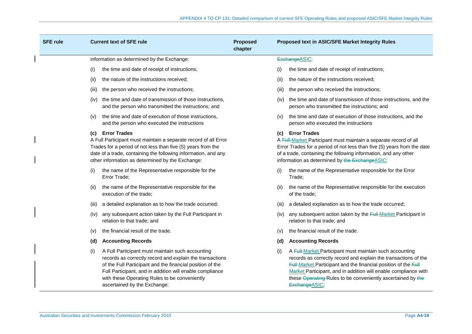| <b>SFE rule</b> |       | <b>Current text of SFE rule</b>                                                                                                                                                                                                                                                                                        | <b>Proposed</b><br>chapter |       | Proposed text in ASIC/SFE Market Integrity Rules                                                                                                                                                                                                                                                                                                 |
|-----------------|-------|------------------------------------------------------------------------------------------------------------------------------------------------------------------------------------------------------------------------------------------------------------------------------------------------------------------------|----------------------------|-------|--------------------------------------------------------------------------------------------------------------------------------------------------------------------------------------------------------------------------------------------------------------------------------------------------------------------------------------------------|
|                 |       | information as determined by the Exchange:                                                                                                                                                                                                                                                                             |                            |       | ExchangeASIC:                                                                                                                                                                                                                                                                                                                                    |
|                 | (i)   | the time and date of receipt of instructions;                                                                                                                                                                                                                                                                          |                            | (i)   | the time and date of receipt of instructions;                                                                                                                                                                                                                                                                                                    |
|                 | (ii)  | the nature of the instructions received;                                                                                                                                                                                                                                                                               |                            | (ii)  | the nature of the instructions received;                                                                                                                                                                                                                                                                                                         |
|                 | (iii) | the person who received the instructions;                                                                                                                                                                                                                                                                              |                            | (iii) | the person who received the instructions;                                                                                                                                                                                                                                                                                                        |
|                 | (iv)  | the time and date of transmission of those instructions,<br>and the person who transmitted the instructions; and                                                                                                                                                                                                       |                            | (iv)  | the time and date of transmission of those instructions, and the<br>person who transmitted the instructions; and                                                                                                                                                                                                                                 |
|                 | (v)   | the time and date of execution of those instructions,<br>and the person who executed the instructions                                                                                                                                                                                                                  |                            | (V)   | the time and date of execution of those instructions, and the<br>person who executed the instructions                                                                                                                                                                                                                                            |
|                 | (C)   | <b>Error Trades</b><br>A Full Participant must maintain a separate record of all Error<br>Trades for a period of not less than five (5) years from the<br>date of a trade, containing the following information, and any<br>other information as determined by the Exchange:                                           |                            |       | (c) Error Trades<br>A Full-Market Participant must maintain a separate record of all<br>Error Trades for a period of not less than five (5) years from the date<br>of a trade, containing the following information, and any other<br>information as determined by the ExchangeASIC.                                                             |
|                 | (i)   | the name of the Representative responsible for the<br>Error Trade;                                                                                                                                                                                                                                                     |                            | (i)   | the name of the Representative responsible for the Error<br>Trade:                                                                                                                                                                                                                                                                               |
|                 | (ii)  | the name of the Representative responsible for the<br>execution of the trade:                                                                                                                                                                                                                                          |                            | (ii)  | the name of the Representative responsible for the execution<br>of the trade:                                                                                                                                                                                                                                                                    |
|                 | (iii) | a detailed explanation as to how the trade occurred;                                                                                                                                                                                                                                                                   |                            | (III) | a detailed explanation as to how the trade occurred;                                                                                                                                                                                                                                                                                             |
|                 | (iv)  | any subsequent action taken by the Full Participant in<br>relation to that trade; and                                                                                                                                                                                                                                  |                            | (IV)  | any subsequent action taken by the <b>Full-Market Participant in</b><br>relation to that trade; and                                                                                                                                                                                                                                              |
|                 | (v)   | the financial result of the trade.                                                                                                                                                                                                                                                                                     |                            | (v)   | the financial result of the trade.                                                                                                                                                                                                                                                                                                               |
|                 | (d)   | <b>Accounting Records</b>                                                                                                                                                                                                                                                                                              |                            | (d)   | <b>Accounting Records</b>                                                                                                                                                                                                                                                                                                                        |
|                 | (i)   | A Full Participant must maintain such accounting<br>records as correctly record and explain the transactions<br>of the Full Participant and the financial position of the<br>Full Participant, and in addition will enable compliance<br>with these Operating Rules to be conveniently<br>ascertained by the Exchange; |                            | (i)   | A Full-Market Participant must maintain such accounting<br>records as correctly record and explain the transactions of the<br>Full-Market Participant and the financial position of the Full<br>Market Participant, and in addition will enable compliance with<br>these Operating-Rules to be conveniently ascertained by the<br>Exchange ASIC; |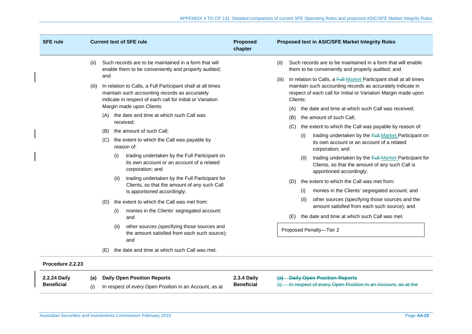| <b>SFE rule</b>  | <b>Current text of SFE rule</b>        |                            |                                                                                                                                                                                                                                                                                                                                                                                                                                                                                                                                                                                                                                                                                                                                                                                                                                                                                                                                                                                          | <b>Proposed</b><br>chapter | Proposed text in ASIC/SFE Market Integrity Rules             |                                                                                                                                                                                                                                                                                                                                                                                                                                                                                                                                                                                                                                                                                                                                                                                                                                                                                                                                                                                                                                                    |  |
|------------------|----------------------------------------|----------------------------|------------------------------------------------------------------------------------------------------------------------------------------------------------------------------------------------------------------------------------------------------------------------------------------------------------------------------------------------------------------------------------------------------------------------------------------------------------------------------------------------------------------------------------------------------------------------------------------------------------------------------------------------------------------------------------------------------------------------------------------------------------------------------------------------------------------------------------------------------------------------------------------------------------------------------------------------------------------------------------------|----------------------------|--------------------------------------------------------------|----------------------------------------------------------------------------------------------------------------------------------------------------------------------------------------------------------------------------------------------------------------------------------------------------------------------------------------------------------------------------------------------------------------------------------------------------------------------------------------------------------------------------------------------------------------------------------------------------------------------------------------------------------------------------------------------------------------------------------------------------------------------------------------------------------------------------------------------------------------------------------------------------------------------------------------------------------------------------------------------------------------------------------------------------|--|
| (ii)<br>(iii)    | and<br>(A)<br>(B)<br>(C)<br>(D)<br>(E) | (i)<br>(ii)<br>(i)<br>(ii) | Such records are to be maintained in a form that will<br>enable them to be conveniently and properly audited;<br>In relation to Calls, a Full Participant shall at all times<br>maintain such accounting records as accurately<br>indicate in respect of each call for Initial or Variation<br>Margin made upon Clients:<br>the date and time at which such Call was<br>received;<br>the amount of such Call;<br>the extent to which the Call was payable by<br>reason of:<br>trading undertaken by the Full Participant on<br>its own account or an account of a related<br>corporation; and<br>trading undertaken by the Full Participant for<br>Clients, so that the amount of any such Call<br>is apportioned accordingly;<br>the extent to which the Call was met from:<br>monies in the Clients' segregated account;<br>and<br>other sources (specifying those sources and<br>the amount satisfied from each such source);<br>and<br>the date and time at which such Call was met. |                            | (ii)<br>(iii)<br>Clients:<br>(A)<br>(B)<br>(C)<br>(D)<br>(E) | Such records are to be maintained in a form that will enable<br>them to be conveniently and properly audited; and<br>In relation to Calls, a Full-Market Participant shall at all times<br>maintain such accounting records as accurately indicate in<br>respect of each call for Initial or Variation Margin made upon<br>the date and time at which such Call was received;<br>the amount of such Call;<br>the extent to which the Call was payable by reason of:<br>trading undertaken by the Full-Market Participant on<br>(i)<br>its own account or an account of a related<br>corporation; and<br>trading undertaken by the Full-Market Participant for<br>(ii)<br>Clients, so that the amount of any such Call is<br>apportioned accordingly;<br>the extent to which the Call was met from:<br>monies in the Clients' segregated account; and<br>(i)<br>other sources (specifying those sources and the<br>(ii)<br>amount satisfied from each such source); and<br>the date and time at which such Call was met.<br>Proposed Penalty-Tier 2 |  |
| Procedure 2.2.23 |                                        |                            |                                                                                                                                                                                                                                                                                                                                                                                                                                                                                                                                                                                                                                                                                                                                                                                                                                                                                                                                                                                          |                            |                                                              |                                                                                                                                                                                                                                                                                                                                                                                                                                                                                                                                                                                                                                                                                                                                                                                                                                                                                                                                                                                                                                                    |  |

| 2.2.24 Daily      | (a) Daily Open Position Reports                        | <b>2.3.4 Daily</b> | (a) Daily Open Position Reports                                  |
|-------------------|--------------------------------------------------------|--------------------|------------------------------------------------------------------|
| <b>Beneficial</b> | In respect of every Open Position in an Account, as at | <b>Beneficial</b>  | $(i)$ In respect of every Open Position in an Account, as at the |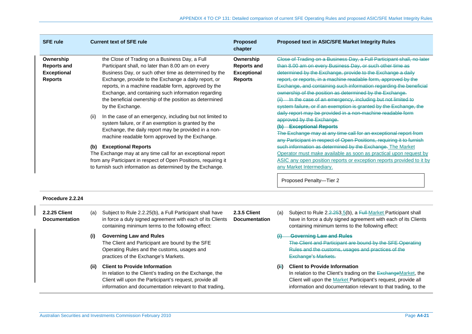| <b>SFE rule</b>                                                         |                         | <b>Current text of SFE rule</b>                                                                                                                                                                                                                                                                                                                                                                                   | <b>Proposed</b><br>chapter                                              |                                                      | Proposed text in ASIC/SFE Market Integrity Rules                                                                                                                                                                                                                                                                                                                                                                                                                                                                                                |
|-------------------------------------------------------------------------|-------------------------|-------------------------------------------------------------------------------------------------------------------------------------------------------------------------------------------------------------------------------------------------------------------------------------------------------------------------------------------------------------------------------------------------------------------|-------------------------------------------------------------------------|------------------------------------------------------|-------------------------------------------------------------------------------------------------------------------------------------------------------------------------------------------------------------------------------------------------------------------------------------------------------------------------------------------------------------------------------------------------------------------------------------------------------------------------------------------------------------------------------------------------|
| Ownership<br><b>Reports and</b><br><b>Exceptional</b><br><b>Reports</b> |                         | the Close of Trading on a Business Day, a Full<br>Participant shall, no later than 8.00 am on every<br>Business Day, or such other time as determined by the<br>Exchange, provide to the Exchange a daily report, or<br>reports, in a machine readable form, approved by the<br>Exchange, and containing such information regarding<br>the beneficial ownership of the position as determined<br>by the Exchange. | Ownership<br><b>Reports and</b><br><b>Exceptional</b><br><b>Reports</b> |                                                      | Close of Trading on a Business Day, a Full Participant shall, no later<br>than 8.00 am on every Business Day, or such other time as<br>determined by the Exchange, provide to the Exchange a daily<br>report, or reports, in a machine readable form, approved by the<br>Exchange, and containing such information regarding the beneficial<br>ownership of the position as determined by the Exchange.<br>(ii) In the case of an emergency, including but not limited to<br>system failure, or if an exemption is granted by the Exchange, the |
|                                                                         | (ii)                    | In the case of an emergency, including but not limited to<br>system failure, or if an exemption is granted by the<br>Exchange, the daily report may be provided in a non-<br>machine readable form approved by the Exchange.                                                                                                                                                                                      |                                                                         | approved by the Exchange.<br>(b) Exceptional Reports | daily report may be provided in a non-machine readable form<br>The Exchange may at any time call for an exceptional report from<br>any Participant in respect of Open Positions, requiring it to furnish                                                                                                                                                                                                                                                                                                                                        |
|                                                                         | (b) Exceptional Reports | The Exchange may at any time call for an exceptional report<br>from any Participant in respect of Open Positions, requiring it<br>to furnish such information as determined by the Exchange.                                                                                                                                                                                                                      |                                                                         |                                                      | such information as determined by the Exchange. The Market<br>Operator must make available as soon as practical upon request by<br>ASIC any open position reports or exception reports provided to it by<br>any Market Intermediary.                                                                                                                                                                                                                                                                                                            |
|                                                                         |                         |                                                                                                                                                                                                                                                                                                                                                                                                                   |                                                                         |                                                      | Proposed Penalty-Tier 2                                                                                                                                                                                                                                                                                                                                                                                                                                                                                                                         |
| Procedure 2.2.24                                                        |                         |                                                                                                                                                                                                                                                                                                                                                                                                                   |                                                                         |                                                      |                                                                                                                                                                                                                                                                                                                                                                                                                                                                                                                                                 |
| 2.2.25 Client<br><b>Documentation</b>                                   | (a)                     | Subject to Rule 2.2.25(b), a Full Participant shall have<br>in force a duly signed agreement with each of its Clients<br>containing minimum terms to the following effect:                                                                                                                                                                                                                                        | <b>2.3.5 Client</b><br><b>Documentation</b>                             | (a)                                                  | Subject to Rule 2.2.253.5(b), a Full Market Participant shall<br>have in force a duly signed agreement with each of its Clients<br>containing minimum terms to the following effect:                                                                                                                                                                                                                                                                                                                                                            |
|                                                                         | (i)                     | <b>Governing Law and Rules</b><br>The Client and Participant are bound by the SFE<br>Operating Rules and the customs, usages and<br>practices of the Exchange's Markets.                                                                                                                                                                                                                                          |                                                                         |                                                      | <b>Governing Law and Rules</b><br>The Client and Participant are bound by the SFE Operating<br>Rules and the customs, usages and practices of the<br>Exchange's Markets.                                                                                                                                                                                                                                                                                                                                                                        |
|                                                                         | (ii)                    | <b>Client to Provide Information</b><br>In relation to the Client's trading on the Exchange, the<br>Client will upon the Participant's request, provide all<br>information and documentation relevant to that trading,                                                                                                                                                                                            |                                                                         | (ii)                                                 | <b>Client to Provide Information</b><br>In relation to the Client's trading on the ExchangeMarket, the<br>Client will upon the Market Participant's request, provide all<br>information and documentation relevant to that trading, to the                                                                                                                                                                                                                                                                                                      |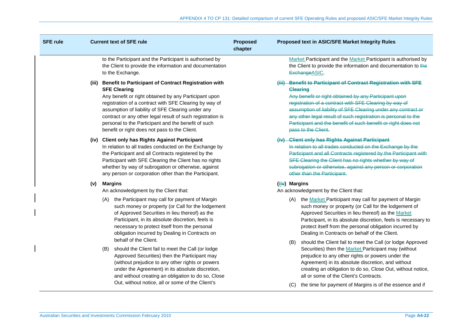| <b>SFE rule</b> |       | <b>Current text of SFE rule</b>                                                                                                                                                                                                                                                                                                                                                                                                  | <b>Proposed</b><br>chapter | Proposed text in ASIC/SFE Market Integrity Rules                                                                                                                                                                                                                                                                                                                                                                                |
|-----------------|-------|----------------------------------------------------------------------------------------------------------------------------------------------------------------------------------------------------------------------------------------------------------------------------------------------------------------------------------------------------------------------------------------------------------------------------------|----------------------------|---------------------------------------------------------------------------------------------------------------------------------------------------------------------------------------------------------------------------------------------------------------------------------------------------------------------------------------------------------------------------------------------------------------------------------|
|                 |       | to the Participant and the Participant is authorised by<br>the Client to provide the information and documentation<br>to the Exchange.                                                                                                                                                                                                                                                                                           |                            | Market Participant and the Market Participant is authorised by<br>the Client to provide the information and documentation to the<br>Exchange ASIC.                                                                                                                                                                                                                                                                              |
|                 | (iii) | <b>Benefit to Participant of Contract Registration with</b><br><b>SFE Clearing</b><br>Any benefit or right obtained by any Participant upon<br>registration of a contract with SFE Clearing by way of<br>assumption of liability of SFE Clearing under any<br>contract or any other legal result of such registration is<br>personal to the Participant and the benefit of such<br>benefit or right does not pass to the Client. |                            | (iii) Benefit to Participant of Contract Registration with SFE<br><b>Clearing</b><br>Any benefit or right obtained by any Participant upon<br>registration of a contract with SFE Clearing by way of<br>assumption of liability of SFE Clearing under any contract or<br>any other legal result of such registration is personal to the<br>Participant and the benefit of such benefit or right does not<br>pass to the Client. |
|                 |       | (iv) Client only has Rights Against Participant<br>In relation to all trades conducted on the Exchange by<br>the Participant and all Contracts registered by the<br>Participant with SFE Clearing the Client has no rights<br>whether by way of subrogation or otherwise, against<br>any person or corporation other than the Participant.                                                                                       |                            | (iv) Client only has Rights Against Participant<br>In relation to all trades conducted on the Exchange by the<br>Participant and all Contracts registered by the Participant with<br>SFE Clearing the Client has no rights whether by way of<br>subrogation or otherwise, against any person or corporation<br>other than the Participant.                                                                                      |
|                 | (v)   | <b>Margins</b><br>An acknowledgment by the Client that:<br>the Participant may call for payment of Margin<br>(A)<br>such money or property (or Call for the lodgement<br>of Approved Securities in lieu thereof) as the<br>Participant, in its absolute discretion, feels is<br>necessary to protect itself from the personal<br>obligation incurred by Dealing in Contracts on                                                  |                            | (iiv) Margins<br>An acknowledgment by the Client that:<br>(A) the Market Participant may call for payment of Margin<br>such money or property (or Call for the lodgement of<br>Approved Securities in lieu thereof) as the Market<br>Participant, in its absolute discretion, feels is necessary to<br>protect itself from the personal obligation incurred by<br>Dealing in Contracts on behalf of the Client.                 |
|                 |       | behalf of the Client.<br>should the Client fail to meet the Call (or lodge<br>(B)<br>Approved Securities) then the Participant may<br>(without prejudice to any other rights or powers<br>under the Agreement) in its absolute discretion,<br>and without creating an obligation to do so, Close<br>Out, without notice, all or some of the Client's                                                                             |                            | should the Client fail to meet the Call (or lodge Approved<br>(B)<br>Securities) then the Market Participant may (without<br>prejudice to any other rights or powers under the<br>Agreement) in its absolute discretion, and without<br>creating an obligation to do so, Close Out, without notice,<br>all or some of the Client's Contracts.<br>the time for payment of Margins is of the essence and if<br>(C)                |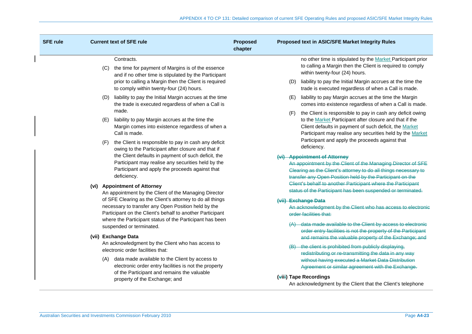| <b>SFE rule</b> |                                                                                                                      | <b>Current text of SFE rule</b>                                                                                                                                                                                                                                                                                                                                                                                                                                                                                                                                                          | <b>Proposed</b><br>chapter                                                                                                                                                                                                                          | Proposed text in ASIC/SFE Market Integrity Rules                                                                                                                                                                             |
|-----------------|----------------------------------------------------------------------------------------------------------------------|------------------------------------------------------------------------------------------------------------------------------------------------------------------------------------------------------------------------------------------------------------------------------------------------------------------------------------------------------------------------------------------------------------------------------------------------------------------------------------------------------------------------------------------------------------------------------------------|-----------------------------------------------------------------------------------------------------------------------------------------------------------------------------------------------------------------------------------------------------|------------------------------------------------------------------------------------------------------------------------------------------------------------------------------------------------------------------------------|
|                 |                                                                                                                      | Contracts.<br>(C) the time for payment of Margins is of the essence<br>and if no other time is stipulated by the Participant                                                                                                                                                                                                                                                                                                                                                                                                                                                             |                                                                                                                                                                                                                                                     | no other time is stipulated by the Market Participant prior<br>to calling a Margin then the Client is required to comply<br>within twenty-four (24) hours.                                                                   |
|                 |                                                                                                                      | prior to calling a Margin then the Client is required<br>to comply within twenty-four (24) hours.                                                                                                                                                                                                                                                                                                                                                                                                                                                                                        |                                                                                                                                                                                                                                                     | liability to pay the Initial Margin accrues at the time the<br>(D)<br>trade is executed regardless of when a Call is made.                                                                                                   |
|                 |                                                                                                                      | liability to pay the Initial Margin accrues at the time<br>(D)<br>the trade is executed regardless of when a Call is<br>made.                                                                                                                                                                                                                                                                                                                                                                                                                                                            |                                                                                                                                                                                                                                                     | liability to pay Margin accrues at the time the Margin<br>(E)<br>comes into existence regardless of when a Call is made.                                                                                                     |
| (E)<br>(F)      | liability to pay Margin accrues at the time the<br>Margin comes into existence regardless of when a<br>Call is made. |                                                                                                                                                                                                                                                                                                                                                                                                                                                                                                                                                                                          | the Client is responsible to pay in cash any deficit owing<br>(F)<br>to the Market Participant after closure and that if the<br>Client defaults in payment of such deficit, the Market<br>Participant may realise any securities held by the Market |                                                                                                                                                                                                                              |
|                 |                                                                                                                      | the Client is responsible to pay in cash any deficit<br>owing to the Participant after closure and that if<br>the Client defaults in payment of such deficit, the<br>Participant may realise any securities held by the<br>Participant and apply the proceeds against that<br>deficiency.                                                                                                                                                                                                                                                                                                |                                                                                                                                                                                                                                                     | Participant and apply the proceeds against that<br>deficiency.                                                                                                                                                               |
|                 |                                                                                                                      |                                                                                                                                                                                                                                                                                                                                                                                                                                                                                                                                                                                          |                                                                                                                                                                                                                                                     | (vi) Appointment of Attorney<br>An appointment by the Client of the Managing Director of SFE<br>Clearing as the Client's attorney to do all things necessary to<br>transfer any Open Position held by the Participant on the |
|                 |                                                                                                                      | (vi) Appointment of Attorney<br>An appointment by the Client of the Managing Director                                                                                                                                                                                                                                                                                                                                                                                                                                                                                                    |                                                                                                                                                                                                                                                     | Client's behalf to another Participant where the Participant<br>status of the Participant has been suspended or terminated.                                                                                                  |
|                 |                                                                                                                      | of SFE Clearing as the Client's attorney to do all things<br>necessary to transfer any Open Position held by the<br>Participant on the Client's behalf to another Participant<br>where the Participant status of the Participant has been<br>suspended or terminated.<br>(vii) Exchange Data<br>An acknowledgment by the Client who has access to<br>electronic order facilities that:<br>data made available to the Client by access to<br>(A)<br>electronic order entry facilities is not the property<br>of the Participant and remains the valuable<br>property of the Exchange; and |                                                                                                                                                                                                                                                     | (vii) Exchange Data<br>An acknowledgment by the Client who has access to electronic<br>order facilities that:                                                                                                                |
|                 |                                                                                                                      |                                                                                                                                                                                                                                                                                                                                                                                                                                                                                                                                                                                          |                                                                                                                                                                                                                                                     | data made available to the Client by access to electronic<br>order entry facilities is not the property of the Participant                                                                                                   |
|                 |                                                                                                                      |                                                                                                                                                                                                                                                                                                                                                                                                                                                                                                                                                                                          |                                                                                                                                                                                                                                                     | and remains the valuable property of the Exchange; and<br>the client is prohibited from publicly displaying,                                                                                                                 |
|                 |                                                                                                                      |                                                                                                                                                                                                                                                                                                                                                                                                                                                                                                                                                                                          |                                                                                                                                                                                                                                                     | redistributing or re-transmitting the data in any way<br>without having executed a Market Data Distribution<br>Agreement or similar agreement with the Exchange.                                                             |
|                 |                                                                                                                      |                                                                                                                                                                                                                                                                                                                                                                                                                                                                                                                                                                                          |                                                                                                                                                                                                                                                     | (viii) Tape Recordings<br>An acknowledgment by the Client that the Client's telephone                                                                                                                                        |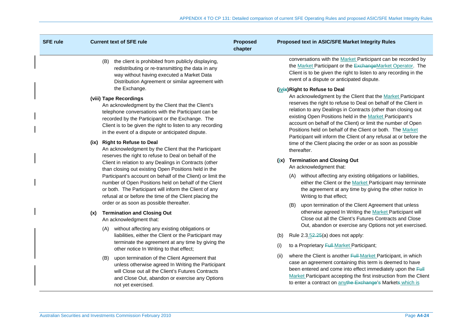| <b>SFE rule</b> |                                                                                                                  | <b>Current text of SFE rule</b>                                                                                                                                                                                                                                                                                                                                                                                      | <b>Proposed</b><br>chapter |                                                                                                                                                                                                                                             | Proposed text in ASIC/SFE Market Integrity Rules                                                                                                                                                                                                                                                                                                                                                                                                                                                                                                                                |
|-----------------|------------------------------------------------------------------------------------------------------------------|----------------------------------------------------------------------------------------------------------------------------------------------------------------------------------------------------------------------------------------------------------------------------------------------------------------------------------------------------------------------------------------------------------------------|----------------------------|---------------------------------------------------------------------------------------------------------------------------------------------------------------------------------------------------------------------------------------------|---------------------------------------------------------------------------------------------------------------------------------------------------------------------------------------------------------------------------------------------------------------------------------------------------------------------------------------------------------------------------------------------------------------------------------------------------------------------------------------------------------------------------------------------------------------------------------|
|                 |                                                                                                                  | the client is prohibited from publicly displaying,<br>(B)<br>redistributing or re-transmitting the data in any<br>way without having executed a Market Data<br>Distribution Agreement or similar agreement with                                                                                                                                                                                                      |                            |                                                                                                                                                                                                                                             | conversations with the Market Participant can be recorded by<br>the Market Participant or the ExchangeMarket Operator. The<br>Client is to be given the right to listen to any recording in the<br>event of a dispute or anticipated dispute.                                                                                                                                                                                                                                                                                                                                   |
|                 |                                                                                                                  | the Exchange.<br>(viii) Tape Recordings<br>An acknowledgment by the Client that the Client's<br>telephone conversations with the Participant can be<br>recorded by the Participant or the Exchange. The<br>Client is to be given the right to listen to any recording<br>in the event of a dispute or anticipated dispute.<br>(ix) Right to Refuse to Deal<br>An acknowledgment by the Client that the Participant   |                            |                                                                                                                                                                                                                                             | (ivix) Right to Refuse to Deal<br>An acknowledgment by the Client that the Market Participant<br>reserves the right to refuse to Deal on behalf of the Client in<br>relation to any Dealings in Contracts (other than closing out<br>existing Open Positions held in the Market Participant's<br>account on behalf of the Client) or limit the number of Open<br>Positions held on behalf of the Client or both. The Market<br>Participant will inform the Client of any refusal at or before the<br>time of the Client placing the order or as soon as possible<br>thereafter. |
|                 |                                                                                                                  | reserves the right to refuse to Deal on behalf of the<br>Client in relation to any Dealings in Contracts (other<br>than closing out existing Open Positions held in the<br>Participant's account on behalf of the Client) or limit the<br>number of Open Positions held on behalf of the Client<br>or both. The Participant will inform the Client of any<br>refusal at or before the time of the Client placing the |                            | (ix)                                                                                                                                                                                                                                        | <b>Termination and Closing Out</b><br>An acknowledgment that:<br>without affecting any existing obligations or liabilities,<br>(A)<br>either the Client or the Market Participant may terminate<br>the agreement at any time by giving the other notice In<br>Writing to that effect;                                                                                                                                                                                                                                                                                           |
|                 | order or as soon as possible thereafter.<br><b>Termination and Closing Out</b><br>(x)<br>An acknowledgment that: |                                                                                                                                                                                                                                                                                                                                                                                                                      |                            | upon termination of the Client Agreement that unless<br>(B)<br>otherwise agreed In Writing the Market Participant will<br>Close out all the Client's Futures Contracts and Close<br>Out, abandon or exercise any Options not yet exercised. |                                                                                                                                                                                                                                                                                                                                                                                                                                                                                                                                                                                 |
|                 |                                                                                                                  | without affecting any existing obligations or<br>(A)<br>liabilities, either the Client or the Participant may<br>terminate the agreement at any time by giving the<br>other notice In Writing to that effect;                                                                                                                                                                                                        |                            | (b)                                                                                                                                                                                                                                         | Rule $2.3.52.25(a)$ does not apply:                                                                                                                                                                                                                                                                                                                                                                                                                                                                                                                                             |
|                 |                                                                                                                  |                                                                                                                                                                                                                                                                                                                                                                                                                      |                            | (i)                                                                                                                                                                                                                                         | to a Proprietary Full Market Participant;                                                                                                                                                                                                                                                                                                                                                                                                                                                                                                                                       |
|                 |                                                                                                                  | upon termination of the Client Agreement that<br>(B)<br>unless otherwise agreed In Writing the Participant<br>will Close out all the Client's Futures Contracts<br>and Close Out, abandon or exercise any Options<br>not yet exercised.                                                                                                                                                                              |                            | (ii)                                                                                                                                                                                                                                        | where the Client is another Full-Market Participant, in which<br>case an agreement containing this term is deemed to have<br>been entered and come into effect immediately upon the Full<br>Market Participant accepting the first instruction from the Client<br>to enter a contract on anythe Exchange's Markets which is                                                                                                                                                                                                                                                     |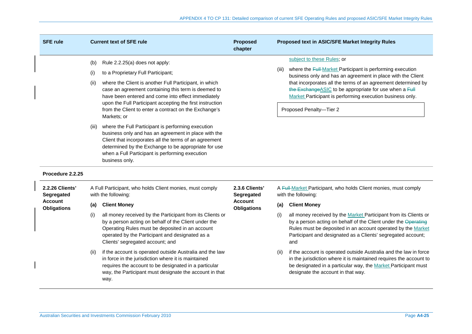| <b>SFE rule</b>                      | <b>Current text of SFE rule</b>                                                                                                                                                                                                                                                                            | <b>Proposed</b><br>chapter           | Proposed text in ASIC/SFE Market Integrity Rules                                                                                                                                                                                                                                 |  |
|--------------------------------------|------------------------------------------------------------------------------------------------------------------------------------------------------------------------------------------------------------------------------------------------------------------------------------------------------------|--------------------------------------|----------------------------------------------------------------------------------------------------------------------------------------------------------------------------------------------------------------------------------------------------------------------------------|--|
|                                      | Rule 2.2.25(a) does not apply:<br>(b)                                                                                                                                                                                                                                                                      |                                      | subject to these Rules; or                                                                                                                                                                                                                                                       |  |
|                                      | to a Proprietary Full Participant;<br>(i)                                                                                                                                                                                                                                                                  |                                      | where the Full-Market Participant is performing execution<br>(iii)<br>business only and has an agreement in place with the Client                                                                                                                                                |  |
|                                      | where the Client is another Full Participant, in which<br>(ii)<br>case an agreement containing this term is deemed to<br>have been entered and come into effect immediately<br>upon the Full Participant accepting the first instruction                                                                   |                                      | that incorporates all the terms of an agreement determined by<br>the Exchange ASIC to be appropriate for use when a Full<br>Market Participant is performing execution business only.                                                                                            |  |
|                                      | from the Client to enter a contract on the Exchange's<br>Markets; or                                                                                                                                                                                                                                       |                                      | Proposed Penalty-Tier 2                                                                                                                                                                                                                                                          |  |
|                                      | where the Full Participant is performing execution<br>(iii)<br>business only and has an agreement in place with the<br>Client that incorporates all the terms of an agreement<br>determined by the Exchange to be appropriate for use<br>when a Full Participant is performing execution<br>business only. |                                      |                                                                                                                                                                                                                                                                                  |  |
| Procedure 2.2.25                     |                                                                                                                                                                                                                                                                                                            |                                      |                                                                                                                                                                                                                                                                                  |  |
| 2.2.26 Clients'<br>Segregated        | A Full Participant, who holds Client monies, must comply<br>with the following:                                                                                                                                                                                                                            | 2.3.6 Clients'<br>Segregated         | A Full-Market Participant, who holds Client monies, must comply<br>with the following:                                                                                                                                                                                           |  |
| <b>Account</b><br><b>Obligations</b> | <b>Client Money</b><br>(a)                                                                                                                                                                                                                                                                                 | <b>Account</b><br><b>Obligations</b> | <b>Client Money</b><br>(a)                                                                                                                                                                                                                                                       |  |
|                                      | all money received by the Participant from its Clients or<br>(i)<br>by a person acting on behalf of the Client under the<br>Operating Rules must be deposited in an account<br>operated by the Participant and designated as a<br>Clients' segregated account; and                                         |                                      | all money received by the Market Participant from its Clients or<br>(i)<br>by a person acting on behalf of the Client under the Operating<br>Rules must be deposited in an account operated by the Market<br>Participant and designated as a Clients' segregated account;<br>and |  |
|                                      | if the account is operated outside Australia and the law<br>(ii)<br>in force in the jurisdiction where it is maintained<br>requires the account to be designated in a particular<br>way, the Participant must designate the account in that<br>way.                                                        |                                      | if the account is operated outside Australia and the law in force<br>(ii)<br>in the jurisdiction where it is maintained requires the account to<br>be designated in a particular way, the Market Participant must<br>designate the account in that way.                          |  |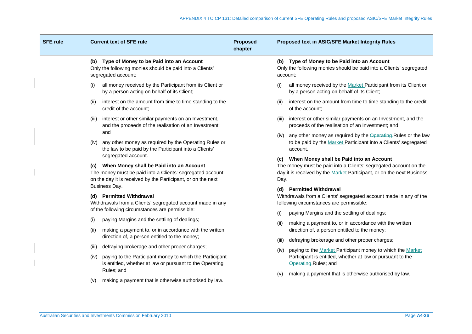| <b>SFE rule</b> | <b>Current text of SFE rule</b>                                                                                                                                                                  | <b>Proposed</b><br>chapter | Proposed text in ASIC/SFE Market Integrity Rules                                                                                                                                                  |
|-----------------|--------------------------------------------------------------------------------------------------------------------------------------------------------------------------------------------------|----------------------------|---------------------------------------------------------------------------------------------------------------------------------------------------------------------------------------------------|
|                 | (b) Type of Money to be Paid into an Account<br>Only the following monies should be paid into a Clients'<br>segregated account:                                                                  |                            | (b) Type of Money to be Paid into an Account<br>Only the following monies should be paid into a Clients' segregated<br>account:                                                                   |
| (i)             | all money received by the Participant from its Client or<br>by a person acting on behalf of its Client;                                                                                          |                            | all money received by the Market Participant from its Client or<br>(i)<br>by a person acting on behalf of its Client;                                                                             |
| (ii)            | interest on the amount from time to time standing to the<br>credit of the account:                                                                                                               |                            | interest on the amount from time to time standing to the credit<br>(ii)<br>of the account:                                                                                                        |
| (III)           | interest or other similar payments on an Investment,<br>and the proceeds of the realisation of an Investment;                                                                                    |                            | interest or other similar payments on an Investment, and the<br>(III)<br>proceeds of the realisation of an Investment; and                                                                        |
| (iv)            | and<br>any other money as required by the Operating Rules or<br>the law to be paid by the Participant into a Clients'                                                                            |                            | any other money as required by the Operating-Rules or the law<br>(iv)<br>to be paid by the Market Participant into a Clients' segregated<br>account.                                              |
|                 | segregated account.<br>(c) When Money shall be Paid into an Account<br>The money must be paid into a Clients' segregated account<br>on the day it is received by the Participant, or on the next |                            | (c) When Money shall be Paid into an Account<br>The money must be paid into a Clients' segregated account on the<br>day it is received by the Market Participant, or on the next Business<br>Day. |
|                 | Business Day.<br>(d) Permitted Withdrawal<br>Withdrawals from a Clients' segregated account made in any<br>of the following circumstances are permissible:                                       |                            | (d) Permitted Withdrawal<br>Withdrawals from a Clients' segregated account made in any of the<br>following circumstances are permissible:                                                         |
| (i)<br>(ii)     | paying Margins and the settling of dealings;<br>making a payment to, or in accordance with the written                                                                                           |                            | paying Margins and the settling of dealings;<br>(i)<br>making a payment to, or in accordance with the written<br>(ii)<br>direction of, a person entitled to the money;                            |
| (iii)           | direction of, a person entitled to the money;<br>defraying brokerage and other proper charges;                                                                                                   |                            | defraying brokerage and other proper charges;<br>(iii)<br>paying to the Market Participant money to which the Market<br>(iv)                                                                      |
| (iv)            | paying to the Participant money to which the Participant<br>is entitled, whether at law or pursuant to the Operating                                                                             |                            | Participant is entitled, whether at law or pursuant to the<br>Operating-Rules; and                                                                                                                |
| (v)             | Rules; and<br>making a payment that is otherwise authorised by law.                                                                                                                              |                            | making a payment that is otherwise authorised by law.<br>(v)                                                                                                                                      |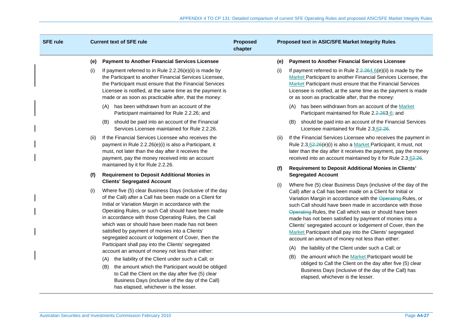| <b>SFE rule</b> |      | <b>Current text of SFE rule</b>                                                                                                                                                                                                                                                                                                                                                                                                                                                         | <b>Proposed</b><br>chapter |      | Proposed text in ASIC/SFE Market Integrity Rules                                                                                                                                                                                                                                                                                                                                                                                                                                                                                                                |
|-----------------|------|-----------------------------------------------------------------------------------------------------------------------------------------------------------------------------------------------------------------------------------------------------------------------------------------------------------------------------------------------------------------------------------------------------------------------------------------------------------------------------------------|----------------------------|------|-----------------------------------------------------------------------------------------------------------------------------------------------------------------------------------------------------------------------------------------------------------------------------------------------------------------------------------------------------------------------------------------------------------------------------------------------------------------------------------------------------------------------------------------------------------------|
|                 | (e)  | <b>Payment to Another Financial Services Licensee</b>                                                                                                                                                                                                                                                                                                                                                                                                                                   |                            | (e)  | <b>Payment to Another Financial Services Licensee</b>                                                                                                                                                                                                                                                                                                                                                                                                                                                                                                           |
|                 | (i)  | If payment referred to in Rule 2.2.26(e)(ii) is made by<br>the Participant to another Financial Services Licensee,<br>the Participant must ensure that the Financial Services<br>Licensee is notified, at the same time as the payment is<br>made or as soon as practicable after, that the money:                                                                                                                                                                                      |                            | (i)  | If payment referred to in Rule $2.2.264.6(e)$ (ii) is made by the<br>Market Participant to another Financial Services Licensee, the<br>Market Participant must ensure that the Financial Services<br>Licensee is notified, at the same time as the payment is made<br>or as soon as practicable after, that the money:                                                                                                                                                                                                                                          |
|                 |      | has been withdrawn from an account of the<br>(A)<br>Participant maintained for Rule 2.2.26; and                                                                                                                                                                                                                                                                                                                                                                                         |                            |      | has been withdrawn from an account of the Market<br>(A)<br>Participant maintained for Rule 2.2.263.6; and                                                                                                                                                                                                                                                                                                                                                                                                                                                       |
|                 |      | (B) should be paid into an account of the Financial<br>Services Licensee maintained for Rule 2.2.26.                                                                                                                                                                                                                                                                                                                                                                                    |                            |      | should be paid into an account of the Financial Services<br>(B)<br>Licensee maintained for Rule 2.3.62.26.                                                                                                                                                                                                                                                                                                                                                                                                                                                      |
|                 | (ii) | If the Financial Services Licensee who receives the<br>payment in Rule 2.2.26(e)(i) is also a Participant, it<br>must, not later than the day after it receives the<br>payment, pay the money received into an account                                                                                                                                                                                                                                                                  |                            | (ii) | If the Financial Services Licensee who receives the payment in<br>Rule 2.3.62.26(e)(i) is also a Market Participant, it must, not<br>later than the day after it receives the payment, pay the money<br>received into an account maintained by it for Rule 2.3.62.26.                                                                                                                                                                                                                                                                                           |
|                 | (f)  | maintained by it for Rule 2.2.26.<br><b>Requirement to Deposit Additional Monies in</b>                                                                                                                                                                                                                                                                                                                                                                                                 |                            | (f)  | Requirement to Deposit Additional Monies in Clients'<br><b>Segregated Account</b>                                                                                                                                                                                                                                                                                                                                                                                                                                                                               |
|                 | (i)  | <b>Clients' Segregated Account</b><br>Where five (5) clear Business Days (inclusive of the day<br>of the Call) after a Call has been made on a Client for<br>Initial or Variation Margin in accordance with the<br>Operating Rules, or such Call should have been made<br>in accordance with those Operating Rules, the Call<br>which was or should have been made has not been<br>satisfied by payment of monies into a Clients'<br>segregated account or lodgement of Cover, then the |                            | (i)  | Where five (5) clear Business Days (inclusive of the day of the<br>Call) after a Call has been made on a Client for Initial or<br>Variation Margin in accordance with the Operating Rules, or<br>such Call should have been made in accordance with those<br>Operating-Rules, the Call which was or should have been<br>made has not been satisfied by payment of monies into a<br>Clients' segregated account or lodgement of Cover, then the<br>Market Participant shall pay into the Clients' segregated<br>account an amount of money not less than either: |
|                 |      | Participant shall pay into the Clients' segregated<br>account an amount of money not less than either:                                                                                                                                                                                                                                                                                                                                                                                  |                            |      | the liability of the Client under such a Call; or<br>(A)                                                                                                                                                                                                                                                                                                                                                                                                                                                                                                        |
|                 |      | the liability of the Client under such a Call; or<br>(A)<br>the amount which the Participant would be obliged<br>(B)<br>to Call the Client on the day after five (5) clear<br>Business Days (inclusive of the day of the Call)<br>has elapsed, whichever is the lesser.                                                                                                                                                                                                                 |                            |      | the amount which the Market Participant would be<br>(B)<br>obliged to Call the Client on the day after five (5) clear<br>Business Days (inclusive of the day of the Call) has<br>elapsed, whichever is the lesser.                                                                                                                                                                                                                                                                                                                                              |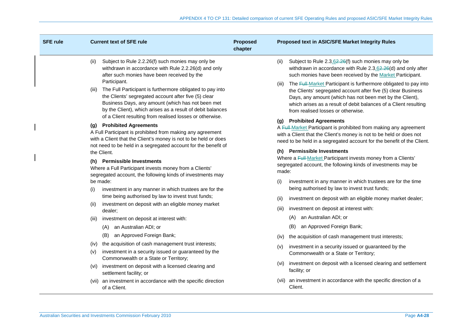| <b>SFE rule</b> | <b>Current text of SFE rule</b>                                                                                                                                                                                                                                                                                  | <b>Proposed</b><br>chapter | Proposed text in ASIC/SFE Market Integrity Rules                                                                                                                                                                                                                                                                 |
|-----------------|------------------------------------------------------------------------------------------------------------------------------------------------------------------------------------------------------------------------------------------------------------------------------------------------------------------|----------------------------|------------------------------------------------------------------------------------------------------------------------------------------------------------------------------------------------------------------------------------------------------------------------------------------------------------------|
| (ii)            | Subject to Rule 2.2.26(f) such monies may only be<br>withdrawn in accordance with Rule 2.2.26(d) and only<br>after such monies have been received by the                                                                                                                                                         |                            | Subject to Rule 2.3.62.26(f) such monies may only be<br>(ii)<br>withdrawn in accordance with Rule 2.3.62.26(d) and only after<br>such monies have been received by the Market Participant.                                                                                                                       |
| (iii)           | Participant.<br>The Full Participant is furthermore obligated to pay into<br>the Clients' segregated account after five (5) clear<br>Business Days, any amount (which has not been met<br>by the Client), which arises as a result of debit balances<br>of a Client resulting from realised losses or otherwise. |                            | The Full-Market Participant is furthermore obligated to pay into<br>(iii)<br>the Clients' segregated account after five (5) clear Business<br>Days, any amount (which has not been met by the Client),<br>which arises as a result of debit balances of a Client resulting<br>from realised losses or otherwise. |
|                 | (g) Prohibited Agreements<br>A Full Participant is prohibited from making any agreement<br>with a Client that the Client's money is not to be held or does<br>not need to be held in a segregated account for the benefit of<br>the Client.                                                                      |                            | (g) Prohibited Agreements<br>A Full-Market Participant is prohibited from making any agreement<br>with a Client that the Client's money is not to be held or does not<br>need to be held in a segregated account for the benefit of the Client.<br>(h) Permissible Investments                                   |
|                 | (h) Permissible Investments<br>Where a Full Participant invests money from a Clients'<br>segregated account, the following kinds of investments may                                                                                                                                                              |                            | Where a Full-Market Participant invests money from a Clients'<br>segregated account, the following kinds of investments may be<br>made:                                                                                                                                                                          |
| (i)             | be made:<br>investment in any manner in which trustees are for the                                                                                                                                                                                                                                               |                            | investment in any manner in which trustees are for the time<br>(i)<br>being authorised by law to invest trust funds;                                                                                                                                                                                             |
| (ii)            | time being authorised by law to invest trust funds;<br>investment on deposit with an eligible money market                                                                                                                                                                                                       |                            | investment on deposit with an eligible money market dealer;<br>(ii)                                                                                                                                                                                                                                              |
|                 | dealer:                                                                                                                                                                                                                                                                                                          |                            | investment on deposit at interest with:<br>(iii)                                                                                                                                                                                                                                                                 |
| (III)           | investment on deposit at interest with:<br>an Australian ADI; or<br>(A)                                                                                                                                                                                                                                          |                            | an Australian ADI; or<br>(A)<br>an Approved Foreign Bank;<br>(B)                                                                                                                                                                                                                                                 |
|                 | an Approved Foreign Bank;<br>(B)                                                                                                                                                                                                                                                                                 |                            | the acquisition of cash management trust interests;<br>(iv)                                                                                                                                                                                                                                                      |
| (iv)<br>(V)     | the acquisition of cash management trust interests;<br>investment in a security issued or guaranteed by the                                                                                                                                                                                                      |                            | investment in a security issued or guaranteed by the<br>(V)<br>Commonwealth or a State or Territory;                                                                                                                                                                                                             |
| (vi)            | Commonwealth or a State or Territory;<br>investment on deposit with a licensed clearing and<br>settlement facility; or                                                                                                                                                                                           |                            | investment on deposit with a licensed clearing and settlement<br>(vi)<br>facility; or                                                                                                                                                                                                                            |
| (vii)           | an investment in accordance with the specific direction<br>of a Client.                                                                                                                                                                                                                                          |                            | (vii) an investment in accordance with the specific direction of a<br>Client.                                                                                                                                                                                                                                    |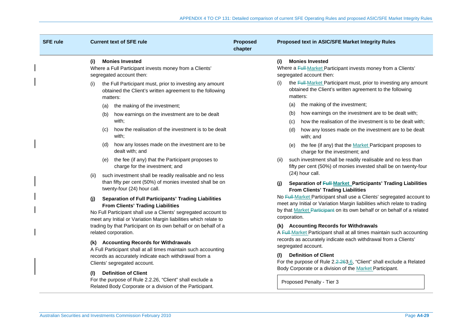| <b>SFE rule</b> | <b>Current text of SFE rule</b>                                                                                                                                                                                                                      | <b>Proposed</b><br>chapter | Proposed text in ASIC/SFE Market Integrity Rules                                                                                                                                                                                                                                                                     |  |  |
|-----------------|------------------------------------------------------------------------------------------------------------------------------------------------------------------------------------------------------------------------------------------------------|----------------------------|----------------------------------------------------------------------------------------------------------------------------------------------------------------------------------------------------------------------------------------------------------------------------------------------------------------------|--|--|
|                 | <b>Monies Invested</b><br>(i)<br>Where a Full Participant invests money from a Clients'<br>segregated account then:                                                                                                                                  |                            | <b>Monies Invested</b><br>(i)<br>Where a Full-Market Participant invests money from a Clients'<br>segregated account then:                                                                                                                                                                                           |  |  |
|                 | the Full Participant must, prior to investing any amount<br>(i)<br>obtained the Client's written agreement to the following<br>matters:                                                                                                              |                            | the Full-Market Participant must, prior to investing any amount<br>(i)<br>obtained the Client's written agreement to the following<br>matters:                                                                                                                                                                       |  |  |
|                 | the making of the investment;<br>(a)                                                                                                                                                                                                                 |                            | the making of the investment;<br>(a)                                                                                                                                                                                                                                                                                 |  |  |
|                 | how earnings on the investment are to be dealt<br>(b)                                                                                                                                                                                                |                            | how earnings on the investment are to be dealt with;<br>(b)                                                                                                                                                                                                                                                          |  |  |
|                 | with;                                                                                                                                                                                                                                                |                            | how the realisation of the investment is to be dealt with;<br>(C)                                                                                                                                                                                                                                                    |  |  |
|                 | how the realisation of the investment is to be dealt<br>(C)<br>with:                                                                                                                                                                                 |                            | how any losses made on the investment are to be dealt<br>(d)<br>with; and                                                                                                                                                                                                                                            |  |  |
|                 | how any losses made on the investment are to be<br>(d)<br>dealt with; and                                                                                                                                                                            |                            | the fee (if any) that the Market Participant proposes to<br>(e)<br>charge for the investment; and                                                                                                                                                                                                                    |  |  |
|                 | (e) the fee (if any) that the Participant proposes to<br>charge for the investment; and                                                                                                                                                              |                            | such investment shall be readily realisable and no less than<br>(ii)<br>fifty per cent (50%) of monies invested shall be on twenty-four                                                                                                                                                                              |  |  |
|                 | such investment shall be readily realisable and no less<br>(ii)<br>than fifty per cent (50%) of monies invested shall be on<br>twenty-four (24) hour call.                                                                                           |                            | (24) hour call.<br>Separation of Full-Market_Participants' Trading Liabilities<br>(i)<br><b>From Clients' Trading Liabilities</b>                                                                                                                                                                                    |  |  |
|                 | <b>Separation of Full Participants' Trading Liabilities</b><br>(i)<br><b>From Clients' Trading Liabilities</b><br>No Full Participant shall use a Clients' segregated account to<br>meet any Initial or Variation Margin liabilities which relate to |                            | No Full-Market Participant shall use a Clients' segregated account to<br>meet any Initial or Variation Margin liabilities which relate to trading<br>by that Market Participant on its own behalf or on behalf of a related<br>corporation.                                                                          |  |  |
|                 | trading by that Participant on its own behalf or on behalf of a<br>related corporation.                                                                                                                                                              |                            | (k) Accounting Records for Withdrawals<br>A Full-Market Participant shall at all times maintain such accounting<br>records as accurately indicate each withdrawal from a Clients'<br>segregated account.<br><b>Definition of Client</b><br>O)<br>For the purpose of Rule 2.2.263.6, "Client" shall exclude a Related |  |  |
|                 | (k) Accounting Records for Withdrawals<br>A Full Participant shall at all times maintain such accounting                                                                                                                                             |                            |                                                                                                                                                                                                                                                                                                                      |  |  |
|                 | records as accurately indicate each withdrawal from a<br>Clients' segregated account.                                                                                                                                                                |                            |                                                                                                                                                                                                                                                                                                                      |  |  |
|                 | <b>Definition of Client</b><br>(1)<br>For the purpose of Rule 2.2.26, "Client" shall exclude a<br>Related Body Corporate or a division of the Participant.                                                                                           |                            | Body Corporate or a division of the Market Participant.<br>Proposed Penalty - Tier 3                                                                                                                                                                                                                                 |  |  |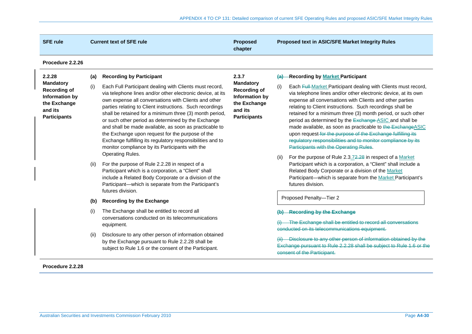| <b>SFE rule</b>                                                                                             |                                         | <b>Current text of SFE rule</b>                                                                                                                                                                                                                                                                                                                                                                                                                                                                                                                                                                               | <b>Proposed</b><br>chapter                                                                                  | Proposed text in ASIC/SFE Market Integrity Rules                                                                                                                                                                                                                                                                                                                                                                                                                                                                                                                                                                                                                                                       |
|-------------------------------------------------------------------------------------------------------------|-----------------------------------------|---------------------------------------------------------------------------------------------------------------------------------------------------------------------------------------------------------------------------------------------------------------------------------------------------------------------------------------------------------------------------------------------------------------------------------------------------------------------------------------------------------------------------------------------------------------------------------------------------------------|-------------------------------------------------------------------------------------------------------------|--------------------------------------------------------------------------------------------------------------------------------------------------------------------------------------------------------------------------------------------------------------------------------------------------------------------------------------------------------------------------------------------------------------------------------------------------------------------------------------------------------------------------------------------------------------------------------------------------------------------------------------------------------------------------------------------------------|
| Procedure 2.2.26                                                                                            |                                         |                                                                                                                                                                                                                                                                                                                                                                                                                                                                                                                                                                                                               |                                                                                                             |                                                                                                                                                                                                                                                                                                                                                                                                                                                                                                                                                                                                                                                                                                        |
| 2.2.28                                                                                                      | (a)                                     | <b>Recording by Participant</b>                                                                                                                                                                                                                                                                                                                                                                                                                                                                                                                                                                               | 2.3.7                                                                                                       | -Recording by Market Participant<br>$\left( a\right) -$                                                                                                                                                                                                                                                                                                                                                                                                                                                                                                                                                                                                                                                |
| <b>Mandatory</b><br><b>Recording of</b><br>Information by<br>the Exchange<br>and its<br><b>Participants</b> | (i)                                     | Each Full Participant dealing with Clients must record,<br>via telephone lines and/or other electronic device, at its<br>own expense all conversations with Clients and other<br>parties relating to Client instructions. Such recordings<br>shall be retained for a minimum three (3) month period,<br>or such other period as determined by the Exchange<br>and shall be made available, as soon as practicable to<br>the Exchange upon request for the purpose of the<br>Exchange fulfilling its regulatory responsibilities and to<br>monitor compliance by its Participants with the<br>Operating Rules. | <b>Mandatory</b><br><b>Recording of</b><br>Information by<br>the Exchange<br>and its<br><b>Participants</b> | Each Full-Market Participant dealing with Clients must record,<br>(i)<br>via telephone lines and/or other electronic device, at its own<br>expense all conversations with Clients and other parties<br>relating to Client instructions. Such recordings shall be<br>retained for a minimum three (3) month period, or such other<br>period as determined by the Exchange ASIC and shall be<br>made available, as soon as practicable to the Exchange ASIC<br>upon request for the purpose of the Exchange fulfilling its<br>regulatory responsibilities and to monitor compliance by its<br>Participants with the Operating Rules.<br>For the purpose of Rule 2.3.72.28 in respect of a Market<br>(ii) |
|                                                                                                             | (ii)                                    | For the purpose of Rule 2.2.28 in respect of a<br>Participant which is a corporation, a "Client" shall<br>include a Related Body Corporate or a division of the<br>Participant-which is separate from the Participant's<br>futures division.                                                                                                                                                                                                                                                                                                                                                                  |                                                                                                             | Participant which is a corporation, a "Client" shall include a<br>Related Body Corporate or a division of the Market<br>Participant-which is separate from the Market Participant's<br>futures division.                                                                                                                                                                                                                                                                                                                                                                                                                                                                                               |
|                                                                                                             | <b>Recording by the Exchange</b><br>(b) |                                                                                                                                                                                                                                                                                                                                                                                                                                                                                                                                                                                                               | Proposed Penalty-Tier 2                                                                                     |                                                                                                                                                                                                                                                                                                                                                                                                                                                                                                                                                                                                                                                                                                        |
|                                                                                                             | (i)                                     | The Exchange shall be entitled to record all<br>conversations conducted on its telecommunications<br>equipment.                                                                                                                                                                                                                                                                                                                                                                                                                                                                                               |                                                                                                             | <b>Recording by the Exchange</b><br>The Exchange shall be entitled to record all conversations<br>conducted on its telecommunications equipment.                                                                                                                                                                                                                                                                                                                                                                                                                                                                                                                                                       |
|                                                                                                             | (ii)                                    | Disclosure to any other person of information obtained<br>by the Exchange pursuant to Rule 2.2.28 shall be<br>subject to Rule 1.6 or the consent of the Participant.                                                                                                                                                                                                                                                                                                                                                                                                                                          |                                                                                                             | Disclosure to any other person of information obtained by the<br>Exchange pursuant to Rule 2.2.28 shall be subject to Rule 1.6 or the<br>consent of the Participant.                                                                                                                                                                                                                                                                                                                                                                                                                                                                                                                                   |

**Procedure 2.2.28**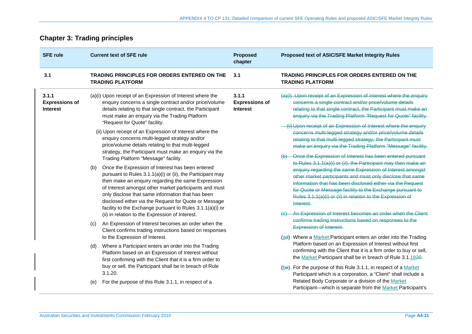## **Chapter 3: Trading principles**

| <b>SFE rule</b>                                   | <b>Current text of SFE rule</b>                                                                                                                                                                                                                                                                                                                                                                           | <b>Proposed</b><br>chapter                        | Proposed text of ASIC/SFE Market Integrity Rules                                                                                                                                                                                                                                                                                                                                                                                                              |
|---------------------------------------------------|-----------------------------------------------------------------------------------------------------------------------------------------------------------------------------------------------------------------------------------------------------------------------------------------------------------------------------------------------------------------------------------------------------------|---------------------------------------------------|---------------------------------------------------------------------------------------------------------------------------------------------------------------------------------------------------------------------------------------------------------------------------------------------------------------------------------------------------------------------------------------------------------------------------------------------------------------|
| 3.1                                               | <b>TRADING PRINCIPLES FOR ORDERS ENTERED ON THE</b><br><b>TRADING PLATFORM</b>                                                                                                                                                                                                                                                                                                                            | 3.1                                               | <b>TRADING PRINCIPLES FOR ORDERS ENTERED ON THE</b><br><b>TRADING PLATFORM</b>                                                                                                                                                                                                                                                                                                                                                                                |
| 3.1.1<br><b>Expressions of</b><br><b>Interest</b> | (a)(i) Upon receipt of an Expression of Interest where the<br>enquiry concerns a single contract and/or price/volume<br>details relating to that single contract, the Participant<br>must make an enquiry via the Trading Platform<br>"Request for Quote" facility.                                                                                                                                       | 3.1.1<br><b>Expressions of</b><br><b>Interest</b> | (a)(i) Upon receipt of an Expression of Interest where the enquiry<br>concerns a single contract and/or price/volume details<br>relating to that single contract, the Participant must make an<br>enquiry via the Trading Platform "Request for Quote" facility.                                                                                                                                                                                              |
|                                                   | (ii) Upon receipt of an Expression of Interest where the<br>enquiry concerns multi-legged strategy and/or<br>price/volume details relating to that multi-legged<br>strategy, the Participant must make an enquiry via the<br>Trading Platform "Message" facility.                                                                                                                                         |                                                   | (ii) Upon receipt of an Expression of Interest where the enquiry<br>concerns multi-legged strategy and/or price/volume details<br>relating to that multi-legged strategy, the Participant must<br>make an enquiry via the Trading Platform "Message" facility.<br>Once the Expression of Interest has been entered pursuant                                                                                                                                   |
| (b)<br>(c)                                        | Once the Expression of Interest has been entered<br>pursuant to Rules 3.1.1(a)(i) or (ii), the Participant may<br>then make an enquiry regarding the same Expression<br>of Interest amongst other market participants and must<br>only disclose that same information that has been<br>disclosed either via the Request for Quote or Message<br>facility to the Exchange pursuant to Rules 3.1.1(a)(i) or |                                                   | to Rules 3.1.1(a)(i) or (ii), the Participant may then make an<br>enquiry regarding the same Expression of Interest amongst<br>other market participants and must only disclose that same<br>information that has been disclosed either via the Request<br>for Quote or Message facility to the Exchange pursuant to<br>Rules 3.1.1(a)(i) or (ii) in relation to the Expression of<br>Interest.<br>An Expression of Interest becomes an order when the Client |
|                                                   | (ii) in relation to the Expression of Interest.<br>An Expression of Interest becomes an order when the<br>Client confirms trading instructions based on responses<br>to the Expression of Interest.                                                                                                                                                                                                       |                                                   | confirms trading instructions based on responses to the<br><b>Expression of Interest.</b><br>(ad) Where a Market Participant enters an order into the Trading                                                                                                                                                                                                                                                                                                 |
|                                                   | Where a Participant enters an order into the Trading<br>(d)<br>Platform based on an Expression of Interest without<br>first confirming with the Client that it is a firm order to                                                                                                                                                                                                                         |                                                   | Platform based on an Expression of Interest without first<br>confirming with the Client that it is a firm order to buy or sell,<br>the Market Participant shall be in breach of Rule 3.1.1820.                                                                                                                                                                                                                                                                |
|                                                   | buy or sell, the Participant shall be in breach of Rule<br>3.1.20.<br>For the purpose of this Rule 3.1.1, in respect of a<br>(e)                                                                                                                                                                                                                                                                          |                                                   | (be) For the purpose of this Rule 3.1.1, in respect of a Market<br>Participant which is a corporation, a "Client" shall include a<br>Related Body Corporate or a division of the Market<br>Participant-which is separate from the Market Participant's                                                                                                                                                                                                        |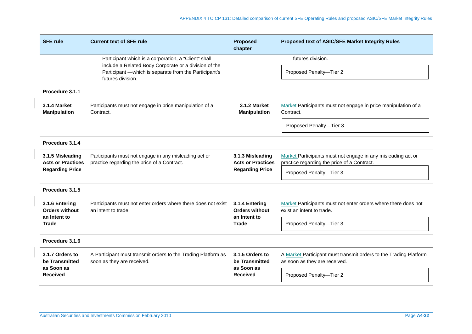| <b>SFE rule</b>                                         | <b>Current text of SFE rule</b>                                                                               | <b>Proposed</b><br>chapter                                              | Proposed text of ASIC/SFE Market Integrity Rules                                                   |
|---------------------------------------------------------|---------------------------------------------------------------------------------------------------------------|-------------------------------------------------------------------------|----------------------------------------------------------------------------------------------------|
|                                                         | Participant which is a corporation, a "Client" shall<br>include a Related Body Corporate or a division of the |                                                                         | futures division.                                                                                  |
|                                                         | Participant - which is separate from the Participant's<br>futures division.                                   |                                                                         | Proposed Penalty-Tier 2                                                                            |
| Procedure 3.1.1                                         |                                                                                                               |                                                                         |                                                                                                    |
| <b>3.1.4 Market</b><br><b>Manipulation</b>              | Participants must not engage in price manipulation of a<br>Contract.                                          | 3.1.2 Market<br><b>Manipulation</b>                                     | Market Participants must not engage in price manipulation of a<br>Contract.                        |
|                                                         |                                                                                                               |                                                                         | Proposed Penalty-Tier 3                                                                            |
| Procedure 3.1.4                                         |                                                                                                               |                                                                         |                                                                                                    |
| 3.1.5 Misleading                                        | Participants must not engage in any misleading act or<br>3.1.3 Misleading                                     |                                                                         | Market Participants must not engage in any misleading act or                                       |
| <b>Acts or Practices</b><br><b>Regarding Price</b>      | practice regarding the price of a Contract.                                                                   | <b>Acts or Practices</b><br><b>Regarding Price</b>                      | practice regarding the price of a Contract.<br>Proposed Penalty-Tier 3                             |
|                                                         |                                                                                                               |                                                                         |                                                                                                    |
| Procedure 3.1.5                                         |                                                                                                               |                                                                         |                                                                                                    |
| 3.1.6 Entering<br><b>Orders without</b><br>an Intent to | Participants must not enter orders where there does not exist<br>an intent to trade.                          | 3.1.4 Entering<br><b>Orders without</b><br>an Intent to<br><b>Trade</b> | Market Participants must not enter orders where there does not<br>exist an intent to trade.        |
| <b>Trade</b>                                            |                                                                                                               |                                                                         | Proposed Penalty-Tier 3                                                                            |
| Procedure 3.1.6                                         |                                                                                                               |                                                                         |                                                                                                    |
| 3.1.7 Orders to<br>be Transmitted                       | A Participant must transmit orders to the Trading Platform as<br>soon as they are received.                   | 3.1.5 Orders to<br>be Transmitted                                       | A Market Participant must transmit orders to the Trading Platform<br>as soon as they are received. |
| as Soon as<br><b>Received</b>                           | as Soon as<br><b>Received</b>                                                                                 | Proposed Penalty-Tier 2                                                 |                                                                                                    |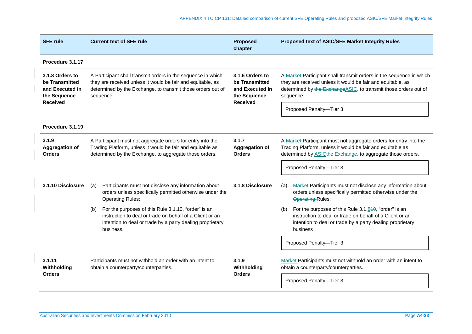| <b>SFE rule</b>                                                                         | <b>Current text of SFE rule</b>                                                                                                                                                                                                                                                 | <b>Proposed</b><br>chapter                      | Proposed text of ASIC/SFE Market Integrity Rules                                                                                                                                                                    |
|-----------------------------------------------------------------------------------------|---------------------------------------------------------------------------------------------------------------------------------------------------------------------------------------------------------------------------------------------------------------------------------|-------------------------------------------------|---------------------------------------------------------------------------------------------------------------------------------------------------------------------------------------------------------------------|
| Procedure 3.1.17                                                                        |                                                                                                                                                                                                                                                                                 |                                                 |                                                                                                                                                                                                                     |
| 3.1.8 Orders to<br>be Transmitted<br>and Executed in<br>the Sequence<br><b>Received</b> | A Participant shall transmit orders in the sequence in which<br>3.1.6 Orders to<br>they are received unless it would be fair and equitable, as<br>be Transmitted<br>determined by the Exchange, to transmit those orders out of<br>and Executed in<br>the Sequence<br>sequence. |                                                 | A Market Participant shall transmit orders in the sequence in which<br>they are received unless it would be fair and equitable, as<br>determined by the Exchange ASIC, to transmit those orders out of<br>sequence. |
|                                                                                         |                                                                                                                                                                                                                                                                                 | <b>Received</b>                                 | Proposed Penalty-Tier 3                                                                                                                                                                                             |
| Procedure 3.1.19                                                                        |                                                                                                                                                                                                                                                                                 |                                                 |                                                                                                                                                                                                                     |
| 3.1.9<br><b>Aggregation of</b><br><b>Orders</b>                                         | A Participant must not aggregate orders for entry into the<br>Trading Platform, unless it would be fair and equitable as<br>determined by the Exchange, to aggregate those orders.                                                                                              | 3.1.7<br><b>Aggregation of</b><br><b>Orders</b> | A Market Participant must not aggregate orders for entry into the<br>Trading Platform, unless it would be fair and equitable as<br>determined by <b>ASICthe Exchange</b> , to aggregate those orders.               |
|                                                                                         |                                                                                                                                                                                                                                                                                 |                                                 | Proposed Penalty-Tier 3                                                                                                                                                                                             |
| 3.1.10 Disclosure                                                                       | Participants must not disclose any information about<br>(a)<br>orders unless specifically permitted otherwise under the<br><b>Operating Rules;</b>                                                                                                                              | 3.1.8 Disclosure                                | Market Participants must not disclose any information about<br>(a)<br>orders unless specifically permitted otherwise under the<br><b>Operating-Rules;</b>                                                           |
|                                                                                         | For the purposes of this Rule 3.1.10, "order" is an<br>(b)<br>instruction to deal or trade on behalf of a Client or an<br>intention to deal or trade by a party dealing proprietary<br>business.                                                                                |                                                 | For the purposes of this Rule 3.1.840, "order" is an<br>(b)<br>instruction to deal or trade on behalf of a Client or an<br>intention to deal or trade by a party dealing proprietary<br>business                    |
|                                                                                         |                                                                                                                                                                                                                                                                                 |                                                 | Proposed Penalty-Tier 3                                                                                                                                                                                             |
| 3.1.11<br>Withholding                                                                   | Participants must not withhold an order with an intent to<br>obtain a counterparty/counterparties.                                                                                                                                                                              | 3.1.9<br>Withholding                            | Market Participants must not withhold an order with an intent to<br>obtain a counterparty/counterparties.                                                                                                           |
| <b>Orders</b>                                                                           |                                                                                                                                                                                                                                                                                 | <b>Orders</b>                                   | Proposed Penalty-Tier 3                                                                                                                                                                                             |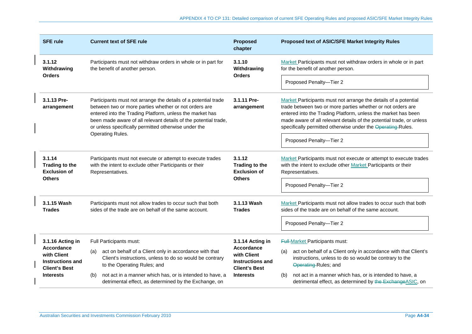| <b>SFE rule</b>                                                                                                      | <b>Current text of SFE rule</b>                                                                                                                                                                                                                                                                                                    | <b>Proposed</b><br>chapter                                                                                           | Proposed text of ASIC/SFE Market Integrity Rules                                                                                                                                                                                                                                                                                                                  |
|----------------------------------------------------------------------------------------------------------------------|------------------------------------------------------------------------------------------------------------------------------------------------------------------------------------------------------------------------------------------------------------------------------------------------------------------------------------|----------------------------------------------------------------------------------------------------------------------|-------------------------------------------------------------------------------------------------------------------------------------------------------------------------------------------------------------------------------------------------------------------------------------------------------------------------------------------------------------------|
| 3.1.12<br>Withdrawing<br><b>Orders</b>                                                                               | Participants must not withdraw orders in whole or in part for<br>the benefit of another person.                                                                                                                                                                                                                                    | 3.1.10<br>Withdrawing<br><b>Orders</b>                                                                               | Market Participants must not withdraw orders in whole or in part<br>for the benefit of another person.                                                                                                                                                                                                                                                            |
|                                                                                                                      |                                                                                                                                                                                                                                                                                                                                    |                                                                                                                      | Proposed Penalty-Tier 2                                                                                                                                                                                                                                                                                                                                           |
| 3.1.13 Pre-<br>arrangement                                                                                           | Participants must not arrange the details of a potential trade<br>between two or more parties whether or not orders are<br>entered into the Trading Platform, unless the market has<br>been made aware of all relevant details of the potential trade,<br>or unless specifically permitted otherwise under the<br>Operating Rules. | 3.1.11 Pre-<br>arrangement                                                                                           | Market Participants must not arrange the details of a potential<br>trade between two or more parties whether or not orders are<br>entered into the Trading Platform, unless the market has been<br>made aware of all relevant details of the potential trade, or unless<br>specifically permitted otherwise under the Operating Rules.<br>Proposed Penalty-Tier 2 |
| 3.1.14<br><b>Trading to the</b><br><b>Exclusion of</b><br><b>Others</b>                                              | Participants must not execute or attempt to execute trades<br>with the intent to exclude other Participants or their<br>Representatives.                                                                                                                                                                                           | 3.1.12<br>Trading to the<br><b>Exclusion of</b><br><b>Others</b>                                                     | Market Participants must not execute or attempt to execute trades<br>with the intent to exclude other Market Participants or their<br>Representatives.<br>Proposed Penalty-Tier 2                                                                                                                                                                                 |
| 3.1.15 Wash<br><b>Trades</b>                                                                                         | Participants must not allow trades to occur such that both<br>sides of the trade are on behalf of the same account.                                                                                                                                                                                                                | 3.1.13 Wash<br><b>Trades</b>                                                                                         | Market Participants must not allow trades to occur such that both<br>sides of the trade are on behalf of the same account.<br>Proposed Penalty-Tier 2                                                                                                                                                                                                             |
| 3.1.16 Acting in<br><b>Accordance</b><br>with Client<br>Instructions and<br><b>Client's Best</b><br><b>Interests</b> | Full Participants must:<br>act on behalf of a Client only in accordance with that<br>(a)<br>Client's instructions, unless to do so would be contrary<br>to the Operating Rules; and<br>not act in a manner which has, or is intended to have, a<br>(b)<br>detrimental effect, as determined by the Exchange, on                    | 3.1.14 Acting in<br><b>Accordance</b><br>with Client<br>Instructions and<br><b>Client's Best</b><br><b>Interests</b> | <b>Full-Market Participants must:</b><br>act on behalf of a Client only in accordance with that Client's<br>(a)<br>instructions, unless to do so would be contrary to the<br>Operating-Rules; and<br>not act in a manner which has, or is intended to have, a<br>(b)<br>detrimental effect, as determined by the Exchange ASIC, on                                |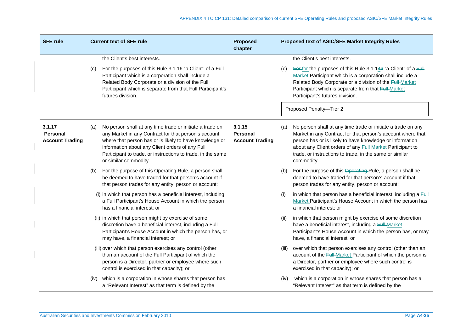| <b>SFE rule</b>                                     |      | <b>Current text of SFE rule</b>                                                                                                                                                                                                                                                                                        | <b>Proposed</b><br>chapter                          |       | <b>Proposed text of ASIC/SFE Market Integrity Rules</b>                                                                                                                                                                                                                                                                       |
|-----------------------------------------------------|------|------------------------------------------------------------------------------------------------------------------------------------------------------------------------------------------------------------------------------------------------------------------------------------------------------------------------|-----------------------------------------------------|-------|-------------------------------------------------------------------------------------------------------------------------------------------------------------------------------------------------------------------------------------------------------------------------------------------------------------------------------|
|                                                     |      | the Client's best interests.                                                                                                                                                                                                                                                                                           |                                                     |       | the Client's best interests.                                                                                                                                                                                                                                                                                                  |
|                                                     | (C)  | For the purposes of this Rule 3.1.16 "a Client" of a Full<br>Participant which is a corporation shall include a<br>Related Body Corporate or a division of the Full<br>Participant which is separate from that Full Participant's<br>futures division.                                                                 |                                                     | (c)   | For-for the purposes of this Rule 3.1.146 "a Client" of a Full<br>Market Participant which is a corporation shall include a<br>Related Body Corporate or a division of the Full-Market<br>Participant which is separate from that Full-Market<br>Participant's futures division.                                              |
|                                                     |      |                                                                                                                                                                                                                                                                                                                        |                                                     |       | Proposed Penalty-Tier 2                                                                                                                                                                                                                                                                                                       |
| 3.1.17<br><b>Personal</b><br><b>Account Trading</b> | (a)  | No person shall at any time trade or initiate a trade on<br>any Market in any Contract for that person's account<br>where that person has or is likely to have knowledge or<br>information about any Client orders of any Full<br>Participant to trade, or instructions to trade, in the same<br>or similar commodity. | 3.1.15<br><b>Personal</b><br><b>Account Trading</b> | (a)   | No person shall at any time trade or initiate a trade on any<br>Market in any Contract for that person's account where that<br>person has or is likely to have knowledge or information<br>about any Client orders of any Full-Market Participant to<br>trade, or instructions to trade, in the same or similar<br>commodity. |
|                                                     | (b)  | For the purpose of this Operating Rule, a person shall<br>be deemed to have traded for that person's account if<br>that person trades for any entity, person or account:                                                                                                                                               |                                                     | (b)   | For the purpose of this Operating-Rule, a person shall be<br>deemed to have traded for that person's account if that<br>person trades for any entity, person or account:                                                                                                                                                      |
|                                                     |      | (i) in which that person has a beneficial interest, including<br>a Full Participant's House Account in which the person<br>has a financial interest; or                                                                                                                                                                |                                                     | (i)   | in which that person has a beneficial interest, including a $F \circ H$<br>Market Participant's House Account in which the person has<br>a financial interest; or                                                                                                                                                             |
|                                                     |      | (ii) in which that person might by exercise of some<br>discretion have a beneficial interest, including a Full<br>Participant's House Account in which the person has, or<br>may have, a financial interest; or                                                                                                        |                                                     | (ii)  | in which that person might by exercise of some discretion<br>have a beneficial interest, including a Full-Market<br>Participant's House Account in which the person has, or may<br>have, a financial interest; or                                                                                                             |
|                                                     |      | (iii) over which that person exercises any control (other<br>than an account of the Full Participant of which the<br>person is a Director, partner or employee where such<br>control is exercised in that capacity); or                                                                                                |                                                     | (iii) | over which that person exercises any control (other than an<br>account of the Full-Market Participant of which the person is<br>a Director, partner or employee where such control is<br>exercised in that capacity); or                                                                                                      |
|                                                     | (iv) | which is a corporation in whose shares that person has<br>a "Relevant Interest" as that term is defined by the                                                                                                                                                                                                         |                                                     | (iv)  | which is a corporation in whose shares that person has a<br>"Relevant Interest" as that term is defined by the                                                                                                                                                                                                                |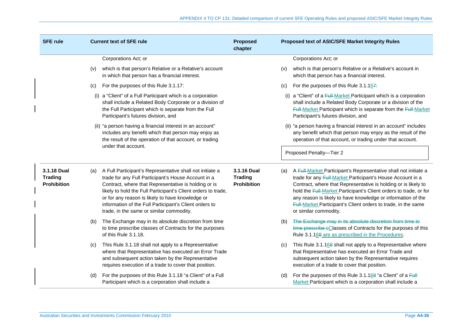| <b>SFE rule</b>                                     | <b>Current text of SFE rule</b>                                                                                                                                                                                                                                                                                                                                                                           | <b>Proposed</b><br>chapter                          | Proposed text of ASIC/SFE Market Integrity Rules                                                                                                                                                                                                                                                                                                                                                                                      |
|-----------------------------------------------------|-----------------------------------------------------------------------------------------------------------------------------------------------------------------------------------------------------------------------------------------------------------------------------------------------------------------------------------------------------------------------------------------------------------|-----------------------------------------------------|---------------------------------------------------------------------------------------------------------------------------------------------------------------------------------------------------------------------------------------------------------------------------------------------------------------------------------------------------------------------------------------------------------------------------------------|
|                                                     | Corporations Act; or                                                                                                                                                                                                                                                                                                                                                                                      |                                                     | Corporations Act; or                                                                                                                                                                                                                                                                                                                                                                                                                  |
|                                                     | which is that person's Relative or a Relative's account<br>(v)<br>in which that person has a financial interest.                                                                                                                                                                                                                                                                                          |                                                     | which is that person's Relative or a Relative's account in<br>(v)<br>which that person has a financial interest.                                                                                                                                                                                                                                                                                                                      |
|                                                     | For the purposes of this Rule 3.1.17:<br>(c)                                                                                                                                                                                                                                                                                                                                                              |                                                     | For the purposes of this Rule $3.1.157$ :<br>(c)                                                                                                                                                                                                                                                                                                                                                                                      |
|                                                     | (i) a "Client" of a Full Participant which is a corporation<br>shall include a Related Body Corporate or a division of<br>the Full Participant which is separate from the Full<br>Participant's futures division, and                                                                                                                                                                                     |                                                     | (i) a "Client" of a Full-Market Participant which is a corporation<br>shall include a Related Body Corporate or a division of the<br>Full-Market Participant which is separate from the Full-Market<br>Participant's futures division, and                                                                                                                                                                                            |
|                                                     | (ii) "a person having a financial interest in an account"<br>includes any benefit which that person may enjoy as<br>the result of the operation of that account, or trading<br>under that account.                                                                                                                                                                                                        |                                                     | (ii) "a person having a financial interest in an account" includes<br>any benefit which that person may enjoy as the result of the<br>operation of that account, or trading under that account.                                                                                                                                                                                                                                       |
|                                                     |                                                                                                                                                                                                                                                                                                                                                                                                           |                                                     | Proposed Penalty-Tier 2                                                                                                                                                                                                                                                                                                                                                                                                               |
| 3.1.18 Dual<br><b>Trading</b><br><b>Prohibition</b> | A Full Participant's Representative shall not initiate a<br>(a)<br>trade for any Full Participant's House Account in a<br>Contract, where that Representative is holding or is<br>likely to hold the Full Participant's Client orders to trade,<br>or for any reason is likely to have knowledge or<br>information of the Full Participant's Client orders to<br>trade, in the same or similar commodity. | 3.1.16 Dual<br><b>Trading</b><br><b>Prohibition</b> | A Full-Market Participant's Representative shall not initiate a<br>(a)<br>trade for any Full-Market Participant's House Account in a<br>Contract, where that Representative is holding or is likely to<br>hold the Full-Market Participant's Client orders to trade, or for<br>any reason is likely to have knowledge or information of the<br>Full-Market Participant's Client orders to trade, in the same<br>or similar commodity. |
|                                                     | The Exchange may in its absolute discretion from time<br>(b)<br>to time prescribe classes of Contracts for the purposes<br>of this Rule 3.1.18.                                                                                                                                                                                                                                                           |                                                     | The Exchange may in its absolute discretion from time to<br>(b)<br>time prescribe eClasses of Contracts for the purposes of this<br>Rule 3.1.168 are as prescribed in the Procedures.                                                                                                                                                                                                                                                 |
|                                                     | This Rule 3.1.18 shall not apply to a Representative<br>(c)<br>where that Representative has executed an Error Trade<br>and subsequent action taken by the Representative<br>requires execution of a trade to cover that position.                                                                                                                                                                        |                                                     | This Rule 3.1.168 shall not apply to a Representative where<br>(C)<br>that Representative has executed an Error Trade and<br>subsequent action taken by the Representative requires<br>execution of a trade to cover that position.                                                                                                                                                                                                   |
|                                                     | For the purposes of this Rule 3.1.18 "a Client" of a Full<br>(d)<br>Participant which is a corporation shall include a                                                                                                                                                                                                                                                                                    |                                                     | For the purposes of this Rule 3.1.168 "a Client" of a Full<br>(d)<br>Market Participant which is a corporation shall include a                                                                                                                                                                                                                                                                                                        |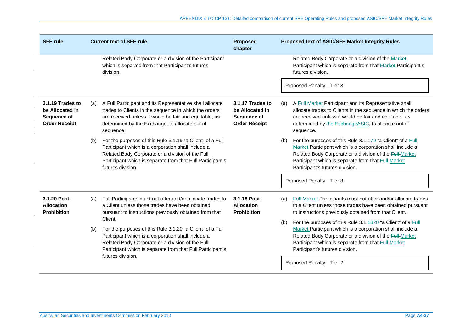| <b>SFE rule</b>                                                            |     | <b>Current text of SFE rule</b>                                                                                                                                                                                                                        | <b>Proposed</b><br>chapter                                                 | <b>Proposed text of ASIC/SFE Market Integrity Rules</b>                                                                                                                                                                                                                              |
|----------------------------------------------------------------------------|-----|--------------------------------------------------------------------------------------------------------------------------------------------------------------------------------------------------------------------------------------------------------|----------------------------------------------------------------------------|--------------------------------------------------------------------------------------------------------------------------------------------------------------------------------------------------------------------------------------------------------------------------------------|
|                                                                            |     | Related Body Corporate or a division of the Participant<br>which is separate from that Participant's futures<br>division.                                                                                                                              |                                                                            | Related Body Corporate or a division of the Market<br>Participant which is separate from that Market Participant's<br>futures division.                                                                                                                                              |
|                                                                            |     |                                                                                                                                                                                                                                                        |                                                                            | Proposed Penalty-Tier 3                                                                                                                                                                                                                                                              |
| 3.1.19 Trades to<br>be Allocated in<br>Sequence of<br><b>Order Receipt</b> | (a) | A Full Participant and its Representative shall allocate<br>trades to Clients in the sequence in which the orders<br>are received unless it would be fair and equitable, as<br>determined by the Exchange, to allocate out of<br>sequence.             | 3.1.17 Trades to<br>be Allocated in<br>Sequence of<br><b>Order Receipt</b> | A Full Market Participant and its Representative shall<br>(a)<br>allocate trades to Clients in the sequence in which the orders<br>are received unless it would be fair and equitable, as<br>determined by the Exchange ASIC, to allocate out of<br>sequence.                        |
|                                                                            | (b) | For the purposes of this Rule 3.1.19 "a Client" of a Full<br>Participant which is a corporation shall include a<br>Related Body Corporate or a division of the Full<br>Participant which is separate from that Full Participant's<br>futures division. |                                                                            | For the purposes of this Rule 3.1.179 "a Client" of a Full<br>(b)<br>Market Participant which is a corporation shall include a<br>Related Body Corporate or a division of the Full-Market<br>Participant which is separate from that Full-Market<br>Participant's futures division.  |
|                                                                            |     |                                                                                                                                                                                                                                                        |                                                                            | Proposed Penalty-Tier 3                                                                                                                                                                                                                                                              |
| 3.1.20 Post-<br><b>Allocation</b><br><b>Prohibition</b>                    | (a) | Full Participants must not offer and/or allocate trades to<br>a Client unless those trades have been obtained<br>pursuant to instructions previously obtained from that                                                                                | 3.1.18 Post-<br><b>Allocation</b><br><b>Prohibition</b>                    | Full-Market Participants must not offer and/or allocate trades<br>(a)<br>to a Client unless those trades have been obtained pursuant<br>to instructions previously obtained from that Client.                                                                                        |
|                                                                            | (b) | Client.<br>For the purposes of this Rule 3.1.20 "a Client" of a Full<br>Participant which is a corporation shall include a<br>Related Body Corporate or a division of the Full<br>Participant which is separate from that Full Participant's           |                                                                            | For the purposes of this Rule 3.1.1820 "a Client" of a Full<br>(b)<br>Market Participant which is a corporation shall include a<br>Related Body Corporate or a division of the Full-Market<br>Participant which is separate from that Full-Market<br>Participant's futures division. |
|                                                                            |     | futures division.                                                                                                                                                                                                                                      |                                                                            | Proposed Penalty-Tier 2                                                                                                                                                                                                                                                              |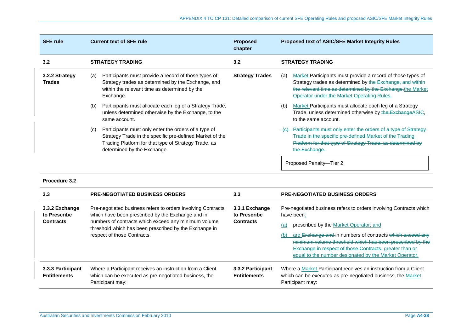| <b>SFE rule</b>                 | <b>Current text of SFE rule</b>                                                                                                                                                                                | <b>Proposed</b><br>chapter | <b>Proposed text of ASIC/SFE Market Integrity Rules</b>                                                                                                                                                                                     |
|---------------------------------|----------------------------------------------------------------------------------------------------------------------------------------------------------------------------------------------------------------|----------------------------|---------------------------------------------------------------------------------------------------------------------------------------------------------------------------------------------------------------------------------------------|
| 3.2                             | <b>STRATEGY TRADING</b>                                                                                                                                                                                        | 3.2                        | <b>STRATEGY TRADING</b>                                                                                                                                                                                                                     |
| 3.2.2 Strategy<br><b>Trades</b> | Participants must provide a record of those types of<br>(a)<br>Strategy trades as determined by the Exchange, and<br>within the relevant time as determined by the<br>Exchange.                                | <b>Strategy Trades</b>     | Market Participants must provide a record of those types of<br>(a)<br>Strategy trades as determined by the Exchange, and within<br>the relevant time as determined by the Exchange the Market<br>Operator under the Market Operating Rules. |
|                                 | Participants must allocate each leg of a Strategy Trade,<br>(b)<br>unless determined otherwise by the Exchange, to the<br>same account.                                                                        |                            | Market Participants must allocate each leg of a Strategy<br>(b)<br>Trade, unless determined otherwise by the ExchangeASIC,<br>to the same account.                                                                                          |
|                                 | Participants must only enter the orders of a type of<br>(c)<br>Strategy Trade in the specific pre-defined Market of the<br>Trading Platform for that type of Strategy Trade, as<br>determined by the Exchange. |                            | Participants must only enter the orders of a type of Strategy<br>Trade in the specific pre-defined Market of the Trading<br>Platform for that type of Strategy Trade, as determined by<br>the Exchange.                                     |
|                                 |                                                                                                                                                                                                                |                            | Proposed Penalty-Tier 2                                                                                                                                                                                                                     |

## **Procedure 3.2**

| 3.3                                      | <b>PRE-NEGOTIATED BUSINESS ORDERS</b>                                                                                                         | 3.3                                      | <b>PRE-NEGOTIATED BUSINESS ORDERS</b>                                                                                                                                                                                                                                                               |
|------------------------------------------|-----------------------------------------------------------------------------------------------------------------------------------------------|------------------------------------------|-----------------------------------------------------------------------------------------------------------------------------------------------------------------------------------------------------------------------------------------------------------------------------------------------------|
| 3.3.2 Exchange<br>to Prescribe           | Pre-negotiated business refers to orders involving Contracts<br>which have been prescribed by the Exchange and in                             | 3.3.1 Exchange<br>to Prescribe           | Pre-negotiated business refers to orders involving Contracts which<br>have been:                                                                                                                                                                                                                    |
| <b>Contracts</b>                         | numbers of contracts which exceed any minimum volume<br>threshold which has been prescribed by the Exchange in<br>respect of those Contracts. | <b>Contracts</b>                         | prescribed by the Market Operator; and<br>(a)<br>are Exchange and in numbers of contracts which exceed any<br>(b)<br>minimum volume threshold which has been prescribed by the<br>Exchange in respect of those Contracts. greater than or<br>equal to the number designated by the Market Operator. |
| 3.3.3 Participant<br><b>Entitlements</b> | Where a Participant receives an instruction from a Client<br>which can be executed as pre-negotiated business, the<br>Participant may:        | 3.3.2 Participant<br><b>Entitlements</b> | Where a Market Participant receives an instruction from a Client<br>which can be executed as pre-negotiated business, the Market<br>Participant may:                                                                                                                                                |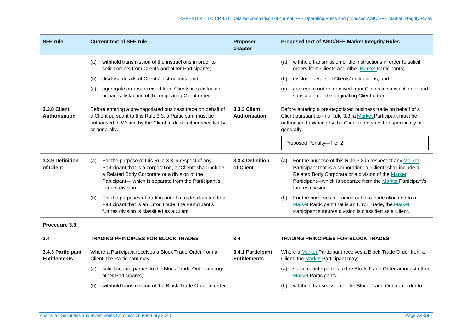| <b>SFE rule</b>                          | <b>Current text of SFE rule</b>                                                                                                                                                                                                                         | <b>Proposed</b><br>chapter               | Proposed text of ASIC/SFE Market Integrity Rules                                                                                                                                                                                                                            |  |
|------------------------------------------|---------------------------------------------------------------------------------------------------------------------------------------------------------------------------------------------------------------------------------------------------------|------------------------------------------|-----------------------------------------------------------------------------------------------------------------------------------------------------------------------------------------------------------------------------------------------------------------------------|--|
|                                          | withhold transmission of the instructions in order to<br>(a)<br>solicit orders from Clients and other Participants;                                                                                                                                     |                                          | withhold transmission of the instructions in order to solicit<br>(a)<br>orders from Clients and other Market Participants;                                                                                                                                                  |  |
|                                          | disclose details of Clients' instructions; and<br>(b)                                                                                                                                                                                                   |                                          | disclose details of Clients' instructions; and<br>(b)                                                                                                                                                                                                                       |  |
|                                          | aggregate orders received from Clients in satisfaction<br>(c)<br>or part satisfaction of the originating Client order.                                                                                                                                  |                                          | aggregate orders received from Clients in satisfaction or part<br>(c)<br>satisfaction of the originating Client order.                                                                                                                                                      |  |
| <b>3.3.8 Client</b><br>Authorisation     | Before entering a pre-negotiated business trade on behalf of<br>a Client pursuant to this Rule 3.3, a Participant must be<br>authorised In Writing by the Client to do so either specifically<br>or generally.                                          | 3.3.3 Client<br>Authorisation            | Before entering a pre-negotiated business trade on behalf of a<br>Client pursuant to this Rule 3.3, a Market Participant must be<br>authorised In Writing by the Client to do so either specifically or<br>generally.                                                       |  |
|                                          |                                                                                                                                                                                                                                                         |                                          | Proposed Penalty-Tier 2                                                                                                                                                                                                                                                     |  |
| 3.3.9 Definition<br>of Client            | For the purpose of this Rule 3.3 in respect of any<br>(a)<br>Participant that is a corporation, a "Client" shall include<br>a Related Body Corporate or a division of the<br>Participant- which is separate from the Participant's<br>futures division. | 3.3.4 Definition<br>of Client            | For the purpose of this Rule 3.3 in respect of any Market<br>(a)<br>Participant that is a corporation, a "Client" shall include a<br>Related Body Corporate or a division of the Market<br>Participant-which is separate from the Market Participant's<br>futures division. |  |
|                                          | For the purposes of trading out of a trade allocated to a<br>(b)<br>Participant that is an Error Trade, the Participant's<br>futures division is classified as a Client.                                                                                |                                          | For the purposes of trading out of a trade allocated to a<br>(b)<br>Market Participant that is an Error Trade, the Market<br>Participant's futures division is classified as a Client.                                                                                      |  |
| Procedure 3.3                            |                                                                                                                                                                                                                                                         |                                          |                                                                                                                                                                                                                                                                             |  |
| 3.4                                      | <b>TRADING PRINCIPLES FOR BLOCK TRADES</b>                                                                                                                                                                                                              | 3.4                                      | <b>TRADING PRINCIPLES FOR BLOCK TRADES</b>                                                                                                                                                                                                                                  |  |
| 3.4.3 Participant<br><b>Entitlements</b> | Where a Participant receives a Block Trade Order from a<br>Client, the Participant may:                                                                                                                                                                 | 3.4.1 Participant<br><b>Entitlements</b> | Where a Market Participant receives a Block Trade Order from a<br>Client, the Market Participant may:                                                                                                                                                                       |  |
|                                          | solicit counterparties to the Block Trade Order amongst<br>(a)<br>other Participants;                                                                                                                                                                   |                                          | solicit counterparties to the Block Trade Order amongst other<br>(a)<br><b>Market Participants;</b>                                                                                                                                                                         |  |
|                                          | withhold transmission of the Block Trade Order in order<br>(b)                                                                                                                                                                                          |                                          | withhold transmission of the Block Trade Order in order to<br>(b)                                                                                                                                                                                                           |  |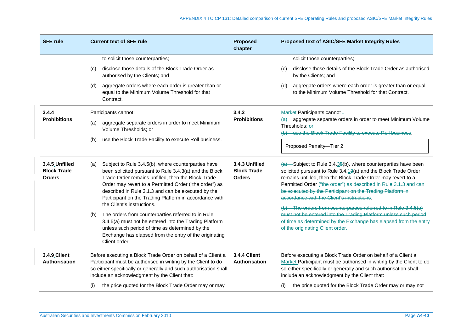| <b>SFE rule</b>                                       | <b>Current text of SFE rule</b>                                                                                                                                                                                                                                                                                                                      | <b>Proposed</b><br>chapter                            | Proposed text of ASIC/SFE Market Integrity Rules                                                                                                                                                                                                                                                                                                                                 |  |
|-------------------------------------------------------|------------------------------------------------------------------------------------------------------------------------------------------------------------------------------------------------------------------------------------------------------------------------------------------------------------------------------------------------------|-------------------------------------------------------|----------------------------------------------------------------------------------------------------------------------------------------------------------------------------------------------------------------------------------------------------------------------------------------------------------------------------------------------------------------------------------|--|
|                                                       | to solicit those counterparties;                                                                                                                                                                                                                                                                                                                     |                                                       | solicit those counterparties;                                                                                                                                                                                                                                                                                                                                                    |  |
|                                                       | disclose those details of the Block Trade Order as<br>(c)<br>authorised by the Clients; and                                                                                                                                                                                                                                                          |                                                       | disclose those details of the Block Trade Order as authorised<br>$\left( c\right)$<br>by the Clients; and                                                                                                                                                                                                                                                                        |  |
|                                                       | aggregate orders where each order is greater than or<br>(d)<br>equal to the Minimum Volume Threshold for that<br>Contract.                                                                                                                                                                                                                           |                                                       | aggregate orders where each order is greater than or equal<br>(d)<br>to the Minimum Volume Threshold for that Contract.                                                                                                                                                                                                                                                          |  |
| 3.4.4                                                 | Participants cannot:                                                                                                                                                                                                                                                                                                                                 | 3.4.2                                                 | Market Participants cannot:                                                                                                                                                                                                                                                                                                                                                      |  |
| <b>Prohibitions</b>                                   | aggregate separate orders in order to meet Minimum<br>(a)<br>Volume Thresholds; or                                                                                                                                                                                                                                                                   | <b>Prohibitions</b>                                   | (a) aggregate separate orders in order to meet Minimum Volume<br>Thresholds; or<br>use the Block Trade Facility to execute Roll business.<br>Proposed Penalty-Tier 2                                                                                                                                                                                                             |  |
|                                                       | use the Block Trade Facility to execute Roll business.<br>(b)                                                                                                                                                                                                                                                                                        |                                                       |                                                                                                                                                                                                                                                                                                                                                                                  |  |
| 3.4.5 Unfilled<br><b>Block Trade</b><br><b>Orders</b> | Subject to Rule 3.4.5(b), where counterparties have<br>(a)<br>been solicited pursuant to Rule 3.4.3(a) and the Block<br>Trade Order remains unfilled, then the Block Trade<br>Order may revert to a Permitted Order ("the order") as<br>described in Rule 3.1.3 and can be executed by the<br>Participant on the Trading Platform in accordance with | 3.4.3 Unfilled<br><b>Block Trade</b><br><b>Orders</b> | $(a)$ Subject to Rule 3.4.35(b), where counterparties have been<br>solicited pursuant to Rule 3.4.13(a) and the Block Trade Order<br>remains unfilled, then the Block Trade Order may revert to a<br>Permitted Order-("the order") as described in Rule 3.1.3 and can<br>be executed by the Participant on the Trading Platform in<br>accordance with the Client's instructions. |  |
|                                                       | the Client's instructions.<br>The orders from counterparties referred to in Rule<br>(b)<br>3.4.5(a) must not be entered into the Trading Platform<br>unless such period of time as determined by the<br>Exchange has elapsed from the entry of the originating<br>Client order.                                                                      |                                                       | (b) The orders from counterparties referred to in Rule 3.4.5(a)<br>must not be entered into the Trading Platform unless such period<br>of time as determined by the Exchange has elapsed from the entry<br>of the originating Client order.                                                                                                                                      |  |
| 3.4.9 Client<br>Authorisation                         | Before executing a Block Trade Order on behalf of a Client a<br>Participant must be authorised in writing by the Client to do<br>so either specifically or generally and such authorisation shall<br>include an acknowledgment by the Client that:                                                                                                   | <b>3.4.4 Client</b><br>Authorisation                  | Before executing a Block Trade Order on behalf of a Client a<br>Market Participant must be authorised in writing by the Client to do<br>so either specifically or generally and such authorisation shall<br>include an acknowledgment by the Client that:                                                                                                                        |  |
|                                                       | the price quoted for the Block Trade Order may or may<br>(i)                                                                                                                                                                                                                                                                                         |                                                       | the price quoted for the Block Trade Order may or may not<br>(i)                                                                                                                                                                                                                                                                                                                 |  |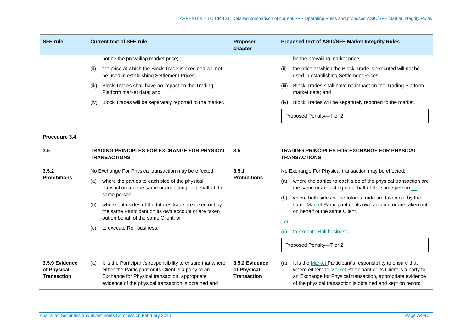| <b>SFE rule</b>                                     | <b>Current text of SFE rule</b>                                                                                                                                                                                                                                                                                                                                                                | <b>Proposed</b><br>chapter                          | Proposed text of ASIC/SFE Market Integrity Rules                                                                                                                                                                                                                                                                                                                                                                                          |
|-----------------------------------------------------|------------------------------------------------------------------------------------------------------------------------------------------------------------------------------------------------------------------------------------------------------------------------------------------------------------------------------------------------------------------------------------------------|-----------------------------------------------------|-------------------------------------------------------------------------------------------------------------------------------------------------------------------------------------------------------------------------------------------------------------------------------------------------------------------------------------------------------------------------------------------------------------------------------------------|
|                                                     | not be the prevailing market price;<br>the price at which the Block Trade is executed will not<br>(II)<br>be used in establishing Settlement Prices;<br>Block Trades shall have no impact on the Trading<br>(III)<br>Platform market data; and<br>Block Trades will be separately reported to the market.<br>(iv)                                                                              |                                                     | be the prevailing market price;<br>the price at which the Block Trade is executed will not be<br>(11)<br>used in establishing Settlement Prices;<br>Block Trades shall have no impact on the Trading Platform<br>(III)<br>market data; and<br>Block Trades will be separately reported to the market.<br>(IV)<br>Proposed Penalty-Tier 2                                                                                                  |
| Procedure 3.4                                       |                                                                                                                                                                                                                                                                                                                                                                                                |                                                     |                                                                                                                                                                                                                                                                                                                                                                                                                                           |
| 3.5                                                 | TRADING PRINCIPLES FOR EXCHANGE FOR PHYSICAL<br><b>TRANSACTIONS</b>                                                                                                                                                                                                                                                                                                                            | 3.5                                                 | <b>TRADING PRINCIPLES FOR EXCHANGE FOR PHYSICAL</b><br><b>TRANSACTIONS</b>                                                                                                                                                                                                                                                                                                                                                                |
| 3.5.2<br><b>Prohibitions</b>                        | No Exchange For Physical transaction may be effected:<br>where the parties to each side of the physical<br>(a)<br>transaction are the same or are acting on behalf of the<br>same person;<br>where both sides of the futures trade are taken out by<br>(b)<br>the same Participant on its own account or are taken<br>out on behalf of the same Client; or<br>to execute Roll business.<br>(c) | 3.5.1<br><b>Prohibitions</b>                        | No Exchange For Physical transaction may be effected:<br>where the parties to each side of the physical transaction are<br>(a)<br>the same or are acting on behalf of the same person; or<br>where both sides of the futures trade are taken out by the<br>(b)<br>same Market Participant on its own account or are taken out<br>on behalf of the same Client.<br><del>; or</del><br>to execute Roll business.<br>Proposed Penalty-Tier 2 |
| 3.5.9 Evidence<br>of Physical<br><b>Transaction</b> | It is the Participant's responsibility to ensure that where<br>(a)<br>either the Participant or its Client is a party to an<br>Exchange for Physical transaction, appropriate<br>evidence of the physical transaction is obtained and                                                                                                                                                          | 3.5.2 Evidence<br>of Physical<br><b>Transaction</b> | It is the Market Participant's responsibility to ensure that<br>(a)<br>where either the Market Participant or its Client is a party to<br>an Exchange for Physical transaction, appropriate evidence<br>of the physical transaction is obtained and kept on record                                                                                                                                                                        |